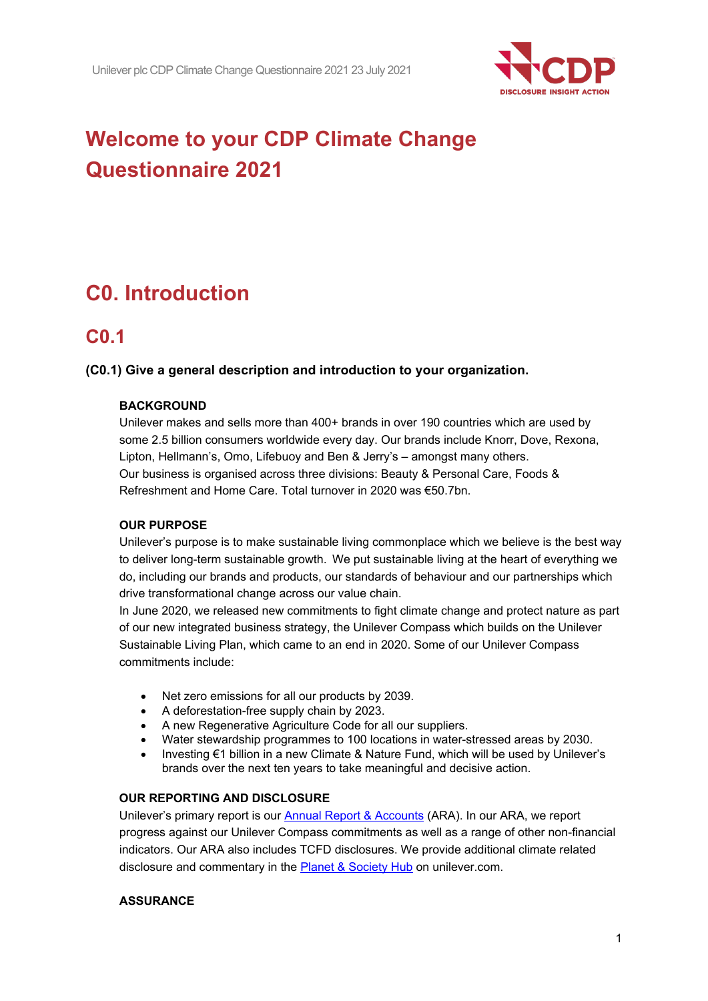

# **Welcome to your CDP Climate Change Questionnaire 2021**

# **C0. Introduction**

## **C0.1**

#### **(C0.1) Give a general description and introduction to your organization.**

#### **BACKGROUND**

Unilever makes and sells more than 400+ brands in over 190 countries which are used by some 2.5 billion consumers worldwide every day. Our brands include Knorr, Dove, Rexona, Lipton, Hellmann's, Omo, Lifebuoy and Ben & Jerry's – amongst many others. Our business is organised across three divisions: Beauty & Personal Care, Foods & Refreshment and Home Care. Total turnover in 2020 was €50.7bn.

#### **OUR PURPOSE**

Unilever's purpose is to make sustainable living commonplace which we believe is the best way to deliver long-term sustainable growth.  We put sustainable living at the heart of everything we do, including our brands and products, our standards of behaviour and our partnerships which drive transformational change across our value chain.

In June 2020, we released new commitments to fight climate change and protect nature as part of our new integrated business strategy, the Unilever Compass which builds on the Unilever Sustainable Living Plan, which came to an end in 2020. Some of our Unilever Compass commitments include:

- Net zero emissions for all our products by 2039.
- A deforestation-free supply chain by 2023.
- A new Regenerative Agriculture Code for all our suppliers.
- Water stewardship programmes to 100 locations in water-stressed areas by 2030.
- Investing €1 billion in a new Climate & Nature Fund, which will be used by Unilever's brands over the next ten years to take meaningful and decisive action.

#### **OUR REPORTING AND DISCLOSURE**

Unilever's primary report is our [Annual Report & Accounts](https://www.unilever.com/Images/annual-report-and-accounts-2020_tcm244-559824_en.pdf) (ARA). In our ARA, we report progress against our Unilever Compass commitments as well as a range of other non-financial indicators. Our ARA also includes TCFD disclosures. We provide additional climate related disclosure and commentary in the [Planet & Society Hub](https://www.unilever.com/planet-and-society/) on unilever.com.

#### **ASSURANCE**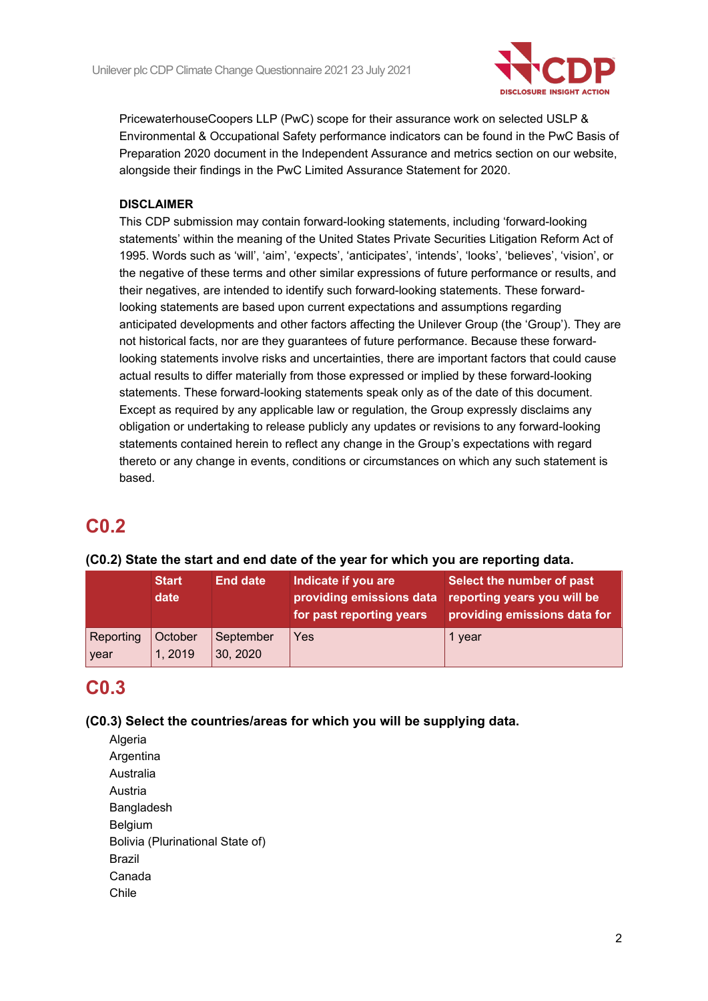

PricewaterhouseCoopers LLP (PwC) scope for their assurance work on selected USLP & Environmental & Occupational Safety performance indicators can be found in the PwC Basis of Preparation 2020 document in the Independent Assurance and metrics section on our website, alongside their findings in the PwC Limited Assurance Statement for 2020. 

#### **DISCLAIMER**

This CDP submission may contain forward-looking statements, including 'forward-looking statements' within the meaning of the United States Private Securities Litigation Reform Act of 1995. Words such as 'will', 'aim', 'expects', 'anticipates', 'intends', 'looks', 'believes', 'vision', or the negative of these terms and other similar expressions of future performance or results, and their negatives, are intended to identify such forward-looking statements. These forwardlooking statements are based upon current expectations and assumptions regarding anticipated developments and other factors affecting the Unilever Group (the 'Group'). They are not historical facts, nor are they guarantees of future performance. Because these forwardlooking statements involve risks and uncertainties, there are important factors that could cause actual results to differ materially from those expressed or implied by these forward-looking statements. These forward-looking statements speak only as of the date of this document. Except as required by any applicable law or regulation, the Group expressly disclaims any obligation or undertaking to release publicly any updates or revisions to any forward-looking statements contained herein to reflect any change in the Group's expectations with regard thereto or any change in events, conditions or circumstances on which any such statement is based.     

## **C0.2**

|                   | <b>Start</b><br>date | <b>End date</b>       | Indicate if you are<br>providing emissions data<br>for past reporting years | Select the number of past<br>reporting years you will be<br>providing emissions data for |
|-------------------|----------------------|-----------------------|-----------------------------------------------------------------------------|------------------------------------------------------------------------------------------|
| Reporting<br>year | October<br>1,2019    | September<br>30, 2020 | Yes                                                                         | year                                                                                     |

#### **(C0.2) State the start and end date of the year for which you are reporting data.**

## **C0.3**

**(C0.3) Select the countries/areas for which you will be supplying data.**

Algeria **Argentina** Australia Austria Bangladesh Belgium Bolivia (Plurinational State of) Brazil Canada Chile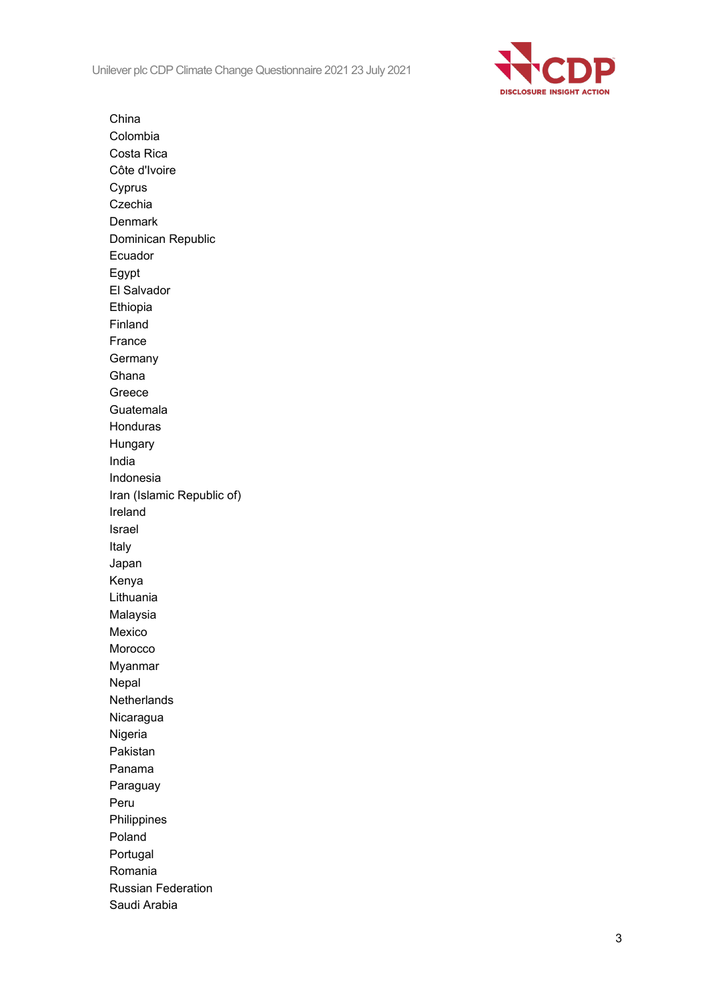Unilever plc CDP Climate Change Questionnaire 2021 23 July 2021



China Colombia Costa Rica Côte d'Ivoire Cyprus Czechia **Denmark** Dominican Republic Ecuador Egypt El Salvador Ethiopia Finland France **Germany** Ghana Greece Guatemala Honduras Hungary India Indonesia Iran (Islamic Republic of) Ireland Israel Italy Japan Kenya Lithuania Malaysia Mexico Morocco Myanmar Nepal **Netherlands** Nicaragua Nigeria Pakistan Panama Paraguay Peru Philippines Poland Portugal Romania Russian Federation Saudi Arabia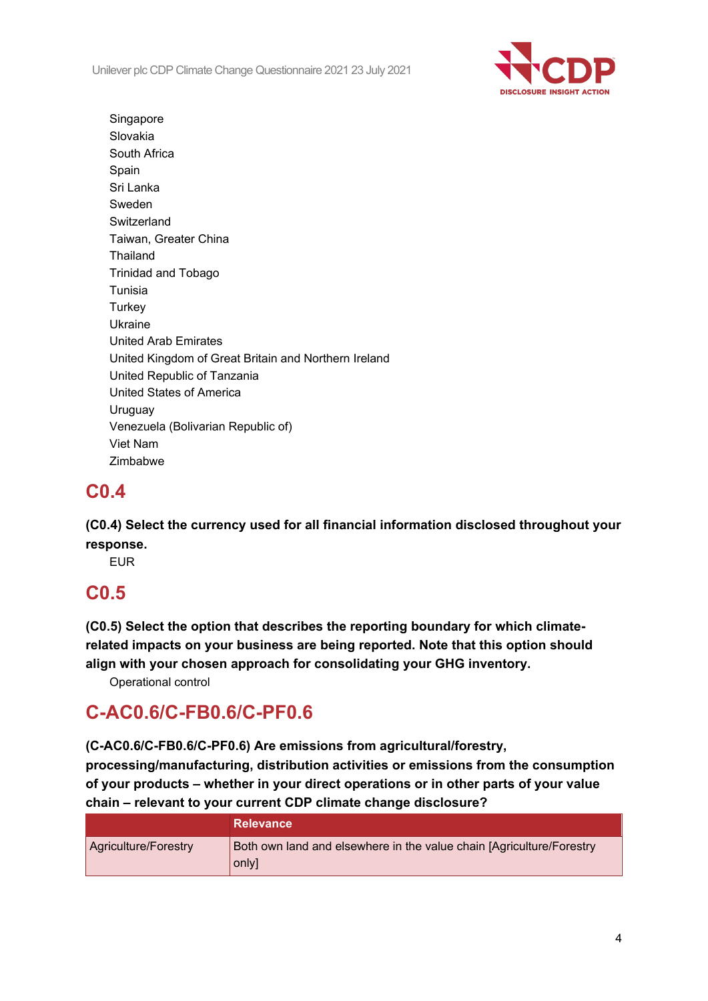

Singapore Slovakia South Africa **Spain** Sri Lanka Sweden **Switzerland** Taiwan, Greater China **Thailand** Trinidad and Tobago Tunisia **Turkey** Ukraine United Arab Emirates United Kingdom of Great Britain and Northern Ireland United Republic of Tanzania United States of America Uruguay Venezuela (Bolivarian Republic of) Viet Nam Zimbabwe

## **C0.4**

**(C0.4) Select the currency used for all financial information disclosed throughout your response.**

EUR

## **C0.5**

**(C0.5) Select the option that describes the reporting boundary for which climaterelated impacts on your business are being reported. Note that this option should align with your chosen approach for consolidating your GHG inventory.**

Operational control

## **C-AC0.6/C-FB0.6/C-PF0.6**

**(C-AC0.6/C-FB0.6/C-PF0.6) Are emissions from agricultural/forestry,** 

**processing/manufacturing, distribution activities or emissions from the consumption of your products – whether in your direct operations or in other parts of your value chain – relevant to your current CDP climate change disclosure?**

|                      | <b>Relevance</b>                                                              |
|----------------------|-------------------------------------------------------------------------------|
| Agriculture/Forestry | Both own land and elsewhere in the value chain [Agriculture/Forestry<br>onlyl |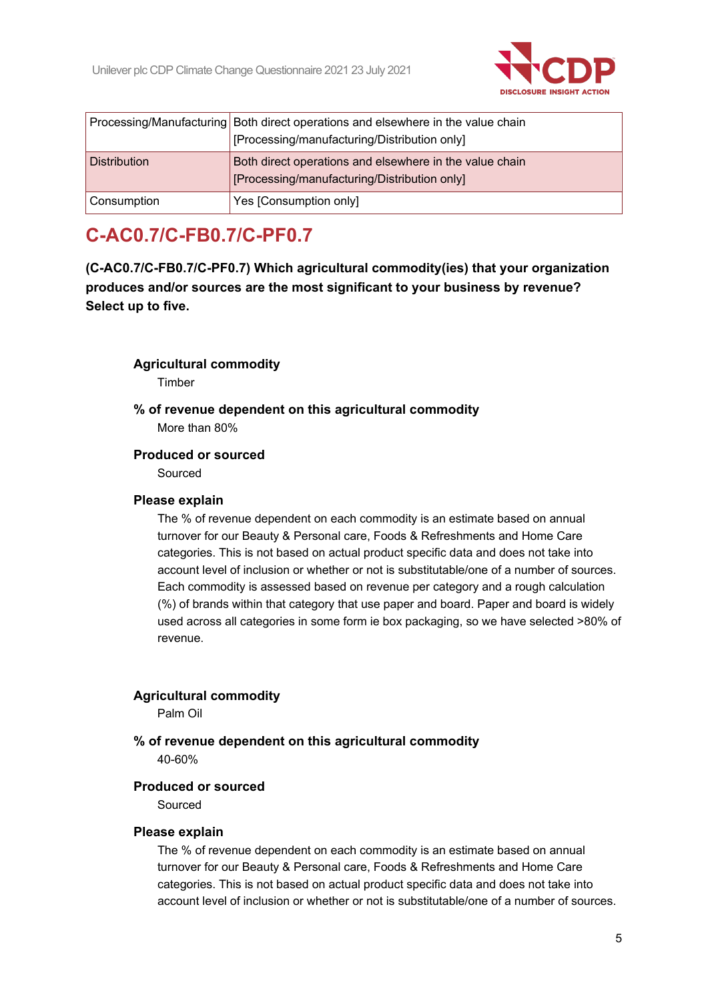

|                     | Processing/Manufacturing Both direct operations and elsewhere in the value chain<br>[Processing/manufacturing/Distribution only] |
|---------------------|----------------------------------------------------------------------------------------------------------------------------------|
| <b>Distribution</b> | Both direct operations and elsewhere in the value chain<br>[Processing/manufacturing/Distribution only]                          |
| Consumption         | Yes [Consumption only]                                                                                                           |

## **C-AC0.7/C-FB0.7/C-PF0.7**

**(C-AC0.7/C-FB0.7/C-PF0.7) Which agricultural commodity(ies) that your organization produces and/or sources are the most significant to your business by revenue? Select up to five.**

## **Agricultural commodity**

Timber

**% of revenue dependent on this agricultural commodity**

More than 80%

### **Produced or sourced**

Sourced

#### **Please explain**

The % of revenue dependent on each commodity is an estimate based on annual turnover for our Beauty & Personal care, Foods & Refreshments and Home Care categories. This is not based on actual product specific data and does not take into account level of inclusion or whether or not is substitutable/one of a number of sources. Each commodity is assessed based on revenue per category and a rough calculation (%) of brands within that category that use paper and board. Paper and board is widely used across all categories in some form ie box packaging, so we have selected >80% of revenue.

#### **Agricultural commodity**

Palm Oil

**% of revenue dependent on this agricultural commodity** 40-60%

#### **Produced or sourced**

Sourced

#### **Please explain**

The % of revenue dependent on each commodity is an estimate based on annual turnover for our Beauty & Personal care, Foods & Refreshments and Home Care categories. This is not based on actual product specific data and does not take into account level of inclusion or whether or not is substitutable/one of a number of sources.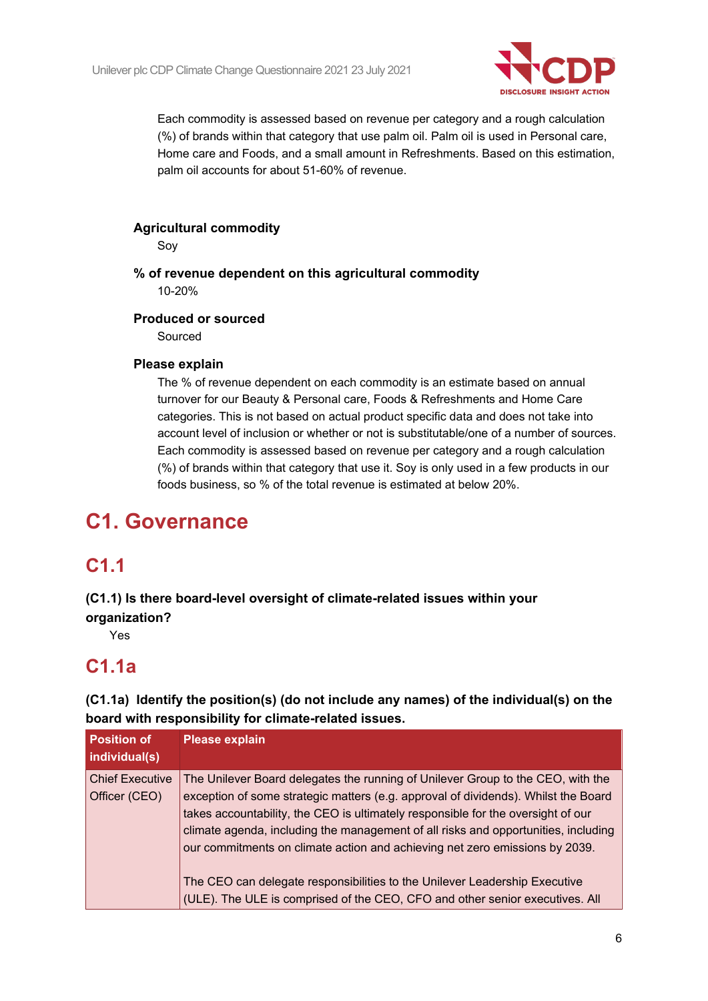

Each commodity is assessed based on revenue per category and a rough calculation (%) of brands within that category that use palm oil. Palm oil is used in Personal care, Home care and Foods, and a small amount in Refreshments. Based on this estimation, palm oil accounts for about 51-60% of revenue.

### **Agricultural commodity**

Soy

**% of revenue dependent on this agricultural commodity** 10-20%

**Produced or sourced**

Sourced

#### **Please explain**

The % of revenue dependent on each commodity is an estimate based on annual turnover for our Beauty & Personal care, Foods & Refreshments and Home Care categories. This is not based on actual product specific data and does not take into account level of inclusion or whether or not is substitutable/one of a number of sources. Each commodity is assessed based on revenue per category and a rough calculation (%) of brands within that category that use it. Soy is only used in a few products in our foods business, so % of the total revenue is estimated at below 20%.

# **C1. Governance**

## **C1.1**

### **(C1.1) Is there board-level oversight of climate-related issues within your organization?**

Yes

## **C1.1a**

**(C1.1a) Identify the position(s) (do not include any names) of the individual(s) on the board with responsibility for climate-related issues.**

| <b>Position of</b><br>individual(s)     | <b>Please explain</b>                                                                                                                                                                                                                                                                                                                                                                                                          |
|-----------------------------------------|--------------------------------------------------------------------------------------------------------------------------------------------------------------------------------------------------------------------------------------------------------------------------------------------------------------------------------------------------------------------------------------------------------------------------------|
| <b>Chief Executive</b><br>Officer (CEO) | The Unilever Board delegates the running of Unilever Group to the CEO, with the<br>exception of some strategic matters (e.g. approval of dividends). Whilst the Board<br>takes accountability, the CEO is ultimately responsible for the oversight of our<br>climate agenda, including the management of all risks and opportunities, including<br>our commitments on climate action and achieving net zero emissions by 2039. |
|                                         | The CEO can delegate responsibilities to the Unilever Leadership Executive<br>(ULE). The ULE is comprised of the CEO, CFO and other senior executives. All                                                                                                                                                                                                                                                                     |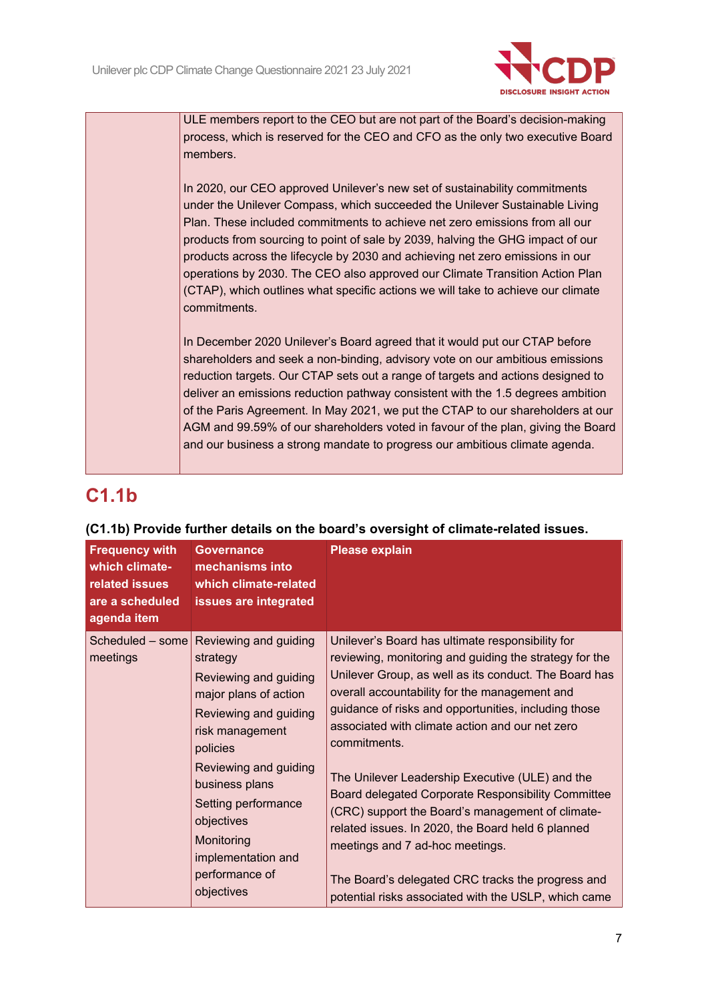

ULE members report to the CEO but are not part of the Board's decision-making process, which is reserved for the CEO and CFO as the only two executive Board members.

In 2020, our CEO approved Unilever's new set of sustainability commitments under the Unilever Compass, which succeeded the Unilever Sustainable Living Plan. These included commitments to achieve net zero emissions from all our products from sourcing to point of sale by 2039, halving the GHG impact of our products across the lifecycle by 2030 and achieving net zero emissions in our operations by 2030. The CEO also approved our Climate Transition Action Plan (CTAP), which outlines what specific actions we will take to achieve our climate commitments.

In December 2020 Unilever's Board agreed that it would put our CTAP before shareholders and seek a non-binding, advisory vote on our ambitious emissions reduction targets. Our CTAP sets out a range of targets and actions designed to deliver an emissions reduction pathway consistent with the 1.5 degrees ambition of the Paris Agreement. In May 2021, we put the CTAP to our shareholders at our AGM and 99.59% of our shareholders voted in favour of the plan, giving the Board and our business a strong mandate to progress our ambitious climate agenda.

## **C1.1b**

| <b>Frequency with</b><br>which climate-<br>related issues<br>are a scheduled<br>agenda item | <b>Governance</b><br>mechanisms into<br>which climate-related<br>issues are integrated                                                           | <b>Please explain</b>                                                                                                                                                                                                                                                                                                                                          |
|---------------------------------------------------------------------------------------------|--------------------------------------------------------------------------------------------------------------------------------------------------|----------------------------------------------------------------------------------------------------------------------------------------------------------------------------------------------------------------------------------------------------------------------------------------------------------------------------------------------------------------|
| Scheduled $-$ some<br>meetings                                                              | Reviewing and guiding<br>strategy<br>Reviewing and guiding<br>major plans of action<br>Reviewing and guiding<br>risk management<br>policies      | Unilever's Board has ultimate responsibility for<br>reviewing, monitoring and guiding the strategy for the<br>Unilever Group, as well as its conduct. The Board has<br>overall accountability for the management and<br>guidance of risks and opportunities, including those<br>associated with climate action and our net zero<br>commitments.                |
|                                                                                             | Reviewing and guiding<br>business plans<br>Setting performance<br>objectives<br>Monitoring<br>implementation and<br>performance of<br>objectives | The Unilever Leadership Executive (ULE) and the<br>Board delegated Corporate Responsibility Committee<br>(CRC) support the Board's management of climate-<br>related issues. In 2020, the Board held 6 planned<br>meetings and 7 ad-hoc meetings.<br>The Board's delegated CRC tracks the progress and<br>potential risks associated with the USLP, which came |

### **(C1.1b) Provide further details on the board's oversight of climate-related issues.**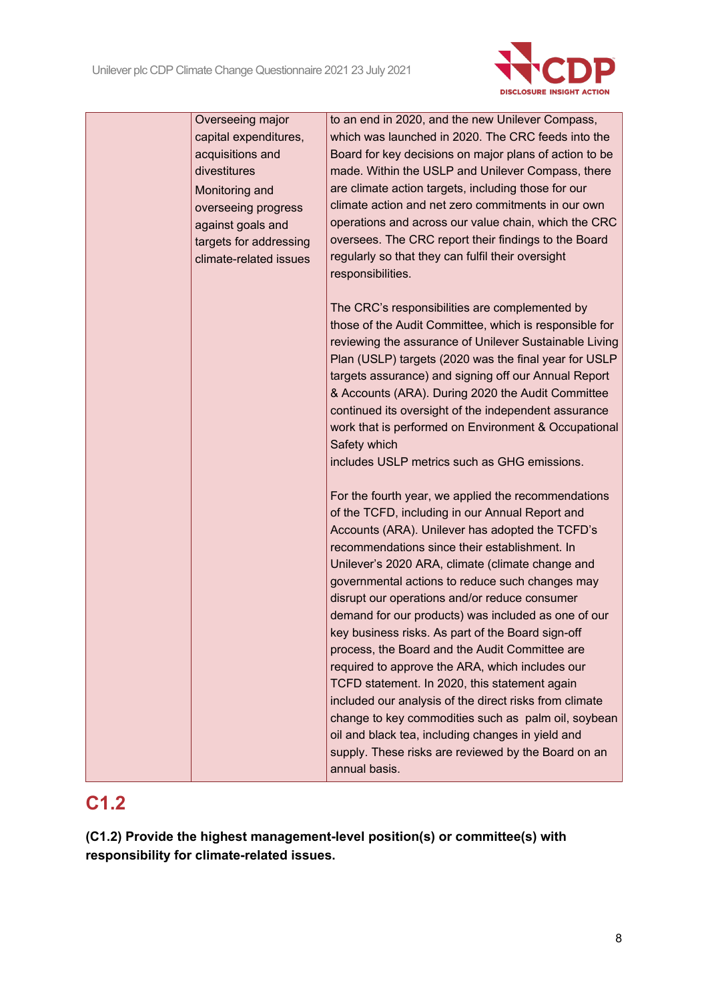

| Overseeing major<br>capital expenditures,<br>acquisitions and<br>divestitures<br>Monitoring and<br>overseeing progress<br>against goals and<br>targets for addressing<br>climate-related issues | to an end in 2020, and the new Unilever Compass,<br>which was launched in 2020. The CRC feeds into the<br>Board for key decisions on major plans of action to be<br>made. Within the USLP and Unilever Compass, there<br>are climate action targets, including those for our<br>climate action and net zero commitments in our own<br>operations and across our value chain, which the CRC<br>oversees. The CRC report their findings to the Board<br>regularly so that they can fulfil their oversight<br>responsibilities.                                                                                                                                                                                                                                                                                                                                                       |
|-------------------------------------------------------------------------------------------------------------------------------------------------------------------------------------------------|------------------------------------------------------------------------------------------------------------------------------------------------------------------------------------------------------------------------------------------------------------------------------------------------------------------------------------------------------------------------------------------------------------------------------------------------------------------------------------------------------------------------------------------------------------------------------------------------------------------------------------------------------------------------------------------------------------------------------------------------------------------------------------------------------------------------------------------------------------------------------------|
|                                                                                                                                                                                                 | The CRC's responsibilities are complemented by<br>those of the Audit Committee, which is responsible for<br>reviewing the assurance of Unilever Sustainable Living<br>Plan (USLP) targets (2020 was the final year for USLP<br>targets assurance) and signing off our Annual Report<br>& Accounts (ARA). During 2020 the Audit Committee<br>continued its oversight of the independent assurance<br>work that is performed on Environment & Occupational<br>Safety which<br>includes USLP metrics such as GHG emissions.                                                                                                                                                                                                                                                                                                                                                           |
|                                                                                                                                                                                                 | For the fourth year, we applied the recommendations<br>of the TCFD, including in our Annual Report and<br>Accounts (ARA). Unilever has adopted the TCFD's<br>recommendations since their establishment. In<br>Unilever's 2020 ARA, climate (climate change and<br>governmental actions to reduce such changes may<br>disrupt our operations and/or reduce consumer<br>demand for our products) was included as one of our<br>key business risks. As part of the Board sign-off<br>process, the Board and the Audit Committee are<br>required to approve the ARA, which includes our<br>TCFD statement. In 2020, this statement again<br>included our analysis of the direct risks from climate<br>change to key commodities such as palm oil, soybean<br>oil and black tea, including changes in yield and<br>supply. These risks are reviewed by the Board on an<br>annual basis. |

## **C1.2**

**(C1.2) Provide the highest management-level position(s) or committee(s) with responsibility for climate-related issues.**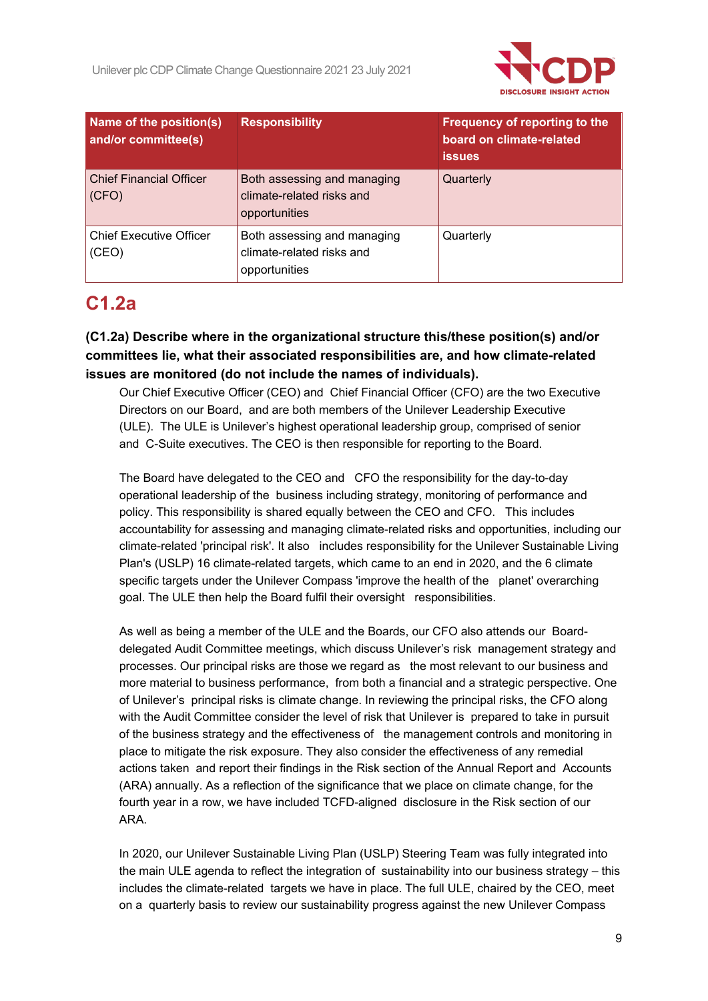

| Name of the position(s)<br>and/or committee(s) | <b>Responsibility</b>                                                     | Frequency of reporting to the<br>board on climate-related<br><b>issues</b> |
|------------------------------------------------|---------------------------------------------------------------------------|----------------------------------------------------------------------------|
| <b>Chief Financial Officer</b><br>(CFO)        | Both assessing and managing<br>climate-related risks and<br>opportunities | Quarterly                                                                  |
| <b>Chief Executive Officer</b><br>(CEO)        | Both assessing and managing<br>climate-related risks and<br>opportunities | Quarterly                                                                  |

## **C1.2a**

**(C1.2a) Describe where in the organizational structure this/these position(s) and/or committees lie, what their associated responsibilities are, and how climate-related issues are monitored (do not include the names of individuals).**

Our Chief Executive Officer (CEO) and Chief Financial Officer (CFO) are the two Executive Directors on our Board, and are both members of the Unilever Leadership Executive (ULE). The ULE is Unilever's highest operational leadership group, comprised of senior and C-Suite executives. The CEO is then responsible for reporting to the Board.

The Board have delegated to the CEO and CFO the responsibility for the day-to-day operational leadership of the business including strategy, monitoring of performance and policy. This responsibility is shared equally between the CEO and CFO. This includes accountability for assessing and managing climate-related risks and opportunities, including our climate-related 'principal risk'. It also includes responsibility for the Unilever Sustainable Living Plan's (USLP) 16 climate-related targets, which came to an end in 2020, and the 6 climate specific targets under the Unilever Compass 'improve the health of the planet' overarching goal. The ULE then help the Board fulfil their oversight responsibilities.

As well as being a member of the ULE and the Boards, our CFO also attends our Boarddelegated Audit Committee meetings, which discuss Unilever's risk management strategy and processes. Our principal risks are those we regard as the most relevant to our business and more material to business performance, from both a financial and a strategic perspective. One of Unilever's principal risks is climate change. In reviewing the principal risks, the CFO along with the Audit Committee consider the level of risk that Unilever is prepared to take in pursuit of the business strategy and the effectiveness of the management controls and monitoring in place to mitigate the risk exposure. They also consider the effectiveness of any remedial actions taken and report their findings in the Risk section of the Annual Report and Accounts (ARA) annually. As a reflection of the significance that we place on climate change, for the fourth year in a row, we have included TCFD-aligned disclosure in the Risk section of our ARA.

In 2020, our Unilever Sustainable Living Plan (USLP) Steering Team was fully integrated into the main ULE agenda to reflect the integration of sustainability into our business strategy – this includes the climate-related targets we have in place. The full ULE, chaired by the CEO, meet on a quarterly basis to review our sustainability progress against the new Unilever Compass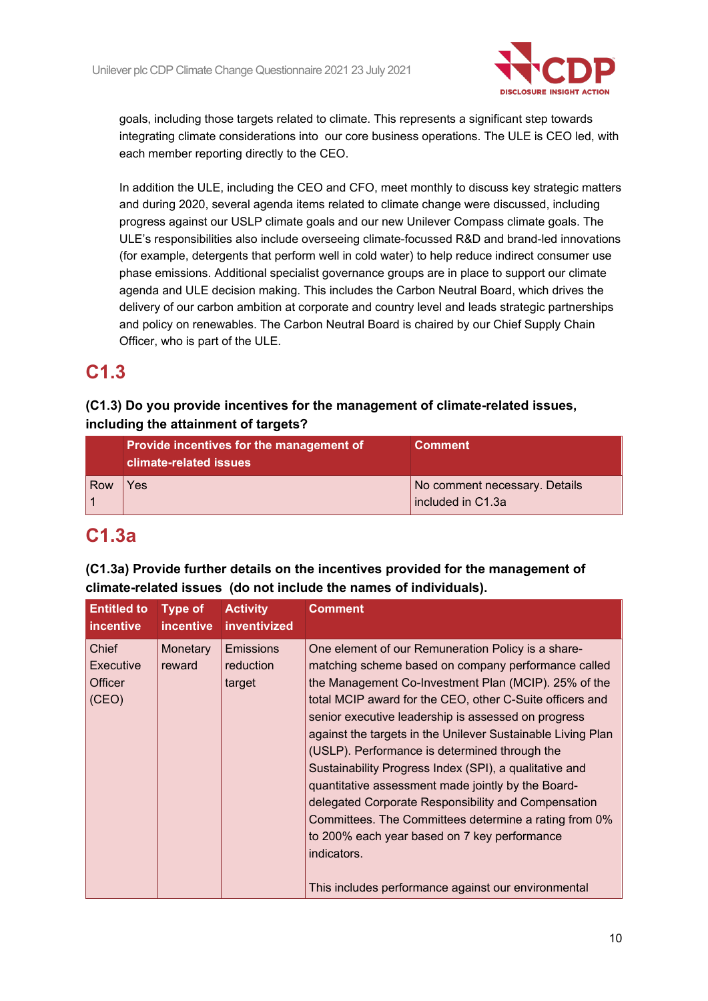

goals, including those targets related to climate. This represents a significant step towards integrating climate considerations into our core business operations. The ULE is CEO led, with each member reporting directly to the CEO.

In addition the ULE, including the CEO and CFO, meet monthly to discuss key strategic matters and during 2020, several agenda items related to climate change were discussed, including progress against our USLP climate goals and our new Unilever Compass climate goals. The ULE's responsibilities also include overseeing climate-focussed R&D and brand-led innovations (for example, detergents that perform well in cold water) to help reduce indirect consumer use phase emissions. Additional specialist governance groups are in place to support our climate agenda and ULE decision making. This includes the Carbon Neutral Board, which drives the delivery of our carbon ambition at corporate and country level and leads strategic partnerships and policy on renewables. The Carbon Neutral Board is chaired by our Chief Supply Chain Officer, who is part of the ULE.

## **C1.3**

### **(C1.3) Do you provide incentives for the management of climate-related issues, including the attainment of targets?**

|     | Provide incentives for the management of<br>climate-related issues | <b>Comment</b>                                         |
|-----|--------------------------------------------------------------------|--------------------------------------------------------|
| Row | Yes                                                                | No comment necessary. Details<br>$ $ included in C1.3a |

## **C1.3a**

**(C1.3a) Provide further details on the incentives provided for the management of climate-related issues (do not include the names of individuals).**

| <b>Entitled to</b>                            | <b>Type of</b>     | <b>Activity</b>                         | <b>Comment</b>                                                                                                                                                                                                                                                                                                                                                                                                                                                                                                                                                                                                                                                                                                                                             |
|-----------------------------------------------|--------------------|-----------------------------------------|------------------------------------------------------------------------------------------------------------------------------------------------------------------------------------------------------------------------------------------------------------------------------------------------------------------------------------------------------------------------------------------------------------------------------------------------------------------------------------------------------------------------------------------------------------------------------------------------------------------------------------------------------------------------------------------------------------------------------------------------------------|
| incentive                                     | incentive          | inventivized                            |                                                                                                                                                                                                                                                                                                                                                                                                                                                                                                                                                                                                                                                                                                                                                            |
| <b>Chief</b><br>Executive<br>Officer<br>(CEO) | Monetary<br>reward | <b>Emissions</b><br>reduction<br>target | One element of our Remuneration Policy is a share-<br>matching scheme based on company performance called<br>the Management Co-Investment Plan (MCIP). 25% of the<br>total MCIP award for the CEO, other C-Suite officers and<br>senior executive leadership is assessed on progress<br>against the targets in the Unilever Sustainable Living Plan<br>(USLP). Performance is determined through the<br>Sustainability Progress Index (SPI), a qualitative and<br>quantitative assessment made jointly by the Board-<br>delegated Corporate Responsibility and Compensation<br>Committees. The Committees determine a rating from 0%<br>to 200% each year based on 7 key performance<br>indicators.<br>This includes performance against our environmental |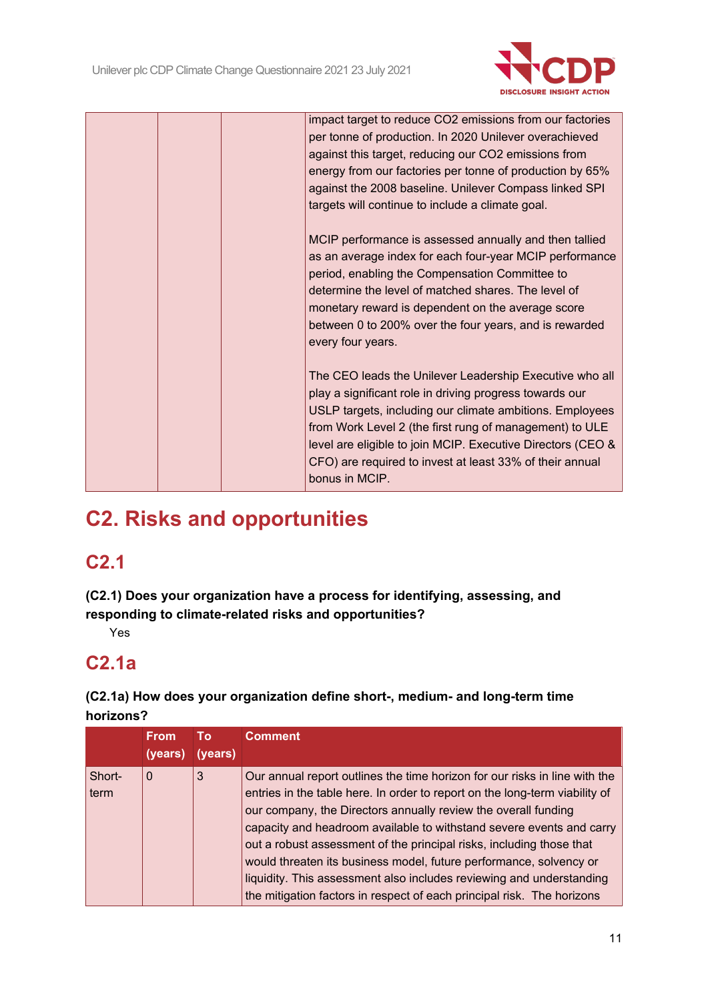

| impact target to reduce CO2 emissions from our factories<br>per tonne of production. In 2020 Unilever overachieved<br>against this target, reducing our CO2 emissions from<br>energy from our factories per tonne of production by 65%<br>against the 2008 baseline. Unilever Compass linked SPI<br>targets will continue to include a climate goal.                                   |
|----------------------------------------------------------------------------------------------------------------------------------------------------------------------------------------------------------------------------------------------------------------------------------------------------------------------------------------------------------------------------------------|
| MCIP performance is assessed annually and then tallied<br>as an average index for each four-year MCIP performance<br>period, enabling the Compensation Committee to<br>determine the level of matched shares. The level of<br>monetary reward is dependent on the average score<br>between 0 to 200% over the four years, and is rewarded<br>every four years.                         |
| The CEO leads the Unilever Leadership Executive who all<br>play a significant role in driving progress towards our<br>USLP targets, including our climate ambitions. Employees<br>from Work Level 2 (the first rung of management) to ULE<br>level are eligible to join MCIP. Executive Directors (CEO &<br>CFO) are required to invest at least 33% of their annual<br>bonus in MCIP. |

# **C2. Risks and opportunities**

## **C2.1**

**(C2.1) Does your organization have a process for identifying, assessing, and responding to climate-related risks and opportunities?**

Yes

# **C2.1a**

### **(C2.1a) How does your organization define short-, medium- and long-term time horizons?**

|        | <b>From</b><br>(years) | Τo<br>(years) | <b>Comment</b>                                                                                                                                |
|--------|------------------------|---------------|-----------------------------------------------------------------------------------------------------------------------------------------------|
| Short- | $\Omega$               | 3             | Our annual report outlines the time horizon for our risks in line with the                                                                    |
| term   |                        |               | entries in the table here. In order to report on the long-term viability of<br>our company, the Directors annually review the overall funding |
|        |                        |               | capacity and headroom available to withstand severe events and carry                                                                          |
|        |                        |               | out a robust assessment of the principal risks, including those that                                                                          |
|        |                        |               | would threaten its business model, future performance, solvency or                                                                            |
|        |                        |               | liquidity. This assessment also includes reviewing and understanding                                                                          |
|        |                        |               | the mitigation factors in respect of each principal risk. The horizons                                                                        |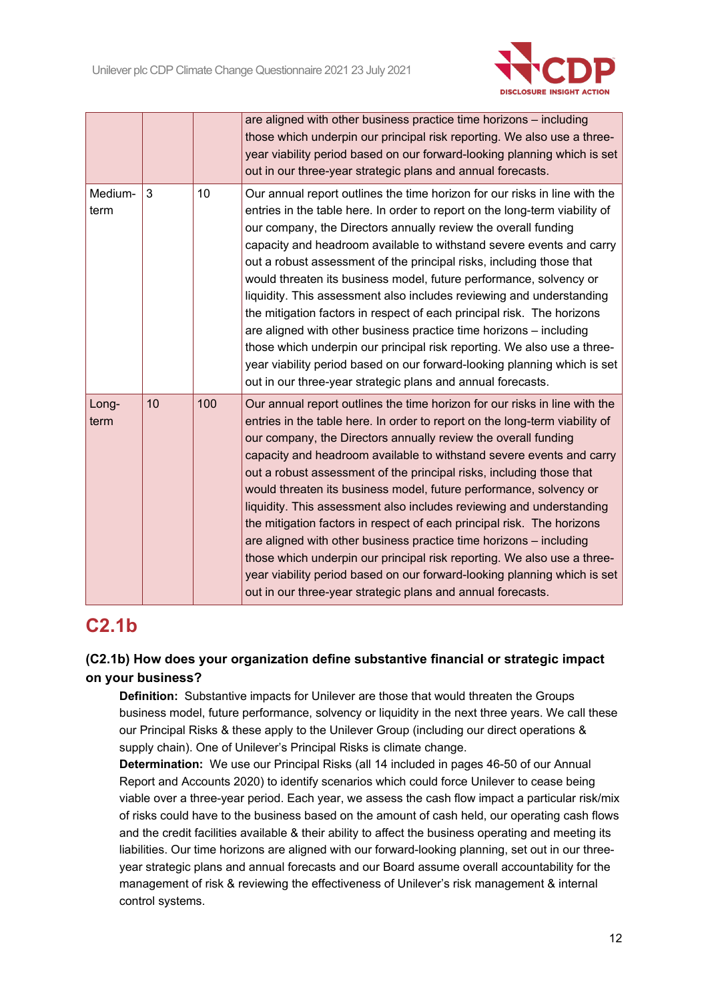

|                 |    |     | are aligned with other business practice time horizons - including<br>those which underpin our principal risk reporting. We also use a three-<br>year viability period based on our forward-looking planning which is set<br>out in our three-year strategic plans and annual forecasts.                                                                                                                                                                                                                                                                                                                                                                                                                                                                                                                                                                                                        |
|-----------------|----|-----|-------------------------------------------------------------------------------------------------------------------------------------------------------------------------------------------------------------------------------------------------------------------------------------------------------------------------------------------------------------------------------------------------------------------------------------------------------------------------------------------------------------------------------------------------------------------------------------------------------------------------------------------------------------------------------------------------------------------------------------------------------------------------------------------------------------------------------------------------------------------------------------------------|
| Medium-<br>term | 3  | 10  | Our annual report outlines the time horizon for our risks in line with the<br>entries in the table here. In order to report on the long-term viability of<br>our company, the Directors annually review the overall funding<br>capacity and headroom available to withstand severe events and carry<br>out a robust assessment of the principal risks, including those that<br>would threaten its business model, future performance, solvency or<br>liquidity. This assessment also includes reviewing and understanding<br>the mitigation factors in respect of each principal risk. The horizons<br>are aligned with other business practice time horizons - including<br>those which underpin our principal risk reporting. We also use a three-<br>year viability period based on our forward-looking planning which is set<br>out in our three-year strategic plans and annual forecasts. |
| Long-<br>term   | 10 | 100 | Our annual report outlines the time horizon for our risks in line with the<br>entries in the table here. In order to report on the long-term viability of<br>our company, the Directors annually review the overall funding<br>capacity and headroom available to withstand severe events and carry<br>out a robust assessment of the principal risks, including those that<br>would threaten its business model, future performance, solvency or<br>liquidity. This assessment also includes reviewing and understanding<br>the mitigation factors in respect of each principal risk. The horizons<br>are aligned with other business practice time horizons - including<br>those which underpin our principal risk reporting. We also use a three-<br>year viability period based on our forward-looking planning which is set<br>out in our three-year strategic plans and annual forecasts. |

## **C2.1b**

### **(C2.1b) How does your organization define substantive financial or strategic impact on your business?**

**Definition:** Substantive impacts for Unilever are those that would threaten the Groups business model, future performance, solvency or liquidity in the next three years. We call these our Principal Risks & these apply to the Unilever Group (including our direct operations & supply chain). One of Unilever's Principal Risks is climate change.

**Determination:** We use our Principal Risks (all 14 included in pages 46-50 of our Annual Report and Accounts 2020) to identify scenarios which could force Unilever to cease being viable over a three-year period. Each year, we assess the cash flow impact a particular risk/mix of risks could have to the business based on the amount of cash held, our operating cash flows and the credit facilities available & their ability to affect the business operating and meeting its liabilities. Our time horizons are aligned with our forward-looking planning, set out in our threeyear strategic plans and annual forecasts and our Board assume overall accountability for the management of risk & reviewing the effectiveness of Unilever's risk management & internal control systems.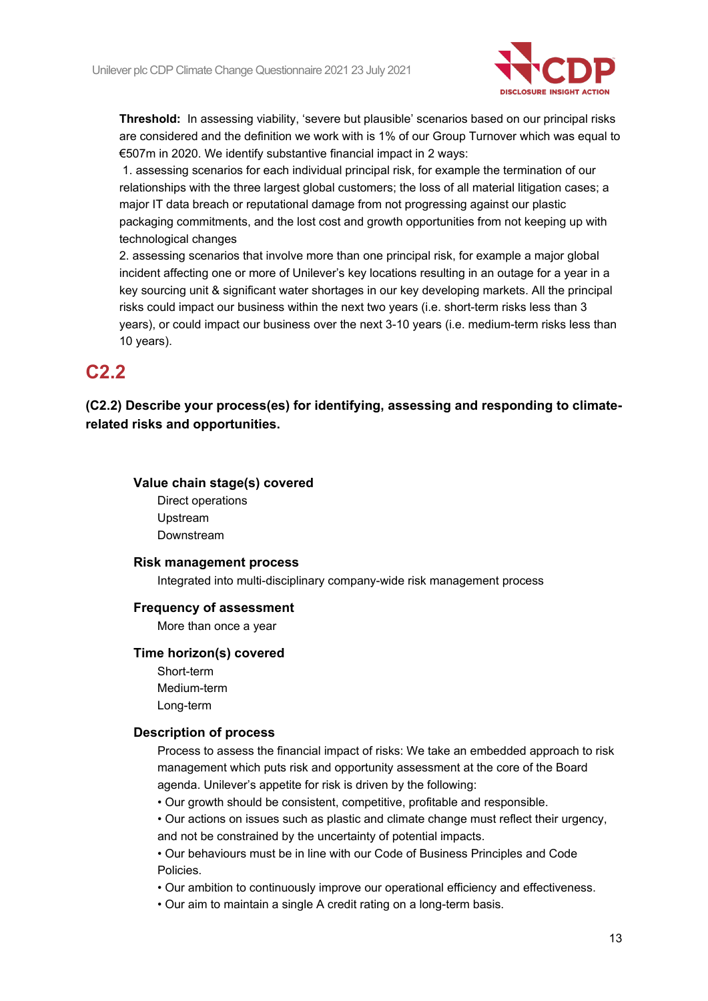

**Threshold:** In assessing viability, 'severe but plausible' scenarios based on our principal risks are considered and the definition we work with is 1% of our Group Turnover which was equal to €507m in 2020. We identify substantive financial impact in 2 ways:

1. assessing scenarios for each individual principal risk, for example the termination of our relationships with the three largest global customers; the loss of all material litigation cases; a major IT data breach or reputational damage from not progressing against our plastic packaging commitments, and the lost cost and growth opportunities from not keeping up with technological changes

2. assessing scenarios that involve more than one principal risk, for example a major global incident affecting one or more of Unilever's key locations resulting in an outage for a year in a key sourcing unit & significant water shortages in our key developing markets. All the principal risks could impact our business within the next two years (i.e. short-term risks less than 3 years), or could impact our business over the next 3-10 years (i.e. medium-term risks less than 10 years).

## **C2.2**

**(C2.2) Describe your process(es) for identifying, assessing and responding to climaterelated risks and opportunities.**

#### **Value chain stage(s) covered**

Direct operations Upstream Downstream

#### **Risk management process**

Integrated into multi-disciplinary company-wide risk management process

#### **Frequency of assessment**

More than once a year

#### **Time horizon(s) covered**

Short-term Medium-term Long-term

#### **Description of process**

Process to assess the financial impact of risks: We take an embedded approach to risk management which puts risk and opportunity assessment at the core of the Board agenda. Unilever's appetite for risk is driven by the following:

- Our growth should be consistent, competitive, profitable and responsible.
- Our actions on issues such as plastic and climate change must reflect their urgency, and not be constrained by the uncertainty of potential impacts.

• Our behaviours must be in line with our Code of Business Principles and Code Policies.

- Our ambition to continuously improve our operational efficiency and effectiveness.
- Our aim to maintain a single A credit rating on a long-term basis.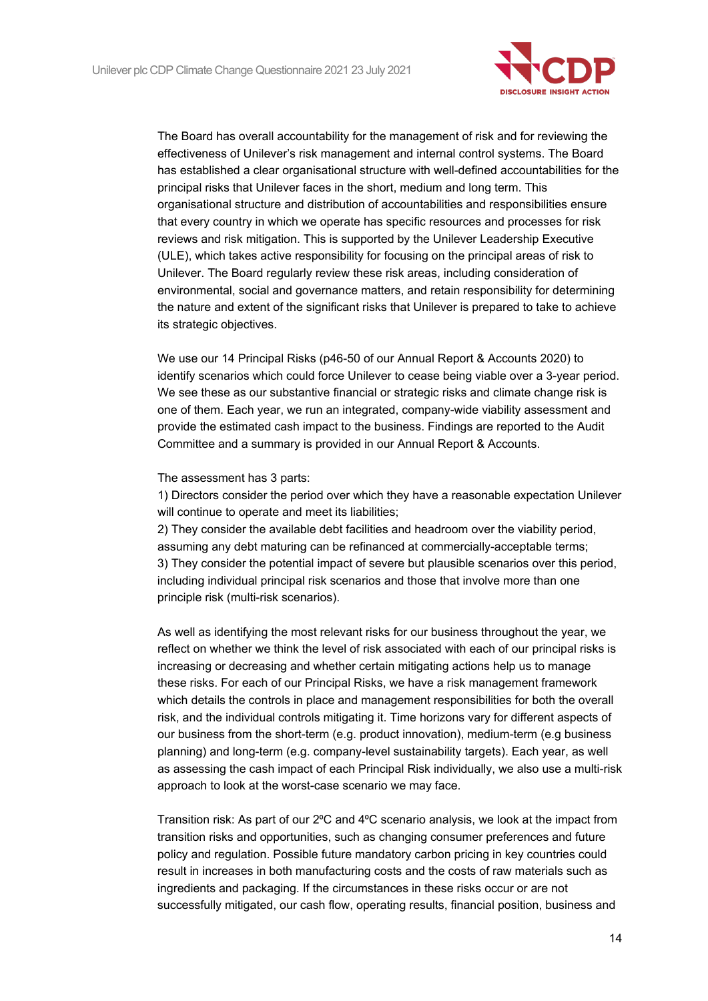

The Board has overall accountability for the management of risk and for reviewing the effectiveness of Unilever's risk management and internal control systems. The Board has established a clear organisational structure with well-defined accountabilities for the principal risks that Unilever faces in the short, medium and long term. This organisational structure and distribution of accountabilities and responsibilities ensure that every country in which we operate has specific resources and processes for risk reviews and risk mitigation. This is supported by the Unilever Leadership Executive (ULE), which takes active responsibility for focusing on the principal areas of risk to Unilever. The Board regularly review these risk areas, including consideration of environmental, social and governance matters, and retain responsibility for determining the nature and extent of the significant risks that Unilever is prepared to take to achieve its strategic objectives.

We use our 14 Principal Risks (p46-50 of our Annual Report & Accounts 2020) to identify scenarios which could force Unilever to cease being viable over a 3-year period. We see these as our substantive financial or strategic risks and climate change risk is one of them. Each year, we run an integrated, company-wide viability assessment and provide the estimated cash impact to the business. Findings are reported to the Audit Committee and a summary is provided in our Annual Report & Accounts.

#### The assessment has 3 parts:

1) Directors consider the period over which they have a reasonable expectation Unilever will continue to operate and meet its liabilities;

2) They consider the available debt facilities and headroom over the viability period, assuming any debt maturing can be refinanced at commercially-acceptable terms; 3) They consider the potential impact of severe but plausible scenarios over this period, including individual principal risk scenarios and those that involve more than one principle risk (multi-risk scenarios).

As well as identifying the most relevant risks for our business throughout the year, we reflect on whether we think the level of risk associated with each of our principal risks is increasing or decreasing and whether certain mitigating actions help us to manage these risks. For each of our Principal Risks, we have a risk management framework which details the controls in place and management responsibilities for both the overall risk, and the individual controls mitigating it. Time horizons vary for different aspects of our business from the short-term (e.g. product innovation), medium-term (e.g business planning) and long-term (e.g. company-level sustainability targets). Each year, as well as assessing the cash impact of each Principal Risk individually, we also use a multi-risk approach to look at the worst-case scenario we may face.

Transition risk: As part of our 2<sup>o</sup>C and 4<sup>o</sup>C scenario analysis, we look at the impact from transition risks and opportunities, such as changing consumer preferences and future policy and regulation. Possible future mandatory carbon pricing in key countries could result in increases in both manufacturing costs and the costs of raw materials such as ingredients and packaging. If the circumstances in these risks occur or are not successfully mitigated, our cash flow, operating results, financial position, business and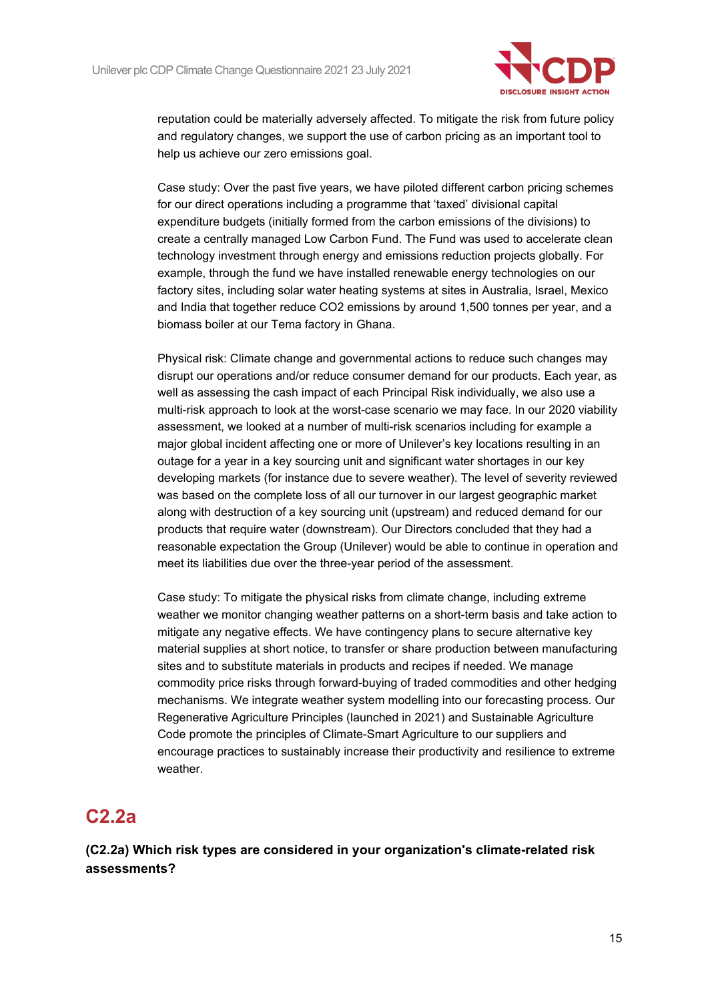

reputation could be materially adversely affected. To mitigate the risk from future policy and regulatory changes, we support the use of carbon pricing as an important tool to help us achieve our zero emissions goal.

Case study: Over the past five years, we have piloted different carbon pricing schemes for our direct operations including a programme that 'taxed' divisional capital expenditure budgets (initially formed from the carbon emissions of the divisions) to create a centrally managed Low Carbon Fund. The Fund was used to accelerate clean technology investment through energy and emissions reduction projects globally. For example, through the fund we have installed renewable energy technologies on our factory sites, including solar water heating systems at sites in Australia, Israel, Mexico and India that together reduce CO2 emissions by around 1,500 tonnes per year, and a biomass boiler at our Tema factory in Ghana.

Physical risk: Climate change and governmental actions to reduce such changes may disrupt our operations and/or reduce consumer demand for our products. Each year, as well as assessing the cash impact of each Principal Risk individually, we also use a multi-risk approach to look at the worst-case scenario we may face. In our 2020 viability assessment, we looked at a number of multi-risk scenarios including for example a major global incident affecting one or more of Unilever's key locations resulting in an outage for a year in a key sourcing unit and significant water shortages in our key developing markets (for instance due to severe weather). The level of severity reviewed was based on the complete loss of all our turnover in our largest geographic market along with destruction of a key sourcing unit (upstream) and reduced demand for our products that require water (downstream). Our Directors concluded that they had a reasonable expectation the Group (Unilever) would be able to continue in operation and meet its liabilities due over the three-year period of the assessment.

Case study: To mitigate the physical risks from climate change, including extreme weather we monitor changing weather patterns on a short-term basis and take action to mitigate any negative effects. We have contingency plans to secure alternative key material supplies at short notice, to transfer or share production between manufacturing sites and to substitute materials in products and recipes if needed. We manage commodity price risks through forward-buying of traded commodities and other hedging mechanisms. We integrate weather system modelling into our forecasting process. Our Regenerative Agriculture Principles (launched in 2021) and Sustainable Agriculture Code promote the principles of Climate-Smart Agriculture to our suppliers and encourage practices to sustainably increase their productivity and resilience to extreme weather.

## **C2.2a**

**(C2.2a) Which risk types are considered in your organization's climate-related risk assessments?**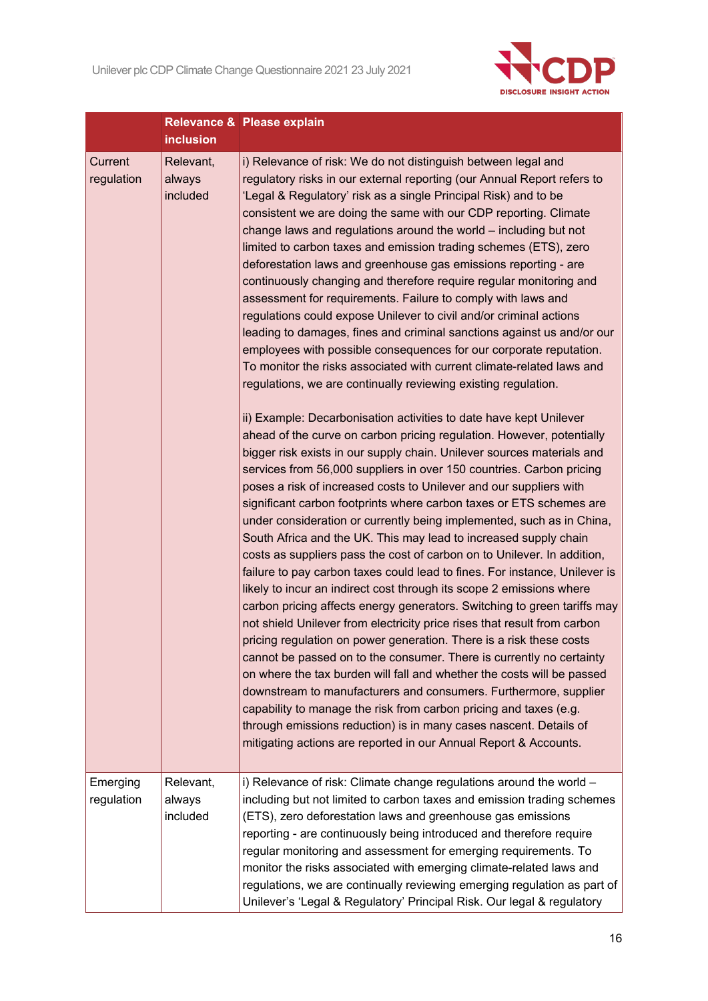

|                        | <b>inclusion</b>                | Relevance & Please explain                                                                                                                                                                                                                                                                                                                                                                                                                                                                                                                                                                                                                                                                                                                                                                                                                                                                                                                                                                                                                                                                                                                                                                                                                                                                                                                                                                                                                                                                                                                                                                                                                                                                                                                                                                                                                                                                                                                                                                                                                                                                                                                                                                                                                                                                                                                                                                                                                                                                       |
|------------------------|---------------------------------|--------------------------------------------------------------------------------------------------------------------------------------------------------------------------------------------------------------------------------------------------------------------------------------------------------------------------------------------------------------------------------------------------------------------------------------------------------------------------------------------------------------------------------------------------------------------------------------------------------------------------------------------------------------------------------------------------------------------------------------------------------------------------------------------------------------------------------------------------------------------------------------------------------------------------------------------------------------------------------------------------------------------------------------------------------------------------------------------------------------------------------------------------------------------------------------------------------------------------------------------------------------------------------------------------------------------------------------------------------------------------------------------------------------------------------------------------------------------------------------------------------------------------------------------------------------------------------------------------------------------------------------------------------------------------------------------------------------------------------------------------------------------------------------------------------------------------------------------------------------------------------------------------------------------------------------------------------------------------------------------------------------------------------------------------------------------------------------------------------------------------------------------------------------------------------------------------------------------------------------------------------------------------------------------------------------------------------------------------------------------------------------------------------------------------------------------------------------------------------------------------|
| Current<br>regulation  | Relevant,<br>always<br>included | i) Relevance of risk: We do not distinguish between legal and<br>regulatory risks in our external reporting (our Annual Report refers to<br>'Legal & Regulatory' risk as a single Principal Risk) and to be<br>consistent we are doing the same with our CDP reporting. Climate<br>change laws and regulations around the world - including but not<br>limited to carbon taxes and emission trading schemes (ETS), zero<br>deforestation laws and greenhouse gas emissions reporting - are<br>continuously changing and therefore require regular monitoring and<br>assessment for requirements. Failure to comply with laws and<br>regulations could expose Unilever to civil and/or criminal actions<br>leading to damages, fines and criminal sanctions against us and/or our<br>employees with possible consequences for our corporate reputation.<br>To monitor the risks associated with current climate-related laws and<br>regulations, we are continually reviewing existing regulation.<br>ii) Example: Decarbonisation activities to date have kept Unilever<br>ahead of the curve on carbon pricing regulation. However, potentially<br>bigger risk exists in our supply chain. Unilever sources materials and<br>services from 56,000 suppliers in over 150 countries. Carbon pricing<br>poses a risk of increased costs to Unilever and our suppliers with<br>significant carbon footprints where carbon taxes or ETS schemes are<br>under consideration or currently being implemented, such as in China,<br>South Africa and the UK. This may lead to increased supply chain<br>costs as suppliers pass the cost of carbon on to Unilever. In addition,<br>failure to pay carbon taxes could lead to fines. For instance, Unilever is<br>likely to incur an indirect cost through its scope 2 emissions where<br>carbon pricing affects energy generators. Switching to green tariffs may<br>not shield Unilever from electricity price rises that result from carbon<br>pricing regulation on power generation. There is a risk these costs<br>cannot be passed on to the consumer. There is currently no certainty<br>on where the tax burden will fall and whether the costs will be passed<br>downstream to manufacturers and consumers. Furthermore, supplier<br>capability to manage the risk from carbon pricing and taxes (e.g.<br>through emissions reduction) is in many cases nascent. Details of<br>mitigating actions are reported in our Annual Report & Accounts. |
| Emerging<br>regulation | Relevant,<br>always<br>included | i) Relevance of risk: Climate change regulations around the world -<br>including but not limited to carbon taxes and emission trading schemes<br>(ETS), zero deforestation laws and greenhouse gas emissions<br>reporting - are continuously being introduced and therefore require<br>regular monitoring and assessment for emerging requirements. To<br>monitor the risks associated with emerging climate-related laws and<br>regulations, we are continually reviewing emerging regulation as part of<br>Unilever's 'Legal & Regulatory' Principal Risk. Our legal & regulatory                                                                                                                                                                                                                                                                                                                                                                                                                                                                                                                                                                                                                                                                                                                                                                                                                                                                                                                                                                                                                                                                                                                                                                                                                                                                                                                                                                                                                                                                                                                                                                                                                                                                                                                                                                                                                                                                                                              |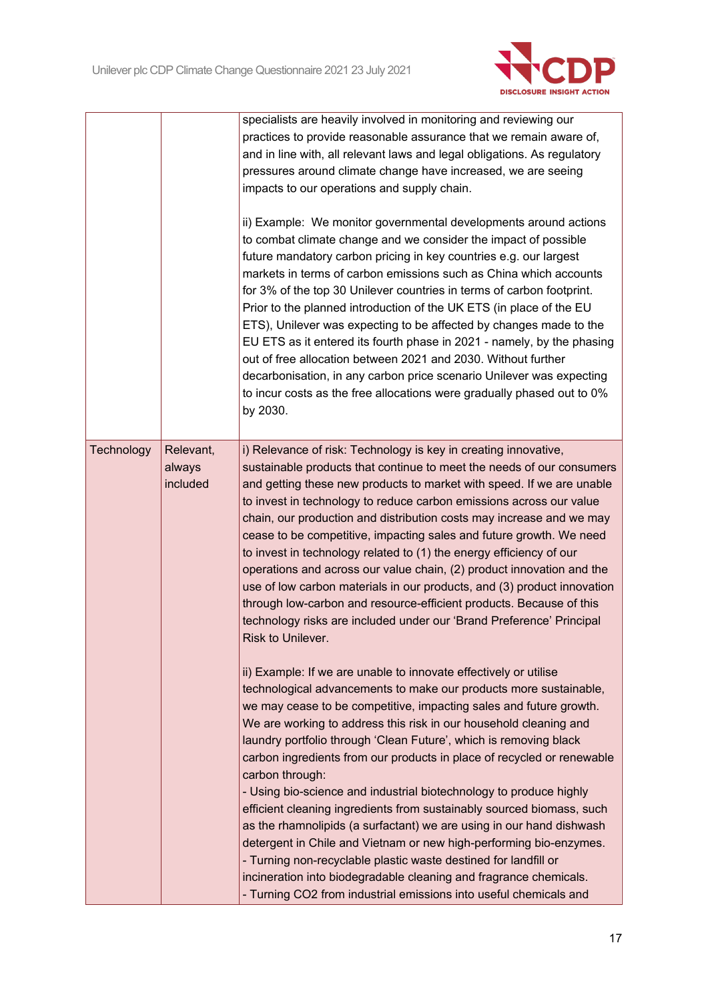

|            |                                 | specialists are heavily involved in monitoring and reviewing our<br>practices to provide reasonable assurance that we remain aware of,<br>and in line with, all relevant laws and legal obligations. As regulatory<br>pressures around climate change have increased, we are seeing<br>impacts to our operations and supply chain.<br>ii) Example: We monitor governmental developments around actions<br>to combat climate change and we consider the impact of possible<br>future mandatory carbon pricing in key countries e.g. our largest<br>markets in terms of carbon emissions such as China which accounts<br>for 3% of the top 30 Unilever countries in terms of carbon footprint.<br>Prior to the planned introduction of the UK ETS (in place of the EU<br>ETS), Unilever was expecting to be affected by changes made to the<br>EU ETS as it entered its fourth phase in 2021 - namely, by the phasing<br>out of free allocation between 2021 and 2030. Without further<br>decarbonisation, in any carbon price scenario Unilever was expecting<br>to incur costs as the free allocations were gradually phased out to 0%<br>by 2030.                                                                                                                                           |
|------------|---------------------------------|----------------------------------------------------------------------------------------------------------------------------------------------------------------------------------------------------------------------------------------------------------------------------------------------------------------------------------------------------------------------------------------------------------------------------------------------------------------------------------------------------------------------------------------------------------------------------------------------------------------------------------------------------------------------------------------------------------------------------------------------------------------------------------------------------------------------------------------------------------------------------------------------------------------------------------------------------------------------------------------------------------------------------------------------------------------------------------------------------------------------------------------------------------------------------------------------------------------------------------------------------------------------------------------------|
| Technology | Relevant,<br>always<br>included | i) Relevance of risk: Technology is key in creating innovative,<br>sustainable products that continue to meet the needs of our consumers<br>and getting these new products to market with speed. If we are unable<br>to invest in technology to reduce carbon emissions across our value<br>chain, our production and distribution costs may increase and we may<br>cease to be competitive, impacting sales and future growth. We need<br>to invest in technology related to (1) the energy efficiency of our<br>operations and across our value chain, (2) product innovation and the<br>use of low carbon materials in our products, and (3) product innovation<br>through low-carbon and resource-efficient products. Because of this<br>technology risks are included under our 'Brand Preference' Principal<br>Risk to Unilever.<br>ii) Example: If we are unable to innovate effectively or utilise<br>technological advancements to make our products more sustainable,<br>we may cease to be competitive, impacting sales and future growth.<br>We are working to address this risk in our household cleaning and<br>laundry portfolio through 'Clean Future', which is removing black<br>carbon ingredients from our products in place of recycled or renewable<br>carbon through: |
|            |                                 | - Using bio-science and industrial biotechnology to produce highly<br>efficient cleaning ingredients from sustainably sourced biomass, such<br>as the rhamnolipids (a surfactant) we are using in our hand dishwash<br>detergent in Chile and Vietnam or new high-performing bio-enzymes.<br>- Turning non-recyclable plastic waste destined for landfill or<br>incineration into biodegradable cleaning and fragrance chemicals.<br>- Turning CO2 from industrial emissions into useful chemicals and                                                                                                                                                                                                                                                                                                                                                                                                                                                                                                                                                                                                                                                                                                                                                                                       |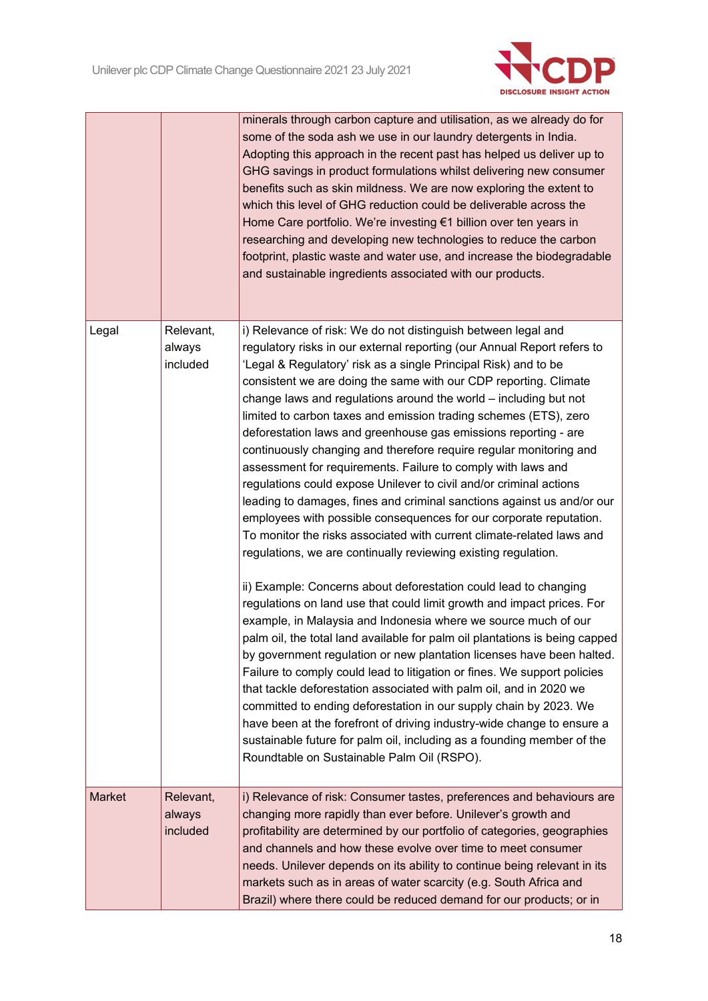

|        |                                 | minerals through carbon capture and utilisation, as we already do for<br>some of the soda ash we use in our laundry detergents in India.<br>Adopting this approach in the recent past has helped us deliver up to<br>GHG savings in product formulations whilst delivering new consumer<br>benefits such as skin mildness. We are now exploring the extent to<br>which this level of GHG reduction could be deliverable across the<br>Home Care portfolio. We're investing €1 billion over ten years in<br>researching and developing new technologies to reduce the carbon<br>footprint, plastic waste and water use, and increase the biodegradable<br>and sustainable ingredients associated with our products.                                                                                                                                                                                                                                                                                                                                                                                                                                                                                                                                                                                                                                                                                                                                                                                                                                                                                                                                                                                                                                                                                 |
|--------|---------------------------------|----------------------------------------------------------------------------------------------------------------------------------------------------------------------------------------------------------------------------------------------------------------------------------------------------------------------------------------------------------------------------------------------------------------------------------------------------------------------------------------------------------------------------------------------------------------------------------------------------------------------------------------------------------------------------------------------------------------------------------------------------------------------------------------------------------------------------------------------------------------------------------------------------------------------------------------------------------------------------------------------------------------------------------------------------------------------------------------------------------------------------------------------------------------------------------------------------------------------------------------------------------------------------------------------------------------------------------------------------------------------------------------------------------------------------------------------------------------------------------------------------------------------------------------------------------------------------------------------------------------------------------------------------------------------------------------------------------------------------------------------------------------------------------------------------|
| Legal  | Relevant,<br>always<br>included | i) Relevance of risk: We do not distinguish between legal and<br>regulatory risks in our external reporting (our Annual Report refers to<br>'Legal & Regulatory' risk as a single Principal Risk) and to be<br>consistent we are doing the same with our CDP reporting. Climate<br>change laws and regulations around the world - including but not<br>limited to carbon taxes and emission trading schemes (ETS), zero<br>deforestation laws and greenhouse gas emissions reporting - are<br>continuously changing and therefore require regular monitoring and<br>assessment for requirements. Failure to comply with laws and<br>regulations could expose Unilever to civil and/or criminal actions<br>leading to damages, fines and criminal sanctions against us and/or our<br>employees with possible consequences for our corporate reputation.<br>To monitor the risks associated with current climate-related laws and<br>regulations, we are continually reviewing existing regulation.<br>ii) Example: Concerns about deforestation could lead to changing<br>regulations on land use that could limit growth and impact prices. For<br>example, in Malaysia and Indonesia where we source much of our<br>palm oil, the total land available for palm oil plantations is being capped<br>by government regulation or new plantation licenses have been halted.<br>Failure to comply could lead to litigation or fines. We support policies<br>that tackle deforestation associated with palm oil, and in 2020 we<br>committed to ending deforestation in our supply chain by 2023. We<br>have been at the forefront of driving industry-wide change to ensure a<br>sustainable future for palm oil, including as a founding member of the<br>Roundtable on Sustainable Palm Oil (RSPO). |
| Market | Relevant,<br>always<br>included | i) Relevance of risk: Consumer tastes, preferences and behaviours are<br>changing more rapidly than ever before. Unilever's growth and<br>profitability are determined by our portfolio of categories, geographies<br>and channels and how these evolve over time to meet consumer<br>needs. Unilever depends on its ability to continue being relevant in its<br>markets such as in areas of water scarcity (e.g. South Africa and<br>Brazil) where there could be reduced demand for our products; or in                                                                                                                                                                                                                                                                                                                                                                                                                                                                                                                                                                                                                                                                                                                                                                                                                                                                                                                                                                                                                                                                                                                                                                                                                                                                                         |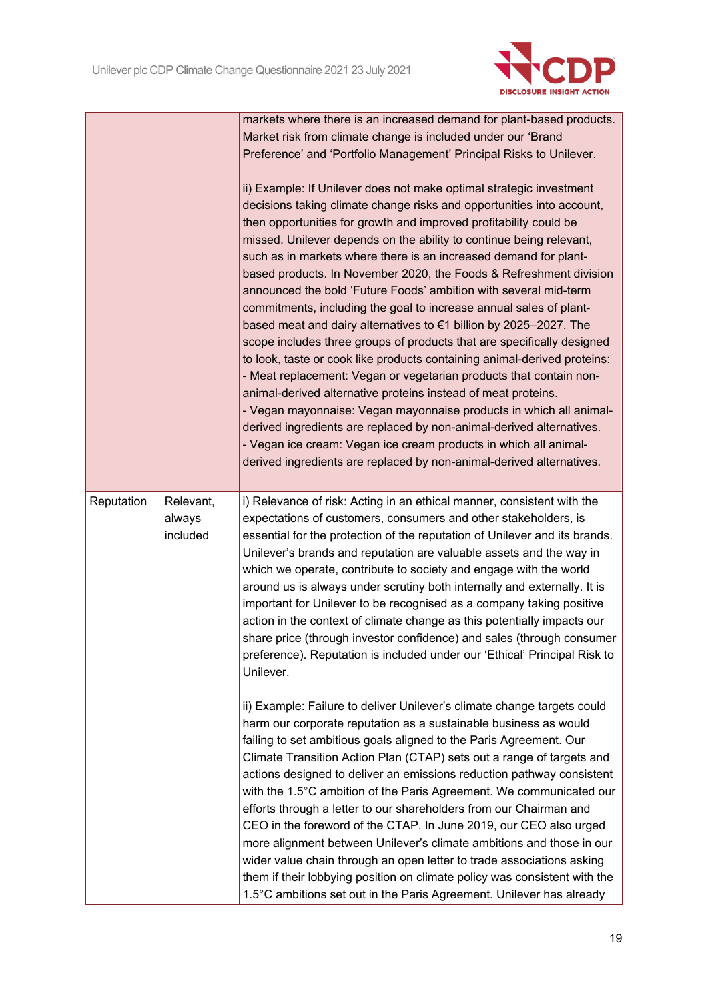

|            |                                 | markets where there is an increased demand for plant-based products.<br>Market risk from climate change is included under our 'Brand<br>Preference' and 'Portfolio Management' Principal Risks to Unilever.<br>ii) Example: If Unilever does not make optimal strategic investment<br>decisions taking climate change risks and opportunities into account,<br>then opportunities for growth and improved profitability could be<br>missed. Unilever depends on the ability to continue being relevant,<br>such as in markets where there is an increased demand for plant-<br>based products. In November 2020, the Foods & Refreshment division<br>announced the bold 'Future Foods' ambition with several mid-term<br>commitments, including the goal to increase annual sales of plant-<br>based meat and dairy alternatives to €1 billion by 2025-2027. The<br>scope includes three groups of products that are specifically designed<br>to look, taste or cook like products containing animal-derived proteins:<br>- Meat replacement: Vegan or vegetarian products that contain non-<br>animal-derived alternative proteins instead of meat proteins.<br>- Vegan mayonnaise: Vegan mayonnaise products in which all animal-<br>derived ingredients are replaced by non-animal-derived alternatives.<br>- Vegan ice cream: Vegan ice cream products in which all animal-<br>derived ingredients are replaced by non-animal-derived alternatives. |
|------------|---------------------------------|---------------------------------------------------------------------------------------------------------------------------------------------------------------------------------------------------------------------------------------------------------------------------------------------------------------------------------------------------------------------------------------------------------------------------------------------------------------------------------------------------------------------------------------------------------------------------------------------------------------------------------------------------------------------------------------------------------------------------------------------------------------------------------------------------------------------------------------------------------------------------------------------------------------------------------------------------------------------------------------------------------------------------------------------------------------------------------------------------------------------------------------------------------------------------------------------------------------------------------------------------------------------------------------------------------------------------------------------------------------------------------------------------------------------------------------------------------|
| Reputation | Relevant,<br>always<br>included | i) Relevance of risk: Acting in an ethical manner, consistent with the<br>expectations of customers, consumers and other stakeholders, is<br>essential for the protection of the reputation of Unilever and its brands.<br>Unilever's brands and reputation are valuable assets and the way in<br>which we operate, contribute to society and engage with the world<br>around us is always under scrutiny both internally and externally. It is<br>important for Unilever to be recognised as a company taking positive<br>action in the context of climate change as this potentially impacts our<br>share price (through investor confidence) and sales (through consumer<br>preference). Reputation is included under our 'Ethical' Principal Risk to<br>Unilever.<br>ii) Example: Failure to deliver Unilever's climate change targets could<br>harm our corporate reputation as a sustainable business as would<br>failing to set ambitious goals aligned to the Paris Agreement. Our<br>Climate Transition Action Plan (CTAP) sets out a range of targets and<br>actions designed to deliver an emissions reduction pathway consistent<br>with the 1.5°C ambition of the Paris Agreement. We communicated our<br>efforts through a letter to our shareholders from our Chairman and                                                                                                                                                               |
|            |                                 | CEO in the foreword of the CTAP. In June 2019, our CEO also urged<br>more alignment between Unilever's climate ambitions and those in our<br>wider value chain through an open letter to trade associations asking<br>them if their lobbying position on climate policy was consistent with the<br>1.5°C ambitions set out in the Paris Agreement. Unilever has already                                                                                                                                                                                                                                                                                                                                                                                                                                                                                                                                                                                                                                                                                                                                                                                                                                                                                                                                                                                                                                                                                 |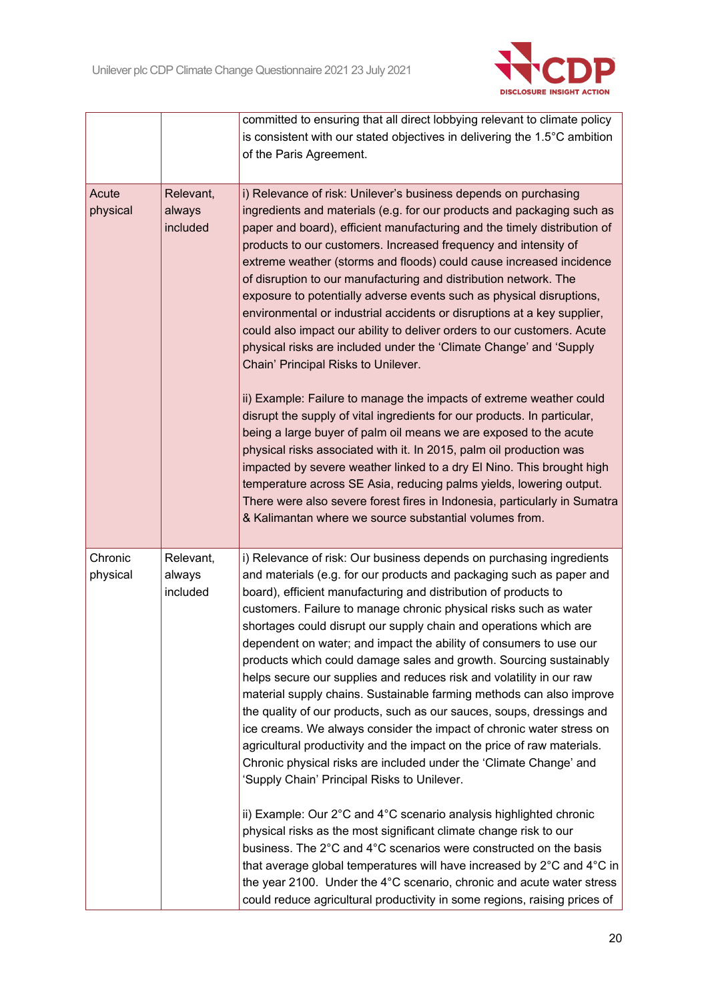

|                     |                                 | committed to ensuring that all direct lobbying relevant to climate policy<br>is consistent with our stated objectives in delivering the 1.5°C ambition<br>of the Paris Agreement.                                                                                                                                                                                                                                                                                                                                                                                                                                                                                                                                                                                                                                                                                                                                                                                                                                                                                                                                                                                                                                                                                                                |
|---------------------|---------------------------------|--------------------------------------------------------------------------------------------------------------------------------------------------------------------------------------------------------------------------------------------------------------------------------------------------------------------------------------------------------------------------------------------------------------------------------------------------------------------------------------------------------------------------------------------------------------------------------------------------------------------------------------------------------------------------------------------------------------------------------------------------------------------------------------------------------------------------------------------------------------------------------------------------------------------------------------------------------------------------------------------------------------------------------------------------------------------------------------------------------------------------------------------------------------------------------------------------------------------------------------------------------------------------------------------------|
| Acute<br>physical   | Relevant,<br>always<br>included | i) Relevance of risk: Unilever's business depends on purchasing<br>ingredients and materials (e.g. for our products and packaging such as<br>paper and board), efficient manufacturing and the timely distribution of<br>products to our customers. Increased frequency and intensity of<br>extreme weather (storms and floods) could cause increased incidence<br>of disruption to our manufacturing and distribution network. The<br>exposure to potentially adverse events such as physical disruptions,<br>environmental or industrial accidents or disruptions at a key supplier,<br>could also impact our ability to deliver orders to our customers. Acute<br>physical risks are included under the 'Climate Change' and 'Supply<br>Chain' Principal Risks to Unilever.<br>ii) Example: Failure to manage the impacts of extreme weather could<br>disrupt the supply of vital ingredients for our products. In particular,                                                                                                                                                                                                                                                                                                                                                                |
|                     |                                 | being a large buyer of palm oil means we are exposed to the acute<br>physical risks associated with it. In 2015, palm oil production was<br>impacted by severe weather linked to a dry El Nino. This brought high<br>temperature across SE Asia, reducing palms yields, lowering output.<br>There were also severe forest fires in Indonesia, particularly in Sumatra<br>& Kalimantan where we source substantial volumes from.                                                                                                                                                                                                                                                                                                                                                                                                                                                                                                                                                                                                                                                                                                                                                                                                                                                                  |
| Chronic<br>physical | Relevant,<br>always<br>included | i) Relevance of risk: Our business depends on purchasing ingredients<br>and materials (e.g. for our products and packaging such as paper and<br>board), efficient manufacturing and distribution of products to<br>customers. Failure to manage chronic physical risks such as water<br>shortages could disrupt our supply chain and operations which are<br>dependent on water; and impact the ability of consumers to use our<br>products which could damage sales and growth. Sourcing sustainably<br>helps secure our supplies and reduces risk and volatility in our raw<br>material supply chains. Sustainable farming methods can also improve<br>the quality of our products, such as our sauces, soups, dressings and<br>ice creams. We always consider the impact of chronic water stress on<br>agricultural productivity and the impact on the price of raw materials.<br>Chronic physical risks are included under the 'Climate Change' and<br>'Supply Chain' Principal Risks to Unilever.<br>ii) Example: Our 2°C and 4°C scenario analysis highlighted chronic<br>physical risks as the most significant climate change risk to our<br>business. The 2°C and 4°C scenarios were constructed on the basis<br>that average global temperatures will have increased by 2°C and 4°C in |
|                     |                                 | the year 2100. Under the 4°C scenario, chronic and acute water stress<br>could reduce agricultural productivity in some regions, raising prices of                                                                                                                                                                                                                                                                                                                                                                                                                                                                                                                                                                                                                                                                                                                                                                                                                                                                                                                                                                                                                                                                                                                                               |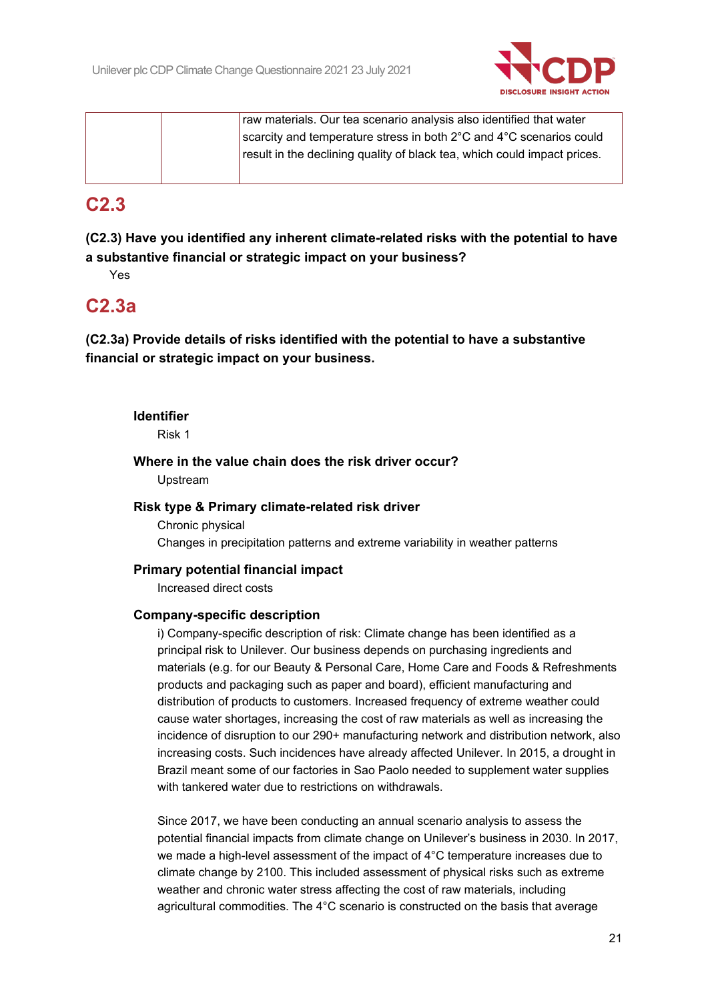

|  | raw materials. Our tea scenario analysis also identified that water      |
|--|--------------------------------------------------------------------------|
|  | scarcity and temperature stress in both 2°C and 4°C scenarios could      |
|  | result in the declining quality of black tea, which could impact prices. |
|  |                                                                          |

## **C2.3**

**(C2.3) Have you identified any inherent climate-related risks with the potential to have a substantive financial or strategic impact on your business?**

Yes

## **C2.3a**

**(C2.3a) Provide details of risks identified with the potential to have a substantive financial or strategic impact on your business.**

#### **Identifier**

Risk 1

**Where in the value chain does the risk driver occur?** Upstream

#### **Risk type & Primary climate-related risk driver**

Chronic physical Changes in precipitation patterns and extreme variability in weather patterns

#### **Primary potential financial impact**

Increased direct costs

#### **Company-specific description**

i) Company-specific description of risk: Climate change has been identified as a principal risk to Unilever. Our business depends on purchasing ingredients and materials (e.g. for our Beauty & Personal Care, Home Care and Foods & Refreshments products and packaging such as paper and board), efficient manufacturing and distribution of products to customers. Increased frequency of extreme weather could cause water shortages, increasing the cost of raw materials as well as increasing the incidence of disruption to our 290+ manufacturing network and distribution network, also increasing costs. Such incidences have already affected Unilever. In 2015, a drought in Brazil meant some of our factories in Sao Paolo needed to supplement water supplies with tankered water due to restrictions on withdrawals.

Since 2017, we have been conducting an annual scenario analysis to assess the potential financial impacts from climate change on Unilever's business in 2030. In 2017, we made a high-level assessment of the impact of 4°C temperature increases due to climate change by 2100. This included assessment of physical risks such as extreme weather and chronic water stress affecting the cost of raw materials, including agricultural commodities. The 4°C scenario is constructed on the basis that average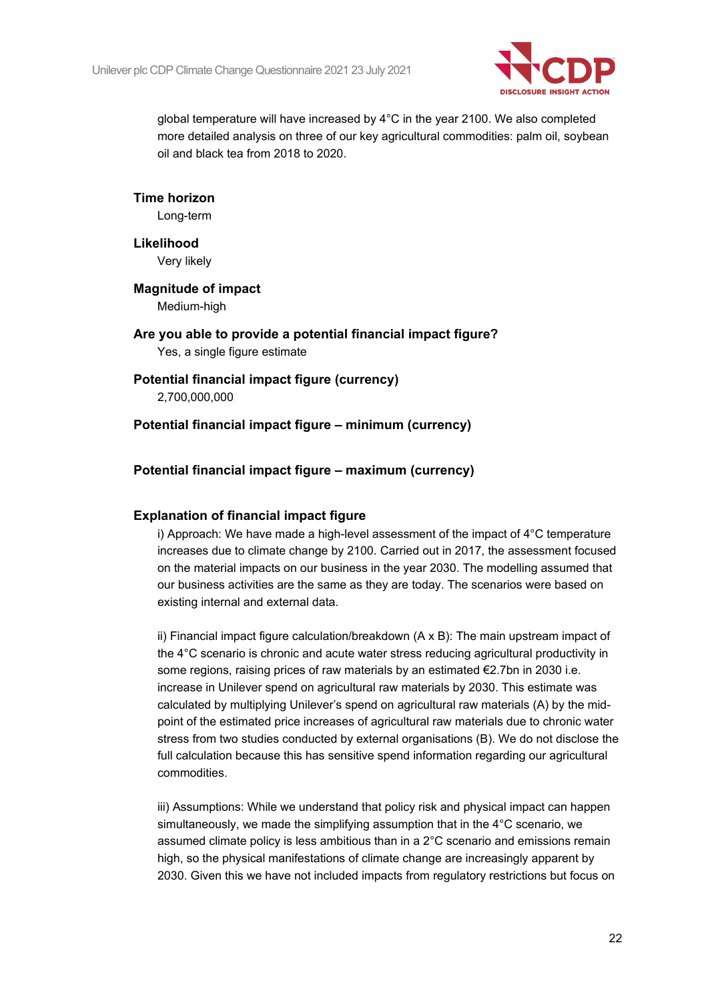

global temperature will have increased by 4°C in the year 2100. We also completed more detailed analysis on three of our key agricultural commodities: palm oil, soybean oil and black tea from 2018 to 2020.

#### **Time horizon**

Long-term

**Likelihood**

Very likely

#### **Magnitude of impact** Medium-high

### **Are you able to provide a potential financial impact figure?**

Yes, a single figure estimate

#### **Potential financial impact figure (currency)**

2,700,000,000

#### **Potential financial impact figure – minimum (currency)**

#### **Potential financial impact figure – maximum (currency)**

#### **Explanation of financial impact figure**

i) Approach: We have made a high-level assessment of the impact of  $4^{\circ}$ C temperature increases due to climate change by 2100. Carried out in 2017, the assessment focused on the material impacts on our business in the year 2030. The modelling assumed that our business activities are the same as they are today. The scenarios were based on existing internal and external data.

ii) Financial impact figure calculation/breakdown  $(A \times B)$ : The main upstream impact of the 4°C scenario is chronic and acute water stress reducing agricultural productivity in some regions, raising prices of raw materials by an estimated €2.7bn in 2030 i.e. increase in Unilever spend on agricultural raw materials by 2030. This estimate was calculated by multiplying Unilever's spend on agricultural raw materials (A) by the midpoint of the estimated price increases of agricultural raw materials due to chronic water stress from two studies conducted by external organisations (B). We do not disclose the full calculation because this has sensitive spend information regarding our agricultural commodities.

iii) Assumptions: While we understand that policy risk and physical impact can happen simultaneously, we made the simplifying assumption that in the 4°C scenario, we assumed climate policy is less ambitious than in a 2°C scenario and emissions remain high, so the physical manifestations of climate change are increasingly apparent by 2030. Given this we have not included impacts from regulatory restrictions but focus on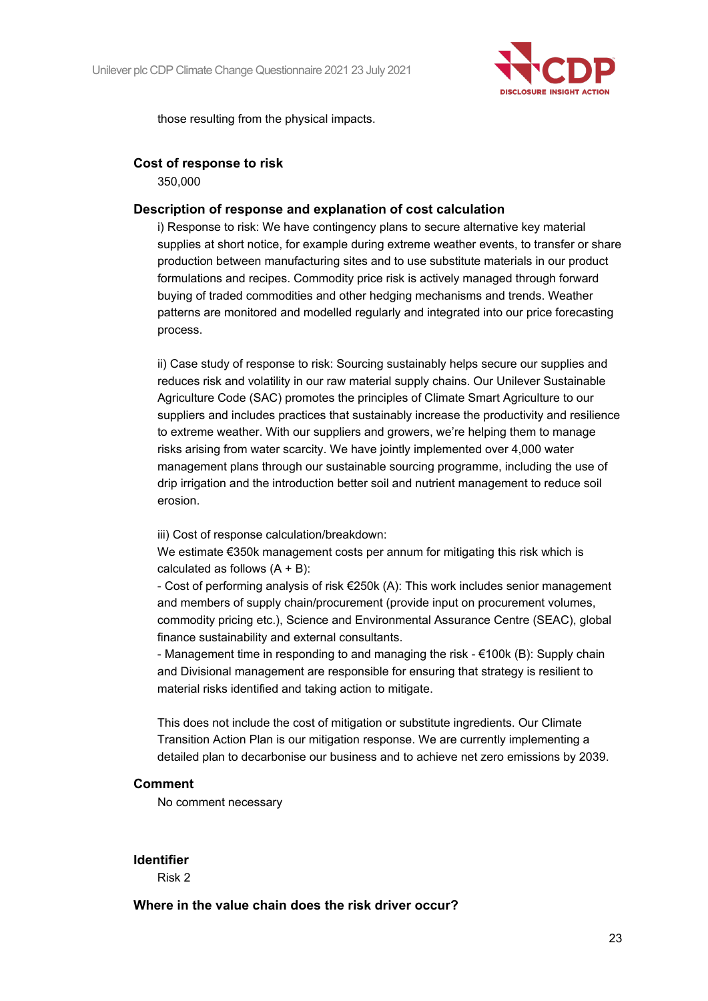

those resulting from the physical impacts.

#### **Cost of response to risk**

350,000

#### **Description of response and explanation of cost calculation**

i) Response to risk: We have contingency plans to secure alternative key material supplies at short notice, for example during extreme weather events, to transfer or share production between manufacturing sites and to use substitute materials in our product formulations and recipes. Commodity price risk is actively managed through forward buying of traded commodities and other hedging mechanisms and trends. Weather patterns are monitored and modelled regularly and integrated into our price forecasting process.

ii) Case study of response to risk: Sourcing sustainably helps secure our supplies and reduces risk and volatility in our raw material supply chains. Our Unilever Sustainable Agriculture Code (SAC) promotes the principles of Climate Smart Agriculture to our suppliers and includes practices that sustainably increase the productivity and resilience to extreme weather. With our suppliers and growers, we're helping them to manage risks arising from water scarcity. We have jointly implemented over 4,000 water management plans through our sustainable sourcing programme, including the use of drip irrigation and the introduction better soil and nutrient management to reduce soil erosion.

iii) Cost of response calculation/breakdown:

We estimate €350k management costs per annum for mitigating this risk which is calculated as follows  $(A + B)$ :

- Cost of performing analysis of risk €250k (A): This work includes senior management and members of supply chain/procurement (provide input on procurement volumes, commodity pricing etc.), Science and Environmental Assurance Centre (SEAC), global finance sustainability and external consultants.

- Management time in responding to and managing the risk  $-\epsilon$ 100k (B): Supply chain and Divisional management are responsible for ensuring that strategy is resilient to material risks identified and taking action to mitigate.

This does not include the cost of mitigation or substitute ingredients. Our Climate Transition Action Plan is our mitigation response. We are currently implementing a detailed plan to decarbonise our business and to achieve net zero emissions by 2039.

#### **Comment**

No comment necessary

#### **Identifier**

Risk 2

**Where in the value chain does the risk driver occur?**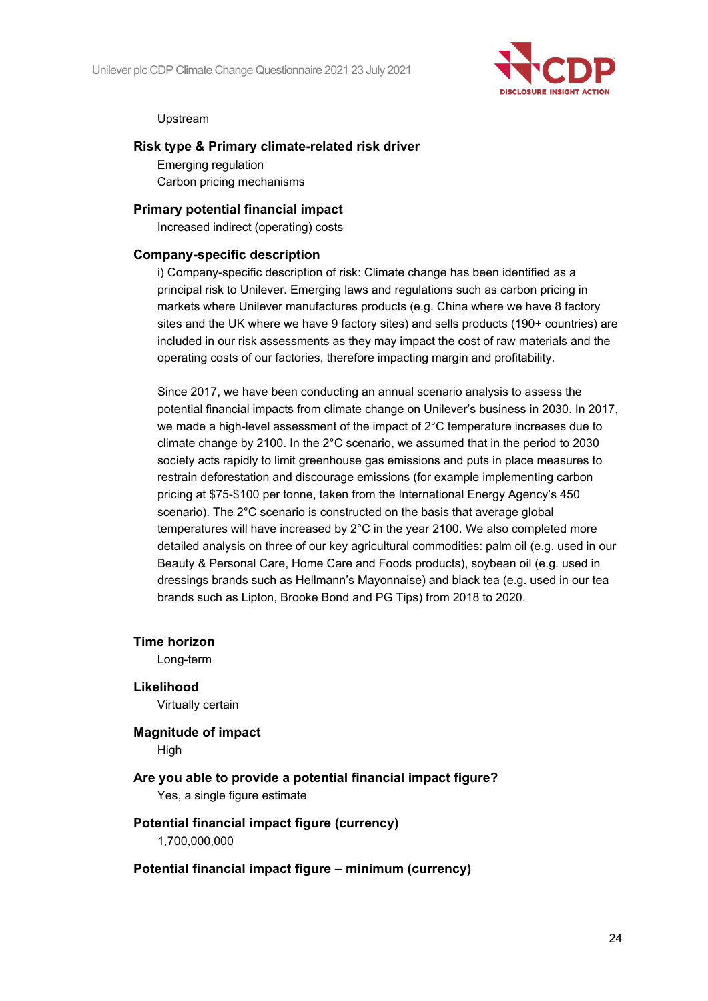

#### Upstream

#### **Risk type & Primary climate-related risk driver**

Emerging regulation Carbon pricing mechanisms

#### **Primary potential financial impact**

Increased indirect (operating) costs

#### **Company-specific description**

i) Company-specific description of risk: Climate change has been identified as a principal risk to Unilever. Emerging laws and regulations such as carbon pricing in markets where Unilever manufactures products (e.g. China where we have 8 factory sites and the UK where we have 9 factory sites) and sells products (190+ countries) are included in our risk assessments as they may impact the cost of raw materials and the operating costs of our factories, therefore impacting margin and profitability.

Since 2017, we have been conducting an annual scenario analysis to assess the potential financial impacts from climate change on Unilever's business in 2030. In 2017, we made a high-level assessment of the impact of 2°C temperature increases due to climate change by 2100. In the 2°C scenario, we assumed that in the period to 2030 society acts rapidly to limit greenhouse gas emissions and puts in place measures to restrain deforestation and discourage emissions (for example implementing carbon pricing at \$75-\$100 per tonne, taken from the International Energy Agency's 450 scenario). The 2°C scenario is constructed on the basis that average global temperatures will have increased by 2°C in the year 2100. We also completed more detailed analysis on three of our key agricultural commodities: palm oil (e.g. used in our Beauty & Personal Care, Home Care and Foods products), soybean oil (e.g. used in dressings brands such as Hellmann's Mayonnaise) and black tea (e.g. used in our tea brands such as Lipton, Brooke Bond and PG Tips) from 2018 to 2020.

#### **Time horizon**

Long-term

### **Likelihood**

Virtually certain

#### **Magnitude of impact**

High

**Are you able to provide a potential financial impact figure?** Yes, a single figure estimate

#### **Potential financial impact figure (currency)** 1,700,000,000

#### **Potential financial impact figure – minimum (currency)**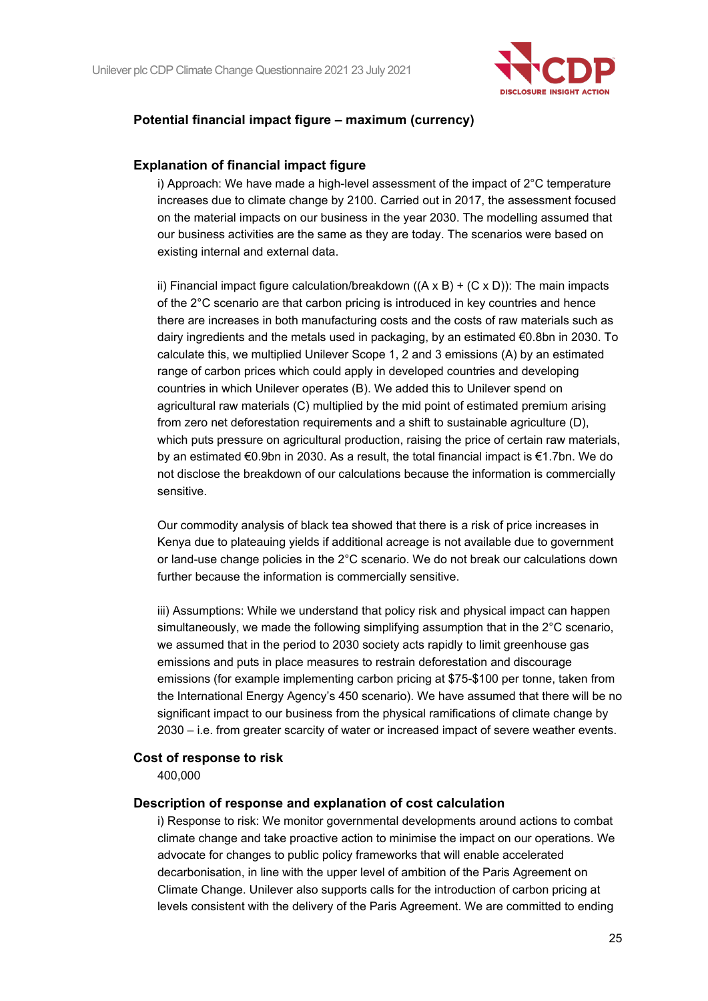

#### **Potential financial impact figure – maximum (currency)**

#### **Explanation of financial impact figure**

i) Approach: We have made a high-level assessment of the impact of  $2^{\circ}$ C temperature increases due to climate change by 2100. Carried out in 2017, the assessment focused on the material impacts on our business in the year 2030. The modelling assumed that our business activities are the same as they are today. The scenarios were based on existing internal and external data.

ii) Financial impact figure calculation/breakdown  $((A \times B) + (C \times D))$ : The main impacts of the 2°C scenario are that carbon pricing is introduced in key countries and hence there are increases in both manufacturing costs and the costs of raw materials such as dairy ingredients and the metals used in packaging, by an estimated  $\epsilon$ 0.8bn in 2030. To calculate this, we multiplied Unilever Scope 1, 2 and 3 emissions (A) by an estimated range of carbon prices which could apply in developed countries and developing countries in which Unilever operates (B). We added this to Unilever spend on agricultural raw materials (C) multiplied by the mid point of estimated premium arising from zero net deforestation requirements and a shift to sustainable agriculture (D), which puts pressure on agricultural production, raising the price of certain raw materials, by an estimated €0.9bn in 2030. As a result, the total financial impact is €1.7bn. We do not disclose the breakdown of our calculations because the information is commercially sensitive.

Our commodity analysis of black tea showed that there is a risk of price increases in Kenya due to plateauing yields if additional acreage is not available due to government or land-use change policies in the 2°C scenario. We do not break our calculations down further because the information is commercially sensitive.

iii) Assumptions: While we understand that policy risk and physical impact can happen simultaneously, we made the following simplifying assumption that in the 2°C scenario, we assumed that in the period to 2030 society acts rapidly to limit greenhouse gas emissions and puts in place measures to restrain deforestation and discourage emissions (for example implementing carbon pricing at \$75-\$100 per tonne, taken from the International Energy Agency's 450 scenario). We have assumed that there will be no significant impact to our business from the physical ramifications of climate change by 2030 – i.e. from greater scarcity of water or increased impact of severe weather events.

#### **Cost of response to risk**

400,000

#### **Description of response and explanation of cost calculation**

i) Response to risk: We monitor governmental developments around actions to combat climate change and take proactive action to minimise the impact on our operations. We advocate for changes to public policy frameworks that will enable accelerated decarbonisation, in line with the upper level of ambition of the Paris Agreement on Climate Change. Unilever also supports calls for the introduction of carbon pricing at levels consistent with the delivery of the Paris Agreement. We are committed to ending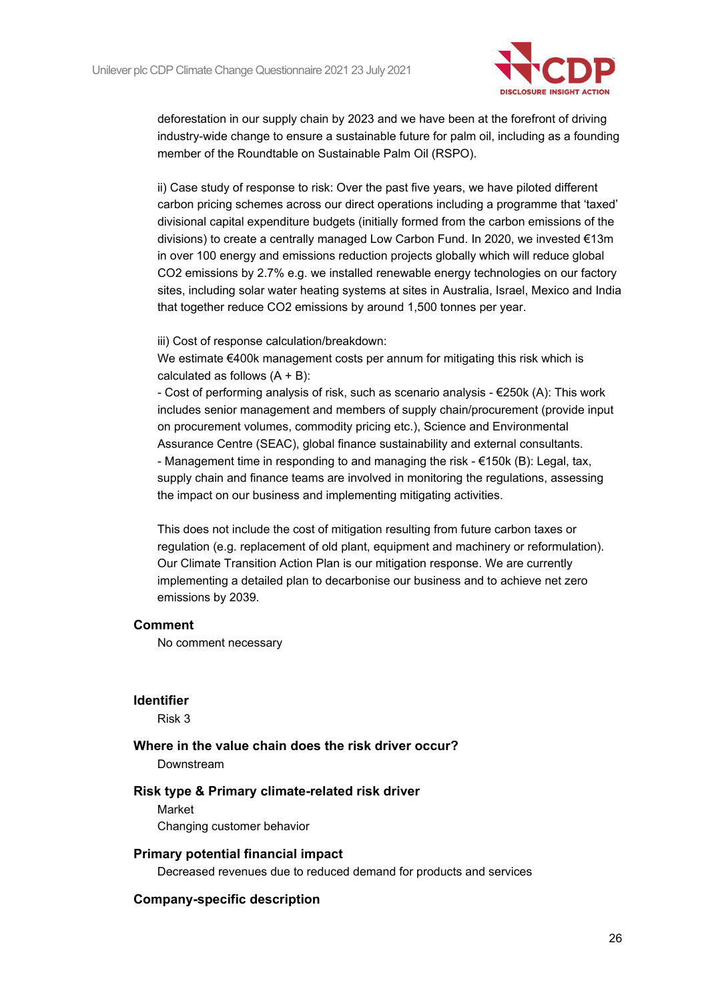

deforestation in our supply chain by 2023 and we have been at the forefront of driving industry-wide change to ensure a sustainable future for palm oil, including as a founding member of the Roundtable on Sustainable Palm Oil (RSPO).

ii) Case study of response to risk: Over the past five years, we have piloted different carbon pricing schemes across our direct operations including a programme that 'taxed' divisional capital expenditure budgets (initially formed from the carbon emissions of the divisions) to create a centrally managed Low Carbon Fund. In 2020, we invested €13m in over 100 energy and emissions reduction projects globally which will reduce global CO2 emissions by 2.7% e.g. we installed renewable energy technologies on our factory sites, including solar water heating systems at sites in Australia, Israel, Mexico and India that together reduce CO2 emissions by around 1,500 tonnes per year.

iii) Cost of response calculation/breakdown:

We estimate €400k management costs per annum for mitigating this risk which is calculated as follows  $(A + B)$ :

- Cost of performing analysis of risk, such as scenario analysis  $-\epsilon$ 250k (A): This work includes senior management and members of supply chain/procurement (provide input on procurement volumes, commodity pricing etc.), Science and Environmental Assurance Centre (SEAC), global finance sustainability and external consultants. - Management time in responding to and managing the risk - €150k (B): Legal, tax, supply chain and finance teams are involved in monitoring the regulations, assessing the impact on our business and implementing mitigating activities.

This does not include the cost of mitigation resulting from future carbon taxes or regulation (e.g. replacement of old plant, equipment and machinery or reformulation). Our Climate Transition Action Plan is our mitigation response. We are currently implementing a detailed plan to decarbonise our business and to achieve net zero emissions by 2039.

#### **Comment**

No comment necessary

#### **Identifier**

Risk 3

#### **Where in the value chain does the risk driver occur?**

Downstream

#### **Risk type & Primary climate-related risk driver**

Market Changing customer behavior

#### **Primary potential financial impact**

Decreased revenues due to reduced demand for products and services

#### **Company-specific description**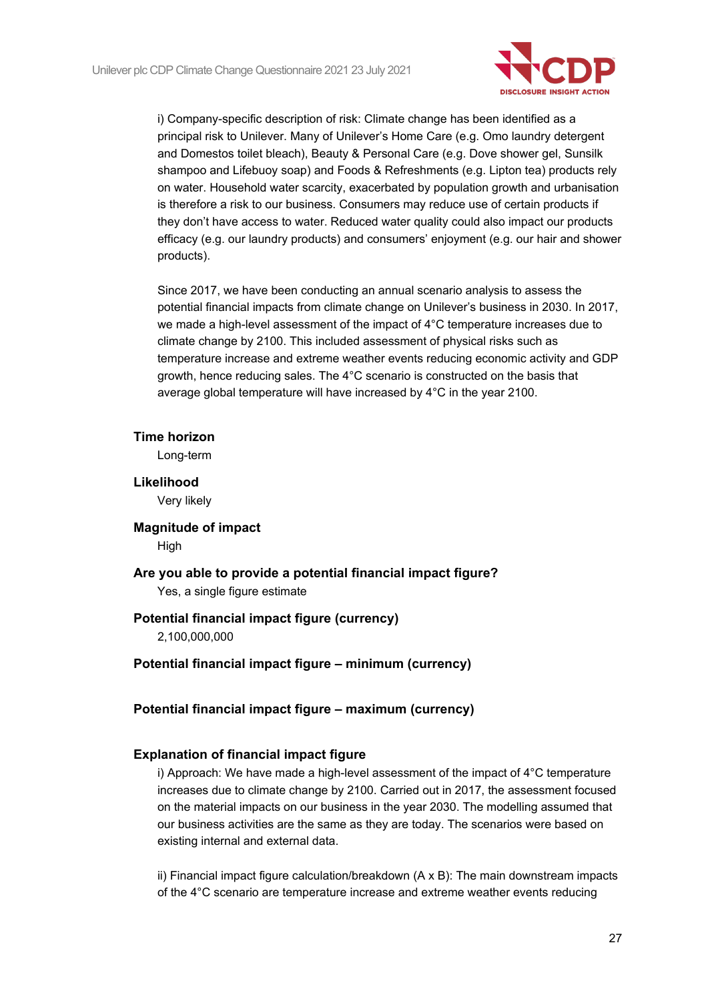

i) Company-specific description of risk: Climate change has been identified as a principal risk to Unilever. Many of Unilever's Home Care (e.g. Omo laundry detergent and Domestos toilet bleach), Beauty & Personal Care (e.g. Dove shower gel, Sunsilk shampoo and Lifebuoy soap) and Foods & Refreshments (e.g. Lipton tea) products rely on water. Household water scarcity, exacerbated by population growth and urbanisation is therefore a risk to our business. Consumers may reduce use of certain products if they don't have access to water. Reduced water quality could also impact our products efficacy (e.g. our laundry products) and consumers' enjoyment (e.g. our hair and shower products).

Since 2017, we have been conducting an annual scenario analysis to assess the potential financial impacts from climate change on Unilever's business in 2030. In 2017, we made a high-level assessment of the impact of 4°C temperature increases due to climate change by 2100. This included assessment of physical risks such as temperature increase and extreme weather events reducing economic activity and GDP growth, hence reducing sales. The 4°C scenario is constructed on the basis that average global temperature will have increased by 4°C in the year 2100.

#### **Time horizon**

Long-term

**Likelihood** Very likely

**Magnitude of impact** High

**Are you able to provide a potential financial impact figure?** Yes, a single figure estimate

#### **Potential financial impact figure (currency)**

2,100,000,000

**Potential financial impact figure – minimum (currency)**

**Potential financial impact figure – maximum (currency)**

#### **Explanation of financial impact figure**

i) Approach: We have made a high-level assessment of the impact of  $4^{\circ}$ C temperature increases due to climate change by 2100. Carried out in 2017, the assessment focused on the material impacts on our business in the year 2030. The modelling assumed that our business activities are the same as they are today. The scenarios were based on existing internal and external data.

ii) Financial impact figure calculation/breakdown (A x B): The main downstream impacts of the 4°C scenario are temperature increase and extreme weather events reducing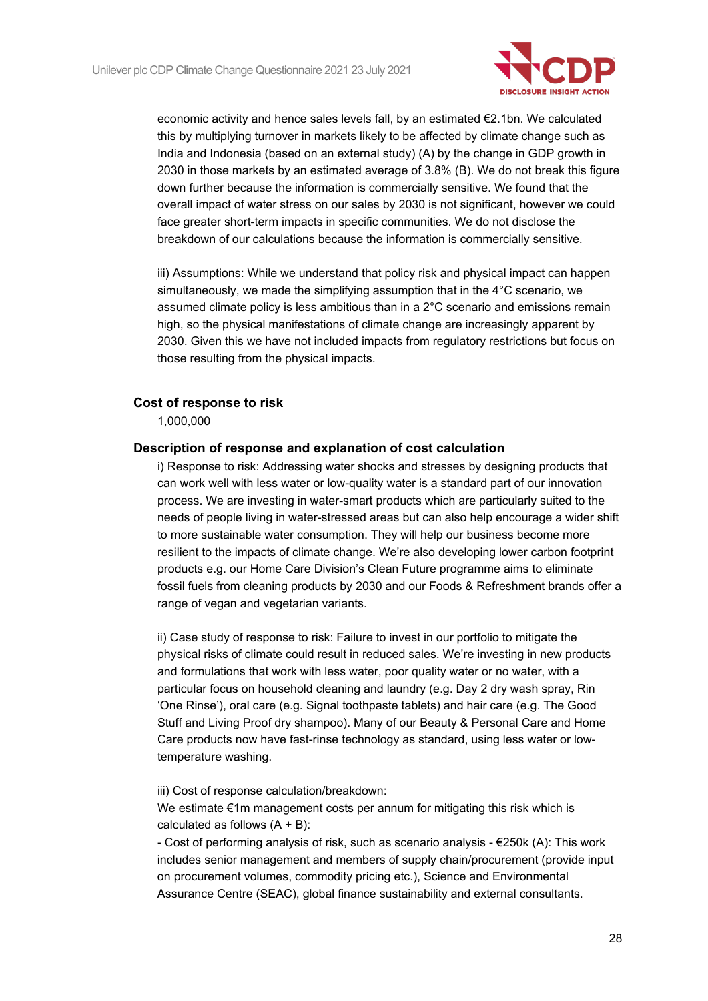

economic activity and hence sales levels fall, by an estimated €2.1bn. We calculated this by multiplying turnover in markets likely to be affected by climate change such as India and Indonesia (based on an external study) (A) by the change in GDP growth in 2030 in those markets by an estimated average of 3.8% (B). We do not break this figure down further because the information is commercially sensitive. We found that the overall impact of water stress on our sales by 2030 is not significant, however we could face greater short-term impacts in specific communities. We do not disclose the breakdown of our calculations because the information is commercially sensitive.

iii) Assumptions: While we understand that policy risk and physical impact can happen simultaneously, we made the simplifying assumption that in the 4°C scenario, we assumed climate policy is less ambitious than in a 2°C scenario and emissions remain high, so the physical manifestations of climate change are increasingly apparent by 2030. Given this we have not included impacts from regulatory restrictions but focus on those resulting from the physical impacts.

#### **Cost of response to risk**

1,000,000

#### **Description of response and explanation of cost calculation**

i) Response to risk: Addressing water shocks and stresses by designing products that can work well with less water or low-quality water is a standard part of our innovation process. We are investing in water-smart products which are particularly suited to the needs of people living in water-stressed areas but can also help encourage a wider shift to more sustainable water consumption. They will help our business become more resilient to the impacts of climate change. We're also developing lower carbon footprint products e.g. our Home Care Division's Clean Future programme aims to eliminate fossil fuels from cleaning products by 2030 and our Foods & Refreshment brands offer a range of vegan and vegetarian variants.

ii) Case study of response to risk: Failure to invest in our portfolio to mitigate the physical risks of climate could result in reduced sales. We're investing in new products and formulations that work with less water, poor quality water or no water, with a particular focus on household cleaning and laundry (e.g. Day 2 dry wash spray, Rin 'One Rinse'), oral care (e.g. Signal toothpaste tablets) and hair care (e.g. The Good Stuff and Living Proof dry shampoo). Many of our Beauty & Personal Care and Home Care products now have fast-rinse technology as standard, using less water or lowtemperature washing.

iii) Cost of response calculation/breakdown:

We estimate €1m management costs per annum for mitigating this risk which is calculated as follows  $(A + B)$ :

- Cost of performing analysis of risk, such as scenario analysis - €250k (A): This work includes senior management and members of supply chain/procurement (provide input on procurement volumes, commodity pricing etc.), Science and Environmental Assurance Centre (SEAC), global finance sustainability and external consultants.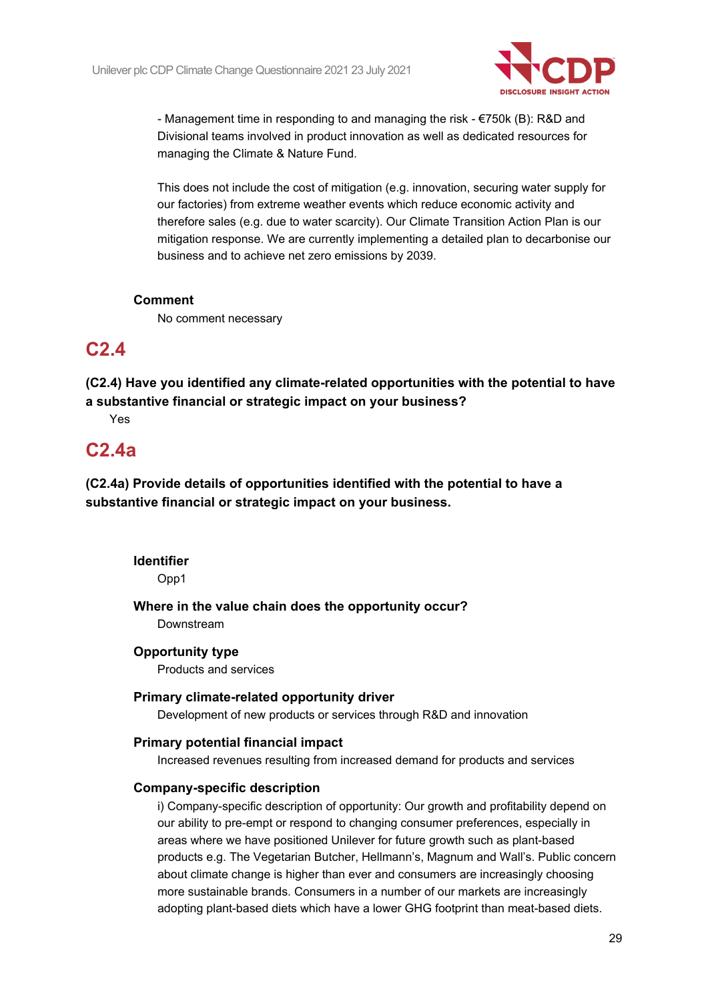

- Management time in responding to and managing the risk - €750k (B): R&D and Divisional teams involved in product innovation as well as dedicated resources for managing the Climate & Nature Fund.

This does not include the cost of mitigation (e.g. innovation, securing water supply for our factories) from extreme weather events which reduce economic activity and therefore sales (e.g. due to water scarcity). Our Climate Transition Action Plan is our mitigation response. We are currently implementing a detailed plan to decarbonise our business and to achieve net zero emissions by 2039.

#### **Comment**

No comment necessary

## **C2.4**

**(C2.4) Have you identified any climate-related opportunities with the potential to have a substantive financial or strategic impact on your business?**

Yes

### **C2.4a**

**(C2.4a) Provide details of opportunities identified with the potential to have a substantive financial or strategic impact on your business.**

**Identifier** Opp1 **Where in the value chain does the opportunity occur?**

Downstream

#### **Opportunity type**

Products and services

#### **Primary climate-related opportunity driver**

Development of new products or services through R&D and innovation

#### **Primary potential financial impact**

Increased revenues resulting from increased demand for products and services

#### **Company-specific description**

i) Company-specific description of opportunity: Our growth and profitability depend on our ability to pre-empt or respond to changing consumer preferences, especially in areas where we have positioned Unilever for future growth such as plant-based products e.g. The Vegetarian Butcher, Hellmann's, Magnum and Wall's. Public concern about climate change is higher than ever and consumers are increasingly choosing more sustainable brands. Consumers in a number of our markets are increasingly adopting plant-based diets which have a lower GHG footprint than meat-based diets.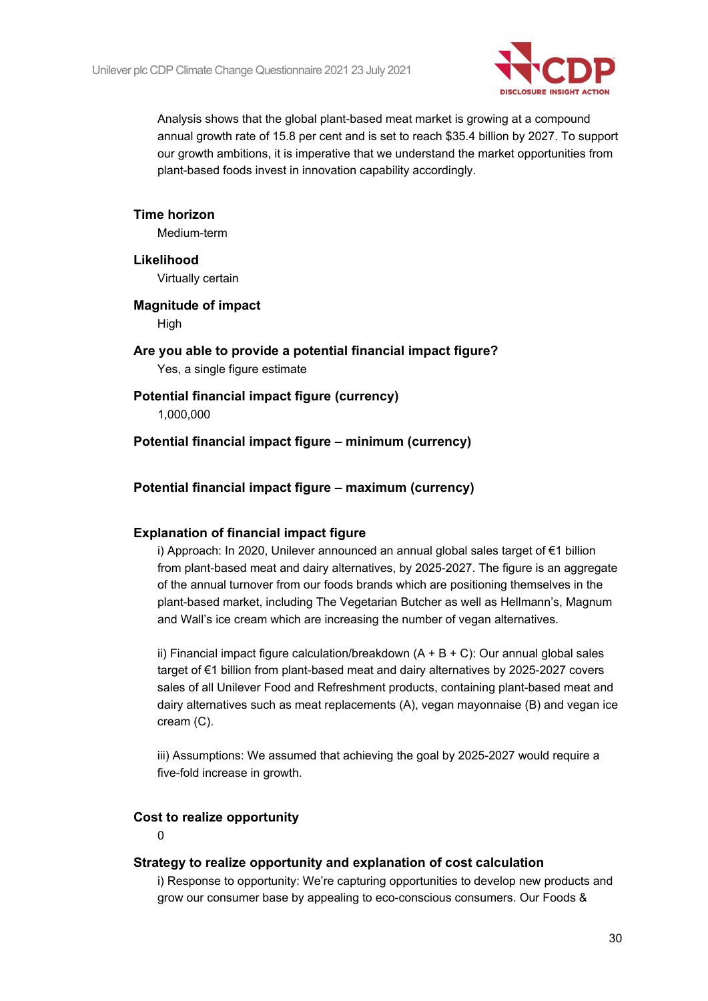

Analysis shows that the global plant-based meat market is growing at a compound annual growth rate of 15.8 per cent and is set to reach \$35.4 billion by 2027. To support our growth ambitions, it is imperative that we understand the market opportunities from plant-based foods invest in innovation capability accordingly.

#### **Time horizon**

Medium-term

### **Likelihood**

Virtually certain

#### **Magnitude of impact** High

**Are you able to provide a potential financial impact figure?** Yes, a single figure estimate

## **Potential financial impact figure (currency)**

1,000,000

#### **Potential financial impact figure – minimum (currency)**

#### **Potential financial impact figure – maximum (currency)**

#### **Explanation of financial impact figure**

i) Approach: In 2020, Unilever announced an annual global sales target of €1 billion from plant-based meat and dairy alternatives, by 2025-2027. The figure is an aggregate of the annual turnover from our foods brands which are positioning themselves in the plant-based market, including The Vegetarian Butcher as well as Hellmann's, Magnum and Wall's ice cream which are increasing the number of vegan alternatives.

ii) Financial impact figure calculation/breakdown  $(A + B + C)$ : Our annual global sales target of €1 billion from plant-based meat and dairy alternatives by 2025-2027 covers sales of all Unilever Food and Refreshment products, containing plant-based meat and dairy alternatives such as meat replacements (A), vegan mayonnaise (B) and vegan ice cream (C).

iii) Assumptions: We assumed that achieving the goal by 2025-2027 would require a five-fold increase in growth.

#### **Cost to realize opportunity**

 $\Omega$ 

#### **Strategy to realize opportunity and explanation of cost calculation**

i) Response to opportunity: We're capturing opportunities to develop new products and grow our consumer base by appealing to eco-conscious consumers. Our Foods &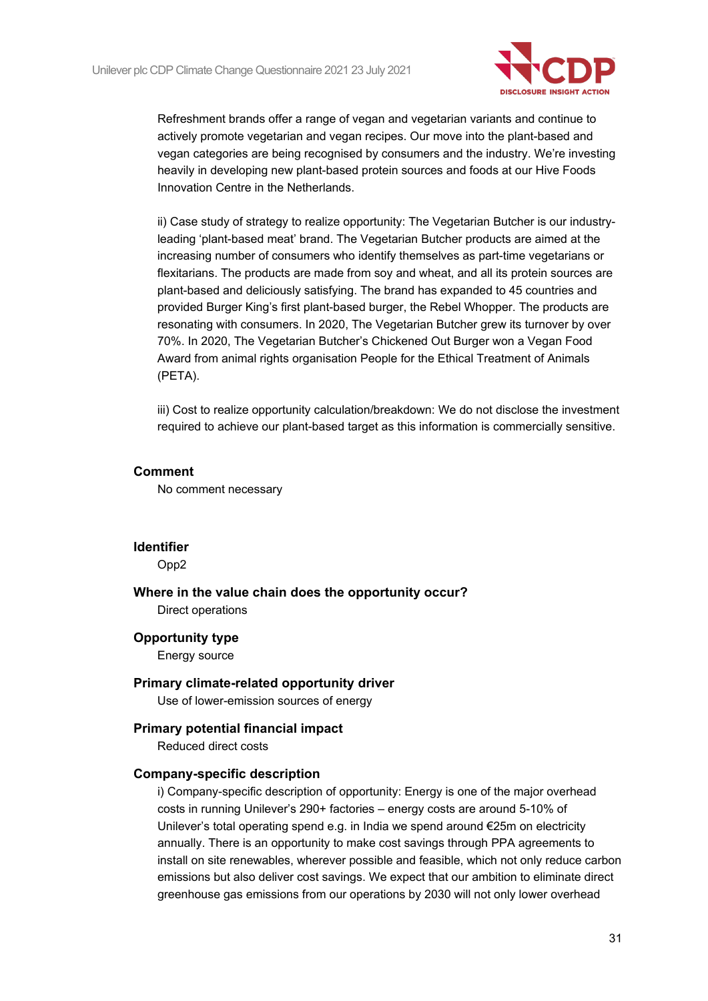

Refreshment brands offer a range of vegan and vegetarian variants and continue to actively promote vegetarian and vegan recipes. Our move into the plant-based and vegan categories are being recognised by consumers and the industry. We're investing heavily in developing new plant-based protein sources and foods at our Hive Foods Innovation Centre in the Netherlands.

ii) Case study of strategy to realize opportunity: The Vegetarian Butcher is our industryleading 'plant-based meat' brand. The Vegetarian Butcher products are aimed at the increasing number of consumers who identify themselves as part-time vegetarians or flexitarians. The products are made from soy and wheat, and all its protein sources are plant-based and deliciously satisfying. The brand has expanded to 45 countries and provided Burger King's first plant-based burger, the Rebel Whopper. The products are resonating with consumers. In 2020, The Vegetarian Butcher grew its turnover by over 70%. In 2020, The Vegetarian Butcher's Chickened Out Burger won a Vegan Food Award from animal rights organisation People for the Ethical Treatment of Animals (PETA).

iii) Cost to realize opportunity calculation/breakdown: We do not disclose the investment required to achieve our plant-based target as this information is commercially sensitive.

#### **Comment**

No comment necessary

#### **Identifier**

Opp2

**Where in the value chain does the opportunity occur?** Direct operations

#### **Opportunity type**

Energy source

#### **Primary climate-related opportunity driver**

Use of lower-emission sources of energy

#### **Primary potential financial impact**

Reduced direct costs

#### **Company-specific description**

i) Company-specific description of opportunity: Energy is one of the major overhead costs in running Unilever's 290+ factories – energy costs are around 5-10% of Unilever's total operating spend e.g. in India we spend around €25m on electricity annually. There is an opportunity to make cost savings through PPA agreements to install on site renewables, wherever possible and feasible, which not only reduce carbon emissions but also deliver cost savings. We expect that our ambition to eliminate direct greenhouse gas emissions from our operations by 2030 will not only lower overhead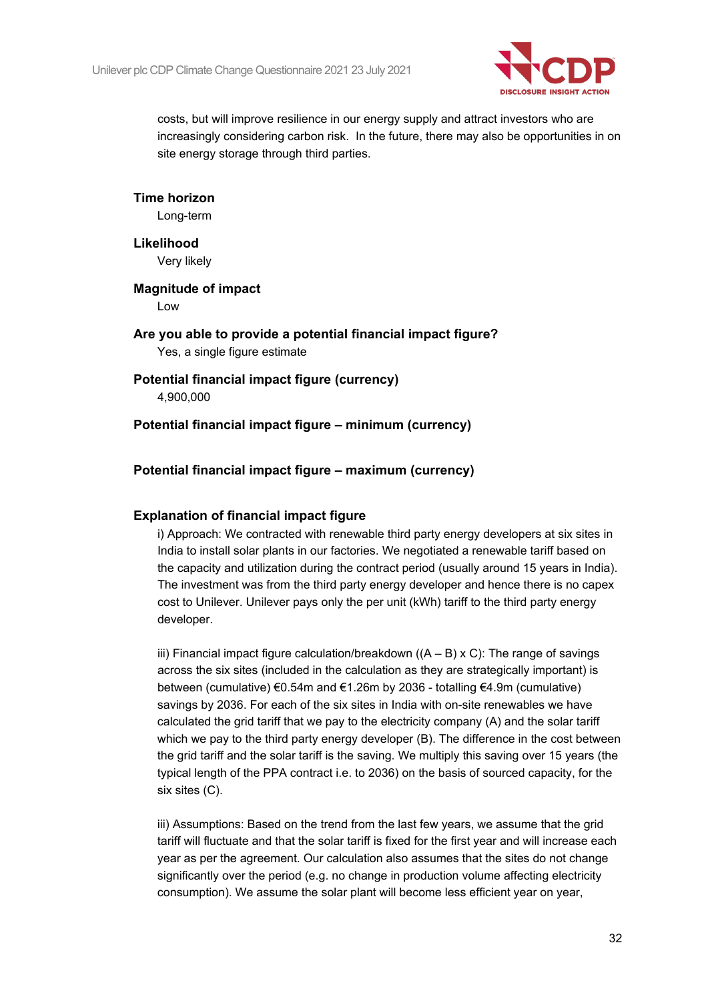

costs, but will improve resilience in our energy supply and attract investors who are increasingly considering carbon risk. In the future, there may also be opportunities in on site energy storage through third parties.

#### **Time horizon**

Long-term

#### **Likelihood**

Very likely

#### **Magnitude of impact**

Low

#### **Are you able to provide a potential financial impact figure?**

Yes, a single figure estimate

#### **Potential financial impact figure (currency)**

4,900,000

#### **Potential financial impact figure – minimum (currency)**

#### **Potential financial impact figure – maximum (currency)**

#### **Explanation of financial impact figure**

i) Approach: We contracted with renewable third party energy developers at six sites in India to install solar plants in our factories. We negotiated a renewable tariff based on the capacity and utilization during the contract period (usually around 15 years in India). The investment was from the third party energy developer and hence there is no capex cost to Unilever. Unilever pays only the per unit (kWh) tariff to the third party energy developer.

iii) Financial impact figure calculation/breakdown  $((A - B) \times C)$ : The range of savings across the six sites (included in the calculation as they are strategically important) is between (cumulative) €0.54m and €1.26m by 2036 - totalling €4.9m (cumulative) savings by 2036. For each of the six sites in India with on-site renewables we have calculated the grid tariff that we pay to the electricity company (A) and the solar tariff which we pay to the third party energy developer (B). The difference in the cost between the grid tariff and the solar tariff is the saving. We multiply this saving over 15 years (the typical length of the PPA contract i.e. to 2036) on the basis of sourced capacity, for the six sites (C).

iii) Assumptions: Based on the trend from the last few years, we assume that the grid tariff will fluctuate and that the solar tariff is fixed for the first year and will increase each year as per the agreement. Our calculation also assumes that the sites do not change significantly over the period (e.g. no change in production volume affecting electricity consumption). We assume the solar plant will become less efficient year on year,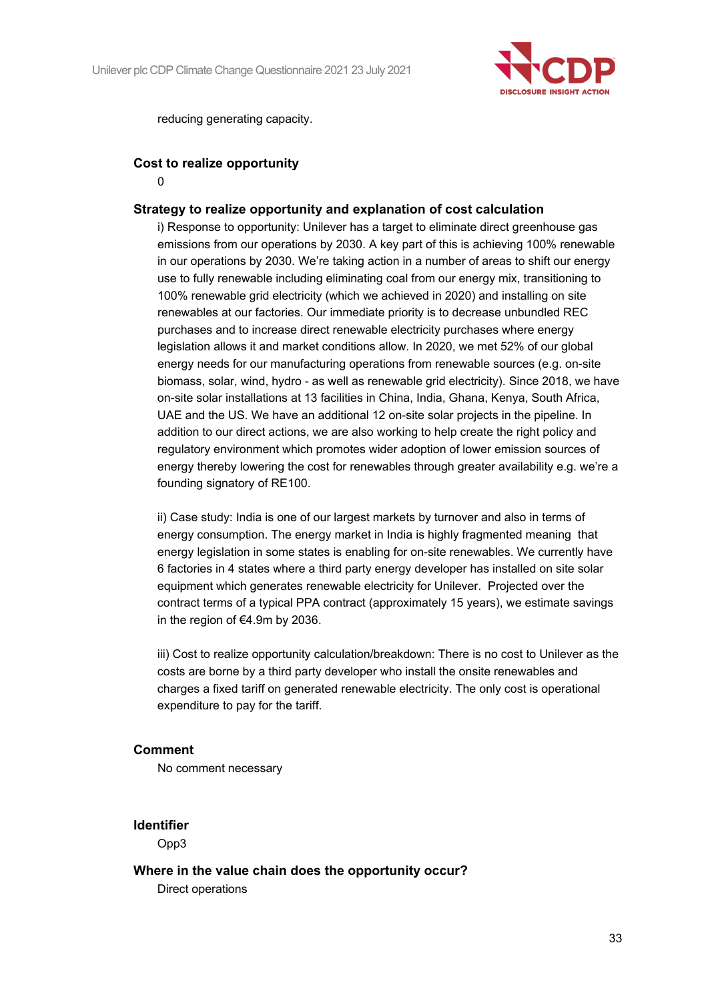

reducing generating capacity.

#### **Cost to realize opportunity**

 $\Omega$ 

#### **Strategy to realize opportunity and explanation of cost calculation**

i) Response to opportunity: Unilever has a target to eliminate direct greenhouse gas emissions from our operations by 2030. A key part of this is achieving 100% renewable in our operations by 2030. We're taking action in a number of areas to shift our energy use to fully renewable including eliminating coal from our energy mix, transitioning to 100% renewable grid electricity (which we achieved in 2020) and installing on site renewables at our factories. Our immediate priority is to decrease unbundled REC purchases and to increase direct renewable electricity purchases where energy legislation allows it and market conditions allow. In 2020, we met 52% of our global energy needs for our manufacturing operations from renewable sources (e.g. on-site biomass, solar, wind, hydro - as well as renewable grid electricity). Since 2018, we have on-site solar installations at 13 facilities in China, India, Ghana, Kenya, South Africa, UAE and the US. We have an additional 12 on-site solar projects in the pipeline. In addition to our direct actions, we are also working to help create the right policy and regulatory environment which promotes wider adoption of lower emission sources of energy thereby lowering the cost for renewables through greater availability e.g. we're a founding signatory of RE100.

ii) Case study: India is one of our largest markets by turnover and also in terms of energy consumption. The energy market in India is highly fragmented meaning that energy legislation in some states is enabling for on-site renewables. We currently have 6 factories in 4 states where a third party energy developer has installed on site solar equipment which generates renewable electricity for Unilever. Projected over the contract terms of a typical PPA contract (approximately 15 years), we estimate savings in the region of €4.9m by 2036.

iii) Cost to realize opportunity calculation/breakdown: There is no cost to Unilever as the costs are borne by a third party developer who install the onsite renewables and charges a fixed tariff on generated renewable electricity. The only cost is operational expenditure to pay for the tariff.

#### **Comment**

No comment necessary

### **Identifier**

Opp3

**Where in the value chain does the opportunity occur?**

Direct operations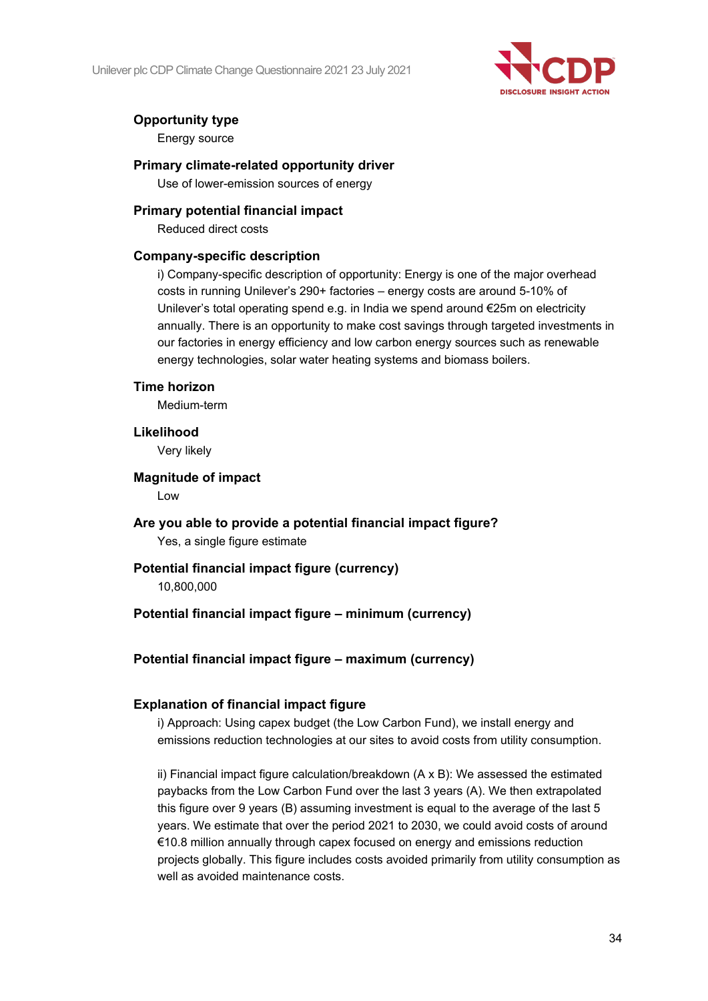Unilever plc CDP Climate Change Questionnaire 2021 23 July 2021



### **Opportunity type**

Energy source

#### **Primary climate-related opportunity driver**

Use of lower-emission sources of energy

#### **Primary potential financial impact**

Reduced direct costs

#### **Company-specific description**

i) Company-specific description of opportunity: Energy is one of the major overhead costs in running Unilever's 290+ factories – energy costs are around 5-10% of Unilever's total operating spend e.g. in India we spend around €25m on electricity annually. There is an opportunity to make cost savings through targeted investments in our factories in energy efficiency and low carbon energy sources such as renewable energy technologies, solar water heating systems and biomass boilers.

#### **Time horizon**

Medium-term

#### **Likelihood**

Very likely

#### **Magnitude of impact**

Low

**Are you able to provide a potential financial impact figure?** Yes, a single figure estimate

### **Potential financial impact figure (currency)**

10,800,000

### **Potential financial impact figure – minimum (currency)**

### **Potential financial impact figure – maximum (currency)**

#### **Explanation of financial impact figure**

i) Approach: Using capex budget (the Low Carbon Fund), we install energy and emissions reduction technologies at our sites to avoid costs from utility consumption.

ii) Financial impact figure calculation/breakdown (A x B): We assessed the estimated paybacks from the Low Carbon Fund over the last 3 years (A). We then extrapolated this figure over 9 years (B) assuming investment is equal to the average of the last 5 years. We estimate that over the period 2021 to 2030, we could avoid costs of around €10.8 million annually through capex focused on energy and emissions reduction projects globally. This figure includes costs avoided primarily from utility consumption as well as avoided maintenance costs.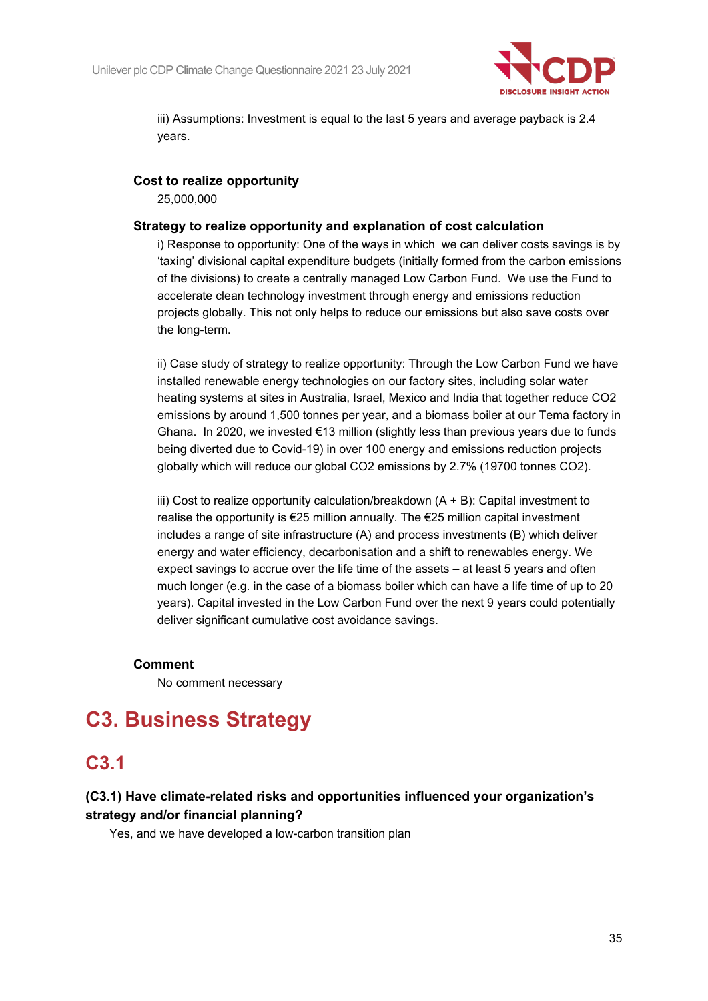

iii) Assumptions: Investment is equal to the last 5 years and average payback is 2.4 years.

#### **Cost to realize opportunity**

25,000,000

#### **Strategy to realize opportunity and explanation of cost calculation**

i) Response to opportunity: One of the ways in which we can deliver costs savings is by 'taxing' divisional capital expenditure budgets (initially formed from the carbon emissions of the divisions) to create a centrally managed Low Carbon Fund. We use the Fund to accelerate clean technology investment through energy and emissions reduction projects globally. This not only helps to reduce our emissions but also save costs over the long-term.

ii) Case study of strategy to realize opportunity: Through the Low Carbon Fund we have installed renewable energy technologies on our factory sites, including solar water heating systems at sites in Australia, Israel, Mexico and India that together reduce CO2 emissions by around 1,500 tonnes per year, and a biomass boiler at our Tema factory in Ghana. In 2020, we invested €13 million (slightly less than previous years due to funds being diverted due to Covid-19) in over 100 energy and emissions reduction projects globally which will reduce our global CO2 emissions by 2.7% (19700 tonnes CO2).

iii) Cost to realize opportunity calculation/breakdown (A + B): Capital investment to realise the opportunity is €25 million annually. The €25 million capital investment includes a range of site infrastructure (A) and process investments (B) which deliver energy and water efficiency, decarbonisation and a shift to renewables energy. We expect savings to accrue over the life time of the assets – at least 5 years and often much longer (e.g. in the case of a biomass boiler which can have a life time of up to 20 years). Capital invested in the Low Carbon Fund over the next 9 years could potentially deliver significant cumulative cost avoidance savings.

#### **Comment**

No comment necessary

# **C3. Business Strategy**

## **C3.1**

### **(C3.1) Have climate-related risks and opportunities influenced your organization's strategy and/or financial planning?**

Yes, and we have developed a low-carbon transition plan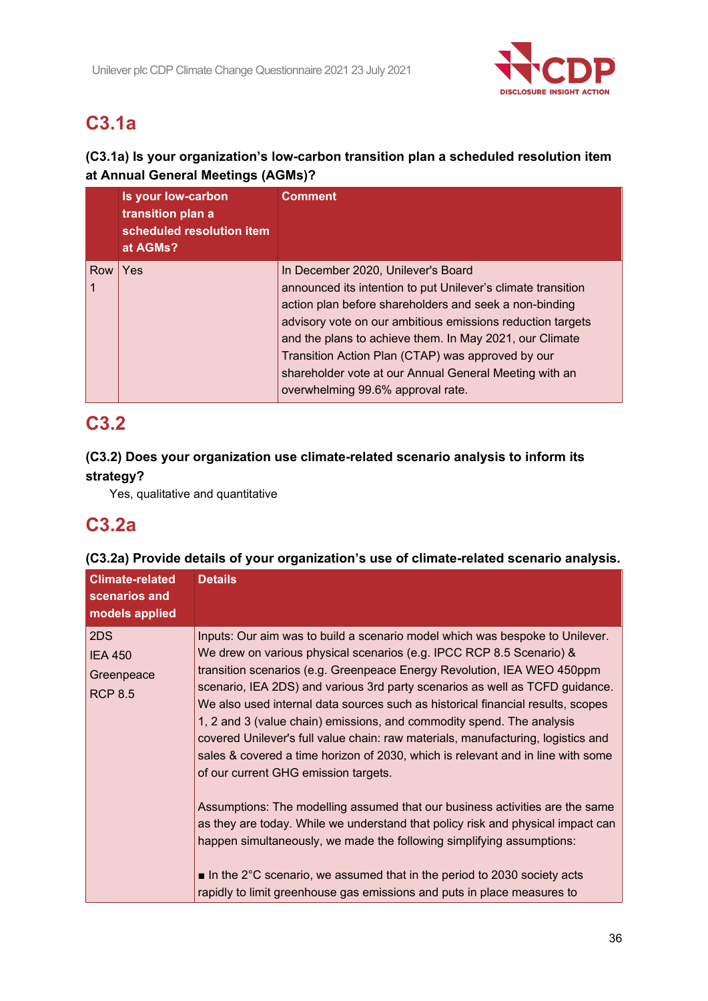

# **C3.1a**

### **(C3.1a) Is your organization's low-carbon transition plan a scheduled resolution item at Annual General Meetings (AGMs)?**

|     | Is your low-carbon<br>transition plan a<br>scheduled resolution item<br>at AGMs? | <b>Comment</b>                                                                                                                                                                                                                                                                                                                                                                                                                            |
|-----|----------------------------------------------------------------------------------|-------------------------------------------------------------------------------------------------------------------------------------------------------------------------------------------------------------------------------------------------------------------------------------------------------------------------------------------------------------------------------------------------------------------------------------------|
| Row | Yes                                                                              | In December 2020, Unilever's Board<br>announced its intention to put Unilever's climate transition<br>action plan before shareholders and seek a non-binding<br>advisory vote on our ambitious emissions reduction targets<br>and the plans to achieve them. In May 2021, our Climate<br>Transition Action Plan (CTAP) was approved by our<br>shareholder vote at our Annual General Meeting with an<br>overwhelming 99.6% approval rate. |

# **C3.2**

### **(C3.2) Does your organization use climate-related scenario analysis to inform its strategy?**

Yes, qualitative and quantitative

## **C3.2a**

### **(C3.2a) Provide details of your organization's use of climate-related scenario analysis.**

| <b>Climate-related</b><br>scenarios and<br>models applied | <b>Details</b>                                                                                                                                                                                                                                                                                                                                                                                                                                                                                                                                                                                                                                                                                                                                                             |
|-----------------------------------------------------------|----------------------------------------------------------------------------------------------------------------------------------------------------------------------------------------------------------------------------------------------------------------------------------------------------------------------------------------------------------------------------------------------------------------------------------------------------------------------------------------------------------------------------------------------------------------------------------------------------------------------------------------------------------------------------------------------------------------------------------------------------------------------------|
| 2DS<br><b>IEA 450</b><br>Greenpeace<br><b>RCP 8.5</b>     | Inputs: Our aim was to build a scenario model which was bespoke to Unilever.<br>We drew on various physical scenarios (e.g. IPCC RCP 8.5 Scenario) &<br>transition scenarios (e.g. Greenpeace Energy Revolution, IEA WEO 450ppm<br>scenario, IEA 2DS) and various 3rd party scenarios as well as TCFD guidance.<br>We also used internal data sources such as historical financial results, scopes<br>1, 2 and 3 (value chain) emissions, and commodity spend. The analysis<br>covered Unilever's full value chain: raw materials, manufacturing, logistics and<br>sales & covered a time horizon of 2030, which is relevant and in line with some<br>of our current GHG emission targets.<br>Assumptions: The modelling assumed that our business activities are the same |
|                                                           | as they are today. While we understand that policy risk and physical impact can<br>happen simultaneously, we made the following simplifying assumptions:<br>$\blacksquare$ In the 2°C scenario, we assumed that in the period to 2030 society acts<br>rapidly to limit greenhouse gas emissions and puts in place measures to                                                                                                                                                                                                                                                                                                                                                                                                                                              |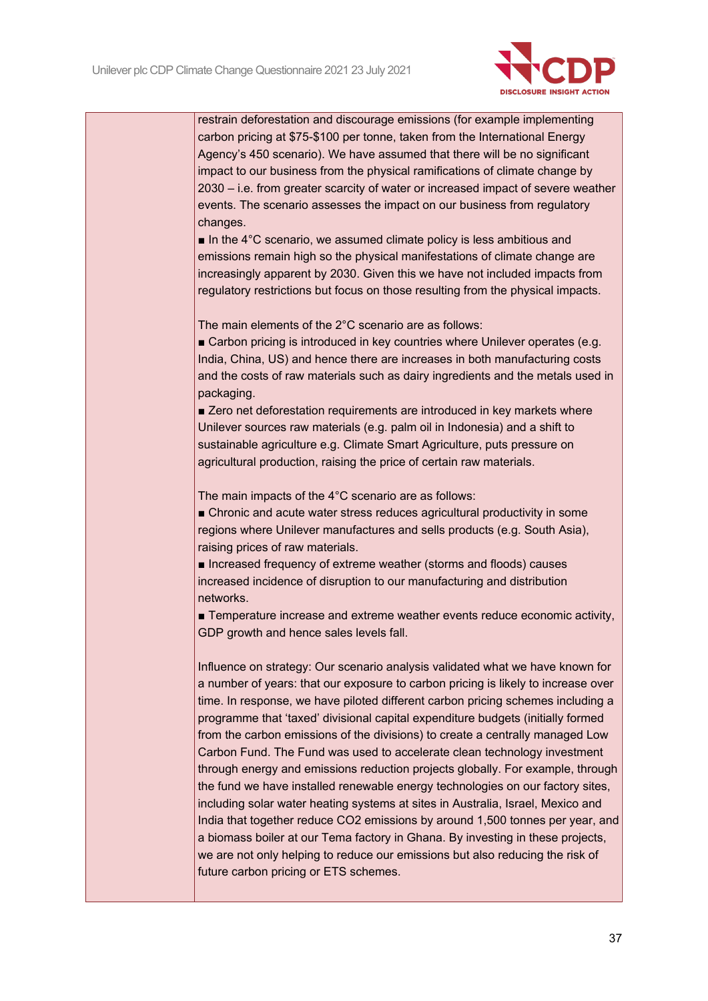

restrain deforestation and discourage emissions (for example implementing carbon pricing at \$75-\$100 per tonne, taken from the International Energy Agency's 450 scenario). We have assumed that there will be no significant impact to our business from the physical ramifications of climate change by 2030 – i.e. from greater scarcity of water or increased impact of severe weather events. The scenario assesses the impact on our business from regulatory changes.

■ In the 4°C scenario, we assumed climate policy is less ambitious and emissions remain high so the physical manifestations of climate change are increasingly apparent by 2030. Given this we have not included impacts from regulatory restrictions but focus on those resulting from the physical impacts.

The main elements of the 2°C scenario are as follows:

■ Carbon pricing is introduced in key countries where Unilever operates (e.g. India, China, US) and hence there are increases in both manufacturing costs and the costs of raw materials such as dairy ingredients and the metals used in packaging.

■ Zero net deforestation requirements are introduced in key markets where Unilever sources raw materials (e.g. palm oil in Indonesia) and a shift to sustainable agriculture e.g. Climate Smart Agriculture, puts pressure on agricultural production, raising the price of certain raw materials.

The main impacts of the 4°C scenario are as follows:

■ Chronic and acute water stress reduces agricultural productivity in some regions where Unilever manufactures and sells products (e.g. South Asia), raising prices of raw materials.

■ Increased frequency of extreme weather (storms and floods) causes increased incidence of disruption to our manufacturing and distribution networks.

■ Temperature increase and extreme weather events reduce economic activity, GDP growth and hence sales levels fall.

Influence on strategy: Our scenario analysis validated what we have known for a number of years: that our exposure to carbon pricing is likely to increase over time. In response, we have piloted different carbon pricing schemes including a programme that 'taxed' divisional capital expenditure budgets (initially formed from the carbon emissions of the divisions) to create a centrally managed Low Carbon Fund. The Fund was used to accelerate clean technology investment through energy and emissions reduction projects globally. For example, through the fund we have installed renewable energy technologies on our factory sites, including solar water heating systems at sites in Australia, Israel, Mexico and India that together reduce CO2 emissions by around 1,500 tonnes per year, and a biomass boiler at our Tema factory in Ghana. By investing in these projects, we are not only helping to reduce our emissions but also reducing the risk of future carbon pricing or ETS schemes.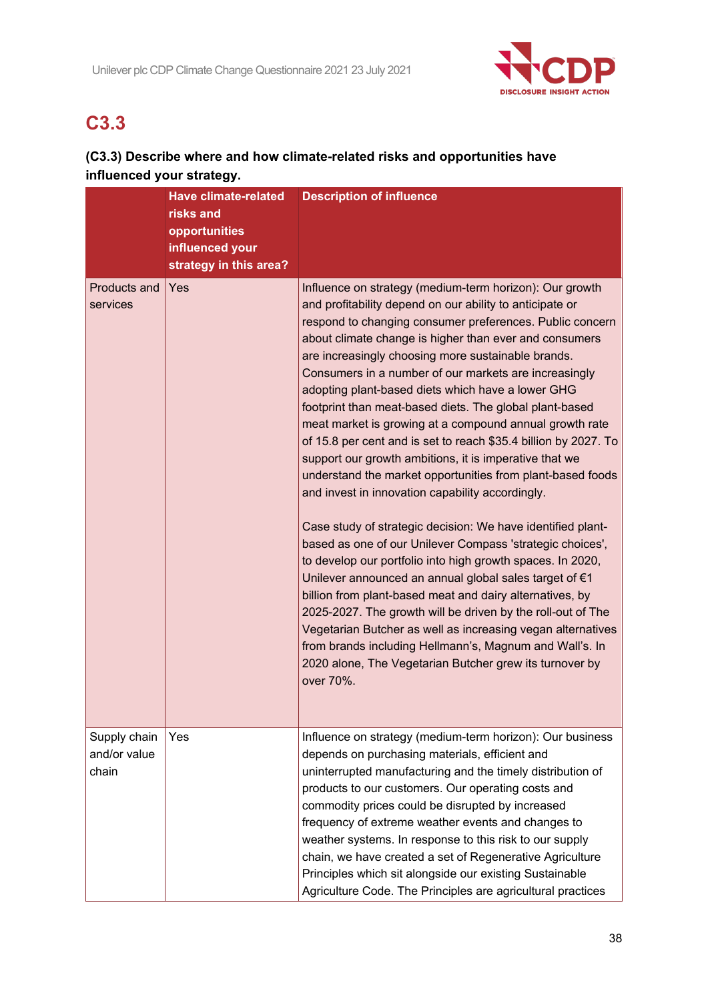

# **C3.3**

## **(C3.3) Describe where and how climate-related risks and opportunities have influenced your strategy.**

|                                       | <b>Have climate-related</b><br>risks and<br>opportunities<br>influenced your<br>strategy in this area? | <b>Description of influence</b>                                                                                                                                                                                                                                                                                                                                                                                                                                                                                                                                                                                                                                                                                                                                                                                                                                                                                                                                                                                                                                                                                                                                                                                                                                                                                                                                     |
|---------------------------------------|--------------------------------------------------------------------------------------------------------|---------------------------------------------------------------------------------------------------------------------------------------------------------------------------------------------------------------------------------------------------------------------------------------------------------------------------------------------------------------------------------------------------------------------------------------------------------------------------------------------------------------------------------------------------------------------------------------------------------------------------------------------------------------------------------------------------------------------------------------------------------------------------------------------------------------------------------------------------------------------------------------------------------------------------------------------------------------------------------------------------------------------------------------------------------------------------------------------------------------------------------------------------------------------------------------------------------------------------------------------------------------------------------------------------------------------------------------------------------------------|
| Products and<br>services              | Yes                                                                                                    | Influence on strategy (medium-term horizon): Our growth<br>and profitability depend on our ability to anticipate or<br>respond to changing consumer preferences. Public concern<br>about climate change is higher than ever and consumers<br>are increasingly choosing more sustainable brands.<br>Consumers in a number of our markets are increasingly<br>adopting plant-based diets which have a lower GHG<br>footprint than meat-based diets. The global plant-based<br>meat market is growing at a compound annual growth rate<br>of 15.8 per cent and is set to reach \$35.4 billion by 2027. To<br>support our growth ambitions, it is imperative that we<br>understand the market opportunities from plant-based foods<br>and invest in innovation capability accordingly.<br>Case study of strategic decision: We have identified plant-<br>based as one of our Unilever Compass 'strategic choices',<br>to develop our portfolio into high growth spaces. In 2020,<br>Unilever announced an annual global sales target of €1<br>billion from plant-based meat and dairy alternatives, by<br>2025-2027. The growth will be driven by the roll-out of The<br>Vegetarian Butcher as well as increasing vegan alternatives<br>from brands including Hellmann's, Magnum and Wall's. In<br>2020 alone, The Vegetarian Butcher grew its turnover by<br>over 70%. |
| Supply chain<br>and/or value<br>chain | Yes                                                                                                    | Influence on strategy (medium-term horizon): Our business<br>depends on purchasing materials, efficient and<br>uninterrupted manufacturing and the timely distribution of<br>products to our customers. Our operating costs and<br>commodity prices could be disrupted by increased<br>frequency of extreme weather events and changes to<br>weather systems. In response to this risk to our supply<br>chain, we have created a set of Regenerative Agriculture<br>Principles which sit alongside our existing Sustainable<br>Agriculture Code. The Principles are agricultural practices                                                                                                                                                                                                                                                                                                                                                                                                                                                                                                                                                                                                                                                                                                                                                                          |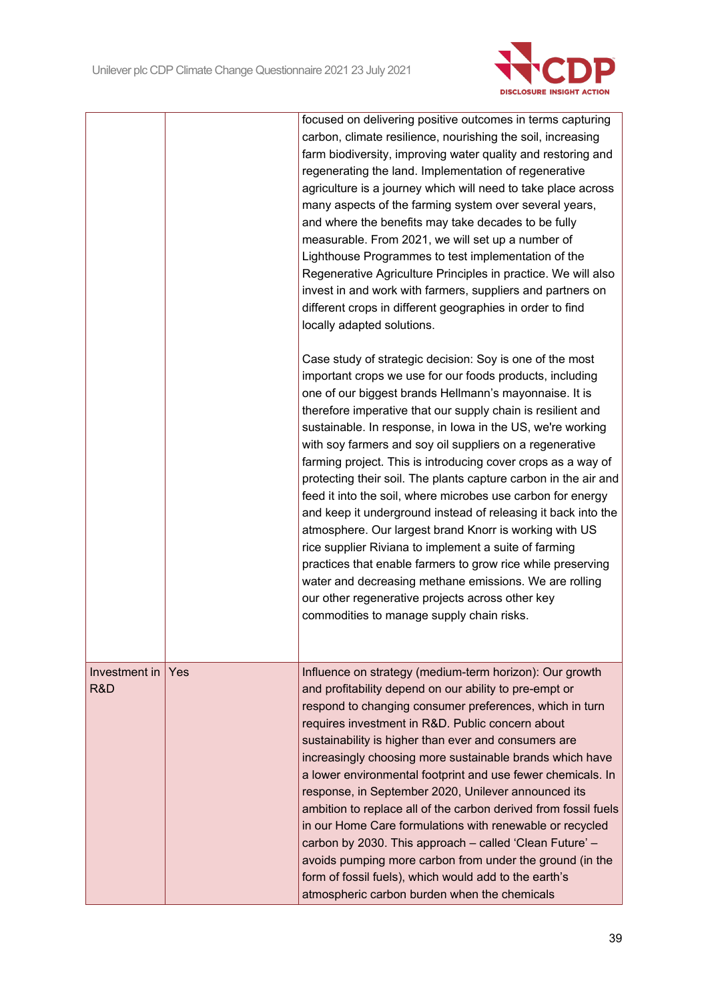

|                      |     | focused on delivering positive outcomes in terms capturing<br>carbon, climate resilience, nourishing the soil, increasing<br>farm biodiversity, improving water quality and restoring and<br>regenerating the land. Implementation of regenerative<br>agriculture is a journey which will need to take place across<br>many aspects of the farming system over several years,<br>and where the benefits may take decades to be fully<br>measurable. From 2021, we will set up a number of<br>Lighthouse Programmes to test implementation of the<br>Regenerative Agriculture Principles in practice. We will also<br>invest in and work with farmers, suppliers and partners on<br>different crops in different geographies in order to find<br>locally adapted solutions.                                                                                                                                                                                                              |
|----------------------|-----|-----------------------------------------------------------------------------------------------------------------------------------------------------------------------------------------------------------------------------------------------------------------------------------------------------------------------------------------------------------------------------------------------------------------------------------------------------------------------------------------------------------------------------------------------------------------------------------------------------------------------------------------------------------------------------------------------------------------------------------------------------------------------------------------------------------------------------------------------------------------------------------------------------------------------------------------------------------------------------------------|
|                      |     | Case study of strategic decision: Soy is one of the most<br>important crops we use for our foods products, including<br>one of our biggest brands Hellmann's mayonnaise. It is<br>therefore imperative that our supply chain is resilient and<br>sustainable. In response, in lowa in the US, we're working<br>with soy farmers and soy oil suppliers on a regenerative<br>farming project. This is introducing cover crops as a way of<br>protecting their soil. The plants capture carbon in the air and<br>feed it into the soil, where microbes use carbon for energy<br>and keep it underground instead of releasing it back into the<br>atmosphere. Our largest brand Knorr is working with US<br>rice supplier Riviana to implement a suite of farming<br>practices that enable farmers to grow rice while preserving<br>water and decreasing methane emissions. We are rolling<br>our other regenerative projects across other key<br>commodities to manage supply chain risks. |
| Investment in<br>R&D | Yes | Influence on strategy (medium-term horizon): Our growth<br>and profitability depend on our ability to pre-empt or<br>respond to changing consumer preferences, which in turn<br>requires investment in R&D. Public concern about<br>sustainability is higher than ever and consumers are<br>increasingly choosing more sustainable brands which have<br>a lower environmental footprint and use fewer chemicals. In<br>response, in September 2020, Unilever announced its<br>ambition to replace all of the carbon derived from fossil fuels<br>in our Home Care formulations with renewable or recycled<br>carbon by 2030. This approach - called 'Clean Future' -<br>avoids pumping more carbon from under the ground (in the<br>form of fossil fuels), which would add to the earth's<br>atmospheric carbon burden when the chemicals                                                                                                                                               |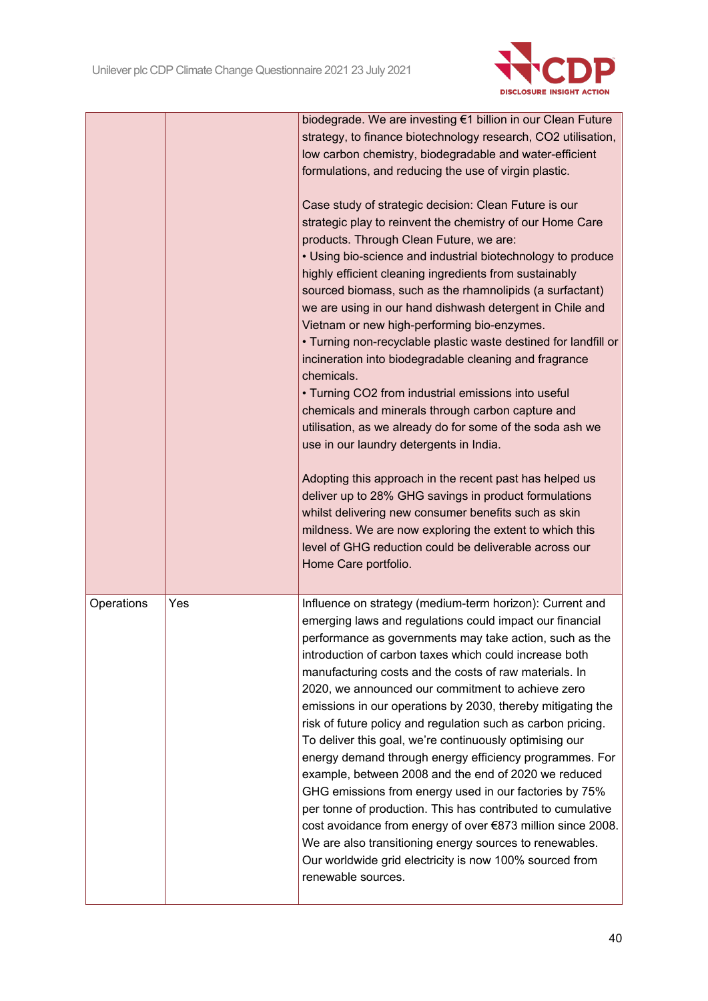

|            |     | biodegrade. We are investing €1 billion in our Clean Future<br>strategy, to finance biotechnology research, CO2 utilisation,<br>low carbon chemistry, biodegradable and water-efficient<br>formulations, and reducing the use of virgin plastic.<br>Case study of strategic decision: Clean Future is our<br>strategic play to reinvent the chemistry of our Home Care<br>products. Through Clean Future, we are:<br>• Using bio-science and industrial biotechnology to produce<br>highly efficient cleaning ingredients from sustainably<br>sourced biomass, such as the rhamnolipids (a surfactant)<br>we are using in our hand dishwash detergent in Chile and<br>Vietnam or new high-performing bio-enzymes.<br>• Turning non-recyclable plastic waste destined for landfill or<br>incineration into biodegradable cleaning and fragrance<br>chemicals.<br>• Turning CO2 from industrial emissions into useful<br>chemicals and minerals through carbon capture and<br>utilisation, as we already do for some of the soda ash we<br>use in our laundry detergents in India.<br>Adopting this approach in the recent past has helped us<br>deliver up to 28% GHG savings in product formulations<br>whilst delivering new consumer benefits such as skin<br>mildness. We are now exploring the extent to which this<br>level of GHG reduction could be deliverable across our<br>Home Care portfolio. |
|------------|-----|-----------------------------------------------------------------------------------------------------------------------------------------------------------------------------------------------------------------------------------------------------------------------------------------------------------------------------------------------------------------------------------------------------------------------------------------------------------------------------------------------------------------------------------------------------------------------------------------------------------------------------------------------------------------------------------------------------------------------------------------------------------------------------------------------------------------------------------------------------------------------------------------------------------------------------------------------------------------------------------------------------------------------------------------------------------------------------------------------------------------------------------------------------------------------------------------------------------------------------------------------------------------------------------------------------------------------------------------------------------------------------------------------------------|
| Operations | Yes | Influence on strategy (medium-term horizon): Current and<br>emerging laws and regulations could impact our financial<br>performance as governments may take action, such as the<br>introduction of carbon taxes which could increase both<br>manufacturing costs and the costs of raw materials. In<br>2020, we announced our commitment to achieve zero<br>emissions in our operations by 2030, thereby mitigating the<br>risk of future policy and regulation such as carbon pricing.<br>To deliver this goal, we're continuously optimising our<br>energy demand through energy efficiency programmes. For<br>example, between 2008 and the end of 2020 we reduced<br>GHG emissions from energy used in our factories by 75%<br>per tonne of production. This has contributed to cumulative<br>cost avoidance from energy of over €873 million since 2008.<br>We are also transitioning energy sources to renewables.<br>Our worldwide grid electricity is now 100% sourced from<br>renewable sources.                                                                                                                                                                                                                                                                                                                                                                                                 |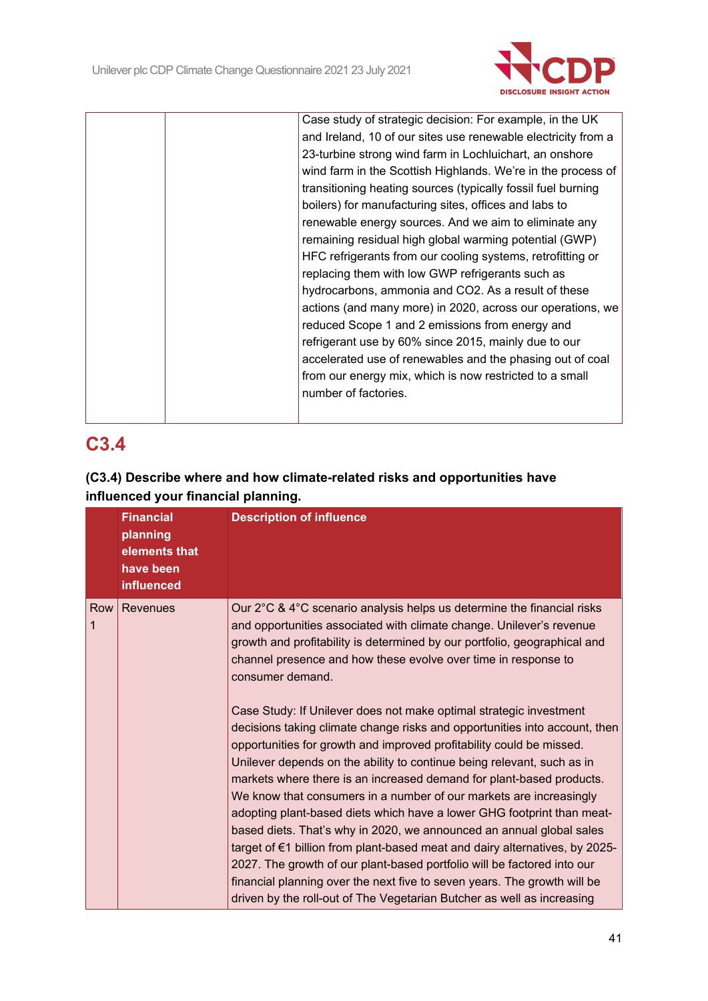

|  | Case study of strategic decision: For example, in the UK      |
|--|---------------------------------------------------------------|
|  | and Ireland, 10 of our sites use renewable electricity from a |
|  | 23-turbine strong wind farm in Lochluichart, an onshore       |
|  | wind farm in the Scottish Highlands. We're in the process of  |
|  | transitioning heating sources (typically fossil fuel burning  |
|  | boilers) for manufacturing sites, offices and labs to         |
|  | renewable energy sources. And we aim to eliminate any         |
|  | remaining residual high global warming potential (GWP)        |
|  | HFC refrigerants from our cooling systems, retrofitting or    |
|  | replacing them with low GWP refrigerants such as              |
|  | hydrocarbons, ammonia and CO2. As a result of these           |
|  | actions (and many more) in 2020, across our operations, we    |
|  | reduced Scope 1 and 2 emissions from energy and               |
|  | refrigerant use by 60% since 2015, mainly due to our          |
|  | accelerated use of renewables and the phasing out of coal     |
|  | from our energy mix, which is now restricted to a small       |
|  | number of factories.                                          |
|  |                                                               |
|  |                                                               |

# **C3.4**

## **(C3.4) Describe where and how climate-related risks and opportunities have influenced your financial planning.**

|          | <b>Financial</b><br>planning<br>elements that<br>have been<br><b>influenced</b> | <b>Description of influence</b>                                                                                                                                                                                                                                                                                                                                                                                                                                                                                                                                                                                                                                                                                                                                                                                                                                                                                    |
|----------|---------------------------------------------------------------------------------|--------------------------------------------------------------------------------------------------------------------------------------------------------------------------------------------------------------------------------------------------------------------------------------------------------------------------------------------------------------------------------------------------------------------------------------------------------------------------------------------------------------------------------------------------------------------------------------------------------------------------------------------------------------------------------------------------------------------------------------------------------------------------------------------------------------------------------------------------------------------------------------------------------------------|
| Row<br>1 | <b>Revenues</b>                                                                 | Our 2°C & 4°C scenario analysis helps us determine the financial risks<br>and opportunities associated with climate change. Unilever's revenue<br>growth and profitability is determined by our portfolio, geographical and<br>channel presence and how these evolve over time in response to<br>consumer demand.                                                                                                                                                                                                                                                                                                                                                                                                                                                                                                                                                                                                  |
|          |                                                                                 | Case Study: If Unilever does not make optimal strategic investment<br>decisions taking climate change risks and opportunities into account, then<br>opportunities for growth and improved profitability could be missed.<br>Unilever depends on the ability to continue being relevant, such as in<br>markets where there is an increased demand for plant-based products.<br>We know that consumers in a number of our markets are increasingly<br>adopting plant-based diets which have a lower GHG footprint than meat-<br>based diets. That's why in 2020, we announced an annual global sales<br>target of €1 billion from plant-based meat and dairy alternatives, by 2025-<br>2027. The growth of our plant-based portfolio will be factored into our<br>financial planning over the next five to seven years. The growth will be<br>driven by the roll-out of The Vegetarian Butcher as well as increasing |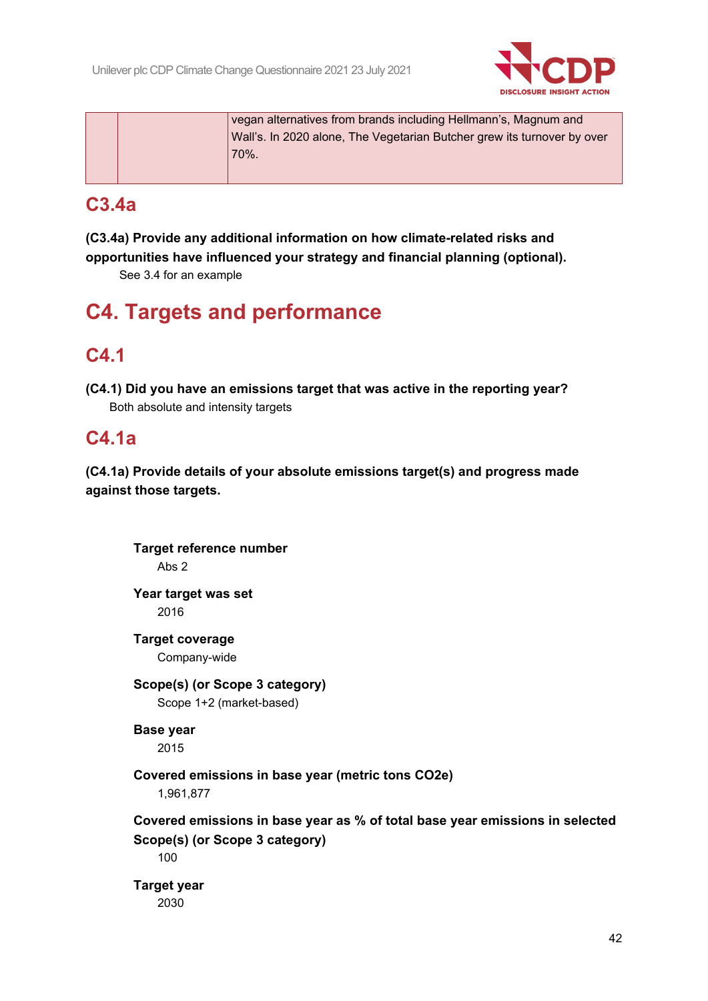

|  | vegan alternatives from brands including Hellmann's, Magnum and         |
|--|-------------------------------------------------------------------------|
|  | Wall's. In 2020 alone, The Vegetarian Butcher grew its turnover by over |
|  | 70%.                                                                    |
|  |                                                                         |
|  |                                                                         |

# **C3.4a**

**(C3.4a) Provide any additional information on how climate-related risks and opportunities have influenced your strategy and financial planning (optional).**

See 3.4 for an example

# **C4. Targets and performance**

# **C4.1**

**(C4.1) Did you have an emissions target that was active in the reporting year?** Both absolute and intensity targets

## **C4.1a**

**(C4.1a) Provide details of your absolute emissions target(s) and progress made against those targets.**

**Target reference number** Abs 2 **Year target was set** 2016 **Target coverage** Company-wide **Scope(s) (or Scope 3 category)** Scope 1+2 (market-based) **Base year** 2015 **Covered emissions in base year (metric tons CO2e)** 1,961,877 **Covered emissions in base year as % of total base year emissions in selected Scope(s) (or Scope 3 category)** 100 **Target year** 2030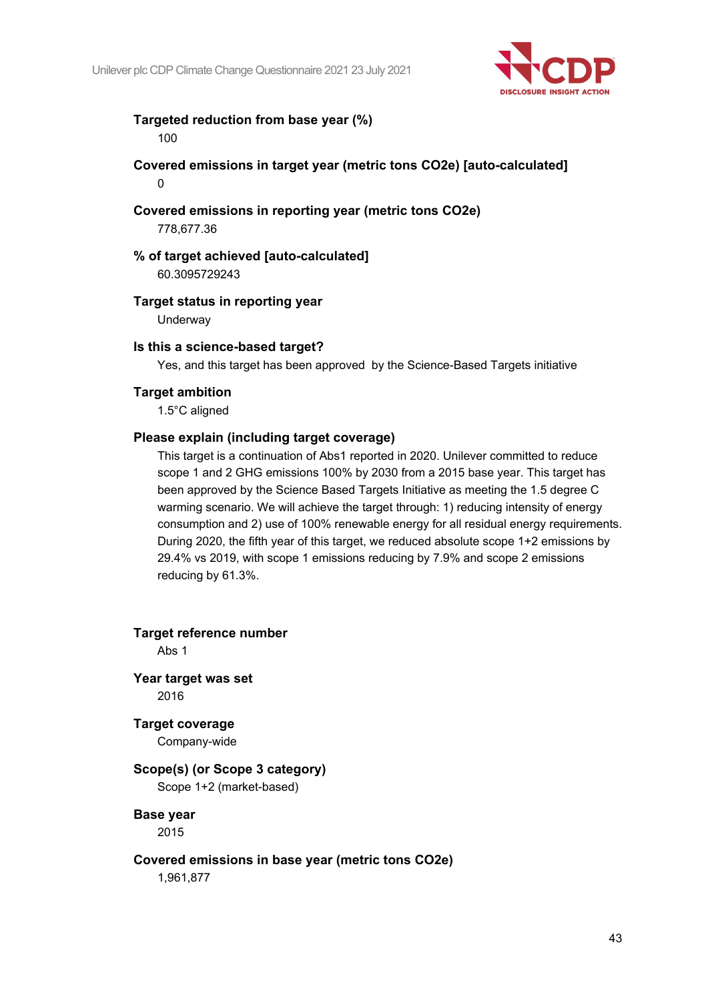

### **Targeted reduction from base year (%)**

100

- **Covered emissions in target year (metric tons CO2e) [auto-calculated]**  $\Omega$
- **Covered emissions in reporting year (metric tons CO2e)** 778,677.36
- **% of target achieved [auto-calculated]** 60.3095729243
- **Target status in reporting year** Underway

**Is this a science-based target?**

Yes, and this target has been approved by the Science-Based Targets initiative

### **Target ambition**

1.5°C aligned

### **Please explain (including target coverage)**

This target is a continuation of Abs1 reported in 2020. Unilever committed to reduce scope 1 and 2 GHG emissions 100% by 2030 from a 2015 base year. This target has been approved by the Science Based Targets Initiative as meeting the 1.5 degree C warming scenario. We will achieve the target through: 1) reducing intensity of energy consumption and 2) use of 100% renewable energy for all residual energy requirements. During 2020, the fifth year of this target, we reduced absolute scope 1+2 emissions by 29.4% vs 2019, with scope 1 emissions reducing by 7.9% and scope 2 emissions reducing by 61.3%.

**Target reference number** Abs 1

**Year target was set** 2016

**Target coverage**

Company-wide

### **Scope(s) (or Scope 3 category)**

Scope 1+2 (market-based)

**Base year**

2015

**Covered emissions in base year (metric tons CO2e)**

1,961,877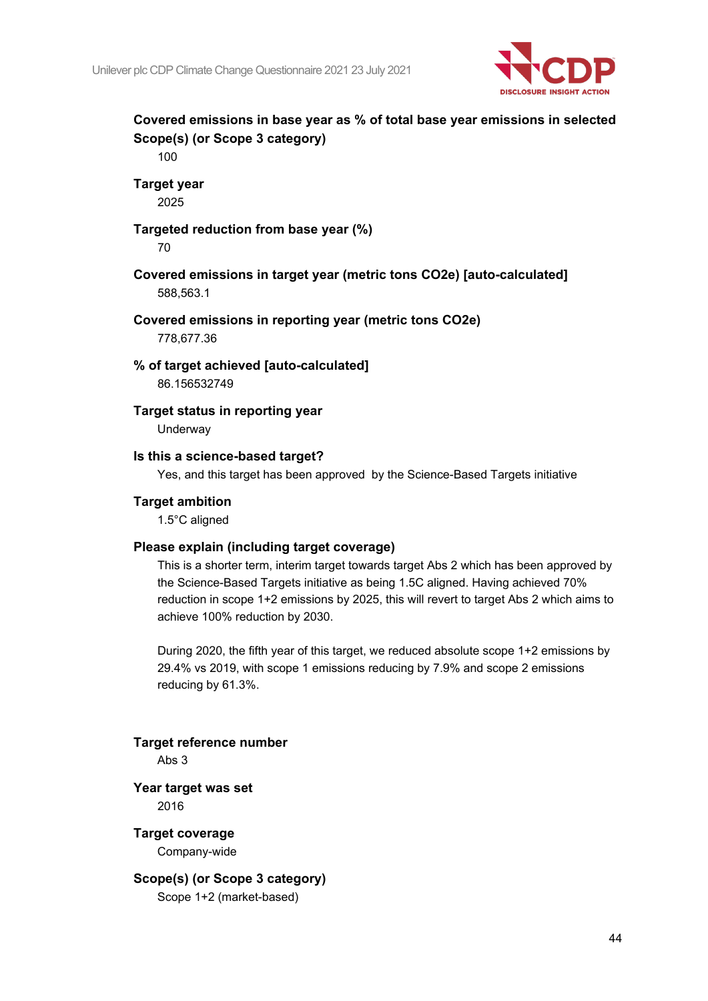

### **Covered emissions in base year as % of total base year emissions in selected Scope(s) (or Scope 3 category)** 100

**Target year**

2025

### **Targeted reduction from base year (%)**

70

### **Covered emissions in target year (metric tons CO2e) [auto-calculated]** 588,563.1

## **Covered emissions in reporting year (metric tons CO2e)**

778,677.36

# **% of target achieved [auto-calculated]**

86.156532749

**Target status in reporting year** Underway

### **Is this a science-based target?**

Yes, and this target has been approved by the Science-Based Targets initiative

### **Target ambition**

1.5°C aligned

### **Please explain (including target coverage)**

This is a shorter term, interim target towards target Abs 2 which has been approved by the Science-Based Targets initiative as being 1.5C aligned. Having achieved 70% reduction in scope 1+2 emissions by 2025, this will revert to target Abs 2 which aims to achieve 100% reduction by 2030.

During 2020, the fifth year of this target, we reduced absolute scope 1+2 emissions by 29.4% vs 2019, with scope 1 emissions reducing by 7.9% and scope 2 emissions reducing by 61.3%.

**Target reference number**

Abs 3

**Year target was set** 2016

**Target coverage** Company-wide

**Scope(s) (or Scope 3 category)**

Scope 1+2 (market-based)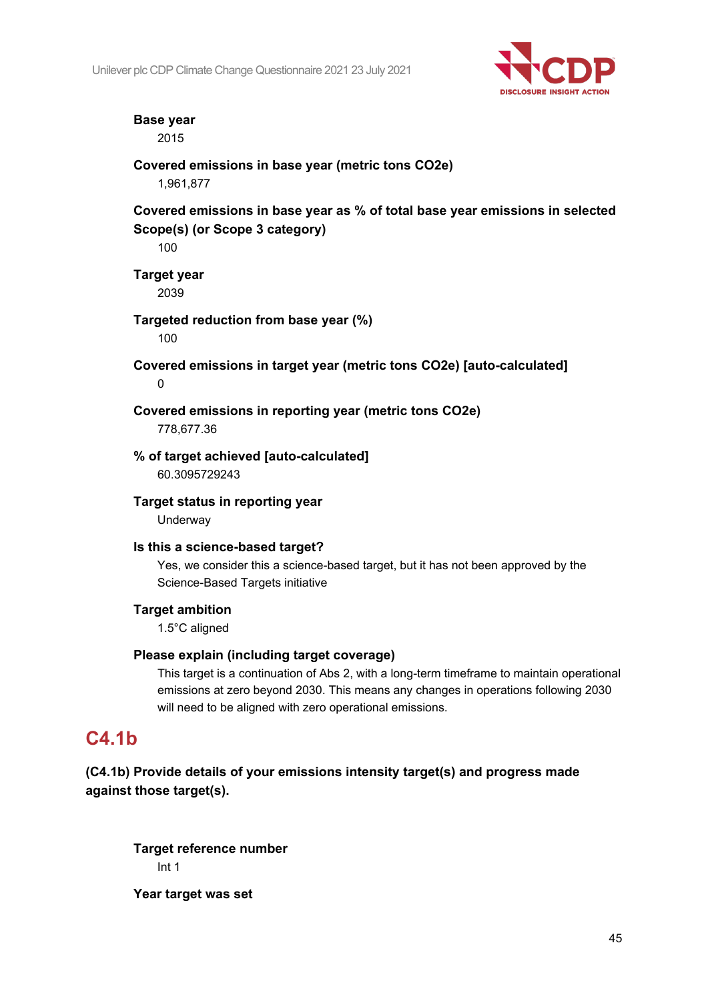

## **Base year**

2015

**Covered emissions in base year (metric tons CO2e)** 1,961,877

## **Covered emissions in base year as % of total base year emissions in selected Scope(s) (or Scope 3 category)**

100

**Target year** 2039

**Targeted reduction from base year (%)**

100

**Covered emissions in target year (metric tons CO2e) [auto-calculated]**  $\Omega$ 

**Covered emissions in reporting year (metric tons CO2e)**

778,677.36

**% of target achieved [auto-calculated]** 60.3095729243

**Target status in reporting year**

Underway

### **Is this a science-based target?**

Yes, we consider this a science-based target, but it has not been approved by the Science-Based Targets initiative

### **Target ambition**

1.5°C aligned

### **Please explain (including target coverage)**

This target is a continuation of Abs 2, with a long-term timeframe to maintain operational emissions at zero beyond 2030. This means any changes in operations following 2030 will need to be aligned with zero operational emissions.

## **C4.1b**

**(C4.1b) Provide details of your emissions intensity target(s) and progress made against those target(s).**

**Target reference number** Int 1

**Year target was set**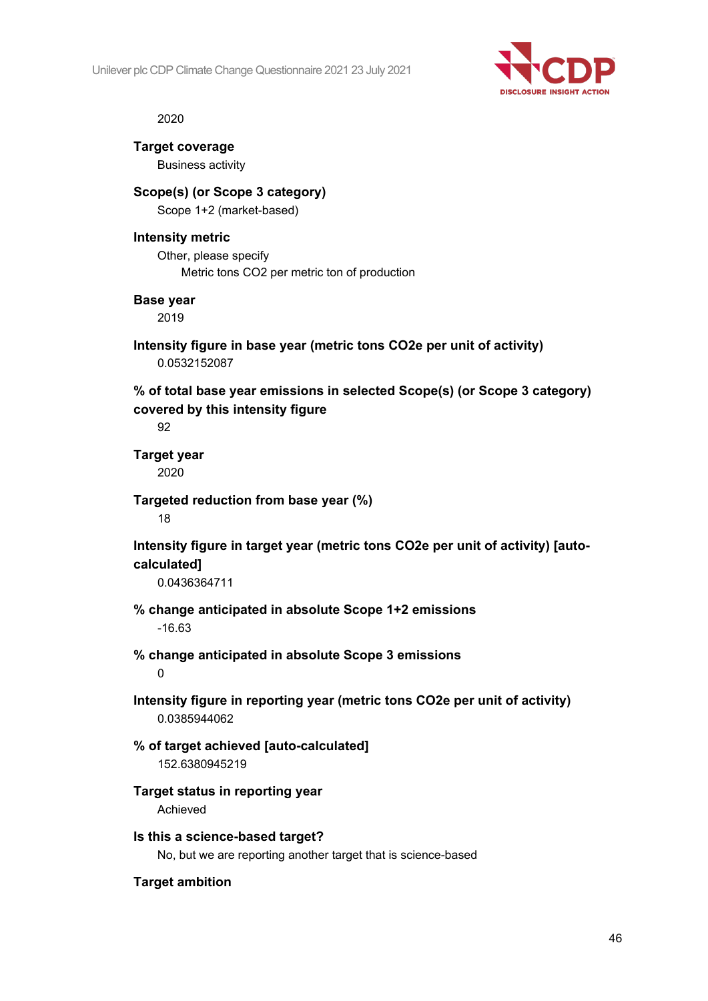Unilever plc CDP Climate Change Questionnaire 2021 23 July 2021



2020

**Target coverage** Business activity

**Scope(s) (or Scope 3 category)** Scope 1+2 (market-based)

### **Intensity metric**

Other, please specify Metric tons CO2 per metric ton of production

### **Base year**

2019

**Intensity figure in base year (metric tons CO2e per unit of activity)** 0.0532152087

**% of total base year emissions in selected Scope(s) (or Scope 3 category) covered by this intensity figure**

92

**Target year** 2020

**Targeted reduction from base year (%)**

18

**Intensity figure in target year (metric tons CO2e per unit of activity) [autocalculated]**

0.0436364711

**% change anticipated in absolute Scope 1+2 emissions** -16.63

**% change anticipated in absolute Scope 3 emissions**

 $\Omega$ 

- **Intensity figure in reporting year (metric tons CO2e per unit of activity)** 0.0385944062
- **% of target achieved [auto-calculated]** 152.6380945219
- **Target status in reporting year** Achieved
- **Is this a science-based target?**

No, but we are reporting another target that is science-based

### **Target ambition**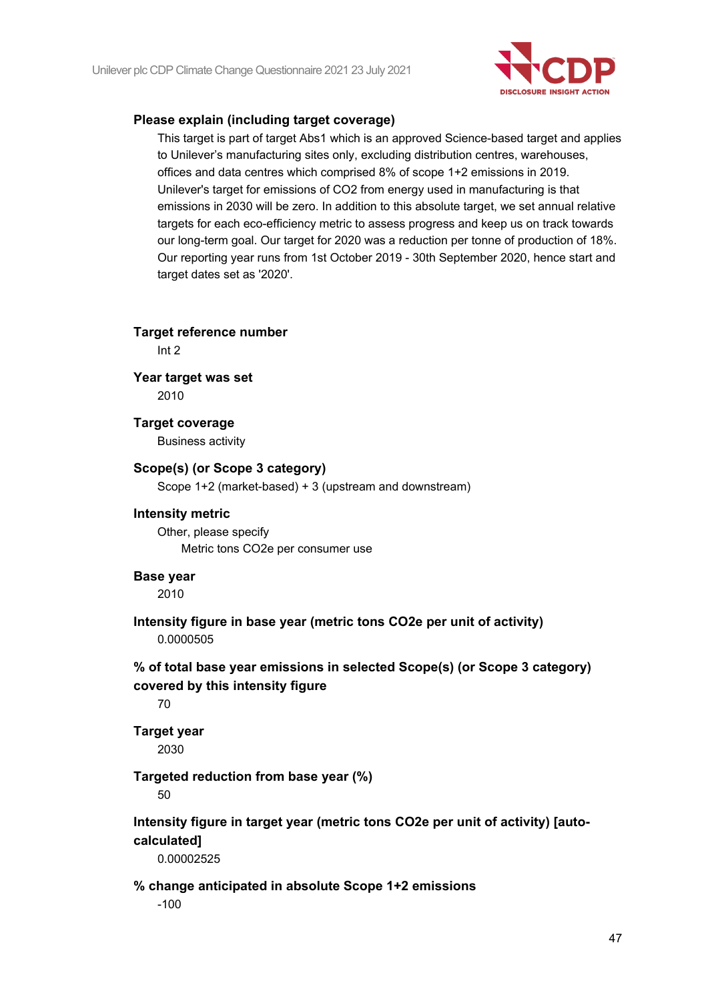

### **Please explain (including target coverage)**

This target is part of target Abs1 which is an approved Science-based target and applies to Unilever's manufacturing sites only, excluding distribution centres, warehouses, offices and data centres which comprised 8% of scope 1+2 emissions in 2019. Unilever's target for emissions of CO2 from energy used in manufacturing is that emissions in 2030 will be zero. In addition to this absolute target, we set annual relative targets for each eco-efficiency metric to assess progress and keep us on track towards our long-term goal. Our target for 2020 was a reduction per tonne of production of 18%. Our reporting year runs from 1st October 2019 - 30th September 2020, hence start and target dates set as '2020'.

#### **Target reference number**

Int 2

**Year target was set** 2010

**Target coverage**

Business activity

### **Scope(s) (or Scope 3 category)**

Scope 1+2 (market-based) + 3 (upstream and downstream)

### **Intensity metric**

Other, please specify Metric tons CO2e per consumer use

#### **Base year**

2010

**Intensity figure in base year (metric tons CO2e per unit of activity)** 0.0000505

### **% of total base year emissions in selected Scope(s) (or Scope 3 category) covered by this intensity figure**

70

## **Target year**

2030

### **Targeted reduction from base year (%)**

50

### **Intensity figure in target year (metric tons CO2e per unit of activity) [autocalculated]**

0.00002525

### **% change anticipated in absolute Scope 1+2 emissions**

-100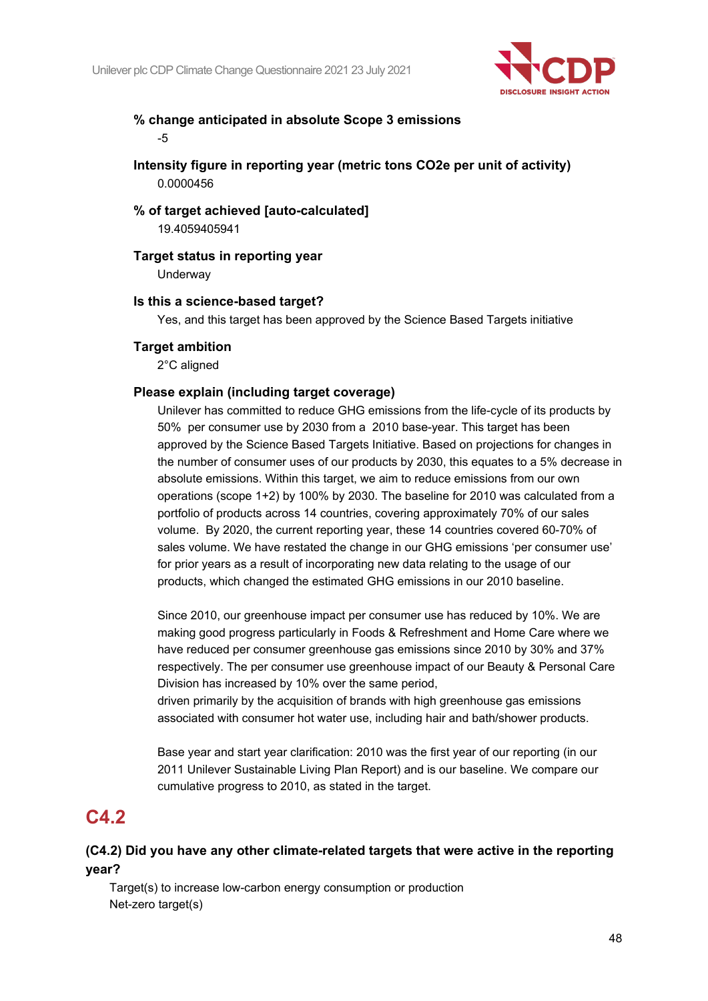

### **% change anticipated in absolute Scope 3 emissions** -5

**Intensity figure in reporting year (metric tons CO2e per unit of activity)** 0.0000456

# **% of target achieved [auto-calculated]**

19.4059405941

### **Target status in reporting year**

Underway

### **Is this a science-based target?**

Yes, and this target has been approved by the Science Based Targets initiative

### **Target ambition**

2°C aligned

### **Please explain (including target coverage)**

Unilever has committed to reduce GHG emissions from the life-cycle of its products by 50% per consumer use by 2030 from a 2010 base-year. This target has been approved by the Science Based Targets Initiative. Based on projections for changes in the number of consumer uses of our products by 2030, this equates to a 5% decrease in absolute emissions. Within this target, we aim to reduce emissions from our own operations (scope 1+2) by 100% by 2030. The baseline for 2010 was calculated from a portfolio of products across 14 countries, covering approximately 70% of our sales volume. By 2020, the current reporting year, these 14 countries covered 60-70% of sales volume. We have restated the change in our GHG emissions 'per consumer use' for prior years as a result of incorporating new data relating to the usage of our products, which changed the estimated GHG emissions in our 2010 baseline.

Since 2010, our greenhouse impact per consumer use has reduced by 10%. We are making good progress particularly in Foods & Refreshment and Home Care where we have reduced per consumer greenhouse gas emissions since 2010 by 30% and 37% respectively. The per consumer use greenhouse impact of our Beauty & Personal Care Division has increased by 10% over the same period,

driven primarily by the acquisition of brands with high greenhouse gas emissions associated with consumer hot water use, including hair and bath/shower products.

Base year and start year clarification: 2010 was the first year of our reporting (in our 2011 Unilever Sustainable Living Plan Report) and is our baseline. We compare our cumulative progress to 2010, as stated in the target.

## **C4.2**

## **(C4.2) Did you have any other climate-related targets that were active in the reporting year?**

Target(s) to increase low-carbon energy consumption or production Net-zero target(s)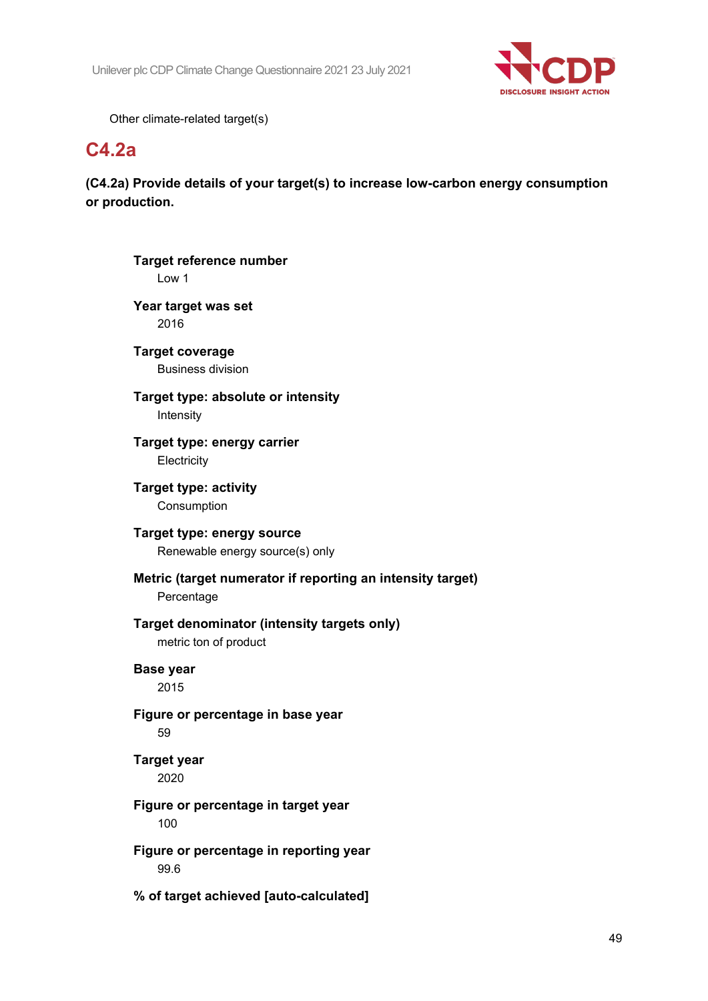

Other climate-related target(s)

## **C4.2a**

 $\cdots$ 

**(C4.2a) Provide details of your target(s) to increase low-carbon energy consumption or production.**

| <b>Target reference number</b><br>Low 1                                  |
|--------------------------------------------------------------------------|
| Year target was set<br>2016                                              |
| <b>Target coverage</b><br><b>Business division</b>                       |
| Target type: absolute or intensity<br>Intensity                          |
| Target type: energy carrier<br>Electricity                               |
| <b>Target type: activity</b><br>Consumption                              |
| Target type: energy source<br>Renewable energy source(s) only            |
| Metric (target numerator if reporting an intensity target)<br>Percentage |
| Target denominator (intensity targets only)<br>metric ton of product     |
| <b>Base year</b><br>2015                                                 |
| Figure or percentage in base year<br>59                                  |
| <b>Target year</b><br>2020                                               |
| Figure or percentage in target year<br>100                               |
| Figure or percentage in reporting year<br>99.6                           |
| % of target achieved [auto-calculated]                                   |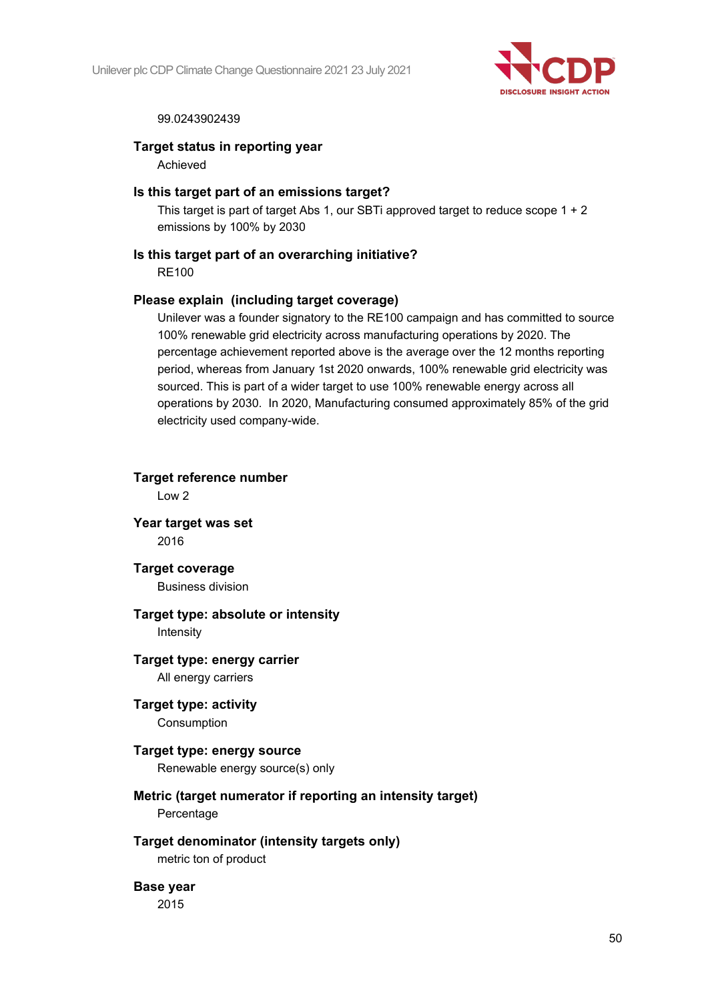

### 99.0243902439

### **Target status in reporting year**

Achieved

### **Is this target part of an emissions target?**

This target is part of target Abs 1, our SBTi approved target to reduce scope 1 + 2 emissions by 100% by 2030

## **Is this target part of an overarching initiative?**

RE100

### **Please explain (including target coverage)**

Unilever was a founder signatory to the RE100 campaign and has committed to source 100% renewable grid electricity across manufacturing operations by 2020. The percentage achievement reported above is the average over the 12 months reporting period, whereas from January 1st 2020 onwards, 100% renewable grid electricity was sourced. This is part of a wider target to use 100% renewable energy across all operations by 2030. In 2020, Manufacturing consumed approximately 85% of the grid electricity used company-wide.

### **Target reference number**

Low 2

**Year target was set** 2016

**Target coverage** Business division

### **Target type: absolute or intensity** Intensity

**Target type: energy carrier** All energy carriers

**Target type: activity** Consumption

### **Target type: energy source**

Renewable energy source(s) only

### **Metric (target numerator if reporting an intensity target)**

Percentage

### **Target denominator (intensity targets only)**

metric ton of product

### **Base year**

2015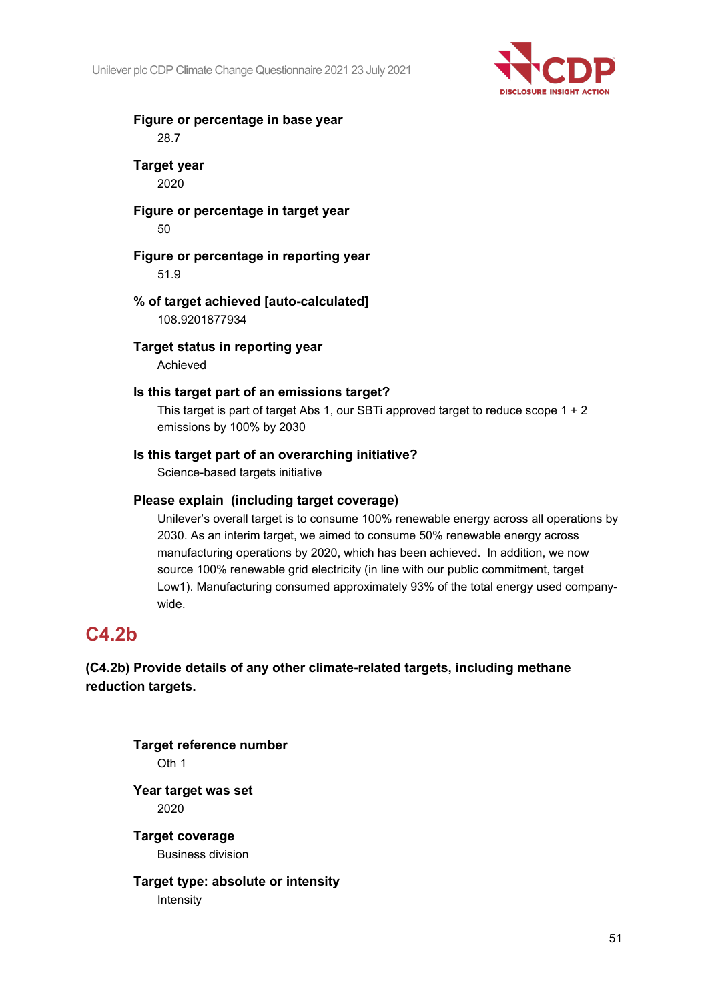

## **Figure or percentage in base year**

28.7

### **Target year** 2020

**Figure or percentage in target year** 50

### **Figure or percentage in reporting year** 51.9

### **% of target achieved [auto-calculated]** 108.9201877934

**Target status in reporting year**

Achieved

### **Is this target part of an emissions target?**

This target is part of target Abs 1, our SBTi approved target to reduce scope 1 + 2 emissions by 100% by 2030

### **Is this target part of an overarching initiative?**

Science-based targets initiative

### **Please explain (including target coverage)**

Unilever's overall target is to consume 100% renewable energy across all operations by 2030. As an interim target, we aimed to consume 50% renewable energy across manufacturing operations by 2020, which has been achieved. In addition, we now source 100% renewable grid electricity (in line with our public commitment, target Low1). Manufacturing consumed approximately 93% of the total energy used companywide.

## **C4.2b**

## **(C4.2b) Provide details of any other climate-related targets, including methane reduction targets.**

51 **Target reference number** Oth 1 **Year target was set** 2020 **Target coverage** Business division **Target type: absolute or intensity** Intensity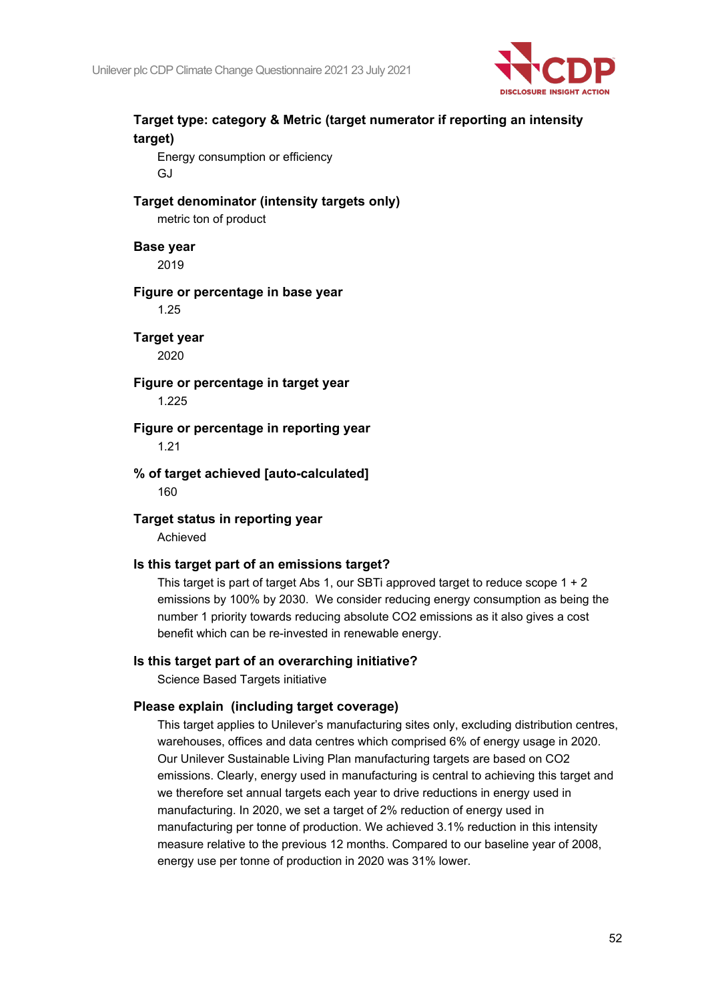

## **Target type: category & Metric (target numerator if reporting an intensity target)**

Energy consumption or efficiency GJ

**Target denominator (intensity targets only)** metric ton of product

**Base year**

2019

**Figure or percentage in base year**

1.25

**Target year** 2020

**Figure or percentage in target year** 1.225

**Figure or percentage in reporting year** 1.21

**% of target achieved [auto-calculated]** 160

**Target status in reporting year** Achieved

### **Is this target part of an emissions target?**

This target is part of target Abs 1, our SBTi approved target to reduce scope 1 + 2 emissions by 100% by 2030. We consider reducing energy consumption as being the number 1 priority towards reducing absolute CO2 emissions as it also gives a cost benefit which can be re-invested in renewable energy.

### **Is this target part of an overarching initiative?**

Science Based Targets initiative

### **Please explain (including target coverage)**

This target applies to Unilever's manufacturing sites only, excluding distribution centres, warehouses, offices and data centres which comprised 6% of energy usage in 2020. Our Unilever Sustainable Living Plan manufacturing targets are based on CO2 emissions. Clearly, energy used in manufacturing is central to achieving this target and we therefore set annual targets each year to drive reductions in energy used in manufacturing. In 2020, we set a target of 2% reduction of energy used in manufacturing per tonne of production. We achieved 3.1% reduction in this intensity measure relative to the previous 12 months. Compared to our baseline year of 2008, energy use per tonne of production in 2020 was 31% lower.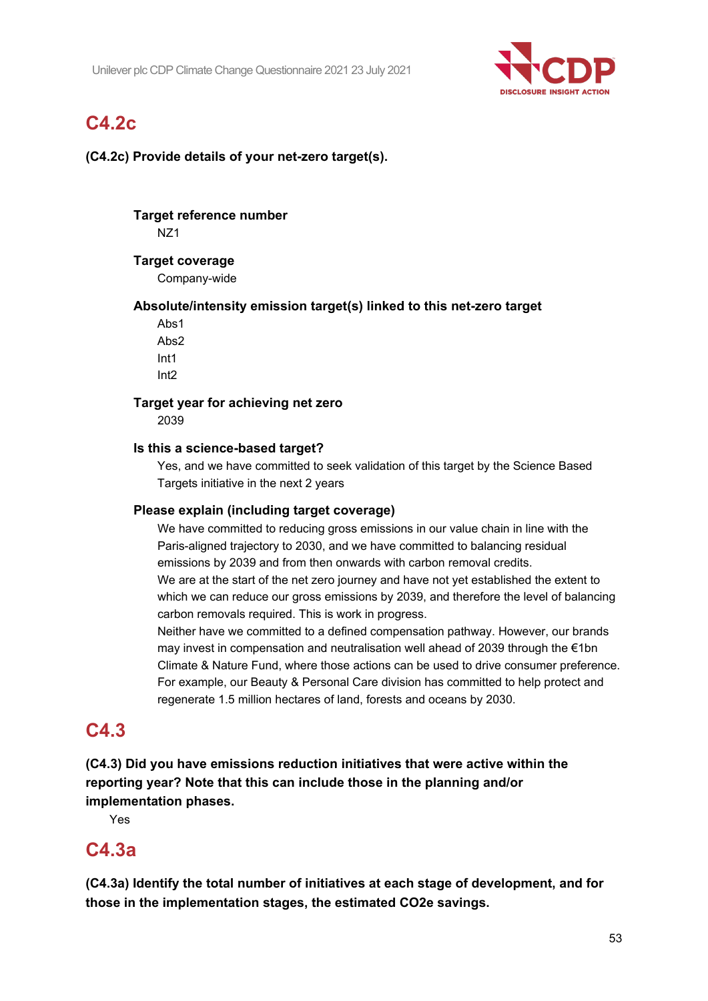

# **C4.2c**

**(C4.2c) Provide details of your net-zero target(s).**

# **Target reference number**

NZ1

### **Target coverage**

Company-wide

**Absolute/intensity emission target(s) linked to this net-zero target**

Abs1 Abs2 Int1 Int2

## **Target year for achieving net zero**

2039

### **Is this a science-based target?**

Yes, and we have committed to seek validation of this target by the Science Based Targets initiative in the next 2 years

### **Please explain (including target coverage)**

We have committed to reducing gross emissions in our value chain in line with the Paris-aligned trajectory to 2030, and we have committed to balancing residual emissions by 2039 and from then onwards with carbon removal credits. We are at the start of the net zero journey and have not yet established the extent to which we can reduce our gross emissions by 2039, and therefore the level of balancing

carbon removals required. This is work in progress. Neither have we committed to a defined compensation pathway. However, our brands may invest in compensation and neutralisation well ahead of 2039 through the  $\epsilon$ 1bn Climate & Nature Fund, where those actions can be used to drive consumer preference. For example, our Beauty & Personal Care division has committed to help protect and regenerate 1.5 million hectares of land, forests and oceans by 2030.

## **C4.3**

**(C4.3) Did you have emissions reduction initiatives that were active within the reporting year? Note that this can include those in the planning and/or implementation phases.**

Yes

## **C4.3a**

**(C4.3a) Identify the total number of initiatives at each stage of development, and for those in the implementation stages, the estimated CO2e savings.**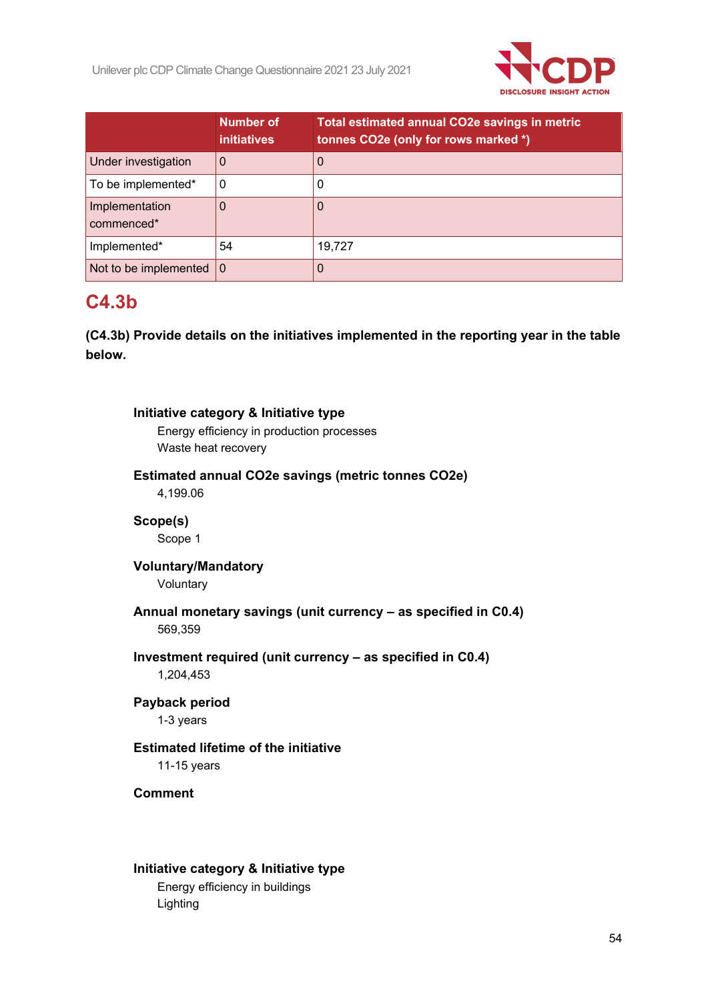

|                                   | <b>Number of</b><br><b>initiatives</b> | Total estimated annual CO2e savings in metric<br>tonnes CO2e (only for rows marked *) |
|-----------------------------------|----------------------------------------|---------------------------------------------------------------------------------------|
| Under investigation               |                                        | 0                                                                                     |
| To be implemented*                | 0                                      |                                                                                       |
| Implementation<br>commenced*      |                                        | O                                                                                     |
| Implemented*                      | 54                                     | 19,727                                                                                |
| Not to be implemented $ 0\rangle$ |                                        | 0                                                                                     |

## **C4.3b**

**(C4.3b) Provide details on the initiatives implemented in the reporting year in the table below.**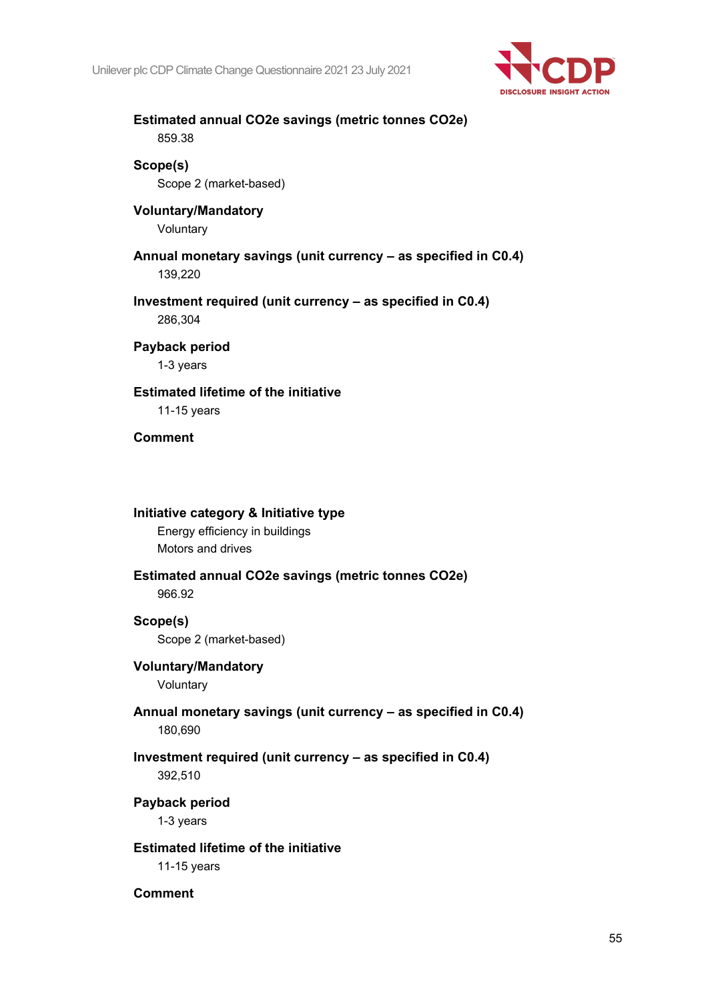

| <b>Estimated annual CO2e savings (metric tonnes CO2e)</b><br>859.38                                 |
|-----------------------------------------------------------------------------------------------------|
| Scope(s)<br>Scope 2 (market-based)                                                                  |
| <b>Voluntary/Mandatory</b><br>Voluntary                                                             |
| Annual monetary savings (unit currency - as specified in C0.4)<br>139,220                           |
| Investment required (unit currency - as specified in C0.4)<br>286,304                               |
| Payback period<br>1-3 years                                                                         |
| <b>Estimated lifetime of the initiative</b><br>11-15 years                                          |
| <b>Comment</b>                                                                                      |
|                                                                                                     |
|                                                                                                     |
| Initiative category & Initiative type<br>Energy efficiency in buildings<br><b>Motors and drives</b> |
| <b>Estimated annual CO2e savings (metric tonnes CO2e)</b><br>966.92                                 |
| Scope(s)<br>Scope 2 (market-based)                                                                  |
| <b>Voluntary/Mandatory</b><br>Voluntary                                                             |
| Annual monetary savings (unit currency - as specified in C0.4)<br>180,690                           |
| Investment required (unit currency - as specified in C0.4)<br>392,510                               |
| Payback period<br>1-3 years                                                                         |
| <b>Estimated lifetime of the initiative</b><br>11-15 years                                          |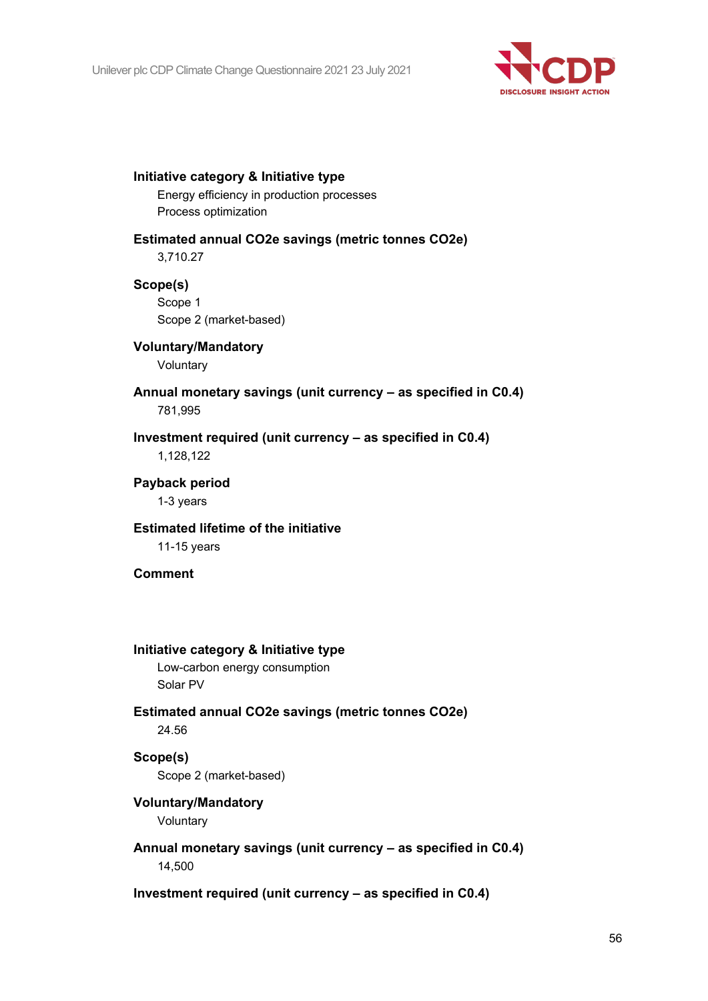

### **Initiative category & Initiative type**

Energy efficiency in production processes Process optimization

## **Estimated annual CO2e savings (metric tonnes CO2e)**

3,710.27

### **Scope(s)**

Scope 1 Scope 2 (market-based)

### **Voluntary/Mandatory**

Voluntary

### **Annual monetary savings (unit currency – as specified in C0.4)** 781,995

### **Investment required (unit currency – as specified in C0.4)**

1,128,122

## **Payback period**

1-3 years

### **Estimated lifetime of the initiative**

11-15 years

### **Comment**

### **Initiative category & Initiative type**

Low-carbon energy consumption Solar PV

### **Estimated annual CO2e savings (metric tonnes CO2e)**

24.56

### **Scope(s)** Scope 2 (market-based)

### **Voluntary/Mandatory**

Voluntary

## **Annual monetary savings (unit currency – as specified in C0.4)**

14,500

### **Investment required (unit currency – as specified in C0.4)**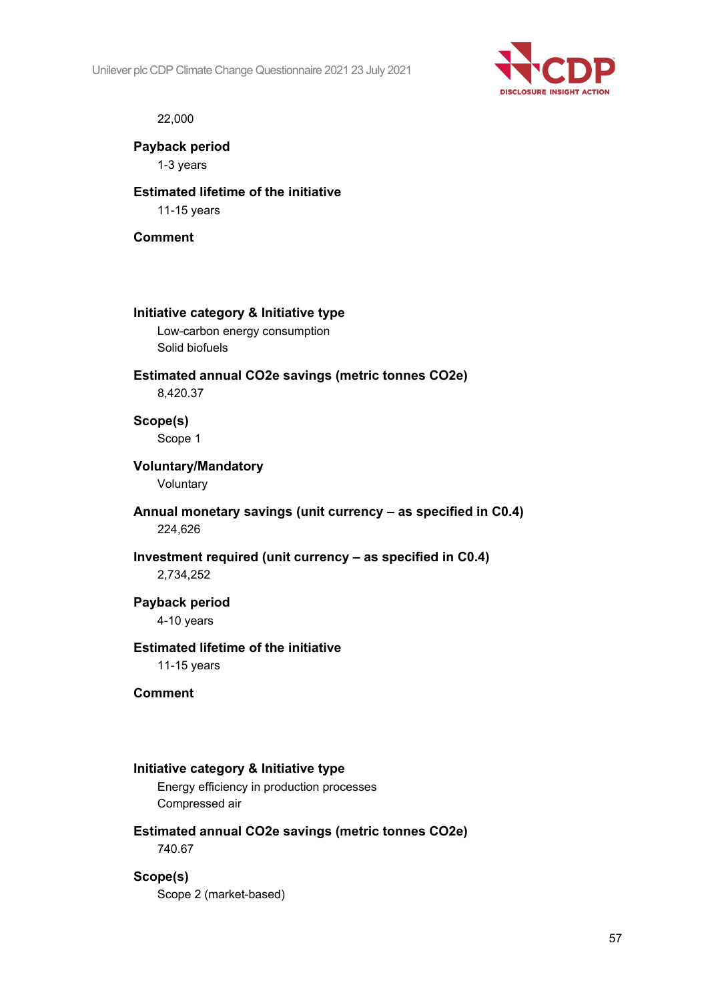Unilever plc CDP Climate Change Questionnaire 2021 23 July 2021



### 22,000

**Payback period**

1-3 years

### **Estimated lifetime of the initiative**

11-15 years

### **Comment**

### **Initiative category & Initiative type**

Low-carbon energy consumption Solid biofuels

### **Estimated annual CO2e savings (metric tonnes CO2e)**

8,420.37

**Scope(s)** Scope 1

### **Voluntary/Mandatory**

Voluntary

### **Annual monetary savings (unit currency – as specified in C0.4)** 224,626

### **Investment required (unit currency – as specified in C0.4)**

2,734,252

## **Payback period**

4-10 years

### **Estimated lifetime of the initiative**

11-15 years

### **Comment**

### **Initiative category & Initiative type**

Energy efficiency in production processes Compressed air

### **Estimated annual CO2e savings (metric tonnes CO2e)**

740.67

### **Scope(s)**

Scope 2 (market-based)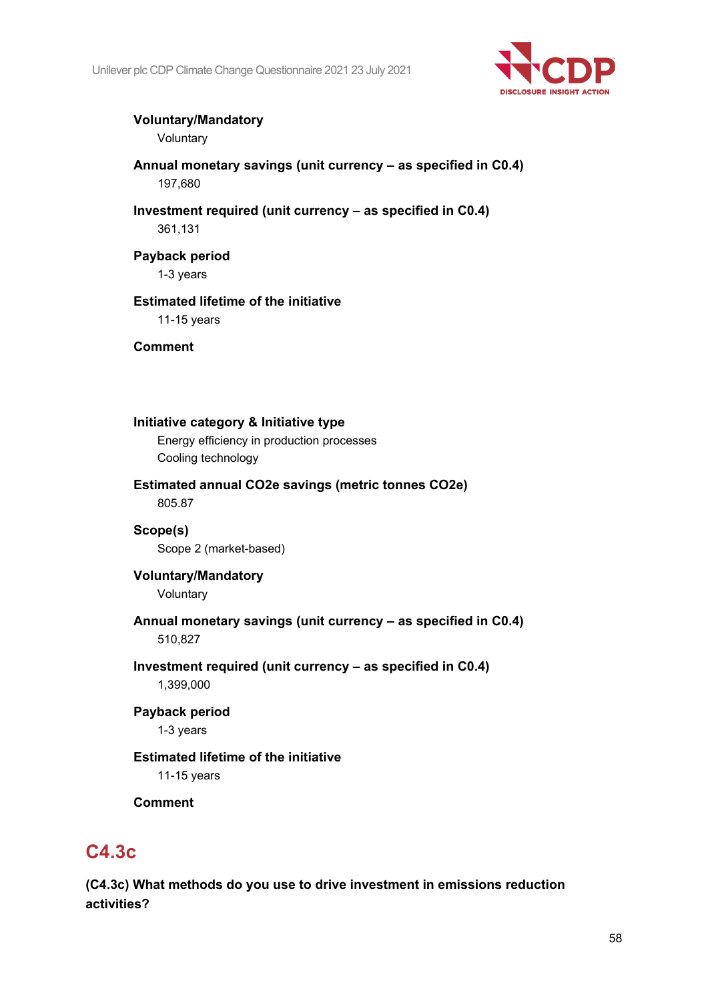

## **Voluntary/Mandatory**

Voluntary

- **Annual monetary savings (unit currency – as specified in C0.4)** 197,680
- **Investment required (unit currency – as specified in C0.4)** 361,131

**Payback period** 1-3 years

## **Estimated lifetime of the initiative**

11-15 years

**Comment**

## **Initiative category & Initiative type**

Energy efficiency in production processes Cooling technology

### **Estimated annual CO2e savings (metric tonnes CO2e)** 805.87

**Scope(s)** Scope 2 (market-based)

**Voluntary/Mandatory** Voluntary

### **Annual monetary savings (unit currency – as specified in C0.4)** 510,827

## **Investment required (unit currency – as specified in C0.4)**

1,399,000

### **Payback period**

1-3 years

## **Estimated lifetime of the initiative**

11-15 years

**Comment**

## **C4.3c**

**(C4.3c) What methods do you use to drive investment in emissions reduction activities?**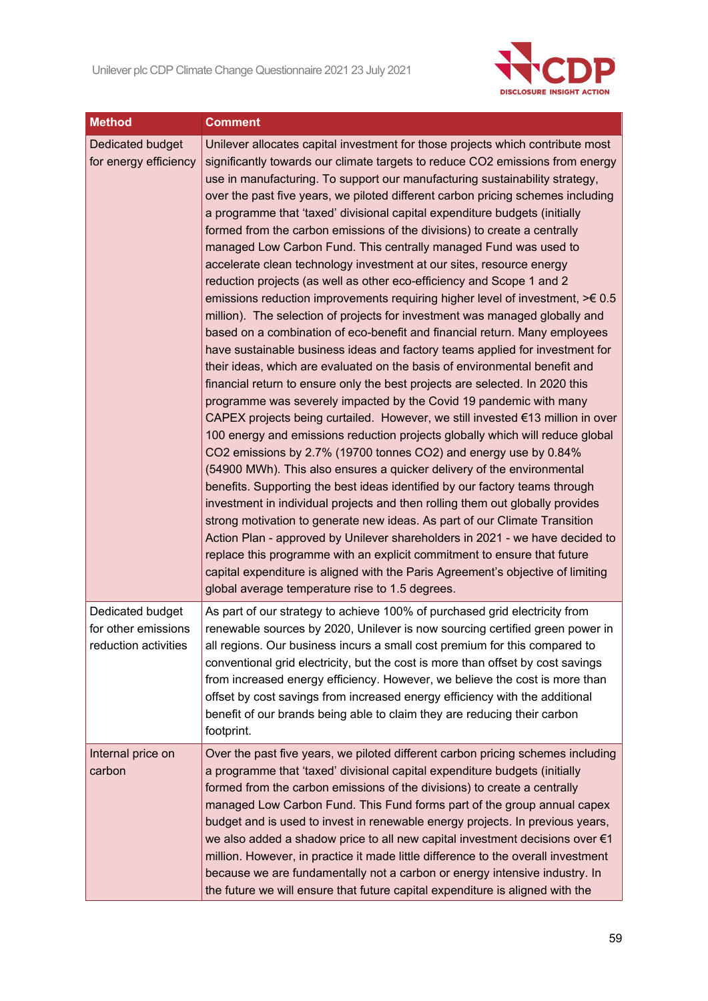

| <b>Method</b>                                                   | <b>Comment</b>                                                                                                                                                                                                                                                                                                                                                                                                                                                                                                                                                                                                                                                                                                                                                                                                                                                                                                                                                                                                                                                                                                                                                                                                                                                                                                                                                                                                                                                                                                                                                                                                                                                                                                                                                                                                                                                                                                                                                                                                                                                                                                                                          |
|-----------------------------------------------------------------|---------------------------------------------------------------------------------------------------------------------------------------------------------------------------------------------------------------------------------------------------------------------------------------------------------------------------------------------------------------------------------------------------------------------------------------------------------------------------------------------------------------------------------------------------------------------------------------------------------------------------------------------------------------------------------------------------------------------------------------------------------------------------------------------------------------------------------------------------------------------------------------------------------------------------------------------------------------------------------------------------------------------------------------------------------------------------------------------------------------------------------------------------------------------------------------------------------------------------------------------------------------------------------------------------------------------------------------------------------------------------------------------------------------------------------------------------------------------------------------------------------------------------------------------------------------------------------------------------------------------------------------------------------------------------------------------------------------------------------------------------------------------------------------------------------------------------------------------------------------------------------------------------------------------------------------------------------------------------------------------------------------------------------------------------------------------------------------------------------------------------------------------------------|
| Dedicated budget<br>for energy efficiency                       | Unilever allocates capital investment for those projects which contribute most<br>significantly towards our climate targets to reduce CO2 emissions from energy<br>use in manufacturing. To support our manufacturing sustainability strategy,<br>over the past five years, we piloted different carbon pricing schemes including<br>a programme that 'taxed' divisional capital expenditure budgets (initially<br>formed from the carbon emissions of the divisions) to create a centrally<br>managed Low Carbon Fund. This centrally managed Fund was used to<br>accelerate clean technology investment at our sites, resource energy<br>reduction projects (as well as other eco-efficiency and Scope 1 and 2<br>emissions reduction improvements requiring higher level of investment, $\geq 0.5$<br>million). The selection of projects for investment was managed globally and<br>based on a combination of eco-benefit and financial return. Many employees<br>have sustainable business ideas and factory teams applied for investment for<br>their ideas, which are evaluated on the basis of environmental benefit and<br>financial return to ensure only the best projects are selected. In 2020 this<br>programme was severely impacted by the Covid 19 pandemic with many<br>CAPEX projects being curtailed. However, we still invested €13 million in over<br>100 energy and emissions reduction projects globally which will reduce global<br>CO2 emissions by 2.7% (19700 tonnes CO2) and energy use by 0.84%<br>(54900 MWh). This also ensures a quicker delivery of the environmental<br>benefits. Supporting the best ideas identified by our factory teams through<br>investment in individual projects and then rolling them out globally provides<br>strong motivation to generate new ideas. As part of our Climate Transition<br>Action Plan - approved by Unilever shareholders in 2021 - we have decided to<br>replace this programme with an explicit commitment to ensure that future<br>capital expenditure is aligned with the Paris Agreement's objective of limiting<br>global average temperature rise to 1.5 degrees. |
| Dedicated budget<br>for other emissions<br>reduction activities | As part of our strategy to achieve 100% of purchased grid electricity from<br>renewable sources by 2020, Unilever is now sourcing certified green power in<br>all regions. Our business incurs a small cost premium for this compared to<br>conventional grid electricity, but the cost is more than offset by cost savings<br>from increased energy efficiency. However, we believe the cost is more than<br>offset by cost savings from increased energy efficiency with the additional<br>benefit of our brands being able to claim they are reducing their carbon<br>footprint.                                                                                                                                                                                                                                                                                                                                                                                                                                                                                                                                                                                                                                                                                                                                                                                                                                                                                                                                                                                                                                                                                                                                                                                                                                                                                                                                                                                                                                                                                                                                                                     |
| Internal price on<br>carbon                                     | Over the past five years, we piloted different carbon pricing schemes including<br>a programme that 'taxed' divisional capital expenditure budgets (initially<br>formed from the carbon emissions of the divisions) to create a centrally<br>managed Low Carbon Fund. This Fund forms part of the group annual capex<br>budget and is used to invest in renewable energy projects. In previous years,<br>we also added a shadow price to all new capital investment decisions over €1<br>million. However, in practice it made little difference to the overall investment<br>because we are fundamentally not a carbon or energy intensive industry. In<br>the future we will ensure that future capital expenditure is aligned with the                                                                                                                                                                                                                                                                                                                                                                                                                                                                                                                                                                                                                                                                                                                                                                                                                                                                                                                                                                                                                                                                                                                                                                                                                                                                                                                                                                                                               |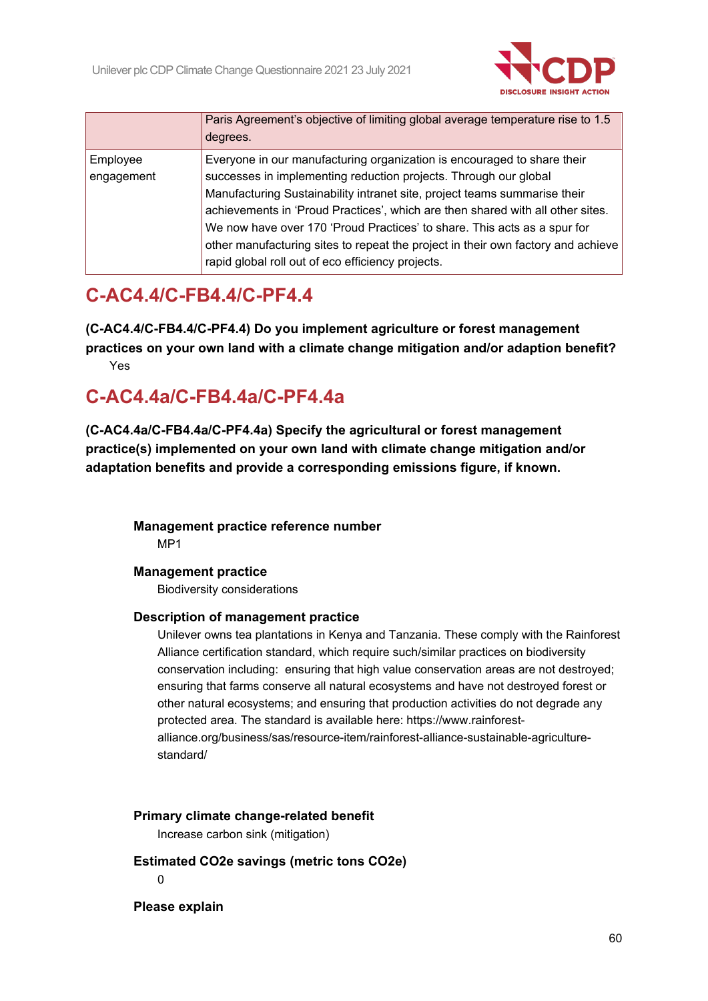

|                        | Paris Agreement's objective of limiting global average temperature rise to 1.5<br>degrees.                                                                                                                                                                                                                                                                                                                                                                                                                                      |
|------------------------|---------------------------------------------------------------------------------------------------------------------------------------------------------------------------------------------------------------------------------------------------------------------------------------------------------------------------------------------------------------------------------------------------------------------------------------------------------------------------------------------------------------------------------|
| Employee<br>engagement | Everyone in our manufacturing organization is encouraged to share their<br>successes in implementing reduction projects. Through our global<br>Manufacturing Sustainability intranet site, project teams summarise their<br>achievements in 'Proud Practices', which are then shared with all other sites.<br>We now have over 170 'Proud Practices' to share. This acts as a spur for<br>other manufacturing sites to repeat the project in their own factory and achieve<br>rapid global roll out of eco efficiency projects. |

## **C-AC4.4/C-FB4.4/C-PF4.4**

**(C-AC4.4/C-FB4.4/C-PF4.4) Do you implement agriculture or forest management practices on your own land with a climate change mitigation and/or adaption benefit?**

Yes

# **C-AC4.4a/C-FB4.4a/C-PF4.4a**

**(C-AC4.4a/C-FB4.4a/C-PF4.4a) Specify the agricultural or forest management practice(s) implemented on your own land with climate change mitigation and/or adaptation benefits and provide a corresponding emissions figure, if known.**

**Management practice reference number** MP1

### **Management practice**

Biodiversity considerations

### **Description of management practice**

Unilever owns tea plantations in Kenya and Tanzania. These comply with the Rainforest Alliance certification standard, which require such/similar practices on biodiversity conservation including: ensuring that high value conservation areas are not destroyed; ensuring that farms conserve all natural ecosystems and have not destroyed forest or other natural ecosystems; and ensuring that production activities do not degrade any protected area. The standard is available here: https://www.rainforestalliance.org/business/sas/resource-item/rainforest-alliance-sustainable-agriculturestandard/

### **Primary climate change-related benefit**

Increase carbon sink (mitigation)

**Estimated CO2e savings (metric tons CO2e)**  $\Omega$ 

**Please explain**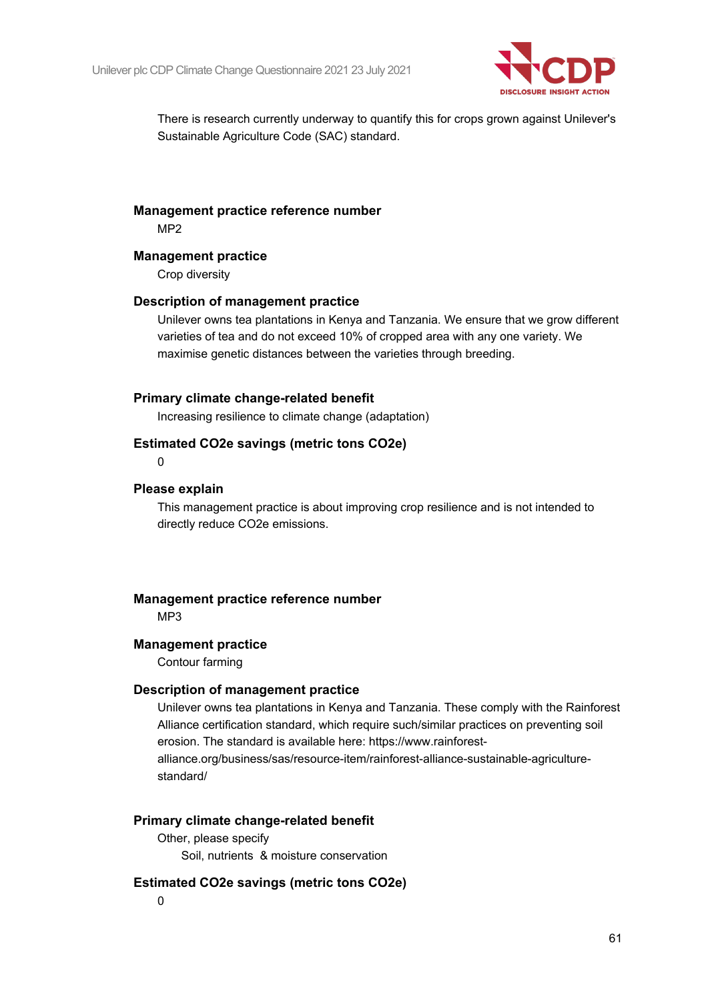

There is research currently underway to quantify this for crops grown against Unilever's Sustainable Agriculture Code (SAC) standard.

### **Management practice reference number**

MP2

#### **Management practice**

Crop diversity

#### **Description of management practice**

Unilever owns tea plantations in Kenya and Tanzania. We ensure that we grow different varieties of tea and do not exceed 10% of cropped area with any one variety. We maximise genetic distances between the varieties through breeding.

#### **Primary climate change-related benefit**

Increasing resilience to climate change (adaptation)

### **Estimated CO2e savings (metric tons CO2e)**

 $\Omega$ 

### **Please explain**

This management practice is about improving crop resilience and is not intended to directly reduce CO2e emissions.

## **Management practice reference number**

MP3

### **Management practice**

Contour farming

#### **Description of management practice**

Unilever owns tea plantations in Kenya and Tanzania. These comply with the Rainforest Alliance certification standard, which require such/similar practices on preventing soil erosion. The standard is available here: https://www.rainforest-

alliance.org/business/sas/resource-item/rainforest-alliance-sustainable-agriculturestandard/

#### **Primary climate change-related benefit**

Other, please specify Soil, nutrients & moisture conservation

#### **Estimated CO2e savings (metric tons CO2e)**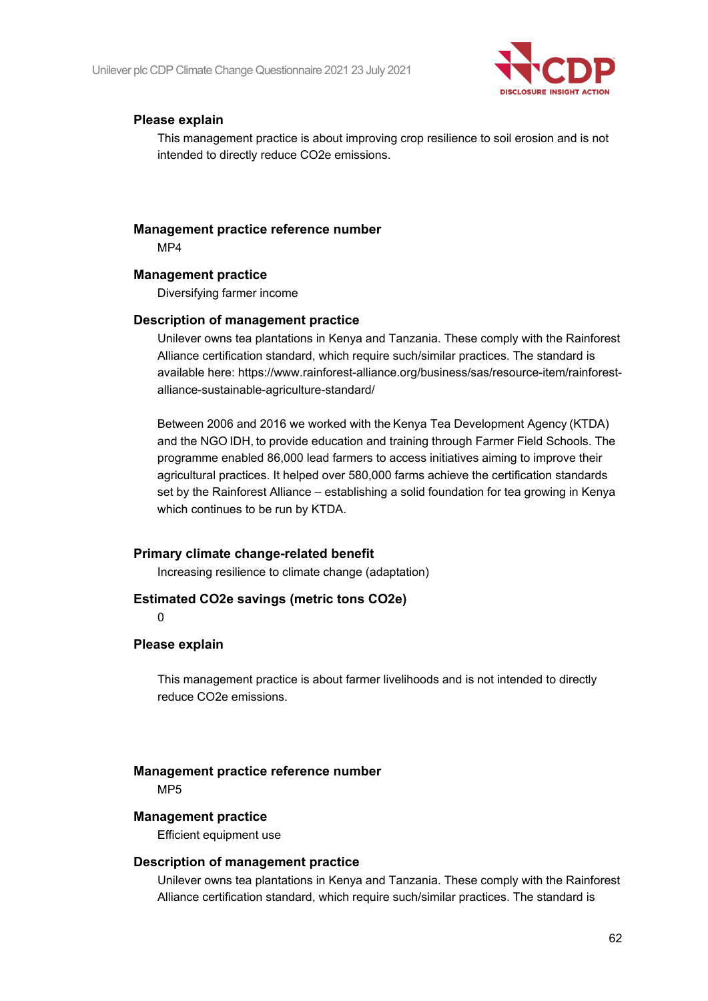

### **Please explain**

This management practice is about improving crop resilience to soil erosion and is not intended to directly reduce CO2e emissions.

## **Management practice reference number**

MP4

### **Management practice**

Diversifying farmer income

### **Description of management practice**

Unilever owns tea plantations in Kenya and Tanzania. These comply with the Rainforest Alliance certification standard, which require such/similar practices. The standard is available here: https://www.rainforest-alliance.org/business/sas/resource-item/rainforestalliance-sustainable-agriculture-standard/

Between 2006 and 2016 we worked with the Kenya Tea Development Agency (KTDA) and the NGO IDH, to provide education and training through Farmer Field Schools. The programme enabled 86,000 lead farmers to access initiatives aiming to improve their agricultural practices. It helped over 580,000 farms achieve the certification standards set by the Rainforest Alliance – establishing a solid foundation for tea growing in Kenya which continues to be run by KTDA.

### **Primary climate change-related benefit**

Increasing resilience to climate change (adaptation)

### **Estimated CO2e savings (metric tons CO2e)**

### 0

### **Please explain**

This management practice is about farmer livelihoods and is not intended to directly reduce CO2e emissions.

## **Management practice reference number**

M<sub>P5</sub>

### **Management practice**

Efficient equipment use

### **Description of management practice**

Unilever owns tea plantations in Kenya and Tanzania. These comply with the Rainforest Alliance certification standard, which require such/similar practices. The standard is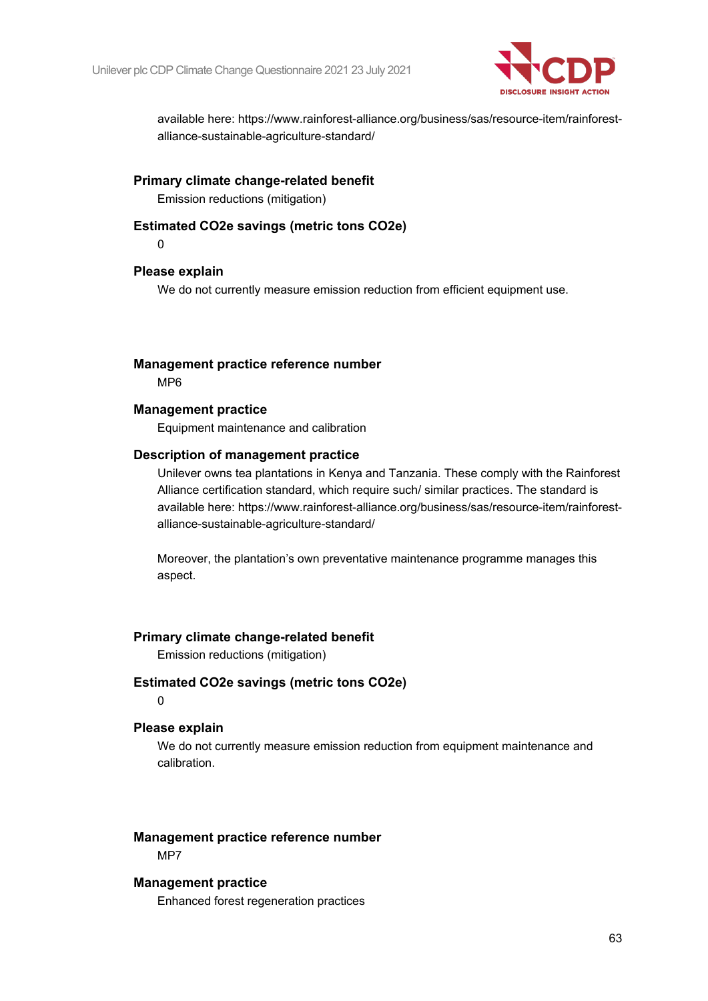

available here: https://www.rainforest-alliance.org/business/sas/resource-item/rainforestalliance-sustainable-agriculture-standard/

### **Primary climate change-related benefit**

Emission reductions (mitigation)

### **Estimated CO2e savings (metric tons CO2e)**

 $\Omega$ 

### **Please explain**

We do not currently measure emission reduction from efficient equipment use.

## **Management practice reference number**

MP6

### **Management practice**

Equipment maintenance and calibration

### **Description of management practice**

Unilever owns tea plantations in Kenya and Tanzania. These comply with the Rainforest Alliance certification standard, which require such/ similar practices. The standard is available here: https://www.rainforest-alliance.org/business/sas/resource-item/rainforestalliance-sustainable-agriculture-standard/

Moreover, the plantation's own preventative maintenance programme manages this aspect.

### **Primary climate change-related benefit**

Emission reductions (mitigation)

### **Estimated CO2e savings (metric tons CO2e)**

 $\theta$ 

### **Please explain**

We do not currently measure emission reduction from equipment maintenance and calibration.

## **Management practice reference number**

MP7

### **Management practice**

Enhanced forest regeneration practices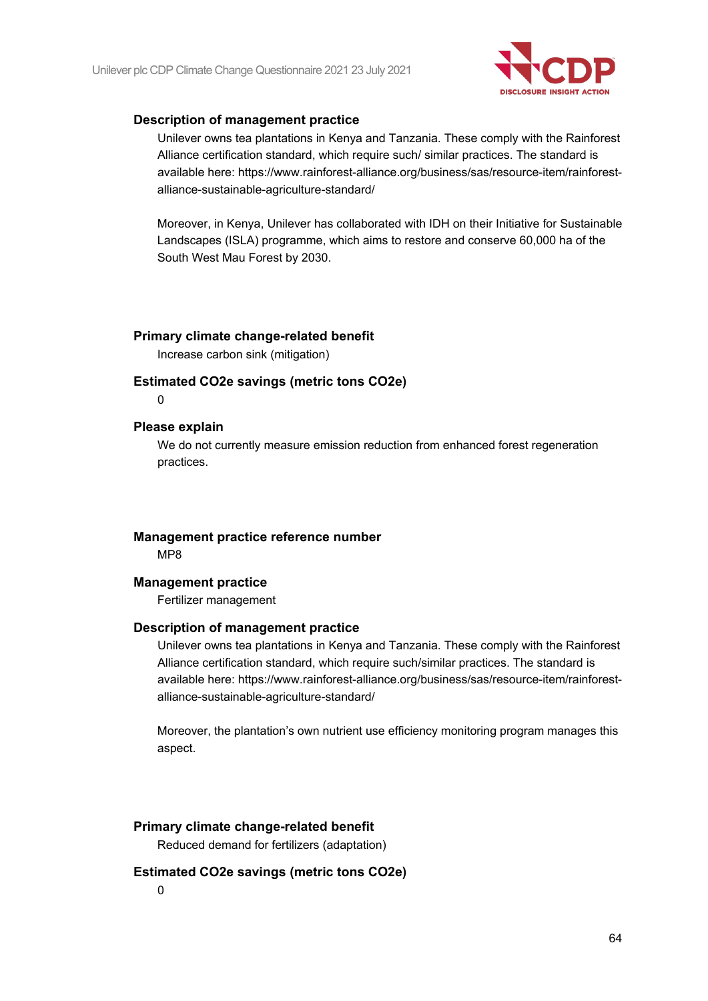

### **Description of management practice**

Unilever owns tea plantations in Kenya and Tanzania. These comply with the Rainforest Alliance certification standard, which require such/ similar practices. The standard is available here: https://www.rainforest-alliance.org/business/sas/resource-item/rainforestalliance-sustainable-agriculture-standard/

Moreover, in Kenya, Unilever has collaborated with IDH on their Initiative for Sustainable Landscapes (ISLA) programme, which aims to restore and conserve 60,000 ha of the South West Mau Forest by 2030.

### **Primary climate change-related benefit**

Increase carbon sink (mitigation)

### **Estimated CO2e savings (metric tons CO2e)**

 $\Omega$ 

### **Please explain**

We do not currently measure emission reduction from enhanced forest regeneration practices.

## **Management practice reference number**

MP8

### **Management practice**

Fertilizer management

#### **Description of management practice**

Unilever owns tea plantations in Kenya and Tanzania. These comply with the Rainforest Alliance certification standard, which require such/similar practices. The standard is available here: https://www.rainforest-alliance.org/business/sas/resource-item/rainforestalliance-sustainable-agriculture-standard/

Moreover, the plantation's own nutrient use efficiency monitoring program manages this aspect.

### **Primary climate change-related benefit**

Reduced demand for fertilizers (adaptation)

### **Estimated CO2e savings (metric tons CO2e)**

 $\Omega$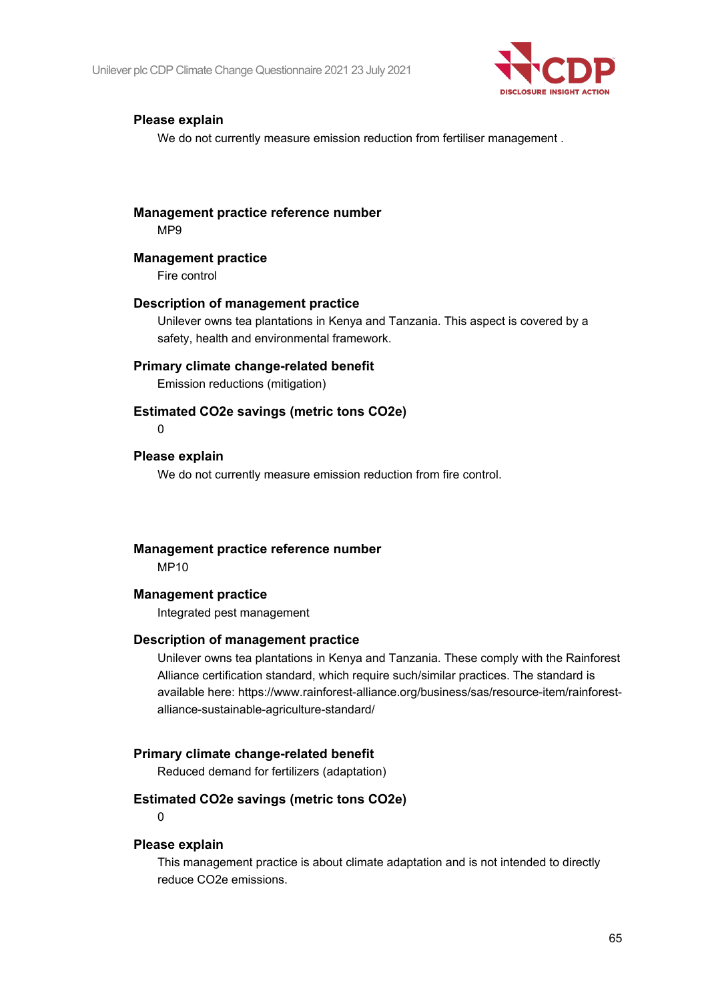

### **Please explain**

We do not currently measure emission reduction from fertiliser management .

**Management practice reference number**

MP9

### **Management practice**

Fire control

### **Description of management practice**

Unilever owns tea plantations in Kenya and Tanzania. This aspect is covered by a safety, health and environmental framework.

### **Primary climate change-related benefit**

Emission reductions (mitigation)

### **Estimated CO2e savings (metric tons CO2e)**

 $\Omega$ 

### **Please explain**

We do not currently measure emission reduction from fire control.

#### **Management practice reference number**

MP10

### **Management practice**

Integrated pest management

### **Description of management practice**

Unilever owns tea plantations in Kenya and Tanzania. These comply with the Rainforest Alliance certification standard, which require such/similar practices. The standard is available here: https://www.rainforest-alliance.org/business/sas/resource-item/rainforestalliance-sustainable-agriculture-standard/

### **Primary climate change-related benefit**

Reduced demand for fertilizers (adaptation)

### **Estimated CO2e savings (metric tons CO2e)**

 $\Omega$ 

### **Please explain**

This management practice is about climate adaptation and is not intended to directly reduce CO2e emissions.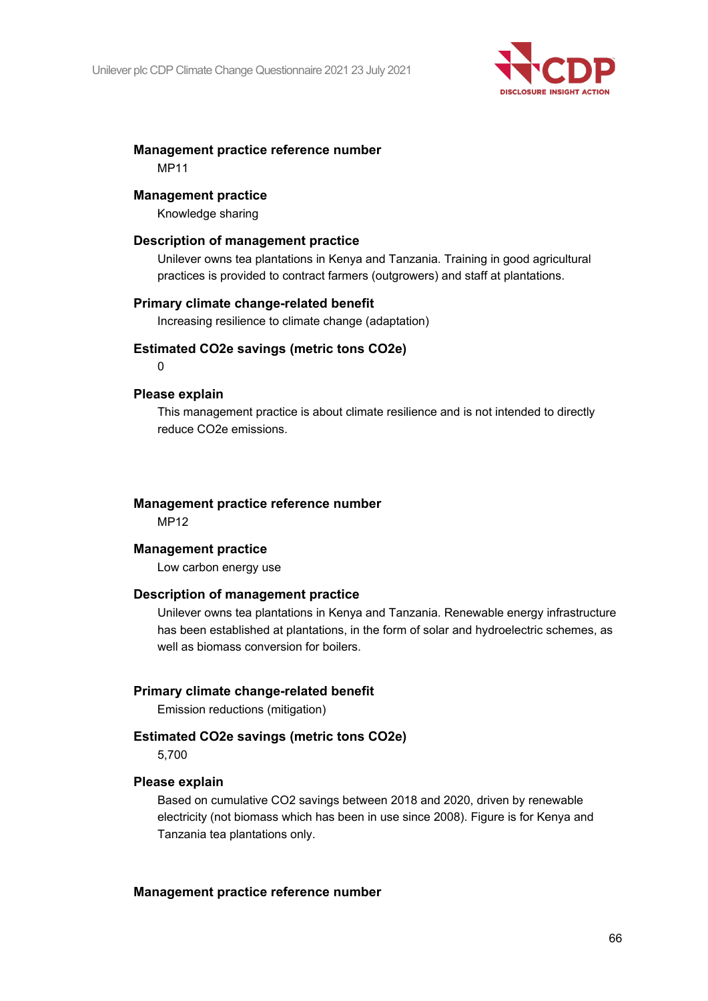

### **Management practice reference number**

MP11

### **Management practice**

Knowledge sharing

### **Description of management practice**

Unilever owns tea plantations in Kenya and Tanzania. Training in good agricultural practices is provided to contract farmers (outgrowers) and staff at plantations.

### **Primary climate change-related benefit**

Increasing resilience to climate change (adaptation)

### **Estimated CO2e savings (metric tons CO2e)**

 $\Omega$ 

### **Please explain**

This management practice is about climate resilience and is not intended to directly reduce CO2e emissions.

### **Management practice reference number**

MP12

### **Management practice**

Low carbon energy use

### **Description of management practice**

Unilever owns tea plantations in Kenya and Tanzania. Renewable energy infrastructure has been established at plantations, in the form of solar and hydroelectric schemes, as well as biomass conversion for boilers.

### **Primary climate change-related benefit**

Emission reductions (mitigation)

### **Estimated CO2e savings (metric tons CO2e)**

5,700

### **Please explain**

Based on cumulative CO2 savings between 2018 and 2020, driven by renewable electricity (not biomass which has been in use since 2008). Figure is for Kenya and Tanzania tea plantations only.

**Management practice reference number**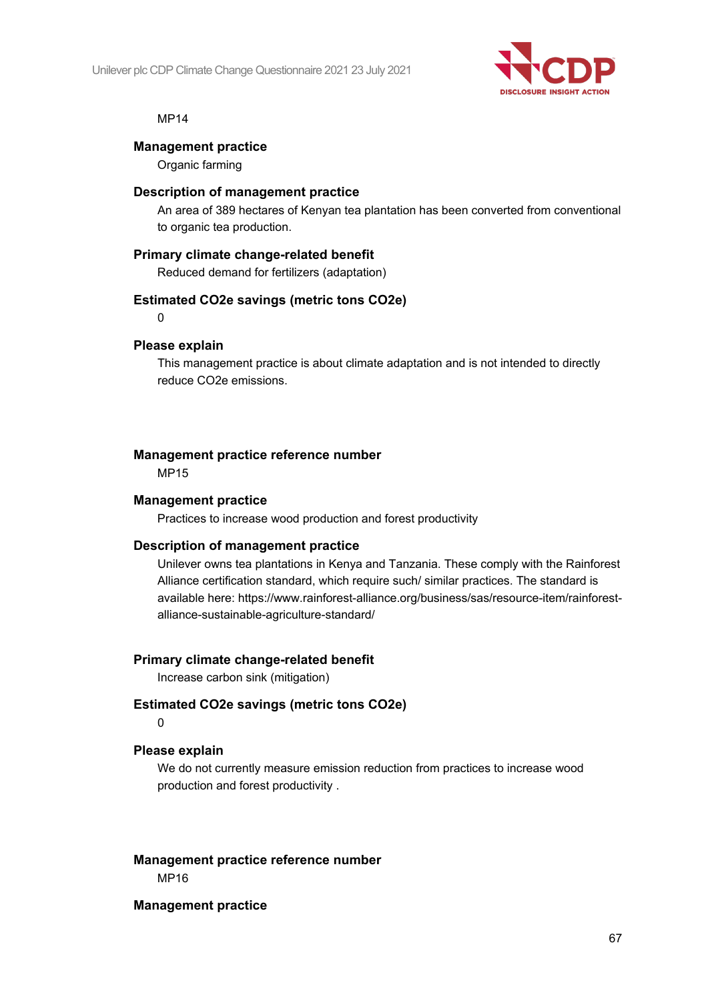

#### MP14

### **Management practice**

Organic farming

### **Description of management practice**

An area of 389 hectares of Kenyan tea plantation has been converted from conventional to organic tea production.

### **Primary climate change-related benefit**

Reduced demand for fertilizers (adaptation)

### **Estimated CO2e savings (metric tons CO2e)**

 $\Omega$ 

### **Please explain**

This management practice is about climate adaptation and is not intended to directly reduce CO2e emissions.

### **Management practice reference number**

MP15

### **Management practice**

Practices to increase wood production and forest productivity

### **Description of management practice**

Unilever owns tea plantations in Kenya and Tanzania. These comply with the Rainforest Alliance certification standard, which require such/ similar practices. The standard is available here: https://www.rainforest-alliance.org/business/sas/resource-item/rainforestalliance-sustainable-agriculture-standard/

### **Primary climate change-related benefit**

Increase carbon sink (mitigation)

### **Estimated CO2e savings (metric tons CO2e)**

0

### **Please explain**

We do not currently measure emission reduction from practices to increase wood production and forest productivity .

### **Management practice reference number** MP16

**Management practice**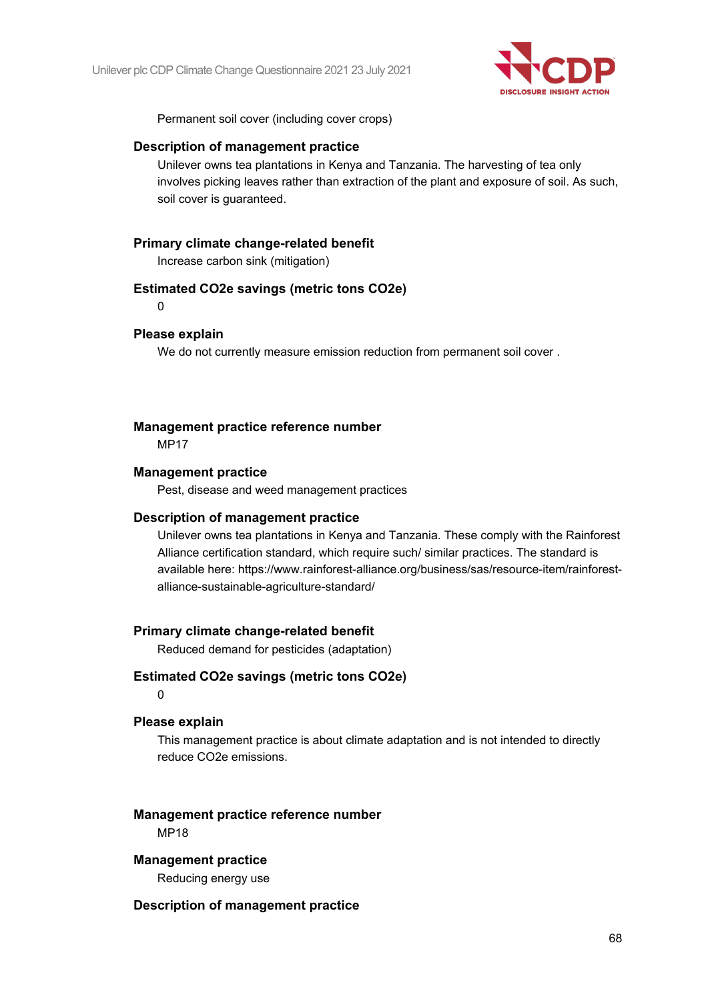

Permanent soil cover (including cover crops)

### **Description of management practice**

Unilever owns tea plantations in Kenya and Tanzania. The harvesting of tea only involves picking leaves rather than extraction of the plant and exposure of soil. As such, soil cover is guaranteed.

### **Primary climate change-related benefit**

Increase carbon sink (mitigation)

### **Estimated CO2e savings (metric tons CO2e)**

 $\Omega$ 

### **Please explain**

We do not currently measure emission reduction from permanent soil cover .

### **Management practice reference number**

MP17

### **Management practice**

Pest, disease and weed management practices

### **Description of management practice**

Unilever owns tea plantations in Kenya and Tanzania. These comply with the Rainforest Alliance certification standard, which require such/ similar practices. The standard is available here: https://www.rainforest-alliance.org/business/sas/resource-item/rainforestalliance-sustainable-agriculture-standard/

### **Primary climate change-related benefit**

Reduced demand for pesticides (adaptation)

### **Estimated CO2e savings (metric tons CO2e)**

 $\Omega$ 

### **Please explain**

This management practice is about climate adaptation and is not intended to directly reduce CO2e emissions.

**Management practice reference number**

MP18

### **Management practice**

Reducing energy use

### **Description of management practice**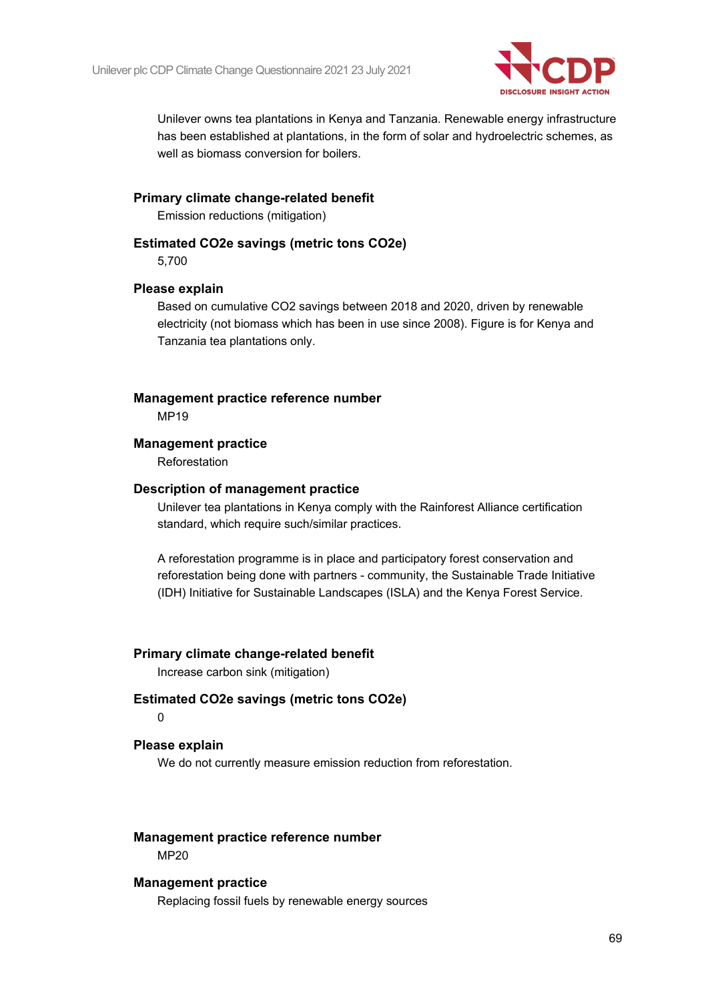

Unilever owns tea plantations in Kenya and Tanzania. Renewable energy infrastructure has been established at plantations, in the form of solar and hydroelectric schemes, as well as biomass conversion for boilers.

### **Primary climate change-related benefit**

Emission reductions (mitigation)

# **Estimated CO2e savings (metric tons CO2e)**

5,700

### **Please explain**

Based on cumulative CO2 savings between 2018 and 2020, driven by renewable electricity (not biomass which has been in use since 2008). Figure is for Kenya and Tanzania tea plantations only.

### **Management practice reference number**

MP19

### **Management practice**

Reforestation

### **Description of management practice**

Unilever tea plantations in Kenya comply with the Rainforest Alliance certification standard, which require such/similar practices.

A reforestation programme is in place and participatory forest conservation and reforestation being done with partners - community, the Sustainable Trade Initiative (IDH) Initiative for Sustainable Landscapes (ISLA) and the Kenya Forest Service.

### **Primary climate change-related benefit**

Increase carbon sink (mitigation)

## **Estimated CO2e savings (metric tons CO2e)**

 $\Omega$ 

### **Please explain**

We do not currently measure emission reduction from reforestation.

### **Management practice reference number**

MP20

### **Management practice**

Replacing fossil fuels by renewable energy sources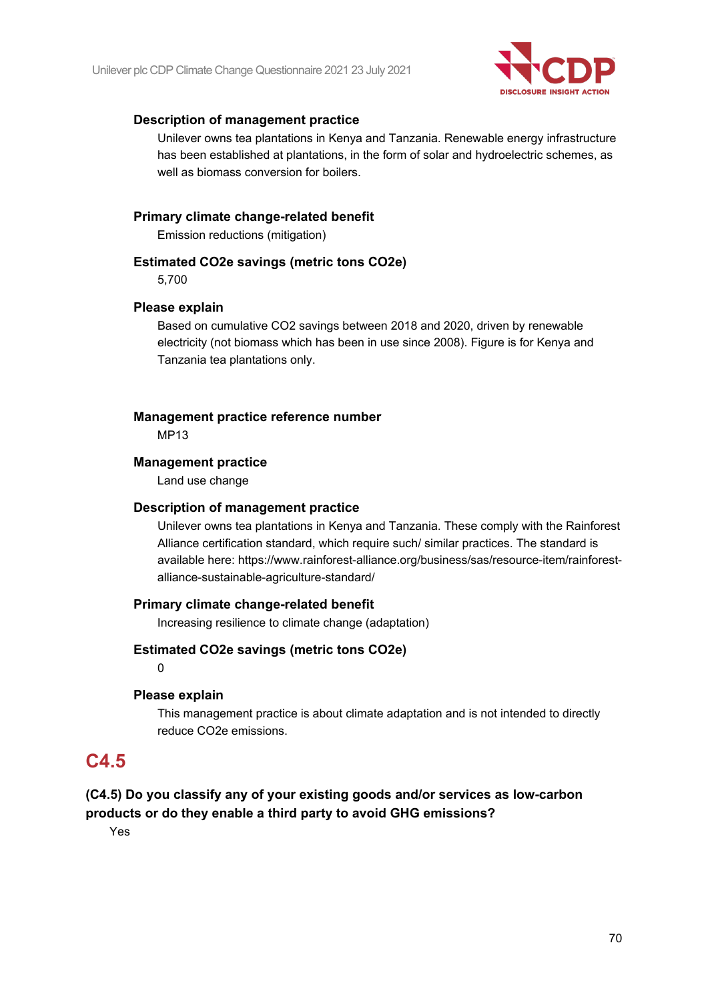

### **Description of management practice**

Unilever owns tea plantations in Kenya and Tanzania. Renewable energy infrastructure has been established at plantations, in the form of solar and hydroelectric schemes, as well as biomass conversion for boilers.

### **Primary climate change-related benefit**

Emission reductions (mitigation)

### **Estimated CO2e savings (metric tons CO2e)**

5,700

### **Please explain**

Based on cumulative CO2 savings between 2018 and 2020, driven by renewable electricity (not biomass which has been in use since 2008). Figure is for Kenya and Tanzania tea plantations only.

### **Management practice reference number**

MP13

### **Management practice**

Land use change

### **Description of management practice**

Unilever owns tea plantations in Kenya and Tanzania. These comply with the Rainforest Alliance certification standard, which require such/ similar practices. The standard is available here: https://www.rainforest-alliance.org/business/sas/resource-item/rainforestalliance-sustainable-agriculture-standard/

### **Primary climate change-related benefit**

Increasing resilience to climate change (adaptation)

### **Estimated CO2e savings (metric tons CO2e)**

0

### **Please explain**

This management practice is about climate adaptation and is not intended to directly reduce CO2e emissions.

## **C4.5**

## **(C4.5) Do you classify any of your existing goods and/or services as low-carbon products or do they enable a third party to avoid GHG emissions?**

Yes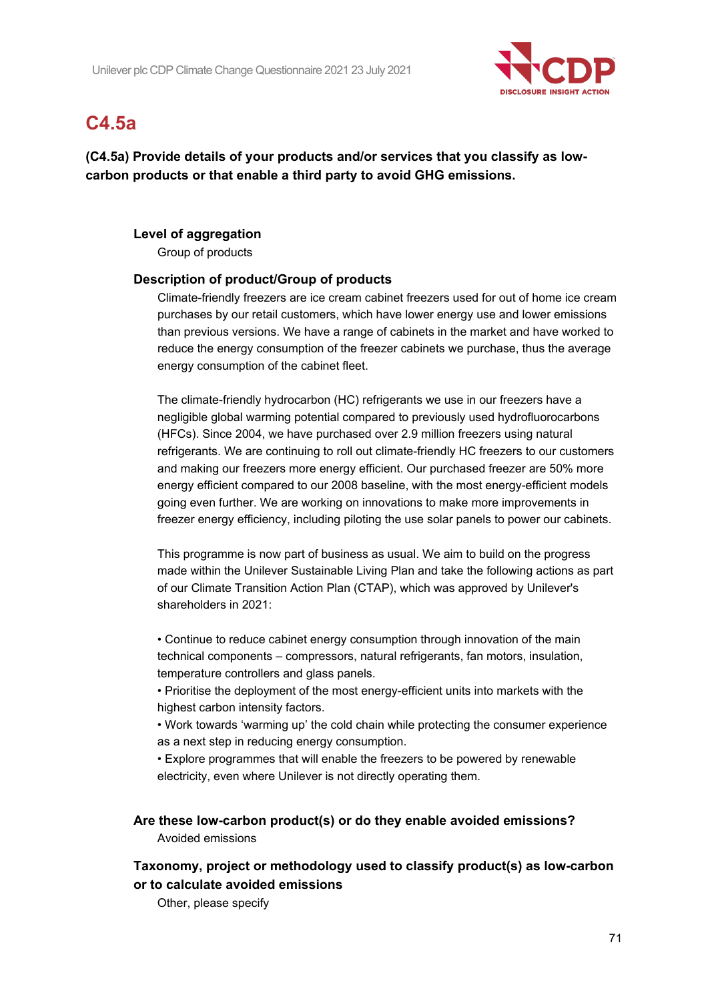

# **C4.5a**

**(C4.5a) Provide details of your products and/or services that you classify as lowcarbon products or that enable a third party to avoid GHG emissions.**

### **Level of aggregation**

Group of products

### **Description of product/Group of products**

Climate-friendly freezers are ice cream cabinet freezers used for out of home ice cream purchases by our retail customers, which have lower energy use and lower emissions than previous versions. We have a range of cabinets in the market and have worked to reduce the energy consumption of the freezer cabinets we purchase, thus the average energy consumption of the cabinet fleet.

The climate-friendly hydrocarbon (HC) refrigerants we use in our freezers have a negligible global warming potential compared to previously used hydrofluorocarbons (HFCs). Since 2004, we have purchased over 2.9 million freezers using natural refrigerants. We are continuing to roll out climate-friendly HC freezers to our customers and making our freezers more energy efficient. Our purchased freezer are 50% more energy efficient compared to our 2008 baseline, with the most energy-efficient models going even further. We are working on innovations to make more improvements in freezer energy efficiency, including piloting the use solar panels to power our cabinets.

This programme is now part of business as usual. We aim to build on the progress made within the Unilever Sustainable Living Plan and take the following actions as part of our Climate Transition Action Plan (CTAP), which was approved by Unilever's shareholders in 2021:

• Continue to reduce cabinet energy consumption through innovation of the main technical components – compressors, natural refrigerants, fan motors, insulation, temperature controllers and glass panels.

• Prioritise the deployment of the most energy-efficient units into markets with the highest carbon intensity factors.

• Work towards 'warming up' the cold chain while protecting the consumer experience as a next step in reducing energy consumption.

• Explore programmes that will enable the freezers to be powered by renewable electricity, even where Unilever is not directly operating them.

### **Are these low-carbon product(s) or do they enable avoided emissions?** Avoided emissions

### **Taxonomy, project or methodology used to classify product(s) as low-carbon or to calculate avoided emissions**

Other, please specify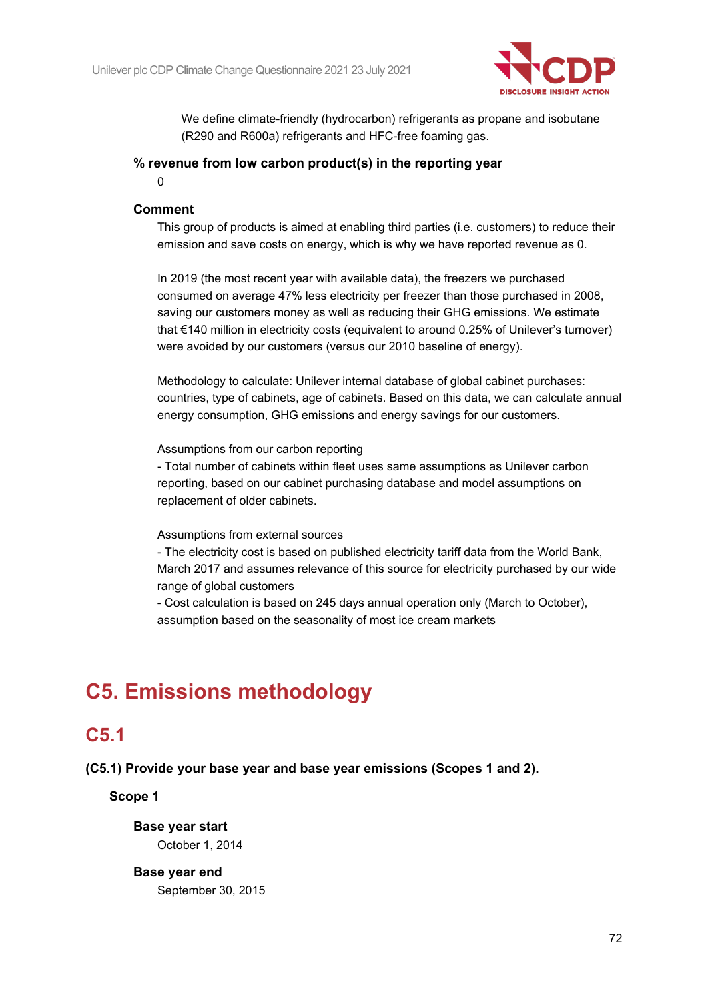

We define climate-friendly (hydrocarbon) refrigerants as propane and isobutane (R290 and R600a) refrigerants and HFC-free foaming gas.

### **% revenue from low carbon product(s) in the reporting year**

 $\Omega$ 

### **Comment**

This group of products is aimed at enabling third parties (i.e. customers) to reduce their emission and save costs on energy, which is why we have reported revenue as 0.

In 2019 (the most recent year with available data), the freezers we purchased consumed on average 47% less electricity per freezer than those purchased in 2008, saving our customers money as well as reducing their GHG emissions. We estimate that €140 million in electricity costs (equivalent to around 0.25% of Unilever's turnover) were avoided by our customers (versus our 2010 baseline of energy).

Methodology to calculate: Unilever internal database of global cabinet purchases: countries, type of cabinets, age of cabinets. Based on this data, we can calculate annual energy consumption, GHG emissions and energy savings for our customers.

Assumptions from our carbon reporting

- Total number of cabinets within fleet uses same assumptions as Unilever carbon reporting, based on our cabinet purchasing database and model assumptions on replacement of older cabinets.

### Assumptions from external sources

- The electricity cost is based on published electricity tariff data from the World Bank, March 2017 and assumes relevance of this source for electricity purchased by our wide range of global customers

- Cost calculation is based on 245 days annual operation only (March to October), assumption based on the seasonality of most ice cream markets

# **C5. Emissions methodology**

## **C5.1**

**(C5.1) Provide your base year and base year emissions (Scopes 1 and 2).**

**Scope 1**

**Base year start** October 1, 2014

**Base year end** September 30, 2015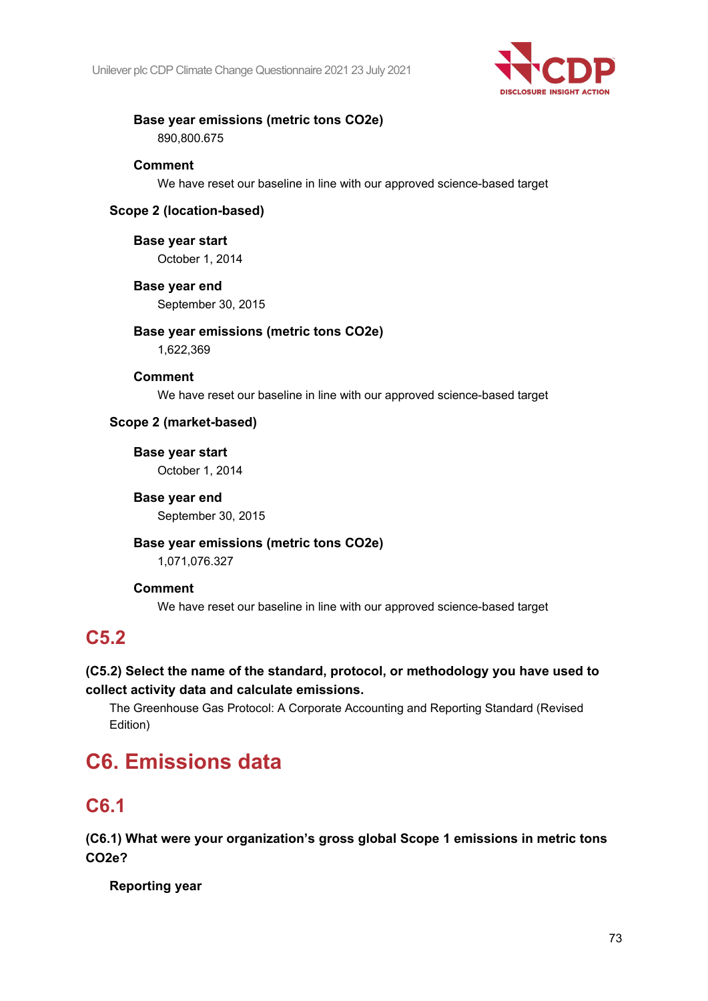

# **Base year emissions (metric tons CO2e)**

890,800.675

# **Comment**

We have reset our baseline in line with our approved science-based target

### **Scope 2 (location-based)**

#### **Base year start**

October 1, 2014

#### **Base year end**

September 30, 2015

# **Base year emissions (metric tons CO2e)**

1,622,369

#### **Comment**

We have reset our baseline in line with our approved science-based target

# **Scope 2 (market-based)**

**Base year start** October 1, 2014

# **Base year end** September 30, 2015

**Base year emissions (metric tons CO2e)**

1,071,076.327

#### **Comment**

We have reset our baseline in line with our approved science-based target

# **C5.2**

# **(C5.2) Select the name of the standard, protocol, or methodology you have used to collect activity data and calculate emissions.**

The Greenhouse Gas Protocol: A Corporate Accounting and Reporting Standard (Revised Edition)

# **C6. Emissions data**

# **C6.1**

**(C6.1) What were your organization's gross global Scope 1 emissions in metric tons CO2e?**

# **Reporting year**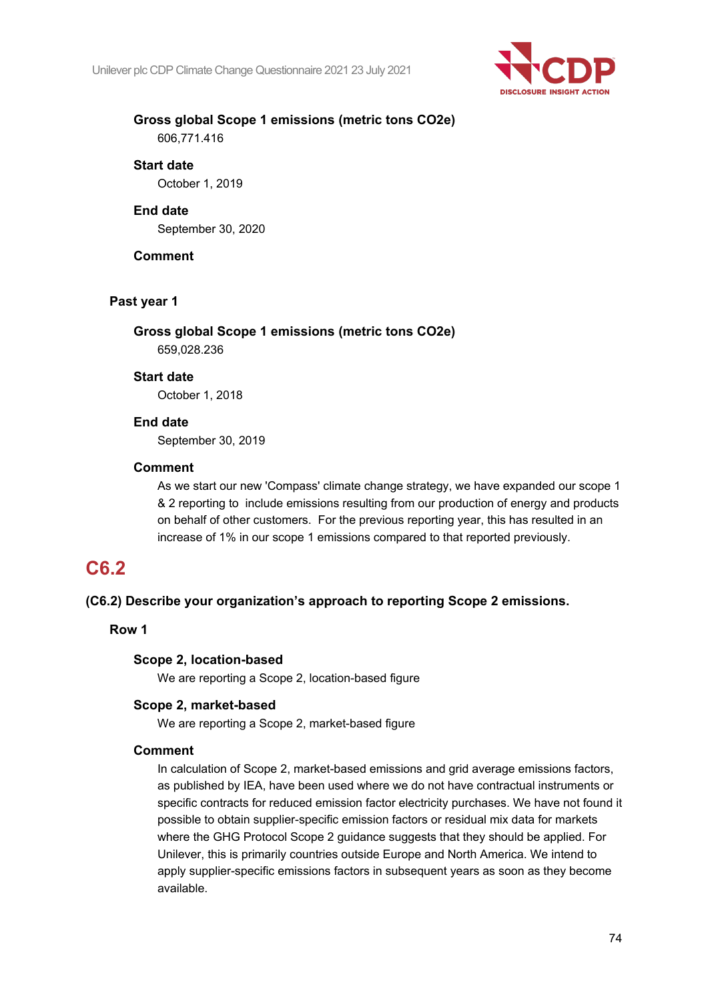

# **Gross global Scope 1 emissions (metric tons CO2e)**

606,771.416

#### **Start date**

October 1, 2019

#### **End date**

September 30, 2020

#### **Comment**

#### **Past year 1**

# **Gross global Scope 1 emissions (metric tons CO2e)**

659,028.236

#### **Start date**

October 1, 2018

#### **End date**

September 30, 2019

#### **Comment**

As we start our new 'Compass' climate change strategy, we have expanded our scope 1 & 2 reporting to include emissions resulting from our production of energy and products on behalf of other customers. For the previous reporting year, this has resulted in an increase of 1% in our scope 1 emissions compared to that reported previously.

# **C6.2**

# **(C6.2) Describe your organization's approach to reporting Scope 2 emissions.**

#### **Row 1**

# **Scope 2, location-based**

We are reporting a Scope 2, location-based figure

#### **Scope 2, market-based**

We are reporting a Scope 2, market-based figure

#### **Comment**

In calculation of Scope 2, market-based emissions and grid average emissions factors, as published by IEA, have been used where we do not have contractual instruments or specific contracts for reduced emission factor electricity purchases. We have not found it possible to obtain supplier-specific emission factors or residual mix data for markets where the GHG Protocol Scope 2 guidance suggests that they should be applied. For Unilever, this is primarily countries outside Europe and North America. We intend to apply supplier-specific emissions factors in subsequent years as soon as they become available.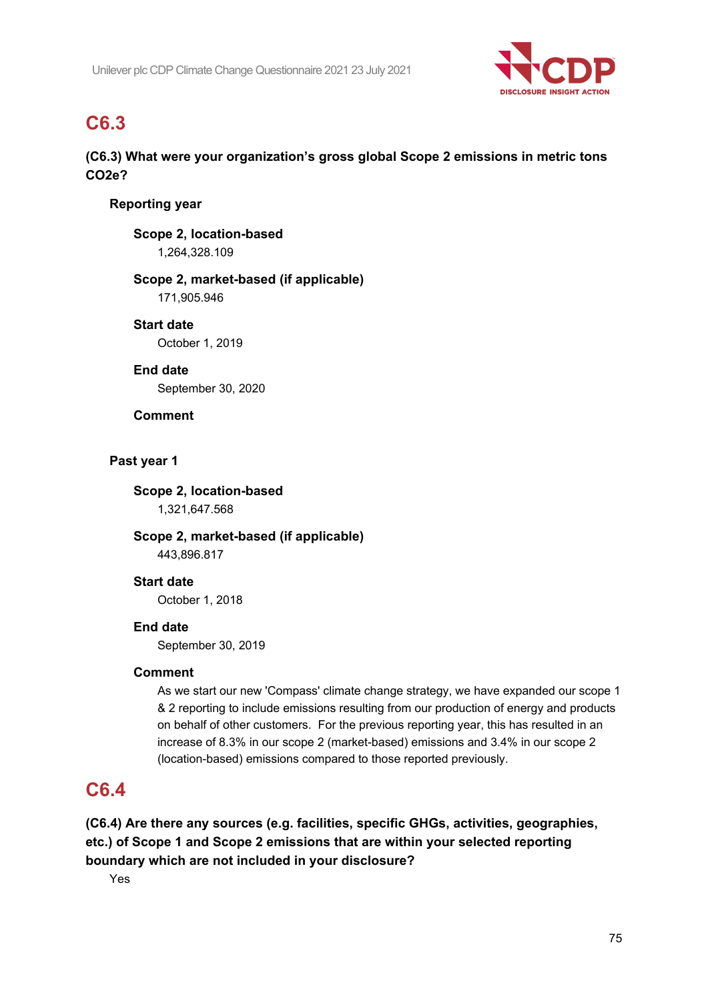

# **C6.3**

# **(C6.3) What were your organization's gross global Scope 2 emissions in metric tons CO2e?**

# **Reporting year**

# **Scope 2, location-based** 1,264,328.109

# **Scope 2, market-based (if applicable)**

171,905.946

#### **Start date** October 1, 2019

# **End date**

September 30, 2020

# **Comment**

# **Past year 1**

# **Scope 2, location-based**

1,321,647.568

**Scope 2, market-based (if applicable)** 443,896.817

# **Start date**

October 1, 2018

# **End date**

September 30, 2019

# **Comment**

As we start our new 'Compass' climate change strategy, we have expanded our scope 1 & 2 reporting to include emissions resulting from our production of energy and products on behalf of other customers. For the previous reporting year, this has resulted in an increase of 8.3% in our scope 2 (market-based) emissions and 3.4% in our scope 2 (location-based) emissions compared to those reported previously.

# **C6.4**

**(C6.4) Are there any sources (e.g. facilities, specific GHGs, activities, geographies, etc.) of Scope 1 and Scope 2 emissions that are within your selected reporting boundary which are not included in your disclosure?**

Yes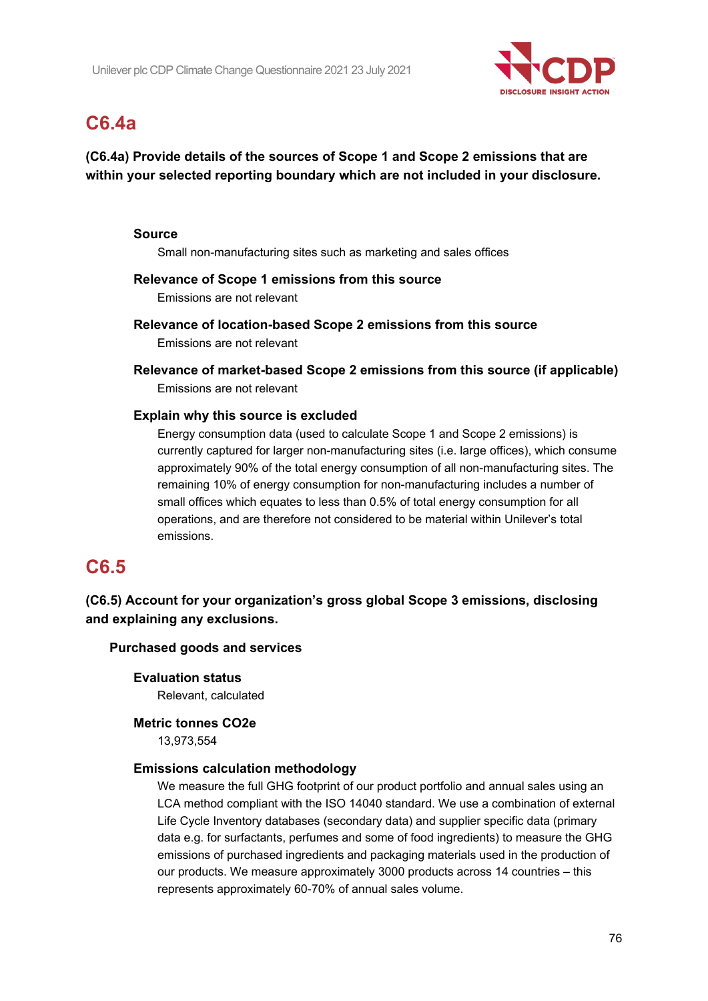

# **C6.4a**

**(C6.4a) Provide details of the sources of Scope 1 and Scope 2 emissions that are within your selected reporting boundary which are not included in your disclosure.**

#### **Source**

Small non-manufacturing sites such as marketing and sales offices

- **Relevance of Scope 1 emissions from this source** Emissions are not relevant
- **Relevance of location-based Scope 2 emissions from this source** Emissions are not relevant
- **Relevance of market-based Scope 2 emissions from this source (if applicable)** Emissions are not relevant

#### **Explain why this source is excluded**

Energy consumption data (used to calculate Scope 1 and Scope 2 emissions) is currently captured for larger non-manufacturing sites (i.e. large offices), which consume approximately 90% of the total energy consumption of all non-manufacturing sites. The remaining 10% of energy consumption for non-manufacturing includes a number of small offices which equates to less than 0.5% of total energy consumption for all operations, and are therefore not considered to be material within Unilever's total emissions.

# **C6.5**

# **(C6.5) Account for your organization's gross global Scope 3 emissions, disclosing and explaining any exclusions.**

#### **Purchased goods and services**

**Evaluation status**

Relevant, calculated

# **Metric tonnes CO2e**

13,973,554

#### **Emissions calculation methodology**

We measure the full GHG footprint of our product portfolio and annual sales using an LCA method compliant with the ISO 14040 standard. We use a combination of external Life Cycle Inventory databases (secondary data) and supplier specific data (primary data e.g. for surfactants, perfumes and some of food ingredients) to measure the GHG emissions of purchased ingredients and packaging materials used in the production of our products. We measure approximately 3000 products across 14 countries – this represents approximately 60-70% of annual sales volume.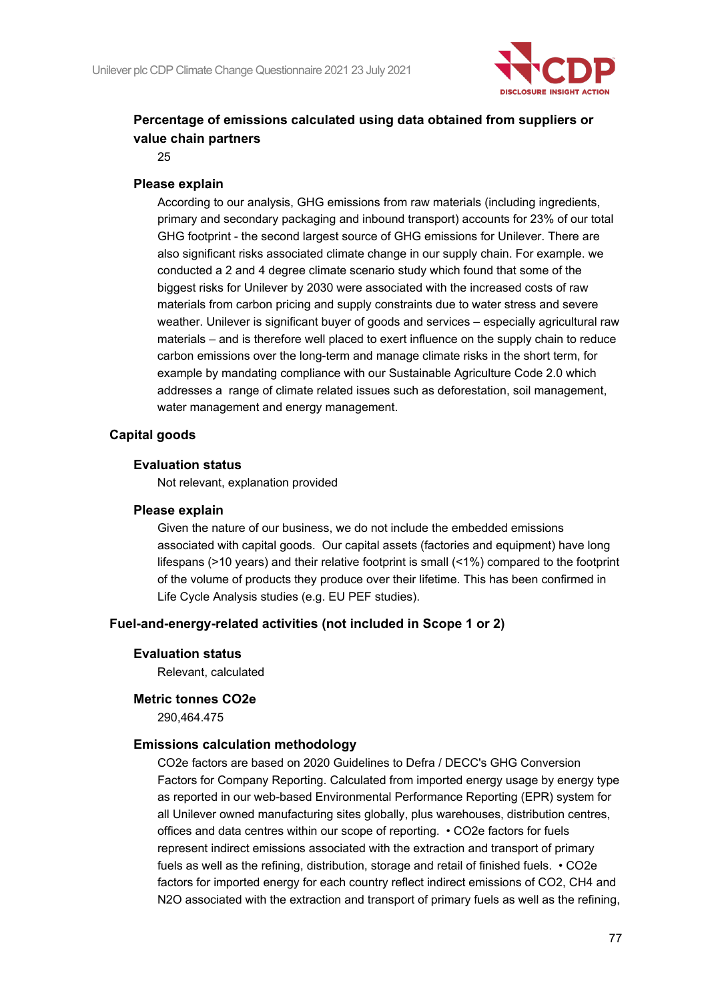

# **Percentage of emissions calculated using data obtained from suppliers or value chain partners**

25

#### **Please explain**

According to our analysis, GHG emissions from raw materials (including ingredients, primary and secondary packaging and inbound transport) accounts for 23% of our total GHG footprint - the second largest source of GHG emissions for Unilever. There are also significant risks associated climate change in our supply chain. For example. we conducted a 2 and 4 degree climate scenario study which found that some of the biggest risks for Unilever by 2030 were associated with the increased costs of raw materials from carbon pricing and supply constraints due to water stress and severe weather. Unilever is significant buyer of goods and services – especially agricultural raw materials – and is therefore well placed to exert influence on the supply chain to reduce carbon emissions over the long-term and manage climate risks in the short term, for example by mandating compliance with our Sustainable Agriculture Code 2.0 which addresses a range of climate related issues such as deforestation, soil management, water management and energy management.

#### **Capital goods**

#### **Evaluation status**

Not relevant, explanation provided

#### **Please explain**

Given the nature of our business, we do not include the embedded emissions associated with capital goods. Our capital assets (factories and equipment) have long lifespans (>10 years) and their relative footprint is small (<1%) compared to the footprint of the volume of products they produce over their lifetime. This has been confirmed in Life Cycle Analysis studies (e.g. EU PEF studies).

#### **Fuel-and-energy-related activities (not included in Scope 1 or 2)**

#### **Evaluation status**

Relevant, calculated

#### **Metric tonnes CO2e**

290,464.475

#### **Emissions calculation methodology**

CO2e factors are based on 2020 Guidelines to Defra / DECC's GHG Conversion Factors for Company Reporting. Calculated from imported energy usage by energy type as reported in our web-based Environmental Performance Reporting (EPR) system for all Unilever owned manufacturing sites globally, plus warehouses, distribution centres, offices and data centres within our scope of reporting. • CO2e factors for fuels represent indirect emissions associated with the extraction and transport of primary fuels as well as the refining, distribution, storage and retail of finished fuels. • CO2e factors for imported energy for each country reflect indirect emissions of CO2, CH4 and N2O associated with the extraction and transport of primary fuels as well as the refining,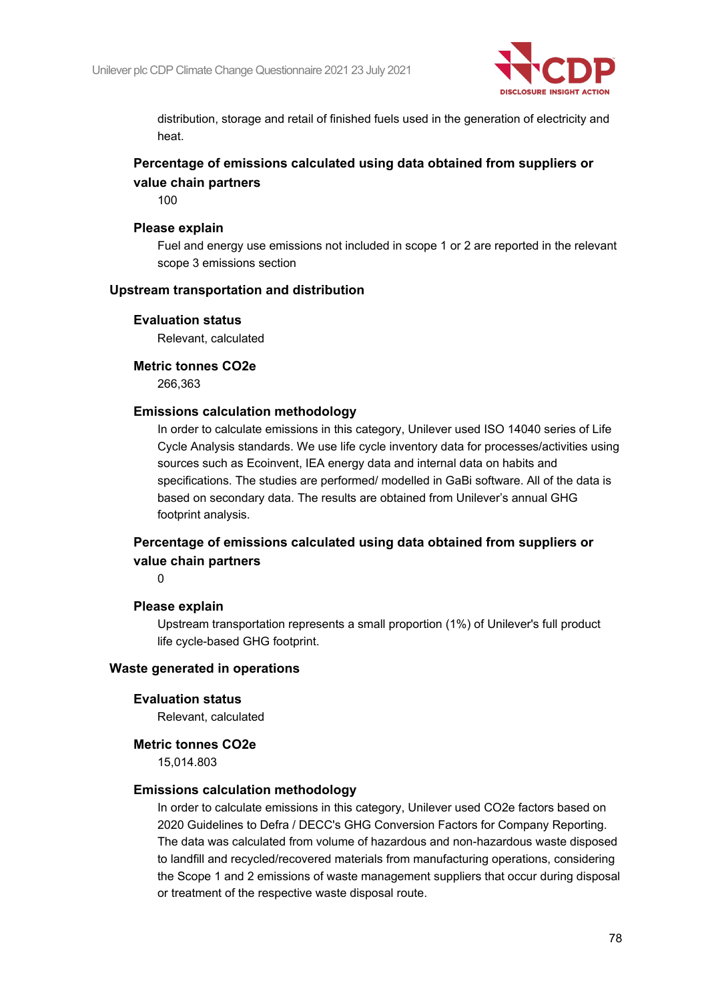

distribution, storage and retail of finished fuels used in the generation of electricity and heat.

# **Percentage of emissions calculated using data obtained from suppliers or value chain partners**

100

#### **Please explain**

Fuel and energy use emissions not included in scope 1 or 2 are reported in the relevant scope 3 emissions section

#### **Upstream transportation and distribution**

#### **Evaluation status**

Relevant, calculated

#### **Metric tonnes CO2e**

266,363

#### **Emissions calculation methodology**

In order to calculate emissions in this category, Unilever used ISO 14040 series of Life Cycle Analysis standards. We use life cycle inventory data for processes/activities using sources such as Ecoinvent, IEA energy data and internal data on habits and specifications. The studies are performed/ modelled in GaBi software. All of the data is based on secondary data. The results are obtained from Unilever's annual GHG footprint analysis.

# **Percentage of emissions calculated using data obtained from suppliers or value chain partners**

 $\Omega$ 

#### **Please explain**

Upstream transportation represents a small proportion (1%) of Unilever's full product life cycle-based GHG footprint.

#### **Waste generated in operations**

#### **Evaluation status**

Relevant, calculated

#### **Metric tonnes CO2e**

15,014.803

#### **Emissions calculation methodology**

In order to calculate emissions in this category, Unilever used CO2e factors based on 2020 Guidelines to Defra / DECC's GHG Conversion Factors for Company Reporting. The data was calculated from volume of hazardous and non-hazardous waste disposed to landfill and recycled/recovered materials from manufacturing operations, considering the Scope 1 and 2 emissions of waste management suppliers that occur during disposal or treatment of the respective waste disposal route.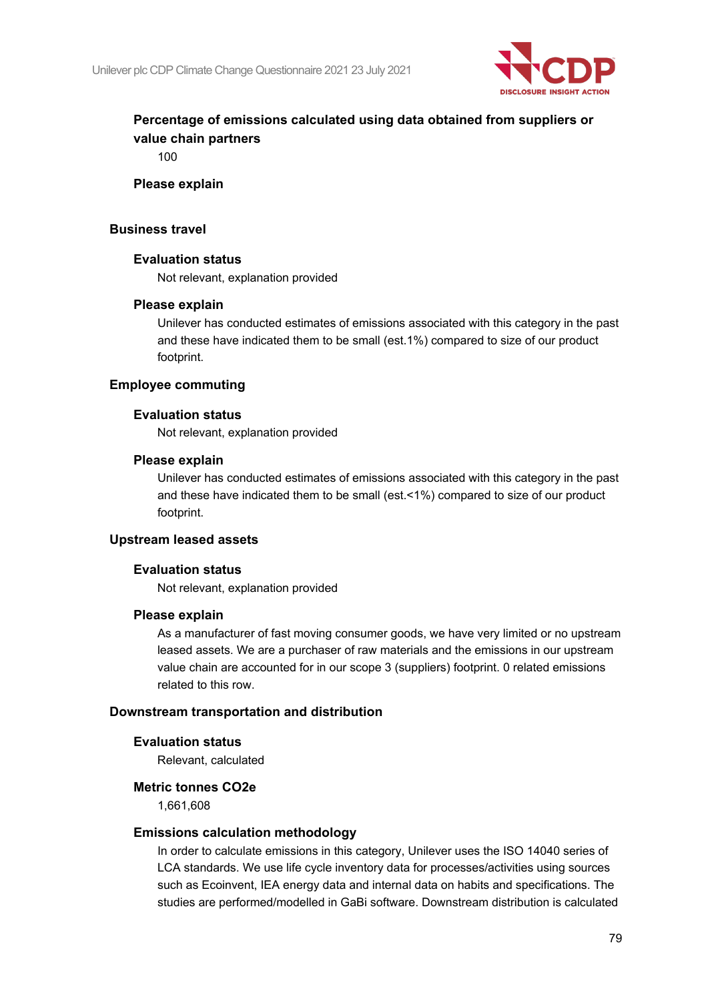

# **Percentage of emissions calculated using data obtained from suppliers or value chain partners**

100

#### **Please explain**

#### **Business travel**

#### **Evaluation status**

Not relevant, explanation provided

#### **Please explain**

Unilever has conducted estimates of emissions associated with this category in the past and these have indicated them to be small (est.1%) compared to size of our product footprint.

# **Employee commuting**

#### **Evaluation status**

Not relevant, explanation provided

#### **Please explain**

Unilever has conducted estimates of emissions associated with this category in the past and these have indicated them to be small (est.<1%) compared to size of our product footprint.

#### **Upstream leased assets**

#### **Evaluation status**

Not relevant, explanation provided

#### **Please explain**

As a manufacturer of fast moving consumer goods, we have very limited or no upstream leased assets. We are a purchaser of raw materials and the emissions in our upstream value chain are accounted for in our scope 3 (suppliers) footprint. 0 related emissions related to this row.

#### **Downstream transportation and distribution**

#### **Evaluation status**

Relevant, calculated

#### **Metric tonnes CO2e**

1,661,608

#### **Emissions calculation methodology**

In order to calculate emissions in this category, Unilever uses the ISO 14040 series of LCA standards. We use life cycle inventory data for processes/activities using sources such as Ecoinvent, IEA energy data and internal data on habits and specifications. The studies are performed/modelled in GaBi software. Downstream distribution is calculated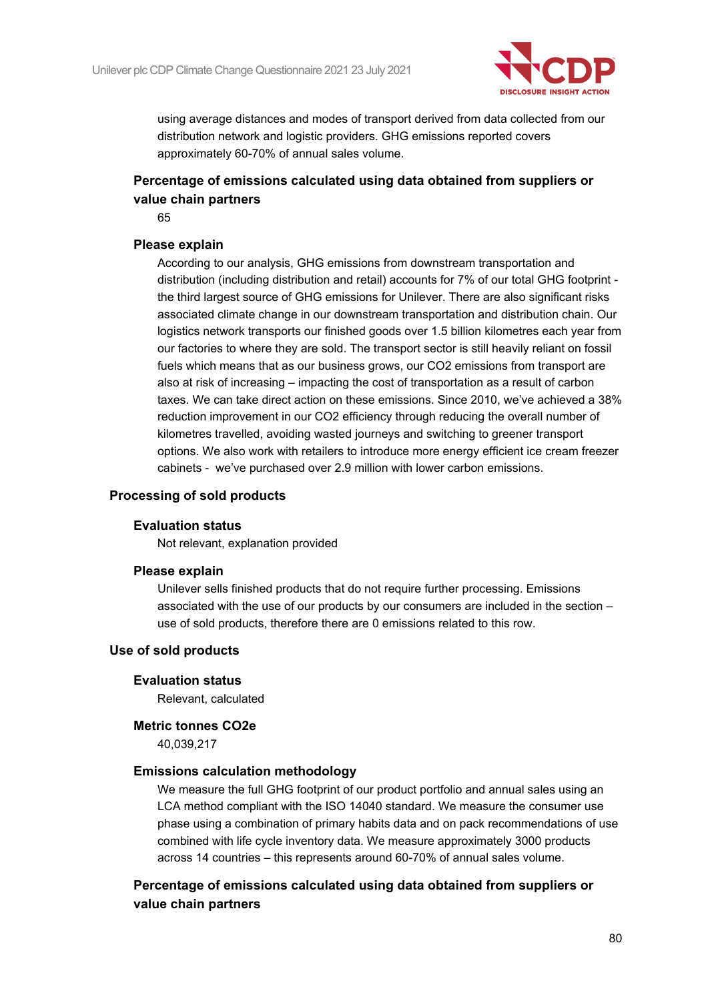

using average distances and modes of transport derived from data collected from our distribution network and logistic providers. GHG emissions reported covers approximately 60-70% of annual sales volume.

# **Percentage of emissions calculated using data obtained from suppliers or value chain partners**

65

#### **Please explain**

According to our analysis, GHG emissions from downstream transportation and distribution (including distribution and retail) accounts for 7% of our total GHG footprint the third largest source of GHG emissions for Unilever. There are also significant risks associated climate change in our downstream transportation and distribution chain. Our logistics network transports our finished goods over 1.5 billion kilometres each year from our factories to where they are sold. The transport sector is still heavily reliant on fossil fuels which means that as our business grows, our CO2 emissions from transport are also at risk of increasing – impacting the cost of transportation as a result of carbon taxes. We can take direct action on these emissions. Since 2010, we've achieved a 38% reduction improvement in our CO2 efficiency through reducing the overall number of kilometres travelled, avoiding wasted journeys and switching to greener transport options. We also work with retailers to introduce more energy efficient ice cream freezer cabinets - we've purchased over 2.9 million with lower carbon emissions.

#### **Processing of sold products**

#### **Evaluation status**

Not relevant, explanation provided

#### **Please explain**

Unilever sells finished products that do not require further processing. Emissions associated with the use of our products by our consumers are included in the section – use of sold products, therefore there are 0 emissions related to this row.

#### **Use of sold products**

#### **Evaluation status**

Relevant, calculated

#### **Metric tonnes CO2e**

40,039,217

#### **Emissions calculation methodology**

We measure the full GHG footprint of our product portfolio and annual sales using an LCA method compliant with the ISO 14040 standard. We measure the consumer use phase using a combination of primary habits data and on pack recommendations of use combined with life cycle inventory data. We measure approximately 3000 products across 14 countries – this represents around 60-70% of annual sales volume.

# **Percentage of emissions calculated using data obtained from suppliers or value chain partners**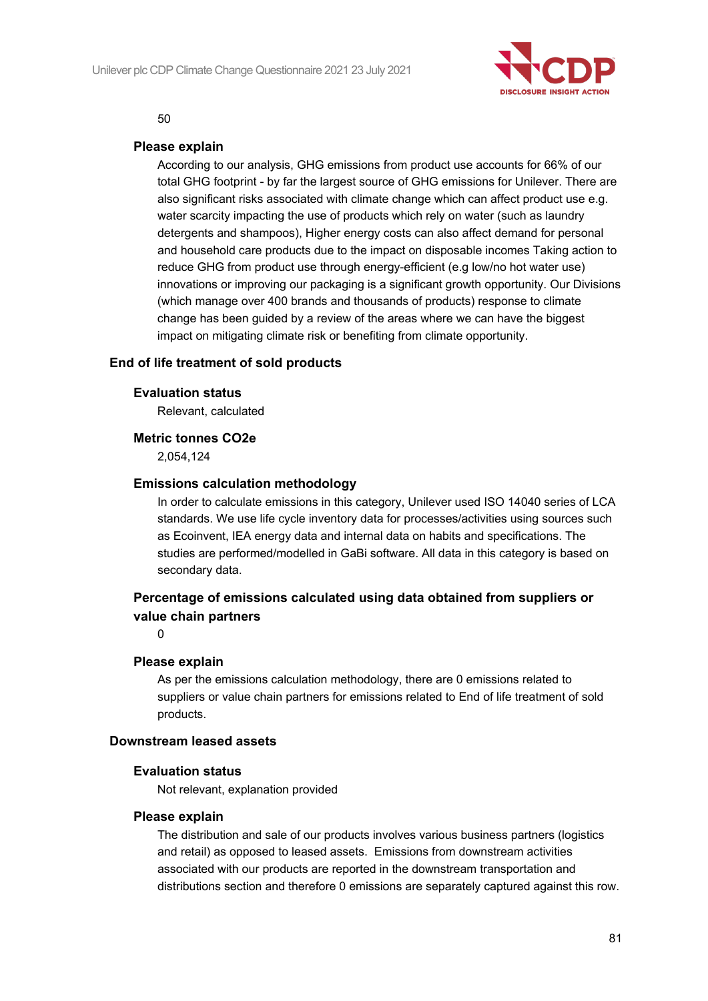

#### 50

#### **Please explain**

According to our analysis, GHG emissions from product use accounts for 66% of our total GHG footprint - by far the largest source of GHG emissions for Unilever. There are also significant risks associated with climate change which can affect product use e.g. water scarcity impacting the use of products which rely on water (such as laundry detergents and shampoos), Higher energy costs can also affect demand for personal and household care products due to the impact on disposable incomes Taking action to reduce GHG from product use through energy-efficient (e.g low/no hot water use) innovations or improving our packaging is a significant growth opportunity. Our Divisions (which manage over 400 brands and thousands of products) response to climate change has been guided by a review of the areas where we can have the biggest impact on mitigating climate risk or benefiting from climate opportunity.

# **End of life treatment of sold products**

#### **Evaluation status**

Relevant, calculated

#### **Metric tonnes CO2e**

2,054,124

#### **Emissions calculation methodology**

In order to calculate emissions in this category, Unilever used ISO 14040 series of LCA standards. We use life cycle inventory data for processes/activities using sources such as Ecoinvent, IEA energy data and internal data on habits and specifications. The studies are performed/modelled in GaBi software. All data in this category is based on secondary data.

# **Percentage of emissions calculated using data obtained from suppliers or value chain partners**

 $\Omega$ 

#### **Please explain**

As per the emissions calculation methodology, there are 0 emissions related to suppliers or value chain partners for emissions related to End of life treatment of sold products.

#### **Downstream leased assets**

#### **Evaluation status**

Not relevant, explanation provided

#### **Please explain**

The distribution and sale of our products involves various business partners (logistics and retail) as opposed to leased assets. Emissions from downstream activities associated with our products are reported in the downstream transportation and distributions section and therefore 0 emissions are separately captured against this row.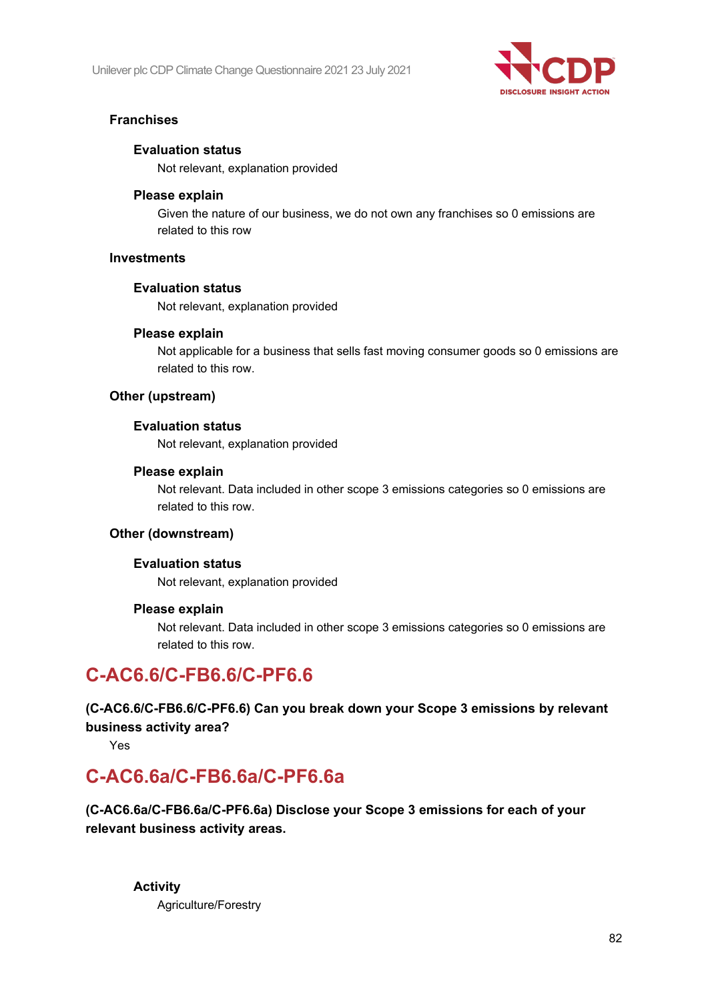

# **Franchises**

#### **Evaluation status**

Not relevant, explanation provided

# **Please explain**

Given the nature of our business, we do not own any franchises so 0 emissions are related to this row

#### **Investments**

#### **Evaluation status**

Not relevant, explanation provided

#### **Please explain**

Not applicable for a business that sells fast moving consumer goods so 0 emissions are related to this row.

#### **Other (upstream)**

#### **Evaluation status**

Not relevant, explanation provided

#### **Please explain**

Not relevant. Data included in other scope 3 emissions categories so 0 emissions are related to this row.

# **Other (downstream)**

#### **Evaluation status**

Not relevant, explanation provided

#### **Please explain**

Not relevant. Data included in other scope 3 emissions categories so 0 emissions are related to this row.

# **C-AC6.6/C-FB6.6/C-PF6.6**

**(C-AC6.6/C-FB6.6/C-PF6.6) Can you break down your Scope 3 emissions by relevant business activity area?**

Yes

# **C-AC6.6a/C-FB6.6a/C-PF6.6a**

**(C-AC6.6a/C-FB6.6a/C-PF6.6a) Disclose your Scope 3 emissions for each of your relevant business activity areas.**

**Activity** Agriculture/Forestry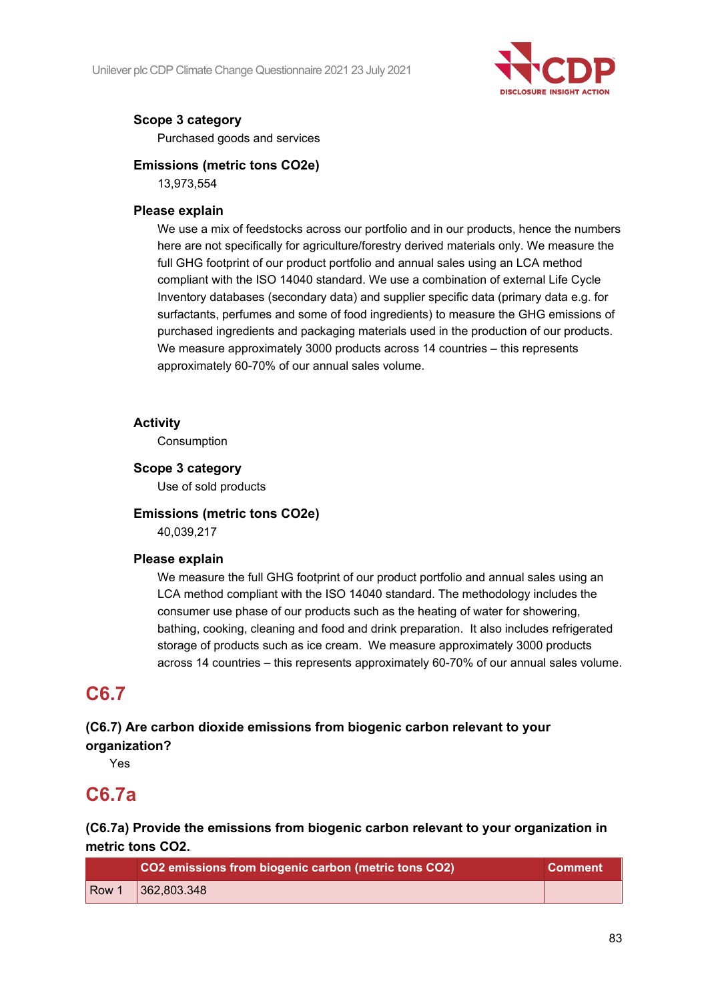

# **Scope 3 category**

Purchased goods and services

# **Emissions (metric tons CO2e)**

13,973,554

#### **Please explain**

We use a mix of feedstocks across our portfolio and in our products, hence the numbers here are not specifically for agriculture/forestry derived materials only. We measure the full GHG footprint of our product portfolio and annual sales using an LCA method compliant with the ISO 14040 standard. We use a combination of external Life Cycle Inventory databases (secondary data) and supplier specific data (primary data e.g. for surfactants, perfumes and some of food ingredients) to measure the GHG emissions of purchased ingredients and packaging materials used in the production of our products. We measure approximately 3000 products across 14 countries – this represents approximately 60-70% of our annual sales volume.

# **Activity**

Consumption

# **Scope 3 category**

Use of sold products

# **Emissions (metric tons CO2e)**

40,039,217

#### **Please explain**

We measure the full GHG footprint of our product portfolio and annual sales using an LCA method compliant with the ISO 14040 standard. The methodology includes the consumer use phase of our products such as the heating of water for showering, bathing, cooking, cleaning and food and drink preparation. It also includes refrigerated storage of products such as ice cream. We measure approximately 3000 products across 14 countries – this represents approximately 60-70% of our annual sales volume.

# **C6.7**

# **(C6.7) Are carbon dioxide emissions from biogenic carbon relevant to your organization?**

Yes

# **C6.7a**

# **(C6.7a) Provide the emissions from biogenic carbon relevant to your organization in metric tons CO2.**

|                  | CO2 emissions from biogenic carbon (metric tons CO2)<br><b>Comment</b> |  |  |  |
|------------------|------------------------------------------------------------------------|--|--|--|
| Row <sup>1</sup> | 362,803.348                                                            |  |  |  |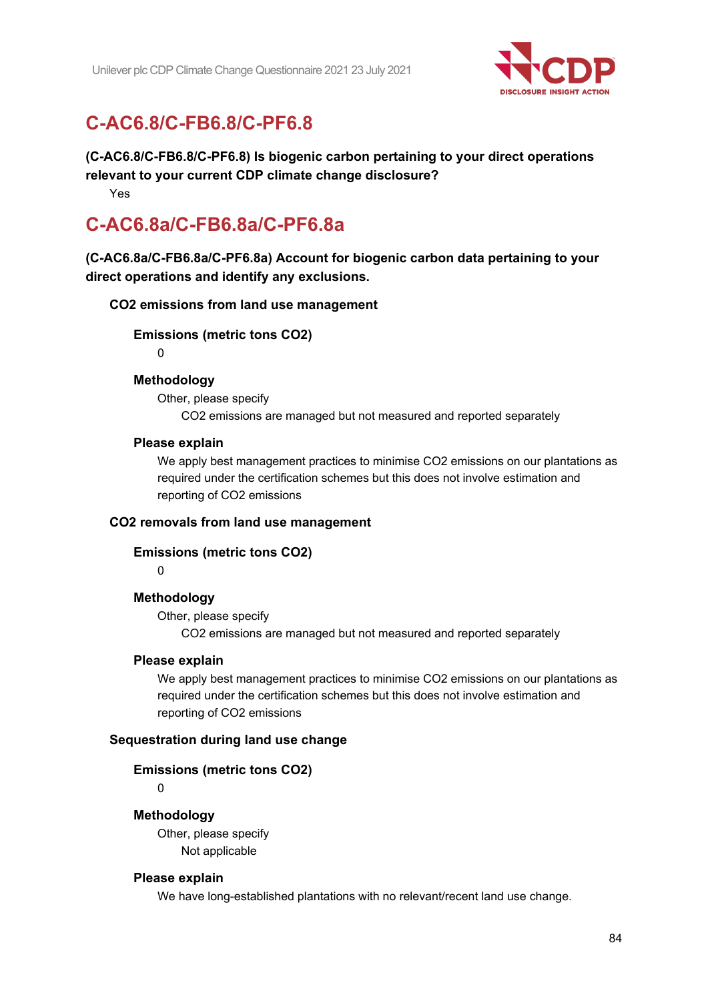

# **C-AC6.8/C-FB6.8/C-PF6.8**

# **(C-AC6.8/C-FB6.8/C-PF6.8) Is biogenic carbon pertaining to your direct operations relevant to your current CDP climate change disclosure?**

Yes

# **C-AC6.8a/C-FB6.8a/C-PF6.8a**

**(C-AC6.8a/C-FB6.8a/C-PF6.8a) Account for biogenic carbon data pertaining to your direct operations and identify any exclusions.**

**CO2 emissions from land use management**

**Emissions (metric tons CO2)**

 $\Omega$ 

# **Methodology**

Other, please specify CO2 emissions are managed but not measured and reported separately

# **Please explain**

We apply best management practices to minimise CO2 emissions on our plantations as required under the certification schemes but this does not involve estimation and reporting of CO2 emissions

# **CO2 removals from land use management**

#### **Emissions (metric tons CO2)**

 $\Omega$ 

# **Methodology**

Other, please specify

CO2 emissions are managed but not measured and reported separately

#### **Please explain**

We apply best management practices to minimise CO2 emissions on our plantations as required under the certification schemes but this does not involve estimation and reporting of CO2 emissions

# **Sequestration during land use change**

#### **Emissions (metric tons CO2)**

0

#### **Methodology**

Other, please specify Not applicable

#### **Please explain**

We have long-established plantations with no relevant/recent land use change.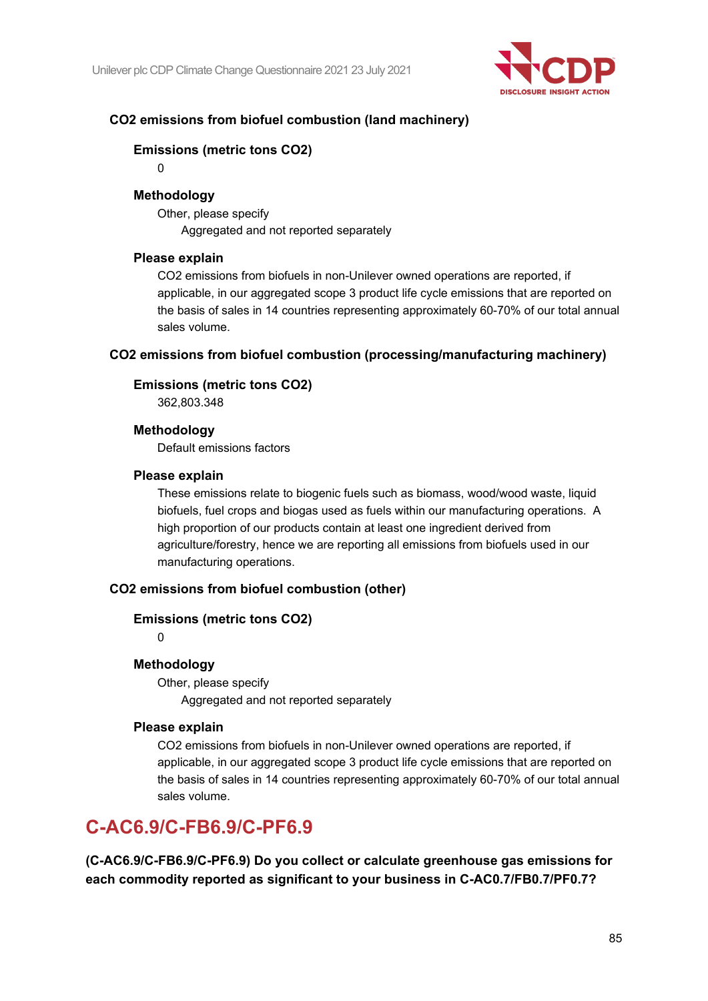

#### **CO2 emissions from biofuel combustion (land machinery)**

# **Emissions (metric tons CO2)**

 $\Omega$ 

#### **Methodology**

Other, please specify Aggregated and not reported separately

#### **Please explain**

CO2 emissions from biofuels in non-Unilever owned operations are reported, if applicable, in our aggregated scope 3 product life cycle emissions that are reported on the basis of sales in 14 countries representing approximately 60-70% of our total annual sales volume.

#### **CO2 emissions from biofuel combustion (processing/manufacturing machinery)**

#### **Emissions (metric tons CO2)**

362,803.348

#### **Methodology**

Default emissions factors

#### **Please explain**

These emissions relate to biogenic fuels such as biomass, wood/wood waste, liquid biofuels, fuel crops and biogas used as fuels within our manufacturing operations. A high proportion of our products contain at least one ingredient derived from agriculture/forestry, hence we are reporting all emissions from biofuels used in our manufacturing operations.

#### **CO2 emissions from biofuel combustion (other)**

#### **Emissions (metric tons CO2)**

 $\Omega$ 

#### **Methodology**

Other, please specify Aggregated and not reported separately

#### **Please explain**

CO2 emissions from biofuels in non-Unilever owned operations are reported, if applicable, in our aggregated scope 3 product life cycle emissions that are reported on the basis of sales in 14 countries representing approximately 60-70% of our total annual sales volume.

# **C-AC6.9/C-FB6.9/C-PF6.9**

**(C-AC6.9/C-FB6.9/C-PF6.9) Do you collect or calculate greenhouse gas emissions for each commodity reported as significant to your business in C-AC0.7/FB0.7/PF0.7?**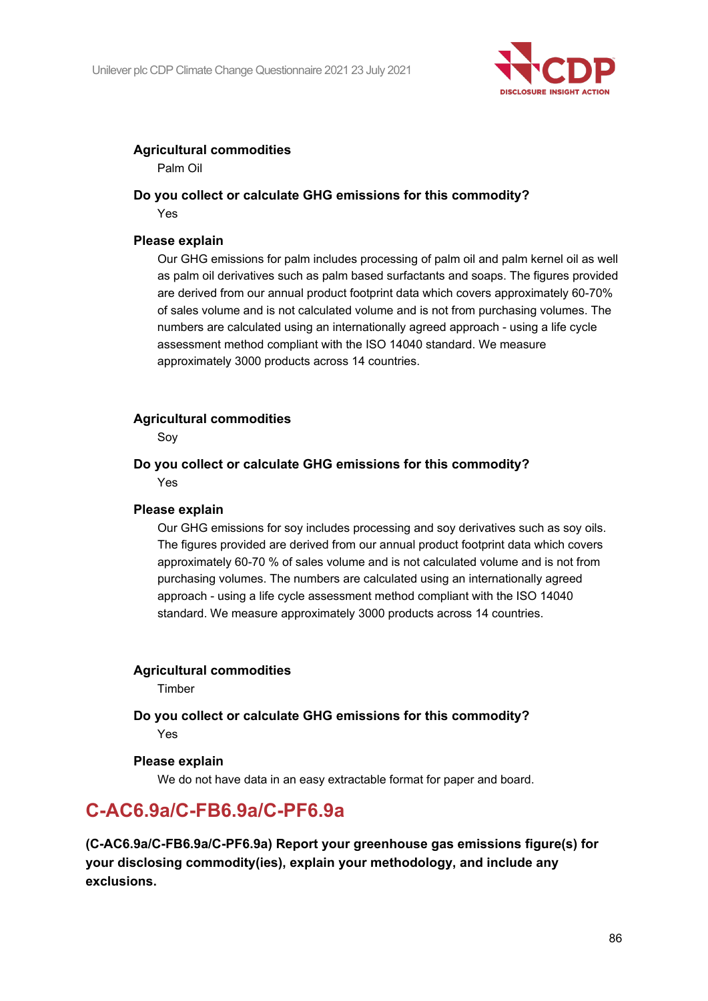

# **Agricultural commodities**

Palm Oil

**Do you collect or calculate GHG emissions for this commodity?** Yes

#### **Please explain**

Our GHG emissions for palm includes processing of palm oil and palm kernel oil as well as palm oil derivatives such as palm based surfactants and soaps. The figures provided are derived from our annual product footprint data which covers approximately 60-70% of sales volume and is not calculated volume and is not from purchasing volumes. The numbers are calculated using an internationally agreed approach - using a life cycle assessment method compliant with the ISO 14040 standard. We measure approximately 3000 products across 14 countries.

#### **Agricultural commodities**

Soy

#### **Do you collect or calculate GHG emissions for this commodity?** Yes

#### **Please explain**

Our GHG emissions for soy includes processing and soy derivatives such as soy oils. The figures provided are derived from our annual product footprint data which covers approximately 60-70 % of sales volume and is not calculated volume and is not from purchasing volumes. The numbers are calculated using an internationally agreed approach - using a life cycle assessment method compliant with the ISO 14040 standard. We measure approximately 3000 products across 14 countries.

#### **Agricultural commodities**

Timber

### **Do you collect or calculate GHG emissions for this commodity?** Yes

#### **Please explain**

We do not have data in an easy extractable format for paper and board.

# **C-AC6.9a/C-FB6.9a/C-PF6.9a**

**(C-AC6.9a/C-FB6.9a/C-PF6.9a) Report your greenhouse gas emissions figure(s) for your disclosing commodity(ies), explain your methodology, and include any exclusions.**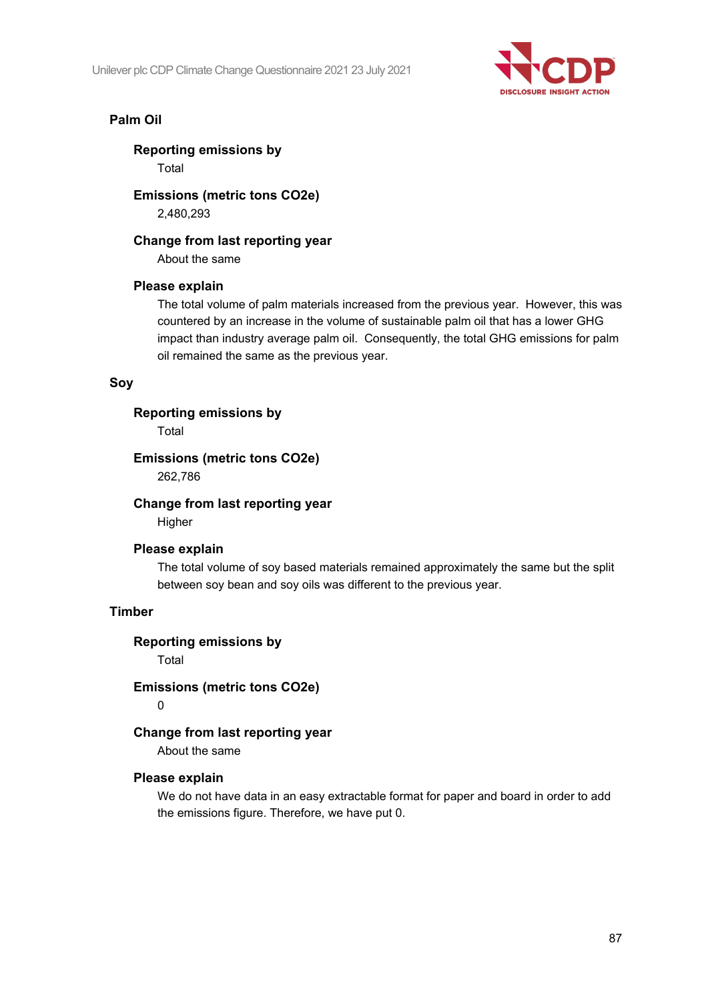

# **Palm Oil**

# **Reporting emissions by**

Total

# **Emissions (metric tons CO2e)**

2,480,293

#### **Change from last reporting year**

About the same

#### **Please explain**

The total volume of palm materials increased from the previous year. However, this was countered by an increase in the volume of sustainable palm oil that has a lower GHG impact than industry average palm oil. Consequently, the total GHG emissions for palm oil remained the same as the previous year.

#### **Soy**

#### **Reporting emissions by**

Total

# **Emissions (metric tons CO2e)**

262,786

#### **Change from last reporting year**

**Higher** 

#### **Please explain**

The total volume of soy based materials remained approximately the same but the split between soy bean and soy oils was different to the previous year.

# **Timber**

#### **Reporting emissions by**

Total

# **Emissions (metric tons CO2e)**

0

#### **Change from last reporting year**

About the same

#### **Please explain**

We do not have data in an easy extractable format for paper and board in order to add the emissions figure. Therefore, we have put 0.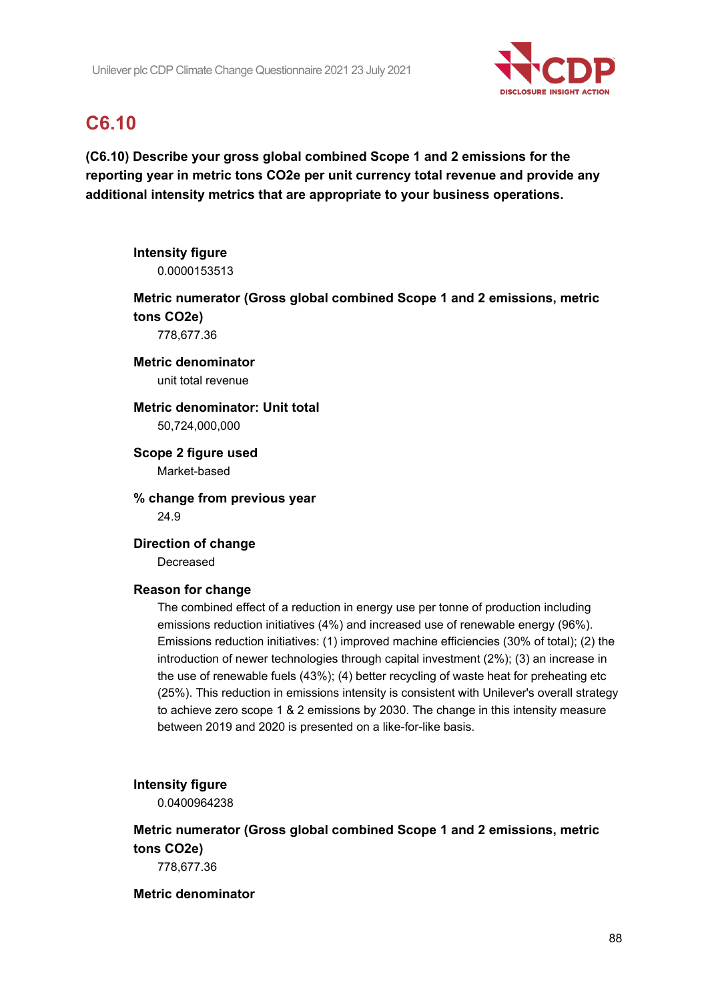

# **C6.10**

**(C6.10) Describe your gross global combined Scope 1 and 2 emissions for the reporting year in metric tons CO2e per unit currency total revenue and provide any additional intensity metrics that are appropriate to your business operations.**

# **Intensity figure**

0.0000153513

# **Metric numerator (Gross global combined Scope 1 and 2 emissions, metric tons CO2e)**

778,677.36

# **Metric denominator**

unit total revenue

# **Metric denominator: Unit total** 50,724,000,000

**Scope 2 figure used** Market-based

**% change from previous year** 24.9

# **Direction of change**

Decreased

# **Reason for change**

The combined effect of a reduction in energy use per tonne of production including emissions reduction initiatives (4%) and increased use of renewable energy (96%). Emissions reduction initiatives: (1) improved machine efficiencies (30% of total); (2) the introduction of newer technologies through capital investment (2%); (3) an increase in the use of renewable fuels (43%); (4) better recycling of waste heat for preheating etc (25%). This reduction in emissions intensity is consistent with Unilever's overall strategy to achieve zero scope 1 & 2 emissions by 2030. The change in this intensity measure between 2019 and 2020 is presented on a like-for-like basis.

# **Intensity figure**

0.0400964238

# **Metric numerator (Gross global combined Scope 1 and 2 emissions, metric tons CO2e)**

778,677.36

# **Metric denominator**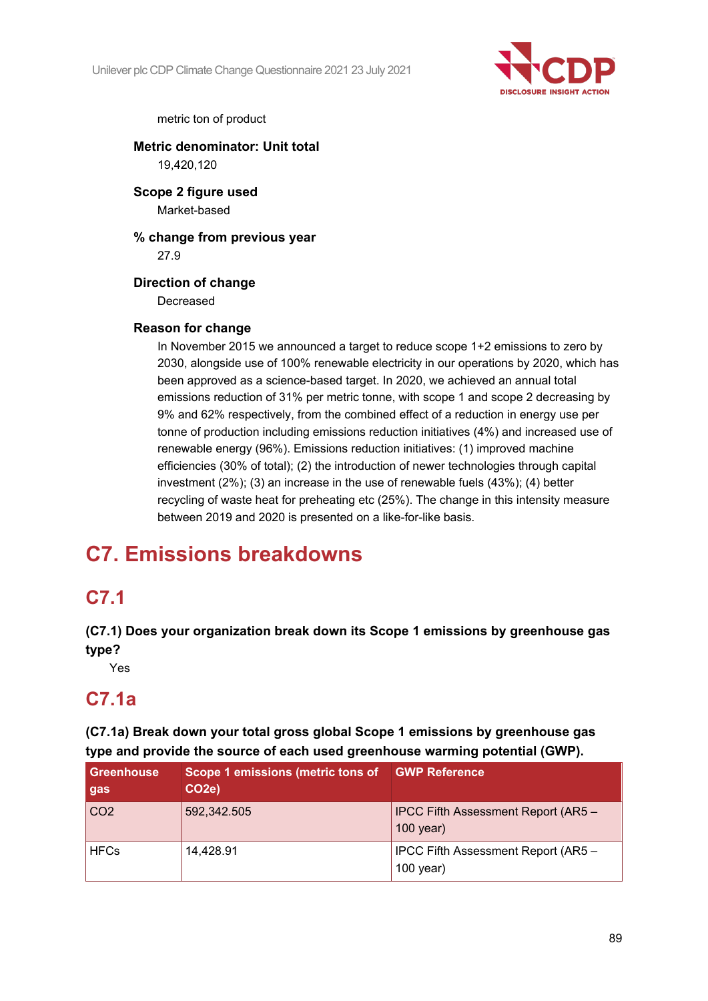

metric ton of product

# **Metric denominator: Unit total**

19,420,120

**Scope 2 figure used** Market-based

**% change from previous year** 27.9

# **Direction of change**

Decreased

# **Reason for change**

In November 2015 we announced a target to reduce scope 1+2 emissions to zero by 2030, alongside use of 100% renewable electricity in our operations by 2020, which has been approved as a science-based target. In 2020, we achieved an annual total emissions reduction of 31% per metric tonne, with scope 1 and scope 2 decreasing by 9% and 62% respectively, from the combined effect of a reduction in energy use per tonne of production including emissions reduction initiatives (4%) and increased use of renewable energy (96%). Emissions reduction initiatives: (1) improved machine efficiencies (30% of total); (2) the introduction of newer technologies through capital investment (2%); (3) an increase in the use of renewable fuels (43%); (4) better recycling of waste heat for preheating etc (25%). The change in this intensity measure between 2019 and 2020 is presented on a like-for-like basis.

# **C7. Emissions breakdowns**

# **C7.1**

**(C7.1) Does your organization break down its Scope 1 emissions by greenhouse gas type?**

Yes

# **C7.1a**

**(C7.1a) Break down your total gross global Scope 1 emissions by greenhouse gas type and provide the source of each used greenhouse warming potential (GWP).**

| <b>Greenhouse</b><br>gas | Scope 1 emissions (metric tons of GWP Reference<br><b>CO2e)</b> |                                                           |
|--------------------------|-----------------------------------------------------------------|-----------------------------------------------------------|
| CO <sub>2</sub>          | 592,342.505                                                     | IPCC Fifth Assessment Report (AR5 -<br>$100$ year)        |
| <b>HFCs</b>              | 14,428.91                                                       | <b>IPCC Fifth Assessment Report (AR5 -</b><br>$100$ year) |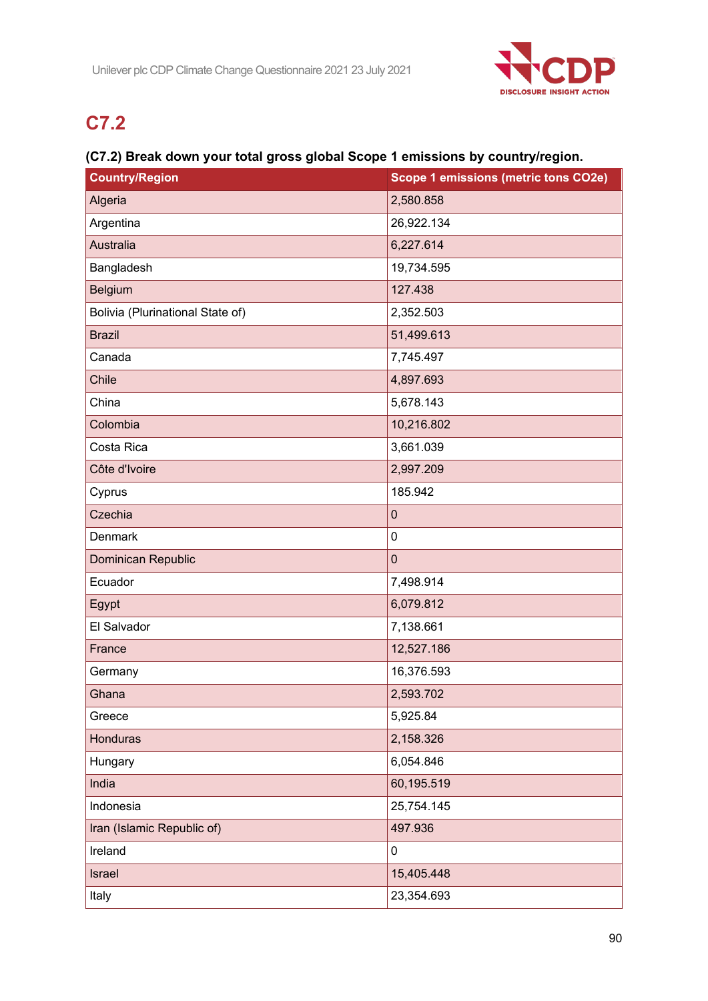

# **C7.2**

# **(C7.2) Break down your total gross global Scope 1 emissions by country/region.**

| <b>Country/Region</b>            | Scope 1 emissions (metric tons CO2e) |  |
|----------------------------------|--------------------------------------|--|
| Algeria                          | 2,580.858                            |  |
| Argentina                        | 26,922.134                           |  |
| <b>Australia</b>                 | 6,227.614                            |  |
| Bangladesh                       | 19,734.595                           |  |
| Belgium                          | 127.438                              |  |
| Bolivia (Plurinational State of) | 2,352.503                            |  |
| <b>Brazil</b>                    | 51,499.613                           |  |
| Canada                           | 7,745.497                            |  |
| Chile                            | 4,897.693                            |  |
| China                            | 5,678.143                            |  |
| Colombia                         | 10,216.802                           |  |
| Costa Rica                       | 3,661.039                            |  |
| Côte d'Ivoire                    | 2,997.209                            |  |
| Cyprus                           | 185.942                              |  |
| Czechia                          | $\pmb{0}$                            |  |
| Denmark                          | 0                                    |  |
| Dominican Republic               | $\mathbf 0$                          |  |
| Ecuador                          | 7,498.914                            |  |
| Egypt                            | 6,079.812                            |  |
| El Salvador                      | 7,138.661                            |  |
| France                           | 12,527.186                           |  |
| Germany                          | 16,376.593                           |  |
| Ghana                            | 2,593.702                            |  |
| Greece                           | 5,925.84                             |  |
| Honduras                         | 2,158.326                            |  |
| Hungary                          | 6,054.846                            |  |
| India                            | 60,195.519                           |  |
| Indonesia                        | 25,754.145                           |  |
| Iran (Islamic Republic of)       | 497.936                              |  |
| Ireland                          | 0                                    |  |
| Israel                           | 15,405.448                           |  |
| Italy                            | 23,354.693                           |  |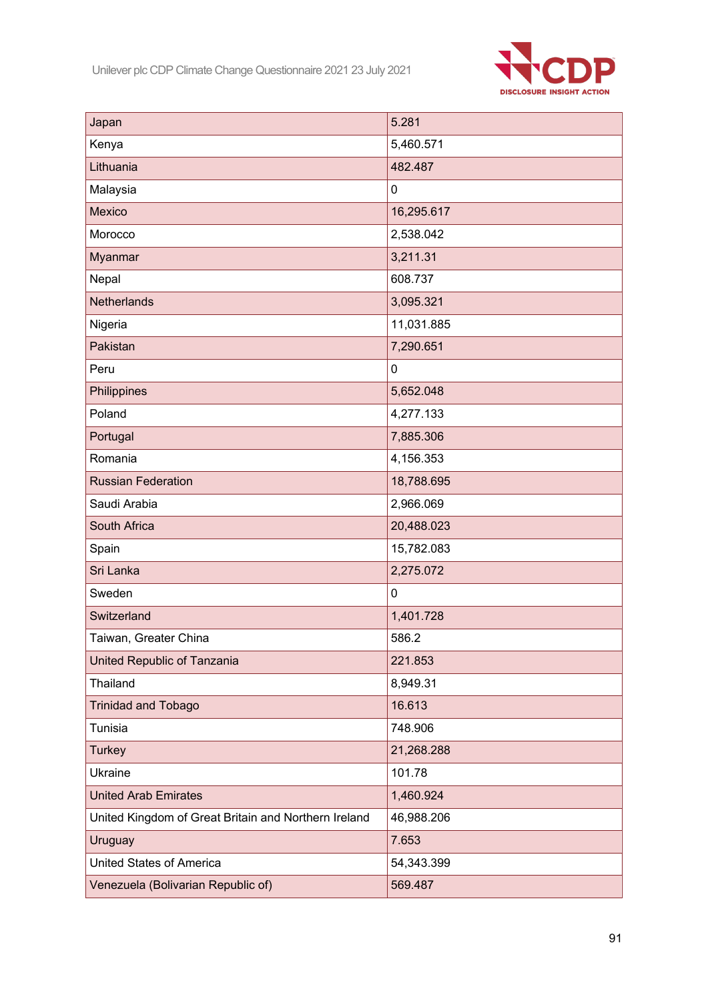

| Japan                                                | 5.281      |
|------------------------------------------------------|------------|
| Kenya                                                | 5,460.571  |
| Lithuania                                            | 482.487    |
| Malaysia                                             | 0          |
| <b>Mexico</b>                                        | 16,295.617 |
| Morocco                                              | 2,538.042  |
| Myanmar                                              | 3,211.31   |
| Nepal                                                | 608.737    |
| <b>Netherlands</b>                                   | 3,095.321  |
| Nigeria                                              | 11,031.885 |
| Pakistan                                             | 7,290.651  |
| Peru                                                 | 0          |
| Philippines                                          | 5,652.048  |
| Poland                                               | 4,277.133  |
| Portugal                                             | 7,885.306  |
| Romania                                              | 4,156.353  |
| <b>Russian Federation</b>                            | 18,788.695 |
| Saudi Arabia                                         | 2,966.069  |
| <b>South Africa</b>                                  | 20,488.023 |
| Spain                                                | 15,782.083 |
| Sri Lanka                                            | 2,275.072  |
| Sweden                                               | 0          |
| Switzerland                                          | 1,401.728  |
| Taiwan, Greater China                                | 586.2      |
| United Republic of Tanzania                          | 221.853    |
| Thailand                                             | 8,949.31   |
| <b>Trinidad and Tobago</b>                           | 16.613     |
| Tunisia                                              | 748.906    |
| <b>Turkey</b>                                        | 21,268.288 |
| Ukraine                                              | 101.78     |
| <b>United Arab Emirates</b>                          | 1,460.924  |
| United Kingdom of Great Britain and Northern Ireland | 46,988.206 |
| Uruguay                                              | 7.653      |
| <b>United States of America</b>                      | 54,343.399 |
| Venezuela (Bolivarian Republic of)                   | 569.487    |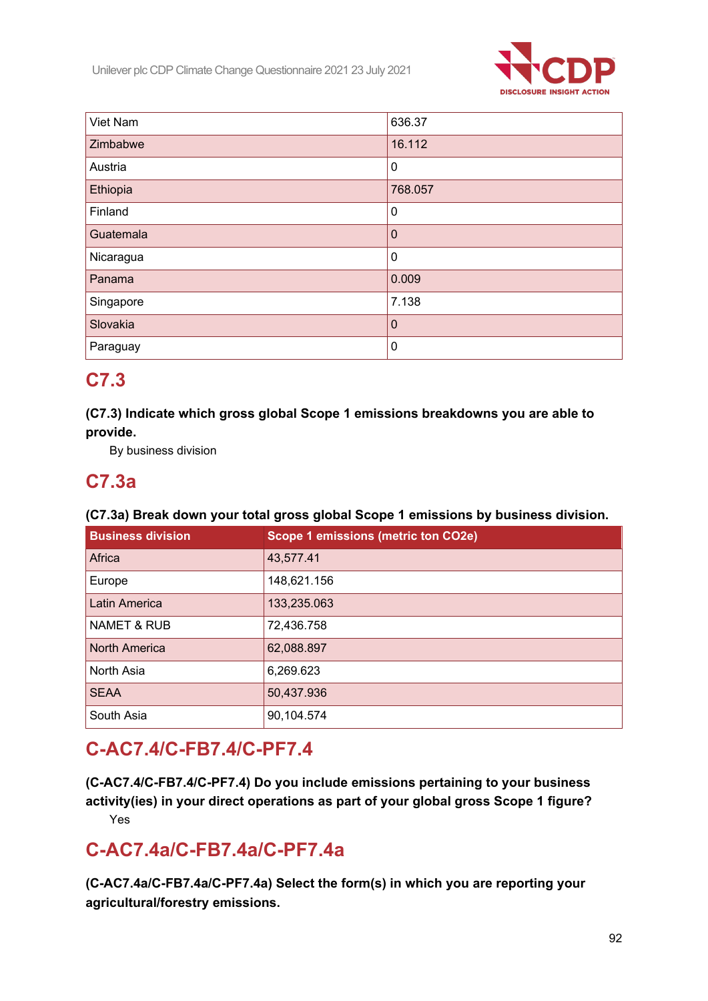

| Viet Nam  | 636.37  |
|-----------|---------|
| Zimbabwe  | 16.112  |
| Austria   | 0       |
| Ethiopia  | 768.057 |
| Finland   | 0       |
| Guatemala | 0       |
| Nicaragua | 0       |
| Panama    | 0.009   |
| Singapore | 7.138   |
| Slovakia  | 0       |
| Paraguay  | 0       |

# **C7.3**

# **(C7.3) Indicate which gross global Scope 1 emissions breakdowns you are able to provide.**

By business division

# **C7.3a**

# **(C7.3a) Break down your total gross global Scope 1 emissions by business division.**

| <b>Business division</b> | Scope 1 emissions (metric ton CO2e) |  |  |
|--------------------------|-------------------------------------|--|--|
| Africa                   | 43,577.41                           |  |  |
| Europe                   | 148,621.156                         |  |  |
| <b>Latin America</b>     | 133,235.063                         |  |  |
| <b>NAMET &amp; RUB</b>   | 72,436.758                          |  |  |
| <b>North America</b>     | 62,088.897                          |  |  |
| North Asia               | 6,269.623                           |  |  |
| <b>SEAA</b>              | 50,437.936                          |  |  |
| South Asia               | 90,104.574                          |  |  |

# **C-AC7.4/C-FB7.4/C-PF7.4**

**(C-AC7.4/C-FB7.4/C-PF7.4) Do you include emissions pertaining to your business activity(ies) in your direct operations as part of your global gross Scope 1 figure?** Yes

# **C-AC7.4a/C-FB7.4a/C-PF7.4a**

**(C-AC7.4a/C-FB7.4a/C-PF7.4a) Select the form(s) in which you are reporting your agricultural/forestry emissions.**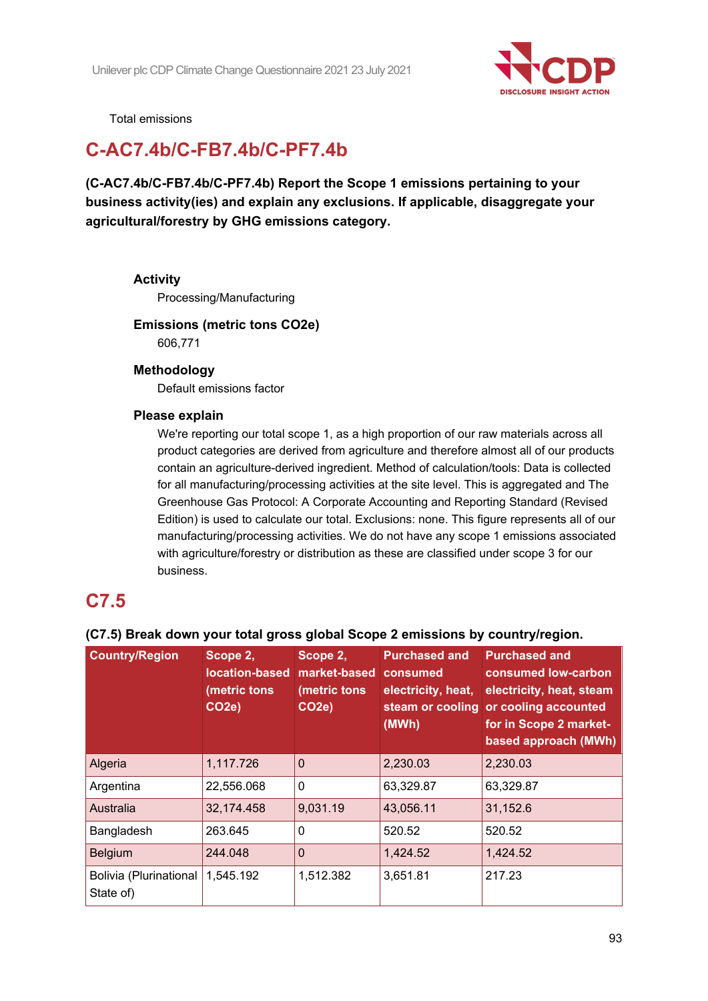

Total emissions

# **C-AC7.4b/C-FB7.4b/C-PF7.4b**

**(C-AC7.4b/C-FB7.4b/C-PF7.4b) Report the Scope 1 emissions pertaining to your business activity(ies) and explain any exclusions. If applicable, disaggregate your agricultural/forestry by GHG emissions category.**

#### **Activity**

Processing/Manufacturing

# **Emissions (metric tons CO2e)** 606,771

#### **Methodology**

Default emissions factor

#### **Please explain**

We're reporting our total scope 1, as a high proportion of our raw materials across all product categories are derived from agriculture and therefore almost all of our products contain an agriculture-derived ingredient. Method of calculation/tools: Data is collected for all manufacturing/processing activities at the site level. This is aggregated and The Greenhouse Gas Protocol: A Corporate Accounting and Reporting Standard (Revised Edition) is used to calculate our total. Exclusions: none. This figure represents all of our manufacturing/processing activities. We do not have any scope 1 emissions associated with agriculture/forestry or distribution as these are classified under scope 3 for our business.

# **C7.5**

| <b>Country/Region</b>                      | Scope 2,<br>location-based<br>(metric tons<br>CO <sub>2e</sub> ) | Scope 2,<br>market-based<br>(metric tons<br>CO <sub>2e</sub> ) | <b>Purchased and</b><br>consumed<br>electricity, heat,<br>steam or cooling<br>(MWh) | <b>Purchased and</b><br>consumed low-carbon<br>electricity, heat, steam<br>or cooling accounted<br>for in Scope 2 market-<br>based approach (MWh) |
|--------------------------------------------|------------------------------------------------------------------|----------------------------------------------------------------|-------------------------------------------------------------------------------------|---------------------------------------------------------------------------------------------------------------------------------------------------|
| Algeria                                    | 1,117.726                                                        | $\mathbf 0$                                                    | 2,230.03                                                                            | 2,230.03                                                                                                                                          |
| Argentina                                  | 22,556.068                                                       | $\mathbf{0}$                                                   | 63,329.87                                                                           | 63,329.87                                                                                                                                         |
| Australia                                  | 32,174.458                                                       | 9,031.19                                                       | 43,056.11                                                                           | 31,152.6                                                                                                                                          |
| Bangladesh                                 | 263.645                                                          | 0                                                              | 520.52                                                                              | 520.52                                                                                                                                            |
| <b>Belgium</b>                             | 244.048                                                          | $\mathbf{0}$                                                   | 1,424.52                                                                            | 1,424.52                                                                                                                                          |
| <b>Bolivia (Plurinational</b><br>State of) | 1,545.192                                                        | 1,512.382                                                      | 3,651.81                                                                            | 217.23                                                                                                                                            |

# **(C7.5) Break down your total gross global Scope 2 emissions by country/region.**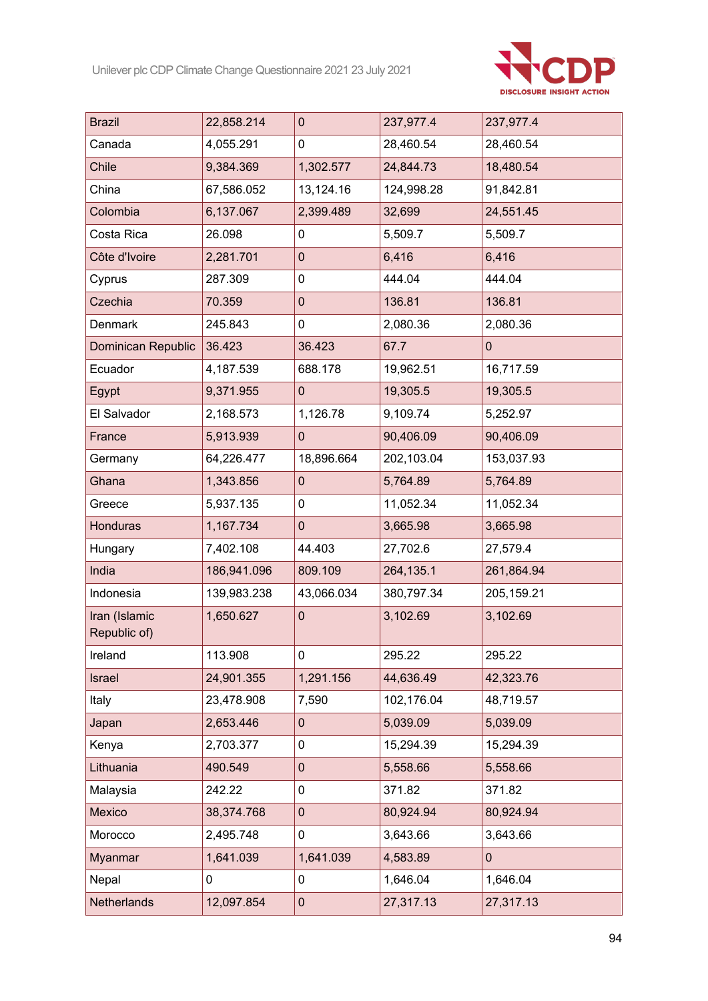

| <b>Brazil</b>                 | 22,858.214  | $\mathbf 0$  | 237,977.4  | 237,977.4      |
|-------------------------------|-------------|--------------|------------|----------------|
| Canada                        | 4,055.291   | 0            | 28,460.54  | 28,460.54      |
| Chile                         | 9,384.369   | 1,302.577    | 24,844.73  | 18,480.54      |
| China                         | 67,586.052  | 13,124.16    | 124,998.28 | 91,842.81      |
| Colombia                      | 6,137.067   | 2,399.489    | 32,699     | 24,551.45      |
| Costa Rica                    | 26.098      | 0            | 5,509.7    | 5,509.7        |
| Côte d'Ivoire                 | 2,281.701   | $\pmb{0}$    | 6,416      | 6,416          |
| Cyprus                        | 287.309     | 0            | 444.04     | 444.04         |
| Czechia                       | 70.359      | $\pmb{0}$    | 136.81     | 136.81         |
| Denmark                       | 245.843     | 0            | 2,080.36   | 2,080.36       |
| Dominican Republic            | 36.423      | 36.423       | 67.7       | $\overline{0}$ |
| Ecuador                       | 4,187.539   | 688.178      | 19,962.51  | 16,717.59      |
| Egypt                         | 9,371.955   | $\mathbf{0}$ | 19,305.5   | 19,305.5       |
| El Salvador                   | 2,168.573   | 1,126.78     | 9,109.74   | 5,252.97       |
| France                        | 5,913.939   | 0            | 90,406.09  | 90,406.09      |
| Germany                       | 64,226.477  | 18,896.664   | 202,103.04 | 153,037.93     |
| Ghana                         | 1,343.856   | $\pmb{0}$    | 5,764.89   | 5,764.89       |
| Greece                        | 5,937.135   | 0            | 11,052.34  | 11,052.34      |
| <b>Honduras</b>               | 1,167.734   | $\pmb{0}$    | 3,665.98   | 3,665.98       |
| Hungary                       | 7,402.108   | 44.403       | 27,702.6   | 27,579.4       |
| India                         | 186,941.096 | 809.109      | 264,135.1  | 261,864.94     |
| Indonesia                     | 139,983.238 | 43,066.034   | 380,797.34 | 205,159.21     |
| Iran (Islamic<br>Republic of) | 1,650.627   | 0            | 3,102.69   | 3,102.69       |
| Ireland                       | 113.908     | 0            | 295.22     | 295.22         |
| Israel                        | 24,901.355  | 1,291.156    | 44,636.49  | 42,323.76      |
| Italy                         | 23,478.908  | 7,590        | 102,176.04 | 48,719.57      |
| Japan                         | 2,653.446   | 0            | 5,039.09   | 5,039.09       |
| Kenya                         | 2,703.377   | 0            | 15,294.39  | 15,294.39      |
| Lithuania                     | 490.549     | $\pmb{0}$    | 5,558.66   | 5,558.66       |
| Malaysia                      | 242.22      | 0            | 371.82     | 371.82         |
| Mexico                        | 38,374.768  | 0            | 80,924.94  | 80,924.94      |
| Morocco                       | 2,495.748   | 0            | 3,643.66   | 3,643.66       |
| Myanmar                       | 1,641.039   | 1,641.039    | 4,583.89   | 0              |
| Nepal                         | 0           | 0            | 1,646.04   | 1,646.04       |
| Netherlands                   | 12,097.854  | $\pmb{0}$    | 27,317.13  | 27,317.13      |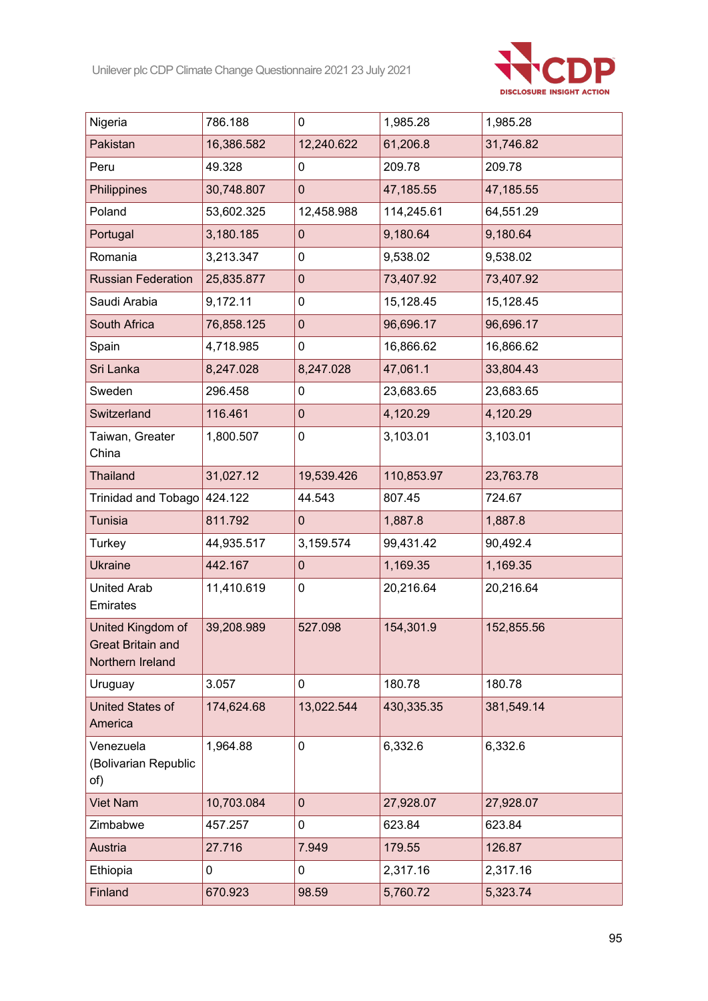

| Nigeria                                                           | 786.188    | 0            | 1,985.28   | 1,985.28   |
|-------------------------------------------------------------------|------------|--------------|------------|------------|
| Pakistan                                                          | 16,386.582 | 12,240.622   | 61,206.8   | 31,746.82  |
| Peru                                                              | 49.328     | 0            | 209.78     | 209.78     |
| Philippines                                                       | 30,748.807 | $\mathbf 0$  | 47,185.55  | 47,185.55  |
| Poland                                                            | 53,602.325 | 12,458.988   | 114,245.61 | 64,551.29  |
| Portugal                                                          | 3,180.185  | $\mathbf 0$  | 9,180.64   | 9,180.64   |
| Romania                                                           | 3,213.347  | 0            | 9,538.02   | 9,538.02   |
| <b>Russian Federation</b>                                         | 25,835.877 | $\pmb{0}$    | 73,407.92  | 73,407.92  |
| Saudi Arabia                                                      | 9,172.11   | 0            | 15,128.45  | 15,128.45  |
| South Africa                                                      | 76,858.125 | $\pmb{0}$    | 96,696.17  | 96,696.17  |
| Spain                                                             | 4,718.985  | 0            | 16,866.62  | 16,866.62  |
| Sri Lanka                                                         | 8,247.028  | 8,247.028    | 47,061.1   | 33,804.43  |
| Sweden                                                            | 296.458    | 0            | 23,683.65  | 23,683.65  |
| Switzerland                                                       | 116.461    | $\pmb{0}$    | 4,120.29   | 4,120.29   |
| Taiwan, Greater<br>China                                          | 1,800.507  | 0            | 3,103.01   | 3,103.01   |
| <b>Thailand</b>                                                   | 31,027.12  | 19,539.426   | 110,853.97 | 23,763.78  |
| <b>Trinidad and Tobago</b>                                        | 424.122    | 44.543       | 807.45     | 724.67     |
| <b>Tunisia</b>                                                    | 811.792    | $\mathbf{0}$ | 1,887.8    | 1,887.8    |
| Turkey                                                            | 44,935.517 | 3,159.574    | 99,431.42  | 90,492.4   |
| <b>Ukraine</b>                                                    | 442.167    | $\pmb{0}$    | 1,169.35   | 1,169.35   |
| <b>United Arab</b><br>Emirates                                    | 11,410.619 | 0            | 20,216.64  | 20,216.64  |
| United Kingdom of<br><b>Great Britain and</b><br>Northern Ireland | 39,208.989 | 527.098      | 154,301.9  | 152,855.56 |
| Uruguay                                                           | 3.057      | 0            | 180.78     | 180.78     |
| <b>United States of</b><br>America                                | 174,624.68 | 13,022.544   | 430,335.35 | 381,549.14 |
| Venezuela<br>(Bolivarian Republic<br>of)                          | 1,964.88   | 0            | 6,332.6    | 6,332.6    |
| <b>Viet Nam</b>                                                   | 10,703.084 | $\mathbf 0$  | 27,928.07  | 27,928.07  |
| Zimbabwe                                                          | 457.257    | 0            | 623.84     | 623.84     |
| Austria                                                           | 27.716     | 7.949        | 179.55     | 126.87     |
| Ethiopia                                                          | 0          | 0            | 2,317.16   | 2,317.16   |
| Finland                                                           | 670.923    | 98.59        | 5,760.72   | 5,323.74   |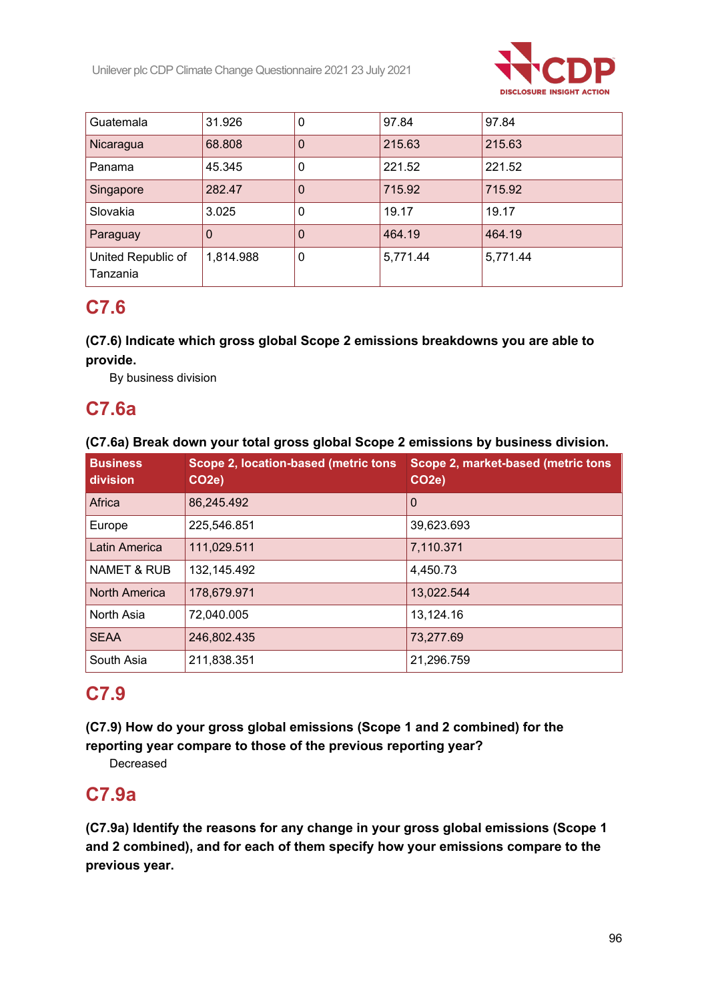

| Guatemala                      | 31.926    | 0            | 97.84    | 97.84    |
|--------------------------------|-----------|--------------|----------|----------|
| Nicaragua                      | 68.808    | 0            | 215.63   | 215.63   |
| Panama                         | 45.345    | 0            | 221.52   | 221.52   |
| Singapore                      | 282.47    | $\mathbf{0}$ | 715.92   | 715.92   |
| Slovakia                       | 3.025     | $\mathbf{0}$ | 19.17    | 19.17    |
| Paraguay                       | 0         | 0            | 464.19   | 464.19   |
| United Republic of<br>Tanzania | 1,814.988 | 0            | 5,771.44 | 5,771.44 |

# **C7.6**

# **(C7.6) Indicate which gross global Scope 2 emissions breakdowns you are able to provide.**

By business division

# **C7.6a**

# **(C7.6a) Break down your total gross global Scope 2 emissions by business division.**

| <b>Business</b><br>division | Scope 2, location-based (metric tons<br>CO <sub>2e</sub> ) | Scope 2, market-based (metric tons<br>CO <sub>2e</sub> ) |
|-----------------------------|------------------------------------------------------------|----------------------------------------------------------|
| Africa                      | 86,245.492                                                 | $\mathbf 0$                                              |
| Europe                      | 225,546.851                                                | 39,623.693                                               |
| Latin America               | 111,029.511                                                | 7,110.371                                                |
| <b>NAMET &amp; RUB</b>      | 132,145.492                                                | 4,450.73                                                 |
| North America               | 178,679.971                                                | 13,022.544                                               |
| North Asia                  | 72,040.005                                                 | 13,124.16                                                |
| <b>SEAA</b>                 | 246,802.435                                                | 73,277.69                                                |
| South Asia                  | 211,838.351                                                | 21,296.759                                               |

# **C7.9**

**(C7.9) How do your gross global emissions (Scope 1 and 2 combined) for the reporting year compare to those of the previous reporting year?**

Decreased

# **C7.9a**

**(C7.9a) Identify the reasons for any change in your gross global emissions (Scope 1 and 2 combined), and for each of them specify how your emissions compare to the previous year.**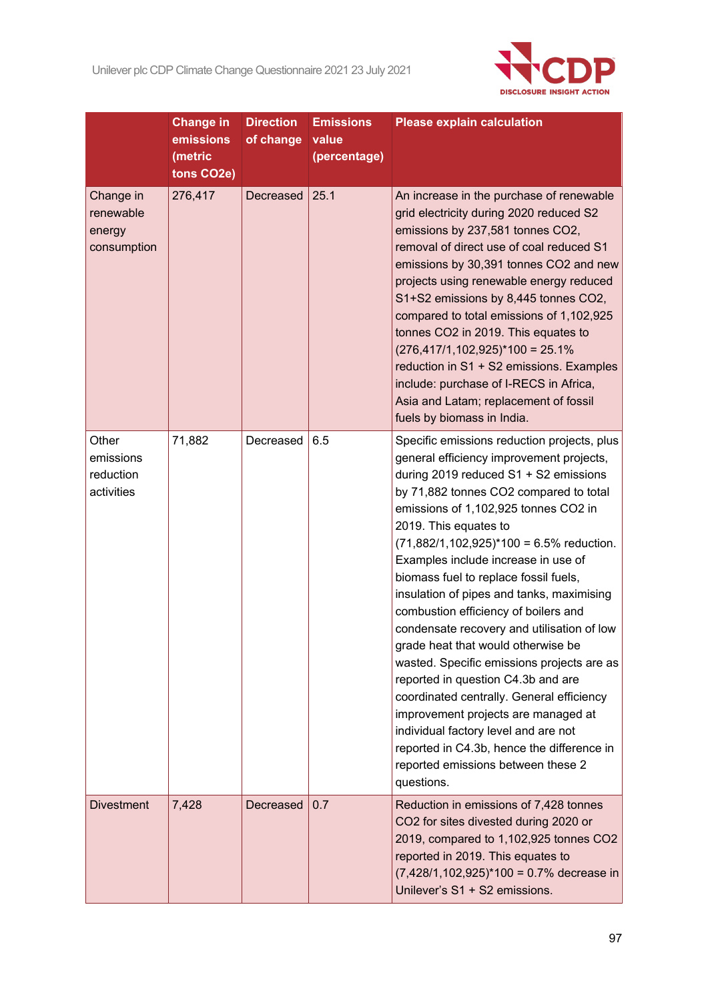

|                                                 | <b>Change in</b><br>emissions<br>(metric<br>tons CO <sub>2</sub> e) | <b>Direction</b><br>of change | <b>Emissions</b><br>value<br>(percentage) | <b>Please explain calculation</b>                                                                                                                                                                                                                                                                                                                                                                                                                                                                                                                                                                                                                                                                                                                                                                                                                                     |
|-------------------------------------------------|---------------------------------------------------------------------|-------------------------------|-------------------------------------------|-----------------------------------------------------------------------------------------------------------------------------------------------------------------------------------------------------------------------------------------------------------------------------------------------------------------------------------------------------------------------------------------------------------------------------------------------------------------------------------------------------------------------------------------------------------------------------------------------------------------------------------------------------------------------------------------------------------------------------------------------------------------------------------------------------------------------------------------------------------------------|
| Change in<br>renewable<br>energy<br>consumption | 276,417                                                             | Decreased                     | 25.1                                      | An increase in the purchase of renewable<br>grid electricity during 2020 reduced S2<br>emissions by 237,581 tonnes CO2,<br>removal of direct use of coal reduced S1<br>emissions by 30,391 tonnes CO2 and new<br>projects using renewable energy reduced<br>S1+S2 emissions by 8,445 tonnes CO2,<br>compared to total emissions of 1,102,925<br>tonnes CO2 in 2019. This equates to<br>$(276,417/1,102,925)^*100 = 25.1\%$<br>reduction in S1 + S2 emissions. Examples<br>include: purchase of I-RECS in Africa,<br>Asia and Latam; replacement of fossil<br>fuels by biomass in India.                                                                                                                                                                                                                                                                               |
| Other<br>emissions<br>reduction<br>activities   | 71,882                                                              | Decreased                     | 6.5                                       | Specific emissions reduction projects, plus<br>general efficiency improvement projects,<br>during 2019 reduced S1 + S2 emissions<br>by 71,882 tonnes CO2 compared to total<br>emissions of 1,102,925 tonnes CO2 in<br>2019. This equates to<br>$(71,882/1,102,925)^*100 = 6.5%$ reduction.<br>Examples include increase in use of<br>biomass fuel to replace fossil fuels,<br>insulation of pipes and tanks, maximising<br>combustion efficiency of boilers and<br>condensate recovery and utilisation of low<br>grade heat that would otherwise be<br>wasted. Specific emissions projects are as<br>reported in question C4.3b and are<br>coordinated centrally. General efficiency<br>improvement projects are managed at<br>individual factory level and are not<br>reported in C4.3b, hence the difference in<br>reported emissions between these 2<br>questions. |
| <b>Divestment</b>                               | 7,428                                                               | Decreased                     | 0.7                                       | Reduction in emissions of 7,428 tonnes<br>CO2 for sites divested during 2020 or<br>2019, compared to 1,102,925 tonnes CO2<br>reported in 2019. This equates to<br>$(7,428/1,102,925)^*100 = 0.7%$ decrease in<br>Unilever's S1 + S2 emissions.                                                                                                                                                                                                                                                                                                                                                                                                                                                                                                                                                                                                                        |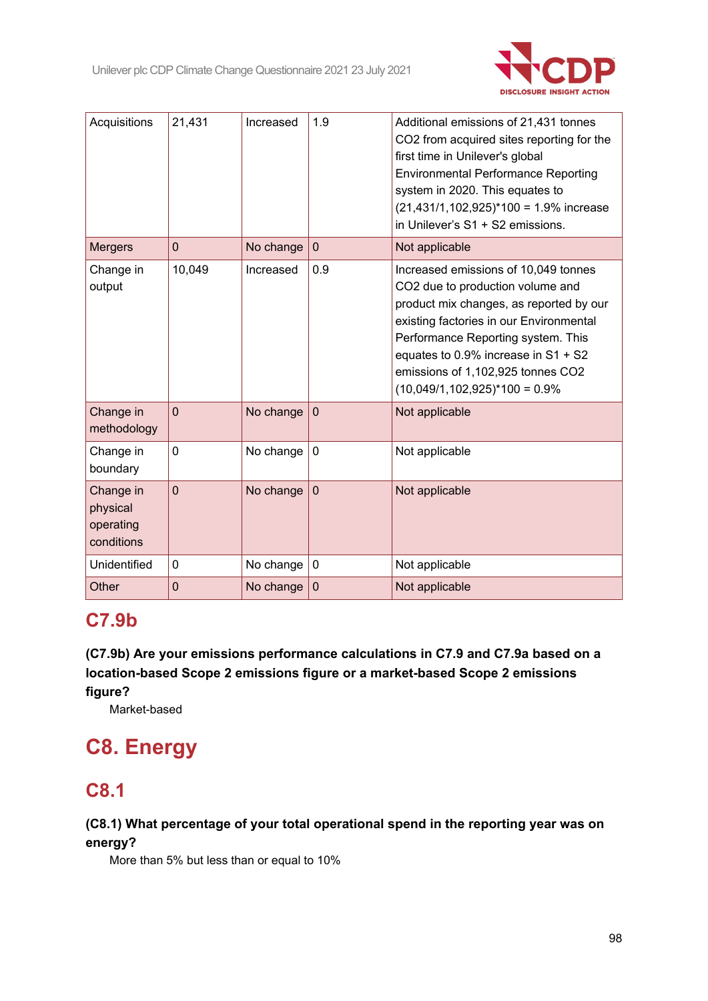

| Acquisitions                                     | 21,431         | Increased | 1.9          | Additional emissions of 21,431 tonnes<br>CO2 from acquired sites reporting for the<br>first time in Unilever's global<br><b>Environmental Performance Reporting</b><br>system in 2020. This equates to<br>$(21,431/1,102,925)^*100 = 1.9\%$ increase<br>in Unilever's S1 + S2 emissions.                             |
|--------------------------------------------------|----------------|-----------|--------------|----------------------------------------------------------------------------------------------------------------------------------------------------------------------------------------------------------------------------------------------------------------------------------------------------------------------|
| Mergers                                          | $\mathbf 0$    | No change | $\mathbf 0$  | Not applicable                                                                                                                                                                                                                                                                                                       |
| Change in<br>output                              | 10,049         | Increased | 0.9          | Increased emissions of 10,049 tonnes<br>CO2 due to production volume and<br>product mix changes, as reported by our<br>existing factories in our Environmental<br>Performance Reporting system. This<br>equates to 0.9% increase in S1 + S2<br>emissions of 1,102,925 tonnes CO2<br>$(10,049/1,102,925)^*100 = 0.9%$ |
| Change in<br>methodology                         | $\mathbf 0$    | No change | $\mathbf 0$  | Not applicable                                                                                                                                                                                                                                                                                                       |
| Change in<br>boundary                            | $\mathbf 0$    | No change | $\mathbf 0$  | Not applicable                                                                                                                                                                                                                                                                                                       |
| Change in<br>physical<br>operating<br>conditions | $\overline{0}$ | No change | $\mathbf{0}$ | Not applicable                                                                                                                                                                                                                                                                                                       |
| Unidentified                                     | 0              | No change | $\pmb{0}$    | Not applicable                                                                                                                                                                                                                                                                                                       |
| Other                                            | $\overline{0}$ | No change | $\mathbf 0$  | Not applicable                                                                                                                                                                                                                                                                                                       |

# **C7.9b**

**(C7.9b) Are your emissions performance calculations in C7.9 and C7.9a based on a location-based Scope 2 emissions figure or a market-based Scope 2 emissions figure?**

Market-based

# **C8. Energy**

# **C8.1**

# **(C8.1) What percentage of your total operational spend in the reporting year was on energy?**

More than 5% but less than or equal to 10%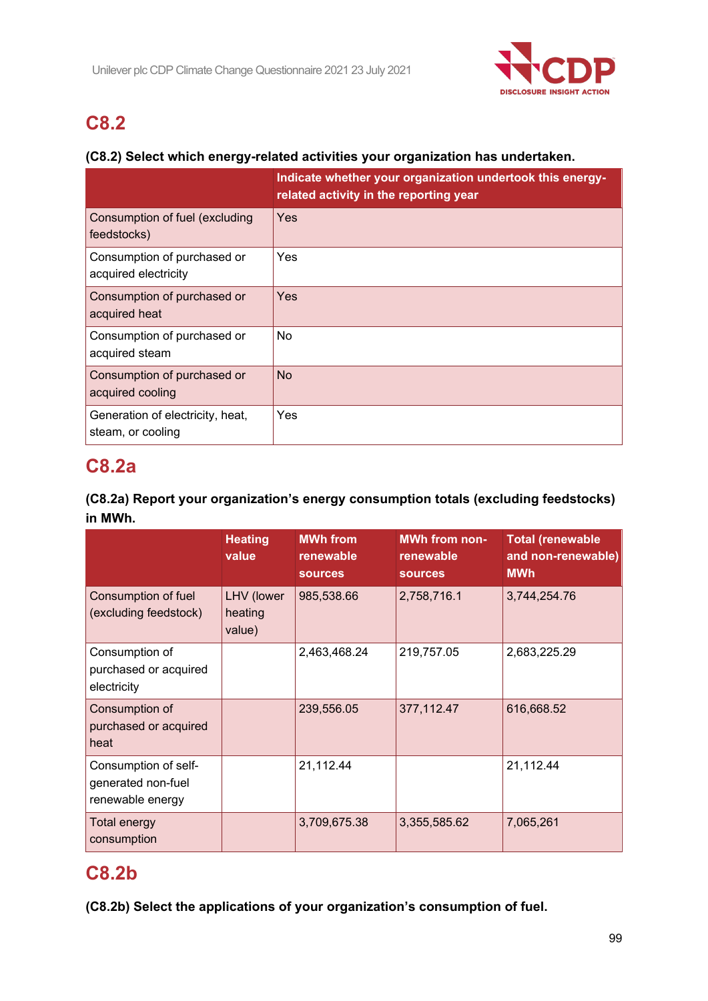

# **C8.2**

# **(C8.2) Select which energy-related activities your organization has undertaken.**

|                                                       | Indicate whether your organization undertook this energy-<br>related activity in the reporting year |
|-------------------------------------------------------|-----------------------------------------------------------------------------------------------------|
| Consumption of fuel (excluding<br>feedstocks)         | <b>Yes</b>                                                                                          |
| Consumption of purchased or<br>acquired electricity   | Yes                                                                                                 |
| Consumption of purchased or<br>acquired heat          | <b>Yes</b>                                                                                          |
| Consumption of purchased or<br>acquired steam         | No.                                                                                                 |
| Consumption of purchased or<br>acquired cooling       | <b>No</b>                                                                                           |
| Generation of electricity, heat,<br>steam, or cooling | Yes                                                                                                 |

# **C8.2a**

# **(C8.2a) Report your organization's energy consumption totals (excluding feedstocks) in MWh.**

|                                                                | <b>Heating</b><br>value         | <b>MWh from</b><br>renewable<br><b>sources</b> | <b>MWh from non-</b><br>renewable<br><b>sources</b> | <b>Total (renewable</b><br>and non-renewable)<br><b>MWh</b> |
|----------------------------------------------------------------|---------------------------------|------------------------------------------------|-----------------------------------------------------|-------------------------------------------------------------|
| Consumption of fuel<br>(excluding feedstock)                   | LHV (lower<br>heating<br>value) | 985,538.66                                     | 2,758,716.1                                         | 3,744,254.76                                                |
| Consumption of<br>purchased or acquired<br>electricity         |                                 | 2,463,468.24                                   | 219,757.05                                          | 2,683,225.29                                                |
| Consumption of<br>purchased or acquired<br>heat                |                                 | 239,556.05                                     | 377,112.47                                          | 616,668.52                                                  |
| Consumption of self-<br>generated non-fuel<br>renewable energy |                                 | 21,112.44                                      |                                                     | 21,112.44                                                   |
| <b>Total energy</b><br>consumption                             |                                 | 3,709,675.38                                   | 3,355,585.62                                        | 7,065,261                                                   |

# **C8.2b**

**(C8.2b) Select the applications of your organization's consumption of fuel.**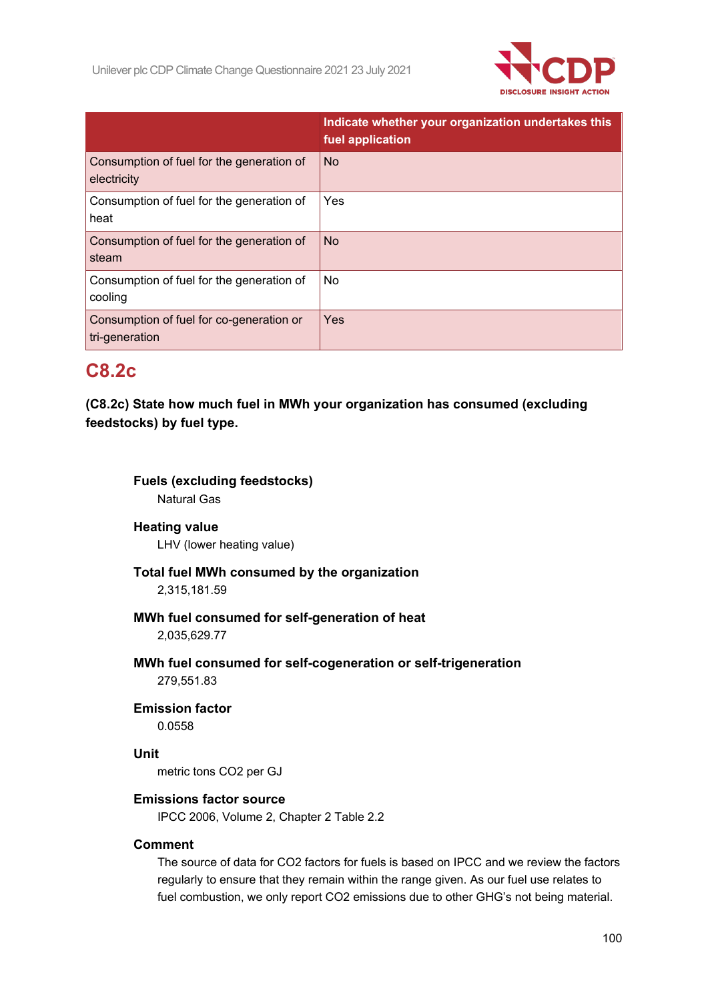

|                                                            | Indicate whether your organization undertakes this<br>fuel application |
|------------------------------------------------------------|------------------------------------------------------------------------|
| Consumption of fuel for the generation of<br>electricity   | <b>No</b>                                                              |
| Consumption of fuel for the generation of<br>heat          | Yes                                                                    |
| Consumption of fuel for the generation of<br>steam         | <b>No</b>                                                              |
| Consumption of fuel for the generation of<br>cooling       | No                                                                     |
| Consumption of fuel for co-generation or<br>tri-generation | Yes                                                                    |

# **C8.2c**

**(C8.2c) State how much fuel in MWh your organization has consumed (excluding feedstocks) by fuel type.**

# **Fuels (excluding feedstocks)**

Natural Gas

# **Heating value**

LHV (lower heating value)

# **Total fuel MWh consumed by the organization**

2,315,181.59

# **MWh fuel consumed for self-generation of heat**

2,035,629.77

# **MWh fuel consumed for self-cogeneration or self-trigeneration**

279,551.83

# **Emission factor**

0.0558

# **Unit**

metric tons CO2 per GJ

# **Emissions factor source**

IPCC 2006, Volume 2, Chapter 2 Table 2.2

#### **Comment**

The source of data for CO2 factors for fuels is based on IPCC and we review the factors regularly to ensure that they remain within the range given. As our fuel use relates to fuel combustion, we only report CO2 emissions due to other GHG's not being material.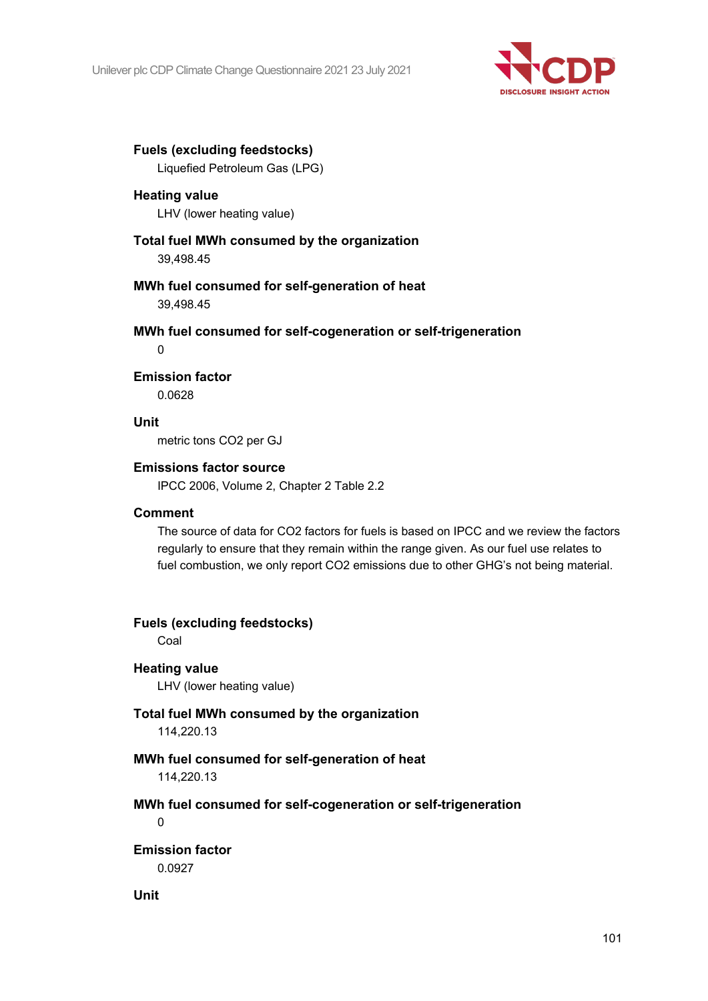

# **Fuels (excluding feedstocks)**

Liquefied Petroleum Gas (LPG)

#### **Heating value**

LHV (lower heating value)

# **Total fuel MWh consumed by the organization**

39,498.45

# **MWh fuel consumed for self-generation of heat**

39,498.45

# **MWh fuel consumed for self-cogeneration or self-trigeneration**

 $\Omega$ 

# **Emission factor**

0.0628

# **Unit**

metric tons CO2 per GJ

# **Emissions factor source**

IPCC 2006, Volume 2, Chapter 2 Table 2.2

#### **Comment**

The source of data for CO2 factors for fuels is based on IPCC and we review the factors regularly to ensure that they remain within the range given. As our fuel use relates to fuel combustion, we only report CO2 emissions due to other GHG's not being material.

# **Fuels (excluding feedstocks)**

Coal

# **Heating value**

LHV (lower heating value)

# **Total fuel MWh consumed by the organization**

114,220.13

# **MWh fuel consumed for self-generation of heat**

114,220.13

# **MWh fuel consumed for self-cogeneration or self-trigeneration**

 $\Omega$ 

# **Emission factor**

0.0927

# **Unit**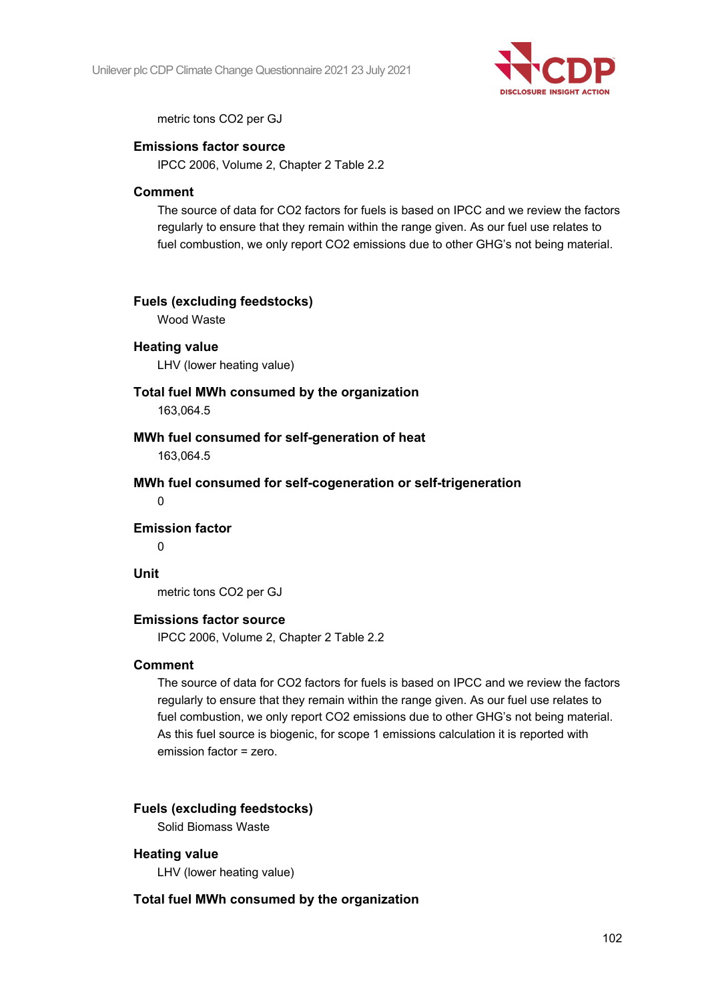

metric tons CO2 per GJ

#### **Emissions factor source**

IPCC 2006, Volume 2, Chapter 2 Table 2.2

#### **Comment**

The source of data for CO2 factors for fuels is based on IPCC and we review the factors regularly to ensure that they remain within the range given. As our fuel use relates to fuel combustion, we only report CO2 emissions due to other GHG's not being material.

### **Fuels (excluding feedstocks)**

Wood Waste

#### **Heating value**

LHV (lower heating value)

# **Total fuel MWh consumed by the organization**

163,064.5

**MWh fuel consumed for self-generation of heat**

163,064.5

**MWh fuel consumed for self-cogeneration or self-trigeneration**

 $\Omega$ 

#### **Emission factor**

 $\Omega$ 

# **Unit**

metric tons CO2 per GJ

# **Emissions factor source**

IPCC 2006, Volume 2, Chapter 2 Table 2.2

# **Comment**

The source of data for CO2 factors for fuels is based on IPCC and we review the factors regularly to ensure that they remain within the range given. As our fuel use relates to fuel combustion, we only report CO2 emissions due to other GHG's not being material. As this fuel source is biogenic, for scope 1 emissions calculation it is reported with emission factor = zero.

# **Fuels (excluding feedstocks)**

Solid Biomass Waste

# **Heating value**

LHV (lower heating value)

**Total fuel MWh consumed by the organization**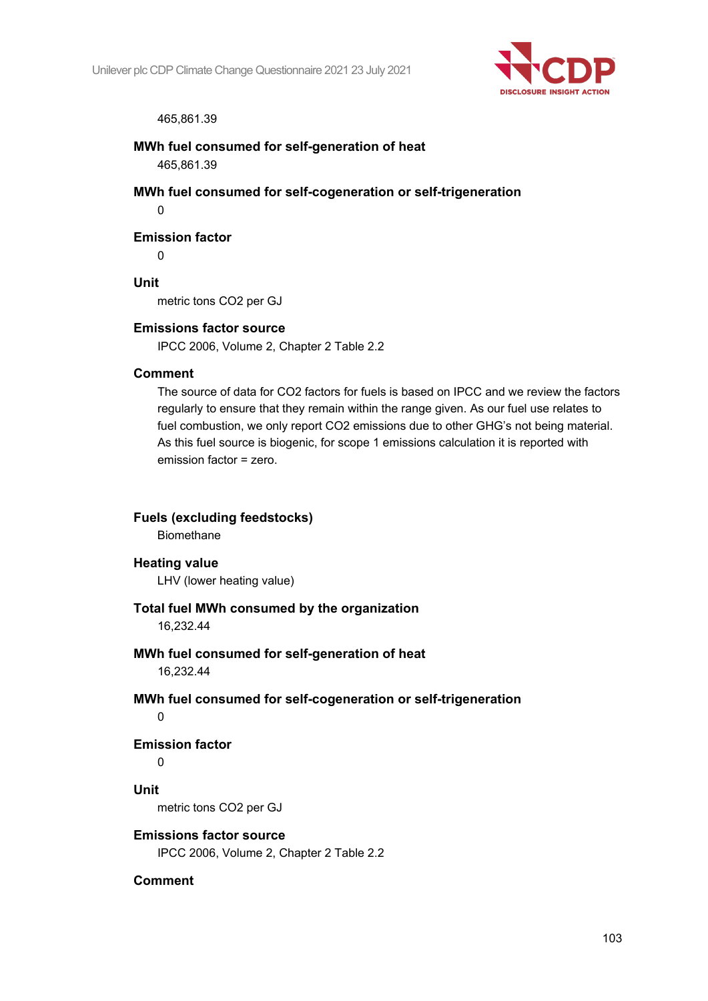

#### 465,861.39

# **MWh fuel consumed for self-generation of heat**

465,861.39

# **MWh fuel consumed for self-cogeneration or self-trigeneration**

 $\Omega$ 

# **Emission factor**

 $\Omega$ 

# **Unit**

metric tons CO2 per GJ

#### **Emissions factor source**

IPCC 2006, Volume 2, Chapter 2 Table 2.2

#### **Comment**

The source of data for CO2 factors for fuels is based on IPCC and we review the factors regularly to ensure that they remain within the range given. As our fuel use relates to fuel combustion, we only report CO2 emissions due to other GHG's not being material. As this fuel source is biogenic, for scope 1 emissions calculation it is reported with emission factor = zero.

# **Fuels (excluding feedstocks)**

Biomethane

#### **Heating value**

LHV (lower heating value)

#### **Total fuel MWh consumed by the organization**

16,232.44

#### **MWh fuel consumed for self-generation of heat** 16,232.44

# **MWh fuel consumed for self-cogeneration or self-trigeneration**

# $\Omega$

**Emission factor**

# $\Omega$

# **Unit**

metric tons CO2 per GJ

#### **Emissions factor source**

IPCC 2006, Volume 2, Chapter 2 Table 2.2

#### **Comment**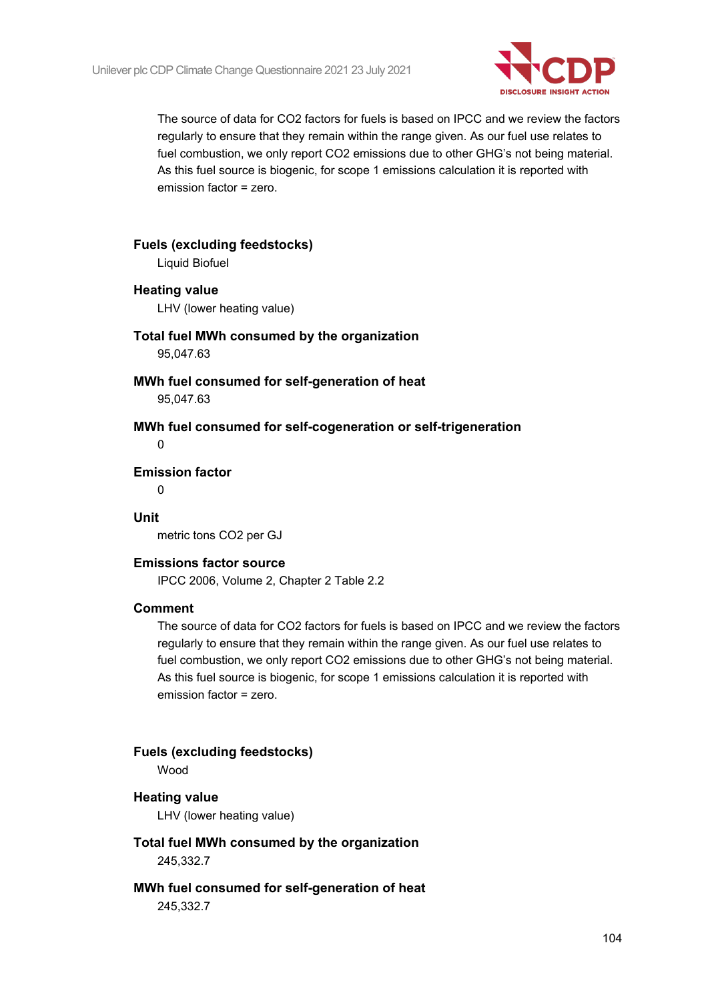

The source of data for CO2 factors for fuels is based on IPCC and we review the factors regularly to ensure that they remain within the range given. As our fuel use relates to fuel combustion, we only report CO2 emissions due to other GHG's not being material. As this fuel source is biogenic, for scope 1 emissions calculation it is reported with emission factor = zero.

# **Fuels (excluding feedstocks)**

Liquid Biofuel

#### **Heating value**

LHV (lower heating value)

**Total fuel MWh consumed by the organization** 95,047.63

**MWh fuel consumed for self-generation of heat** 95,047.63

**MWh fuel consumed for self-cogeneration or self-trigeneration**

 $\Omega$ 

# **Emission factor**

 $\Omega$ 

# **Unit**

metric tons CO2 per GJ

#### **Emissions factor source**

IPCC 2006, Volume 2, Chapter 2 Table 2.2

# **Comment**

The source of data for CO2 factors for fuels is based on IPCC and we review the factors regularly to ensure that they remain within the range given. As our fuel use relates to fuel combustion, we only report CO2 emissions due to other GHG's not being material. As this fuel source is biogenic, for scope 1 emissions calculation it is reported with emission factor = zero.

# **Fuels (excluding feedstocks)**

Wood

# **Heating value**

LHV (lower heating value)

**Total fuel MWh consumed by the organization** 245,332.7

# **MWh fuel consumed for self-generation of heat** 245,332.7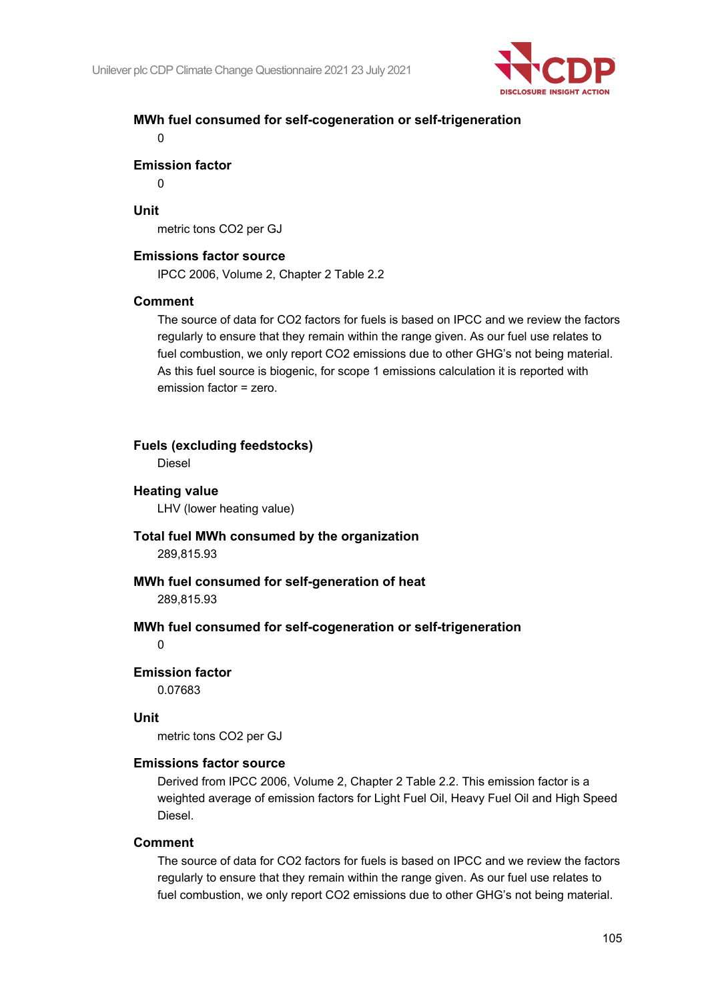

# **MWh fuel consumed for self-cogeneration or self-trigeneration**

 $\theta$ 

# **Emission factor**

 $\Omega$ 

# **Unit**

metric tons CO2 per GJ

# **Emissions factor source**

IPCC 2006, Volume 2, Chapter 2 Table 2.2

#### **Comment**

The source of data for CO2 factors for fuels is based on IPCC and we review the factors regularly to ensure that they remain within the range given. As our fuel use relates to fuel combustion, we only report CO2 emissions due to other GHG's not being material. As this fuel source is biogenic, for scope 1 emissions calculation it is reported with emission factor = zero.

# **Fuels (excluding feedstocks)**

Diesel

# **Heating value**

LHV (lower heating value)

#### **Total fuel MWh consumed by the organization** 289,815.93

**MWh fuel consumed for self-generation of heat**

289,815.93

#### **MWh fuel consumed for self-cogeneration or self-trigeneration**

 $\Omega$ 

#### **Emission factor**

0.07683

#### **Unit**

metric tons CO2 per GJ

#### **Emissions factor source**

Derived from IPCC 2006, Volume 2, Chapter 2 Table 2.2. This emission factor is a weighted average of emission factors for Light Fuel Oil, Heavy Fuel Oil and High Speed Diesel.

#### **Comment**

The source of data for CO2 factors for fuels is based on IPCC and we review the factors regularly to ensure that they remain within the range given. As our fuel use relates to fuel combustion, we only report CO2 emissions due to other GHG's not being material.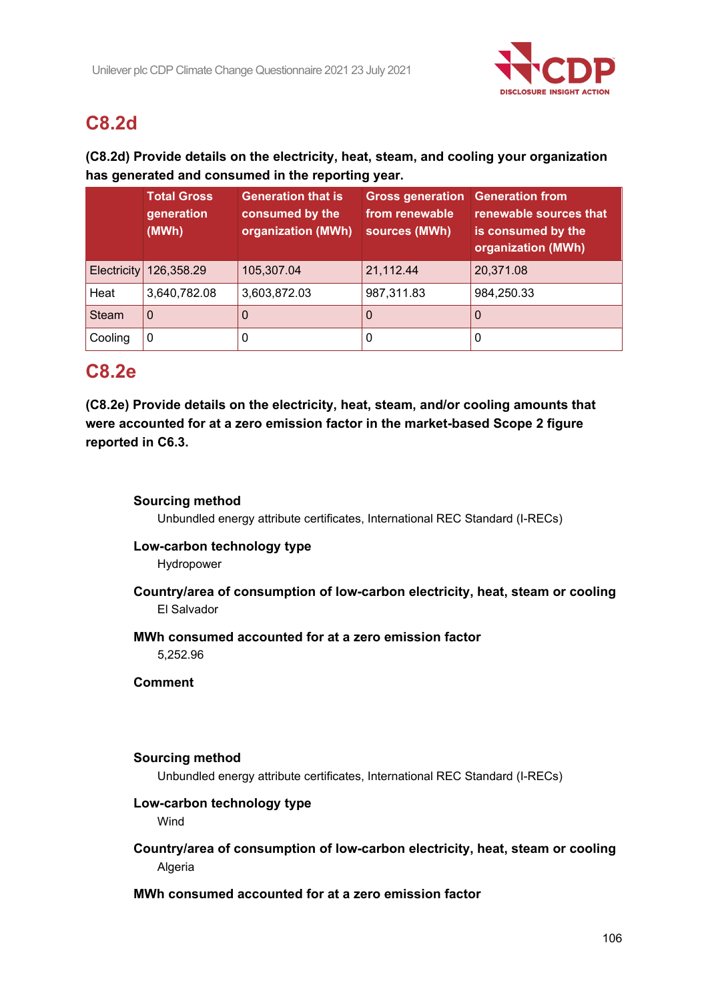

# **C8.2d**

# **(C8.2d) Provide details on the electricity, heat, steam, and cooling your organization has generated and consumed in the reporting year.**

|              | <b>Total Gross</b><br>generation<br>(MWh) | <b>Generation that is</b><br>consumed by the<br>organization (MWh) | <b>Gross generation</b><br>from renewable<br>sources (MWh) | <b>Generation from</b><br>renewable sources that<br>is consumed by the<br>organization (MWh) |
|--------------|-------------------------------------------|--------------------------------------------------------------------|------------------------------------------------------------|----------------------------------------------------------------------------------------------|
| Electricity  | 126,358.29                                | 105,307.04                                                         | 21,112.44                                                  | 20,371.08                                                                                    |
| Heat         | 3,640,782.08                              | 3,603,872.03                                                       | 987,311.83                                                 | 984,250.33                                                                                   |
| <b>Steam</b> | 0                                         | Ü                                                                  | O                                                          | 0                                                                                            |
| Cooling      | 0                                         | U                                                                  | 0                                                          | 0                                                                                            |

# **C8.2e**

**(C8.2e) Provide details on the electricity, heat, steam, and/or cooling amounts that were accounted for at a zero emission factor in the market-based Scope 2 figure reported in C6.3.**

# **Sourcing method**

Unbundled energy attribute certificates, International REC Standard (I-RECs)

# **Low-carbon technology type**

Hydropower

**Country/area of consumption of low-carbon electricity, heat, steam or cooling** El Salvador

# **MWh consumed accounted for at a zero emission factor**

5,252.96

**Comment**

# **Sourcing method**

Unbundled energy attribute certificates, International REC Standard (I-RECs)

# **Low-carbon technology type**

**Wind** 

# **Country/area of consumption of low-carbon electricity, heat, steam or cooling** Algeria

# **MWh consumed accounted for at a zero emission factor**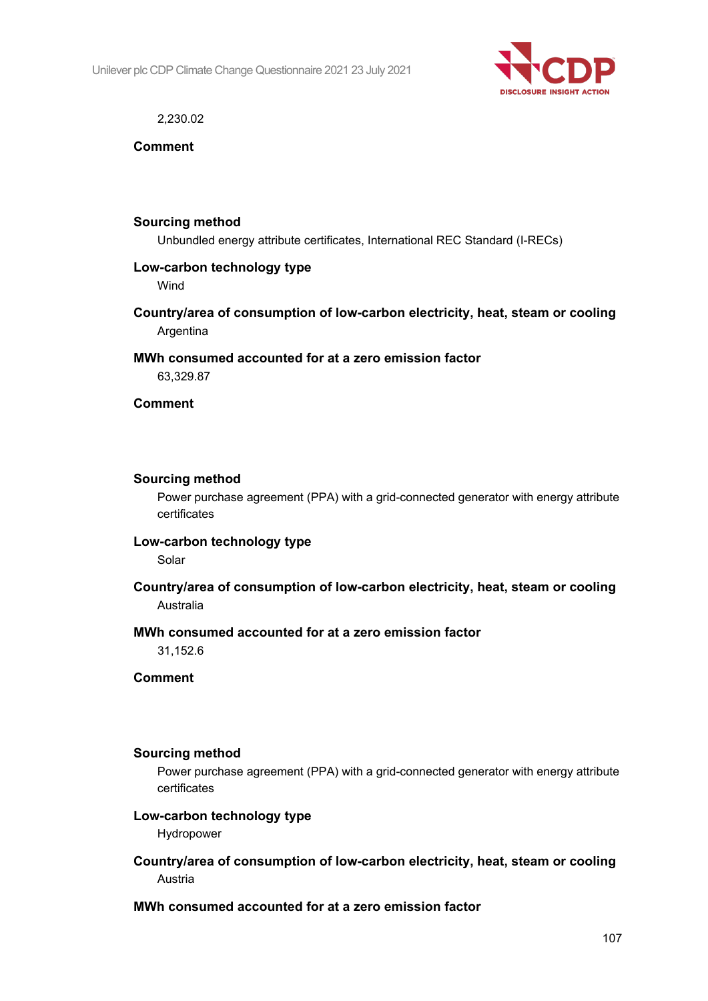

2,230.02

**Comment**

# **Sourcing method**

Unbundled energy attribute certificates, International REC Standard (I-RECs)

# **Low-carbon technology type**

Wind

**Country/area of consumption of low-carbon electricity, heat, steam or cooling** Argentina

**MWh consumed accounted for at a zero emission factor** 63,329.87

**Comment**

#### **Sourcing method**

Power purchase agreement (PPA) with a grid-connected generator with energy attribute certificates

### **Low-carbon technology type**

Solar

**Country/area of consumption of low-carbon electricity, heat, steam or cooling** Australia

#### **MWh consumed accounted for at a zero emission factor**

31,152.6

**Comment**

#### **Sourcing method**

Power purchase agreement (PPA) with a grid-connected generator with energy attribute certificates

#### **Low-carbon technology type**

Hydropower

**Country/area of consumption of low-carbon electricity, heat, steam or cooling** Austria

# **MWh consumed accounted for at a zero emission factor**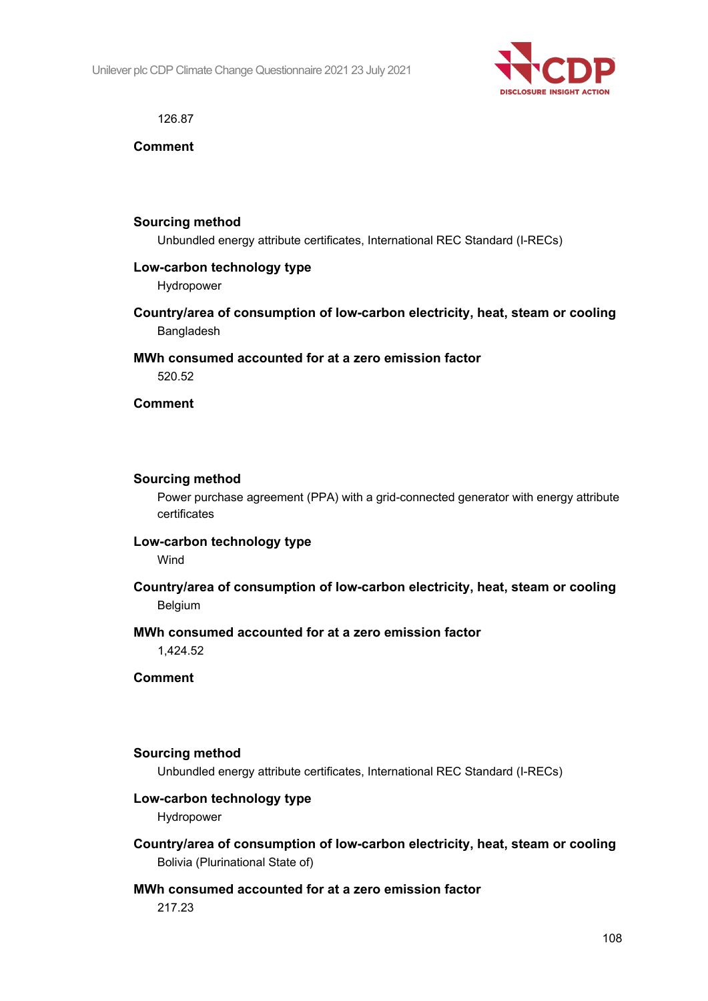

126.87

**Comment**

#### **Sourcing method**

Unbundled energy attribute certificates, International REC Standard (I-RECs)

#### **Low-carbon technology type**

Hydropower

**Country/area of consumption of low-carbon electricity, heat, steam or cooling** Bangladesh

**MWh consumed accounted for at a zero emission factor**

520.52

**Comment**

#### **Sourcing method**

Power purchase agreement (PPA) with a grid-connected generator with energy attribute certificates

#### **Low-carbon technology type**

Wind

**Country/area of consumption of low-carbon electricity, heat, steam or cooling** Belgium

#### **MWh consumed accounted for at a zero emission factor**

1,424.52

**Comment**

#### **Sourcing method**

Unbundled energy attribute certificates, International REC Standard (I-RECs)

#### **Low-carbon technology type**

Hydropower

**Country/area of consumption of low-carbon electricity, heat, steam or cooling** Bolivia (Plurinational State of)

#### **MWh consumed accounted for at a zero emission factor**

217.23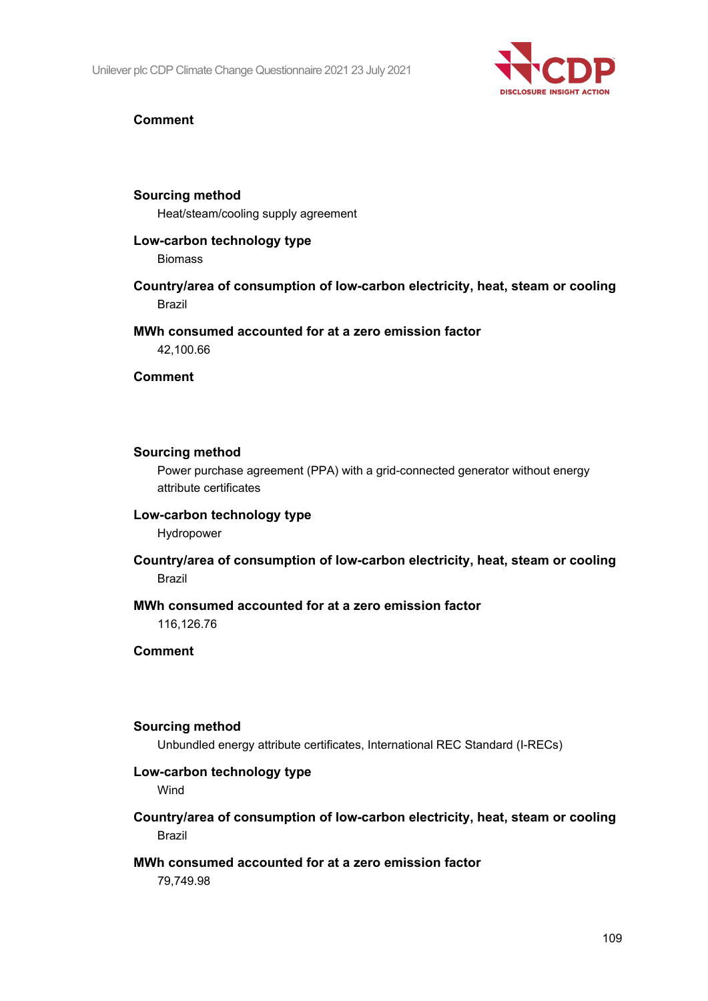

# **Sourcing method**

Heat/steam/cooling supply agreement

# **Low-carbon technology type**

Biomass

# **Country/area of consumption of low-carbon electricity, heat, steam or cooling** Brazil

### **MWh consumed accounted for at a zero emission factor**

42,100.66

### **Comment**

#### **Sourcing method**

Power purchase agreement (PPA) with a grid-connected generator without energy attribute certificates

# **Low-carbon technology type**

Hydropower

# **Country/area of consumption of low-carbon electricity, heat, steam or cooling** Brazil

#### **MWh consumed accounted for at a zero emission factor**

116,126.76

#### **Comment**

#### **Sourcing method**

Unbundled energy attribute certificates, International REC Standard (I-RECs)

#### **Low-carbon technology type**

Wind

# **Country/area of consumption of low-carbon electricity, heat, steam or cooling** Brazil

# **MWh consumed accounted for at a zero emission factor**

79,749.98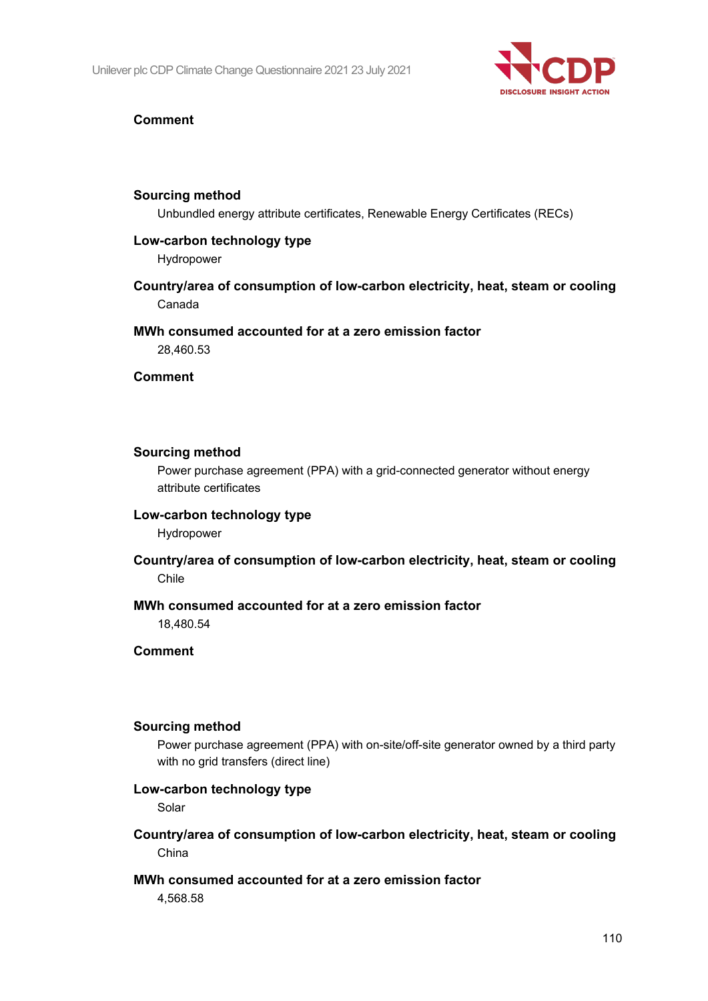

# **Sourcing method**

Unbundled energy attribute certificates, Renewable Energy Certificates (RECs)

### **Low-carbon technology type**

Hydropower

# **Country/area of consumption of low-carbon electricity, heat, steam or cooling** Canada

**MWh consumed accounted for at a zero emission factor**

28,460.53

#### **Comment**

#### **Sourcing method**

Power purchase agreement (PPA) with a grid-connected generator without energy attribute certificates

# **Low-carbon technology type**

Hydropower

# **Country/area of consumption of low-carbon electricity, heat, steam or cooling** Chile

#### **MWh consumed accounted for at a zero emission factor**

18,480.54

### **Comment**

#### **Sourcing method**

Power purchase agreement (PPA) with on-site/off-site generator owned by a third party with no grid transfers (direct line)

# **Low-carbon technology type**

Solar

**Country/area of consumption of low-carbon electricity, heat, steam or cooling** China

# **MWh consumed accounted for at a zero emission factor**

4,568.58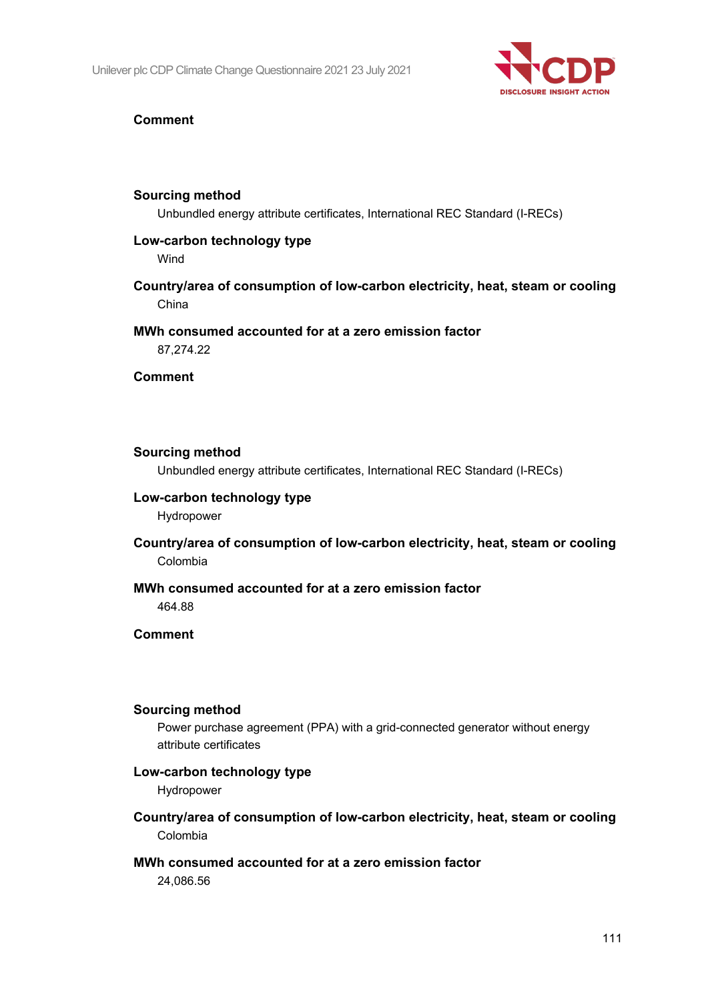

# **Sourcing method**

Unbundled energy attribute certificates, International REC Standard (I-RECs)

### **Low-carbon technology type**

Wind

# **Country/area of consumption of low-carbon electricity, heat, steam or cooling** China

# **MWh consumed accounted for at a zero emission factor**

87,274.22

#### **Comment**

#### **Sourcing method**

Unbundled energy attribute certificates, International REC Standard (I-RECs)

#### **Low-carbon technology type**

Hydropower

**Country/area of consumption of low-carbon electricity, heat, steam or cooling** Colombia

# **MWh consumed accounted for at a zero emission factor** 464.88

# **Comment**

#### **Sourcing method**

Power purchase agreement (PPA) with a grid-connected generator without energy attribute certificates

#### **Low-carbon technology type**

Hydropower

- **Country/area of consumption of low-carbon electricity, heat, steam or cooling** Colombia
- **MWh consumed accounted for at a zero emission factor**

24,086.56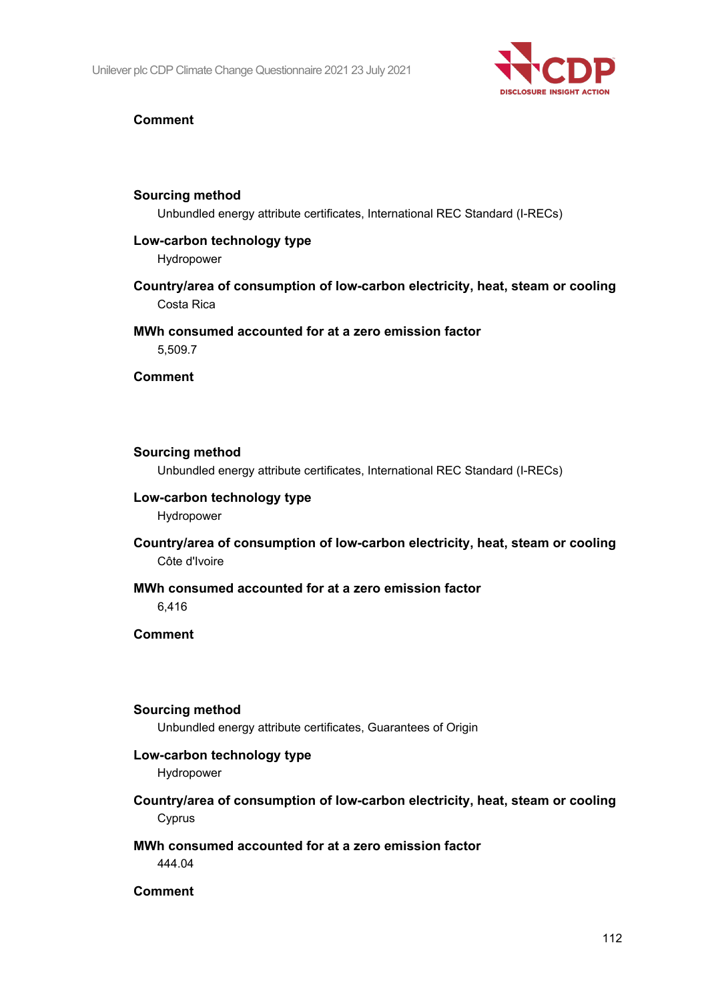

# **Sourcing method**

Unbundled energy attribute certificates, International REC Standard (I-RECs)

# **Low-carbon technology type**

Hydropower

# **Country/area of consumption of low-carbon electricity, heat, steam or cooling** Costa Rica

# **MWh consumed accounted for at a zero emission factor**

5,509.7

# **Comment**

# **Sourcing method**

Unbundled energy attribute certificates, International REC Standard (I-RECs)

# **Low-carbon technology type**

Hydropower

**Country/area of consumption of low-carbon electricity, heat, steam or cooling** Côte d'Ivoire

### **MWh consumed accounted for at a zero emission factor** 6,416

#### **Comment**

#### **Sourcing method**

Unbundled energy attribute certificates, Guarantees of Origin

# **Low-carbon technology type**

Hydropower

# **Country/area of consumption of low-carbon electricity, heat, steam or cooling** Cyprus

# **MWh consumed accounted for at a zero emission factor**

444.04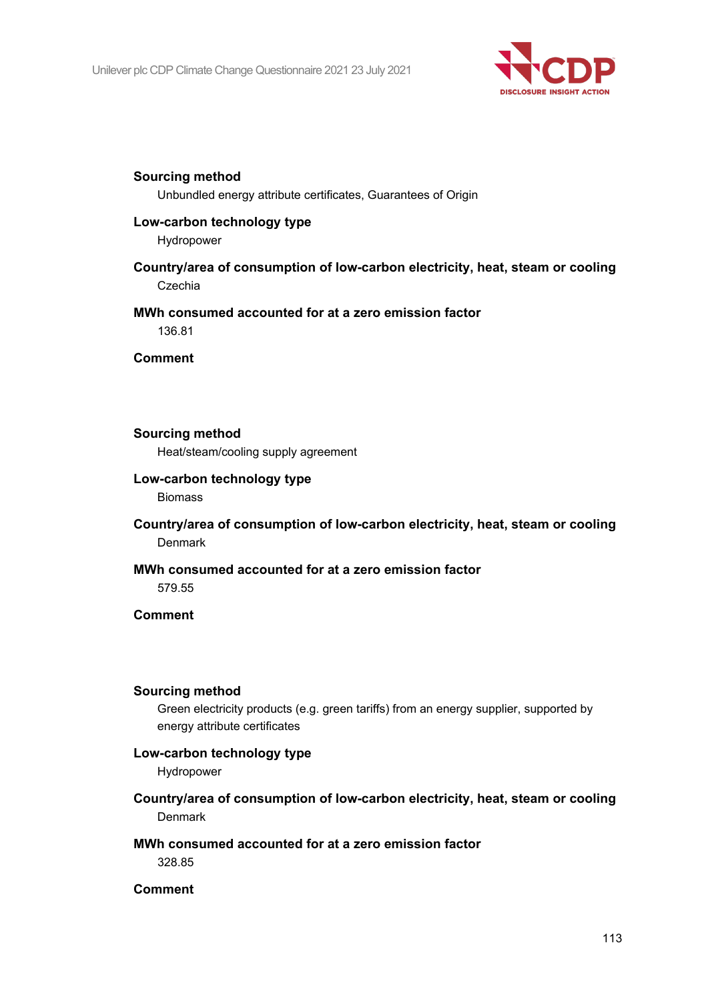

Unbundled energy attribute certificates, Guarantees of Origin

# **Low-carbon technology type**

Hydropower

# **Country/area of consumption of low-carbon electricity, heat, steam or cooling** Czechia

#### **MWh consumed accounted for at a zero emission factor**

136.81

**Comment**

# **Sourcing method**

Heat/steam/cooling supply agreement

# **Low-carbon technology type**

**Biomass** 

**Country/area of consumption of low-carbon electricity, heat, steam or cooling** Denmark

# **MWh consumed accounted for at a zero emission factor** 579.55

#### **Comment**

#### **Sourcing method**

Green electricity products (e.g. green tariffs) from an energy supplier, supported by energy attribute certificates

#### **Low-carbon technology type**

Hydropower

**Country/area of consumption of low-carbon electricity, heat, steam or cooling** Denmark

# **MWh consumed accounted for at a zero emission factor**

328.85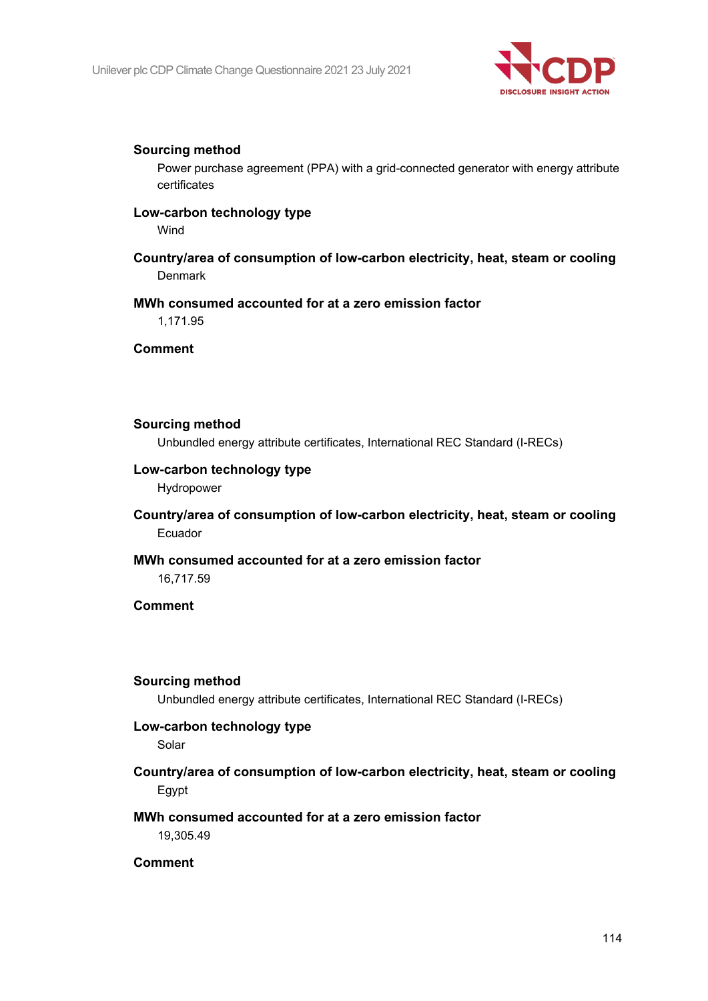

Power purchase agreement (PPA) with a grid-connected generator with energy attribute certificates

# **Low-carbon technology type**

Wind

**Country/area of consumption of low-carbon electricity, heat, steam or cooling** Denmark

#### **MWh consumed accounted for at a zero emission factor**

1,171.95

**Comment**

#### **Sourcing method**

Unbundled energy attribute certificates, International REC Standard (I-RECs)

#### **Low-carbon technology type**

Hydropower

**Country/area of consumption of low-carbon electricity, heat, steam or cooling** Ecuador

# **MWh consumed accounted for at a zero emission factor**

16,717.59

# **Comment**

#### **Sourcing method**

Unbundled energy attribute certificates, International REC Standard (I-RECs)

#### **Low-carbon technology type**

Solar

**Country/area of consumption of low-carbon electricity, heat, steam or cooling** Egypt

# **MWh consumed accounted for at a zero emission factor**

19,305.49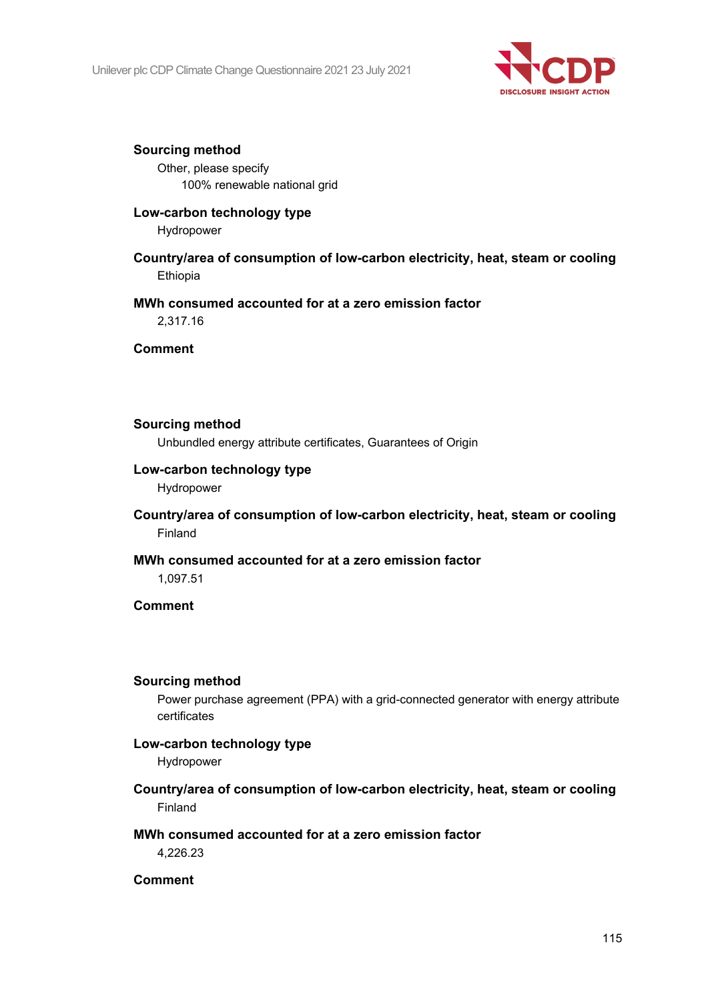

Other, please specify 100% renewable national grid

# **Low-carbon technology type**

Hydropower

# **Country/area of consumption of low-carbon electricity, heat, steam or cooling** Ethiopia

# **MWh consumed accounted for at a zero emission factor**

2,317.16

**Comment**

# **Sourcing method**

Unbundled energy attribute certificates, Guarantees of Origin

# **Low-carbon technology type**

Hydropower

# **Country/area of consumption of low-carbon electricity, heat, steam or cooling** Finland

# **MWh consumed accounted for at a zero emission factor**

1,097.51

# **Comment**

#### **Sourcing method**

Power purchase agreement (PPA) with a grid-connected generator with energy attribute certificates

# **Low-carbon technology type**

Hydropower

# **Country/area of consumption of low-carbon electricity, heat, steam or cooling** Finland

# **MWh consumed accounted for at a zero emission factor**

4,226.23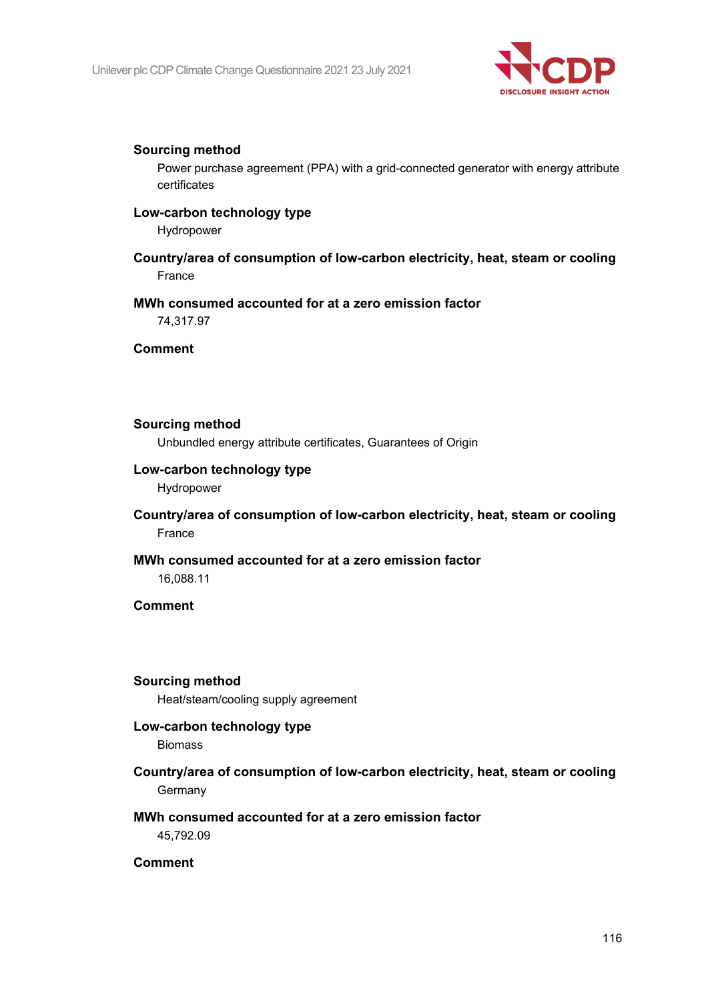

Power purchase agreement (PPA) with a grid-connected generator with energy attribute certificates

#### **Low-carbon technology type**

Hydropower

**Country/area of consumption of low-carbon electricity, heat, steam or cooling** France

# **MWh consumed accounted for at a zero emission factor**

74,317.97

**Comment**

#### **Sourcing method**

Unbundled energy attribute certificates, Guarantees of Origin

# **Low-carbon technology type**

Hydropower

# **Country/area of consumption of low-carbon electricity, heat, steam or cooling** France

#### **MWh consumed accounted for at a zero emission factor**

16,088.11

# **Comment**

#### **Sourcing method**

Heat/steam/cooling supply agreement

# **Low-carbon technology type**

Biomass

**Country/area of consumption of low-carbon electricity, heat, steam or cooling** Germany

# **MWh consumed accounted for at a zero emission factor**

45,792.09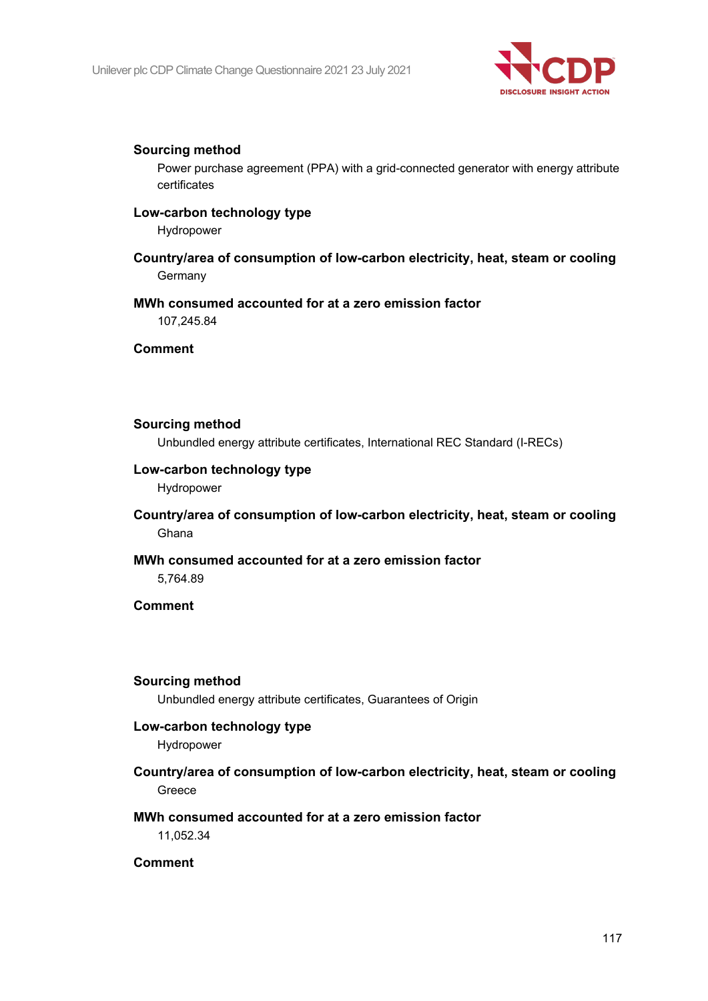

Power purchase agreement (PPA) with a grid-connected generator with energy attribute certificates

### **Low-carbon technology type**

Hydropower

**Country/area of consumption of low-carbon electricity, heat, steam or cooling Germany** 

# **MWh consumed accounted for at a zero emission factor**

107,245.84

**Comment**

# **Sourcing method**

Unbundled energy attribute certificates, International REC Standard (I-RECs)

# **Low-carbon technology type**

Hydropower

# **Country/area of consumption of low-carbon electricity, heat, steam or cooling** Ghana

#### **MWh consumed accounted for at a zero emission factor**

5,764.89

**Comment**

#### **Sourcing method**

Unbundled energy attribute certificates, Guarantees of Origin

#### **Low-carbon technology type**

Hydropower

**Country/area of consumption of low-carbon electricity, heat, steam or cooling Greece** 

# **MWh consumed accounted for at a zero emission factor**

11,052.34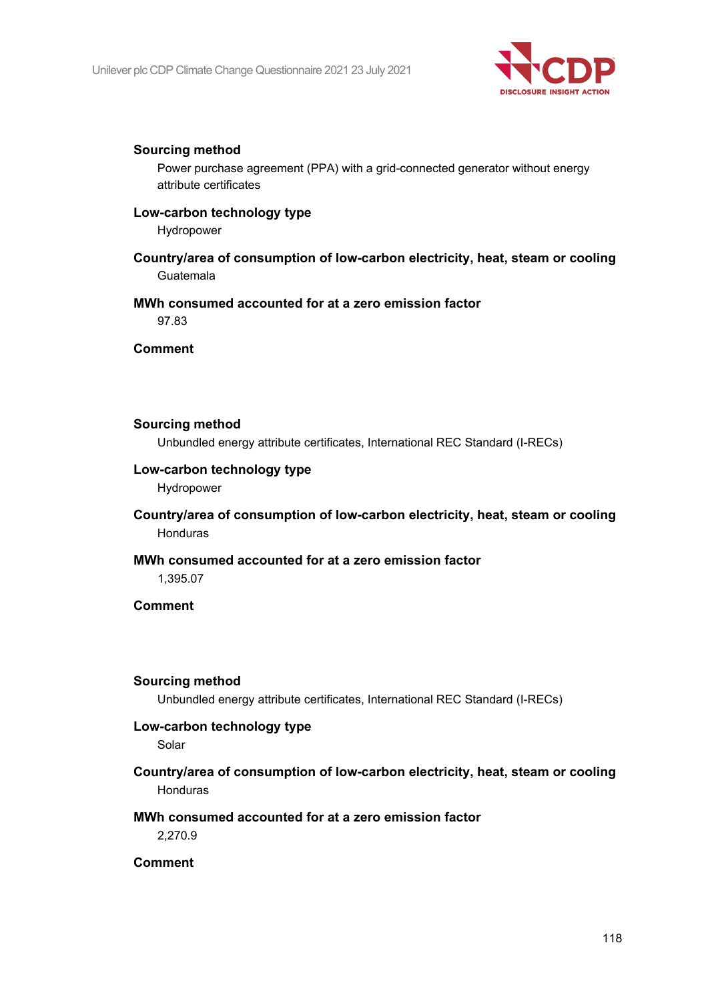

Power purchase agreement (PPA) with a grid-connected generator without energy attribute certificates

#### **Low-carbon technology type**

Hydropower

**Country/area of consumption of low-carbon electricity, heat, steam or cooling** Guatemala

# **MWh consumed accounted for at a zero emission factor**

97.83

**Comment**

#### **Sourcing method**

Unbundled energy attribute certificates, International REC Standard (I-RECs)

#### **Low-carbon technology type**

Hydropower

**Country/area of consumption of low-carbon electricity, heat, steam or cooling** Honduras

#### **MWh consumed accounted for at a zero emission factor**

1,395.07

# **Comment**

#### **Sourcing method**

Unbundled energy attribute certificates, International REC Standard (I-RECs)

# **Low-carbon technology type**

Solar

**Country/area of consumption of low-carbon electricity, heat, steam or cooling** Honduras

# **MWh consumed accounted for at a zero emission factor**

2,270.9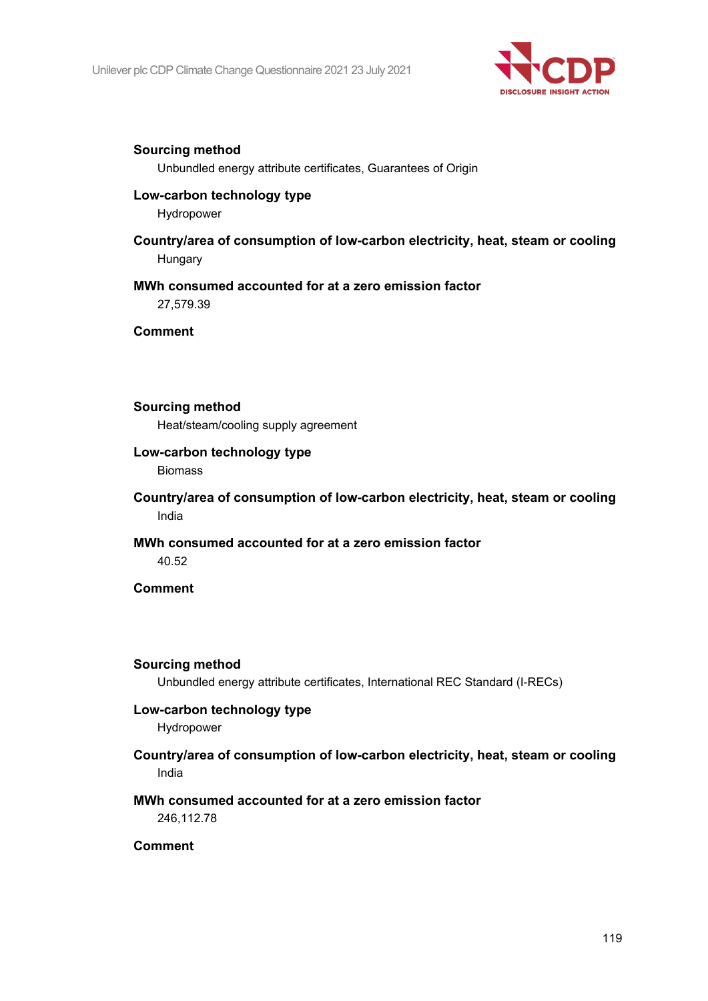

Unbundled energy attribute certificates, Guarantees of Origin

# **Low-carbon technology type**

Hydropower

# **Country/area of consumption of low-carbon electricity, heat, steam or cooling Hungary**

# **MWh consumed accounted for at a zero emission factor**

27,579.39

**Comment**

# **Sourcing method**

Heat/steam/cooling supply agreement

### **Low-carbon technology type**

**Biomass** 

# **Country/area of consumption of low-carbon electricity, heat, steam or cooling** India

# **MWh consumed accounted for at a zero emission factor**

40.52

# **Comment**

#### **Sourcing method**

Unbundled energy attribute certificates, International REC Standard (I-RECs)

# **Low-carbon technology type**

Hydropower

# **Country/area of consumption of low-carbon electricity, heat, steam or cooling** India

# **MWh consumed accounted for at a zero emission factor**

246,112.78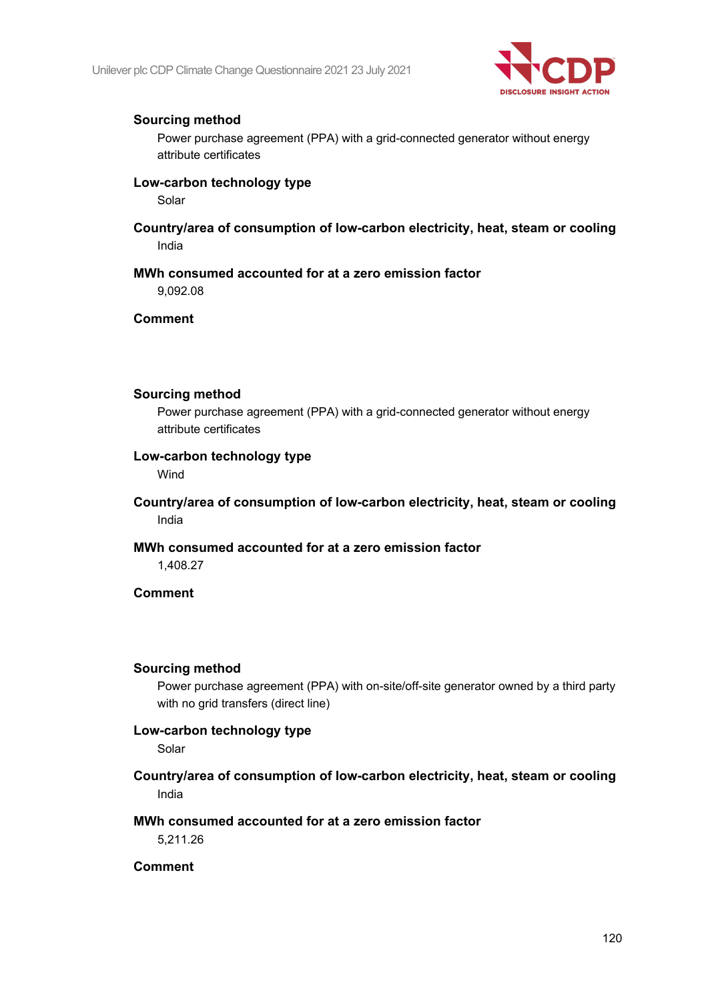

Power purchase agreement (PPA) with a grid-connected generator without energy attribute certificates

### **Low-carbon technology type**

Solar

**Country/area of consumption of low-carbon electricity, heat, steam or cooling** India

# **MWh consumed accounted for at a zero emission factor**

9,092.08

# **Comment**

#### **Sourcing method**

Power purchase agreement (PPA) with a grid-connected generator without energy attribute certificates

# **Low-carbon technology type**

Wind

**Country/area of consumption of low-carbon electricity, heat, steam or cooling** India

### **MWh consumed accounted for at a zero emission factor**

1,408.27

# **Comment**

#### **Sourcing method**

Power purchase agreement (PPA) with on-site/off-site generator owned by a third party with no grid transfers (direct line)

#### **Low-carbon technology type**

Solar

**Country/area of consumption of low-carbon electricity, heat, steam or cooling** India

#### **MWh consumed accounted for at a zero emission factor**

5,211.26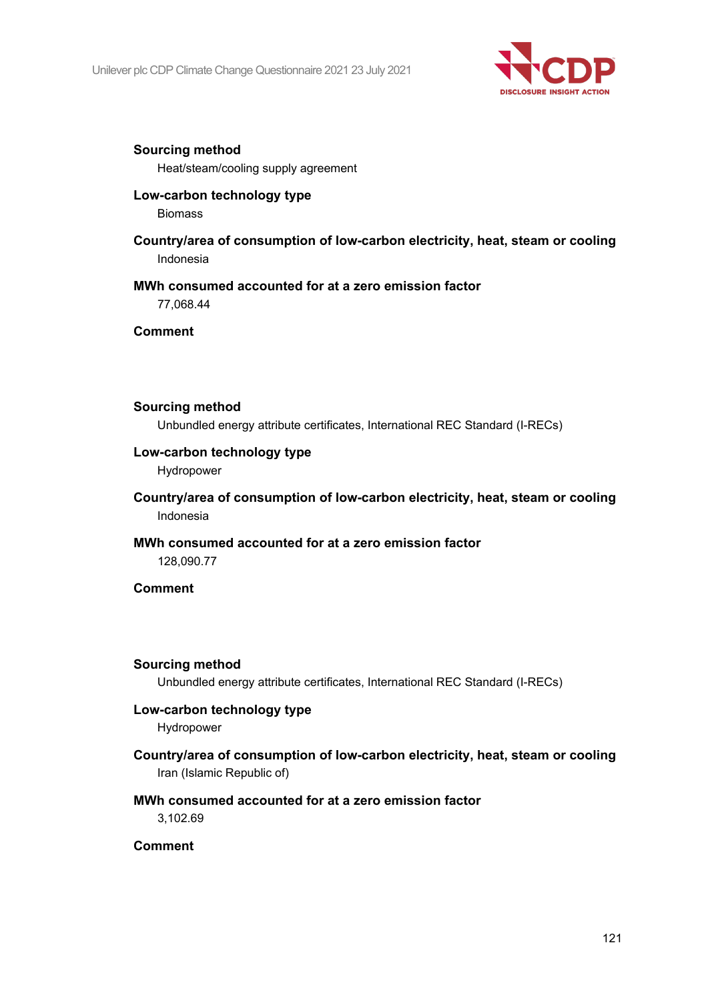

Heat/steam/cooling supply agreement

### **Low-carbon technology type**

Biomass

**Country/area of consumption of low-carbon electricity, heat, steam or cooling** Indonesia

#### **MWh consumed accounted for at a zero emission factor**

77,068.44

**Comment**

#### **Sourcing method**

Unbundled energy attribute certificates, International REC Standard (I-RECs)

# **Low-carbon technology type**

Hydropower

**Country/area of consumption of low-carbon electricity, heat, steam or cooling** Indonesia

# **MWh consumed accounted for at a zero emission factor**

128,090.77

# **Comment**

#### **Sourcing method**

Unbundled energy attribute certificates, International REC Standard (I-RECs)

# **Low-carbon technology type**

Hydropower

**Country/area of consumption of low-carbon electricity, heat, steam or cooling** Iran (Islamic Republic of)

# **MWh consumed accounted for at a zero emission factor**

3,102.69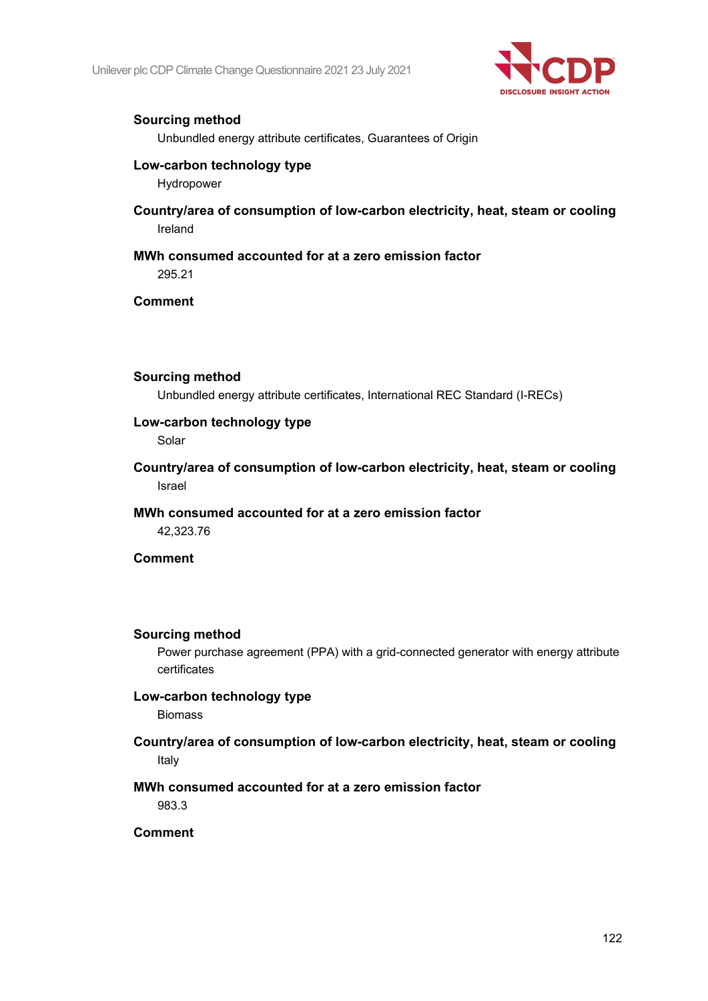

Unbundled energy attribute certificates, Guarantees of Origin

# **Low-carbon technology type**

Hydropower

**Country/area of consumption of low-carbon electricity, heat, steam or cooling** Ireland

# **MWh consumed accounted for at a zero emission factor** 295.21

**Comment**

#### **Sourcing method**

Unbundled energy attribute certificates, International REC Standard (I-RECs)

# **Low-carbon technology type**

Solar

**Country/area of consumption of low-carbon electricity, heat, steam or cooling** Israel

#### **MWh consumed accounted for at a zero emission factor**

42,323.76

**Comment**

#### **Sourcing method**

Power purchase agreement (PPA) with a grid-connected generator with energy attribute certificates

#### **Low-carbon technology type**

**Biomass** 

# **Country/area of consumption of low-carbon electricity, heat, steam or cooling** Italy

# **MWh consumed accounted for at a zero emission factor**

983.3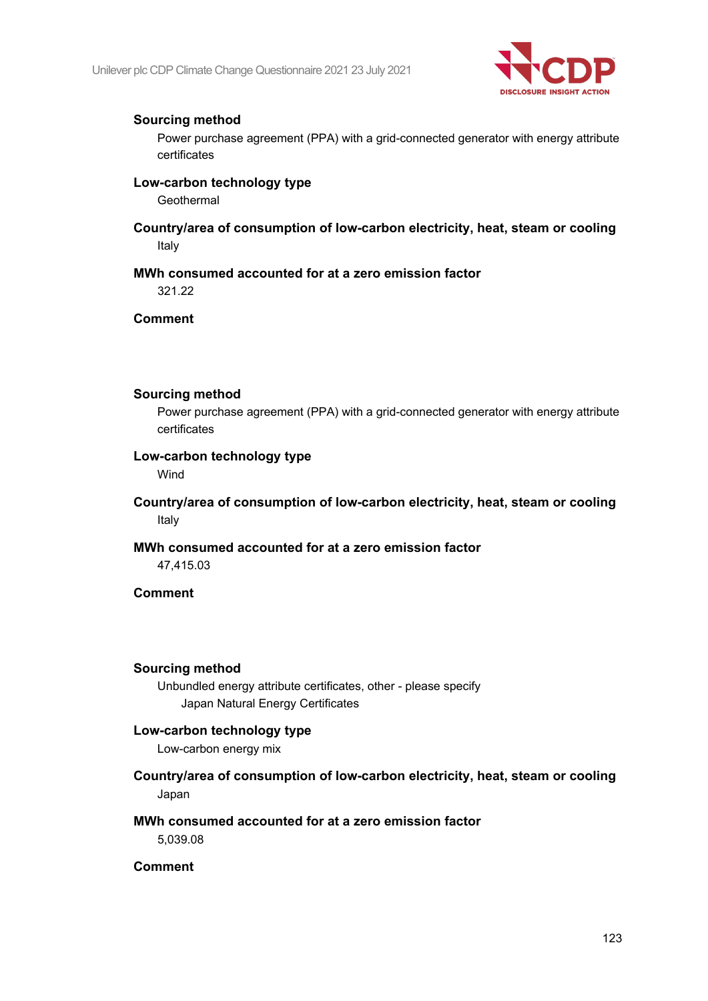

Power purchase agreement (PPA) with a grid-connected generator with energy attribute certificates

# **Low-carbon technology type**

**Geothermal** 

**Country/area of consumption of low-carbon electricity, heat, steam or cooling** Italy

#### **MWh consumed accounted for at a zero emission factor**

321.22

**Comment**

#### **Sourcing method**

Power purchase agreement (PPA) with a grid-connected generator with energy attribute certificates

# **Low-carbon technology type**

Wind

**Country/area of consumption of low-carbon electricity, heat, steam or cooling** Italy

### **MWh consumed accounted for at a zero emission factor**

47,415.03

# **Comment**

#### **Sourcing method**

Unbundled energy attribute certificates, other - please specify Japan Natural Energy Certificates

# **Low-carbon technology type**

Low-carbon energy mix

**Country/area of consumption of low-carbon electricity, heat, steam or cooling** Japan

# **MWh consumed accounted for at a zero emission factor** 5,039.08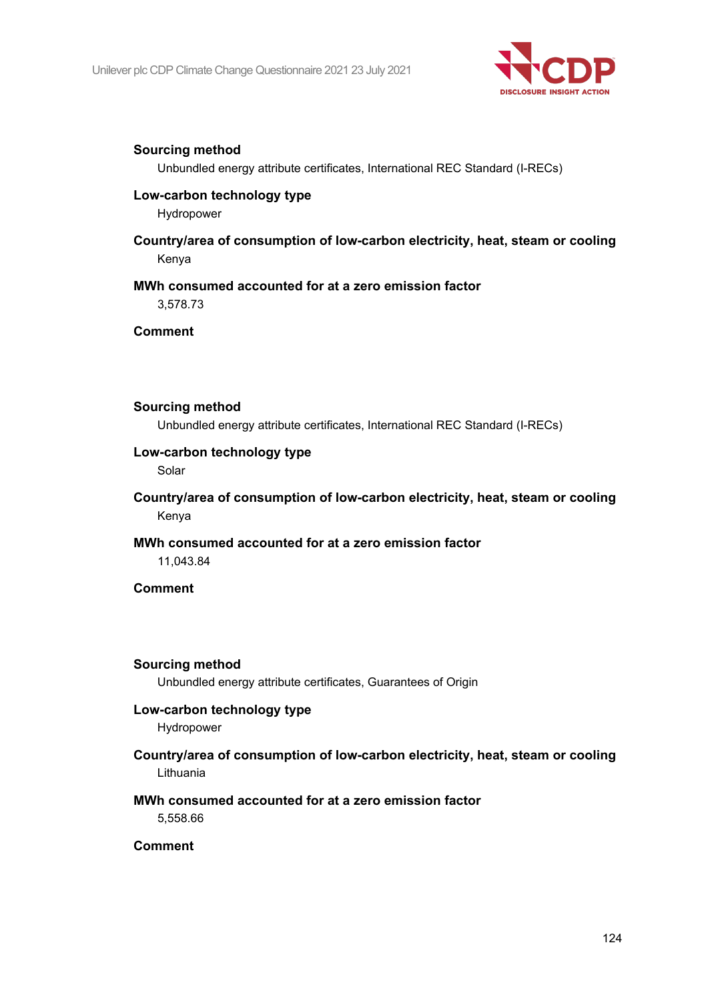

Unbundled energy attribute certificates, International REC Standard (I-RECs)

# **Low-carbon technology type**

Hydropower

# **Country/area of consumption of low-carbon electricity, heat, steam or cooling** Kenya

# **MWh consumed accounted for at a zero emission factor**

3,578.73

**Comment**

#### **Sourcing method**

Unbundled energy attribute certificates, International REC Standard (I-RECs)

#### **Low-carbon technology type**

Solar

# **Country/area of consumption of low-carbon electricity, heat, steam or cooling** Kenya

# **MWh consumed accounted for at a zero emission factor**

11,043.84

# **Comment**

#### **Sourcing method**

Unbundled energy attribute certificates, Guarantees of Origin

#### **Low-carbon technology type**

Hydropower

# **Country/area of consumption of low-carbon electricity, heat, steam or cooling** Lithuania

# **MWh consumed accounted for at a zero emission factor** 5,558.66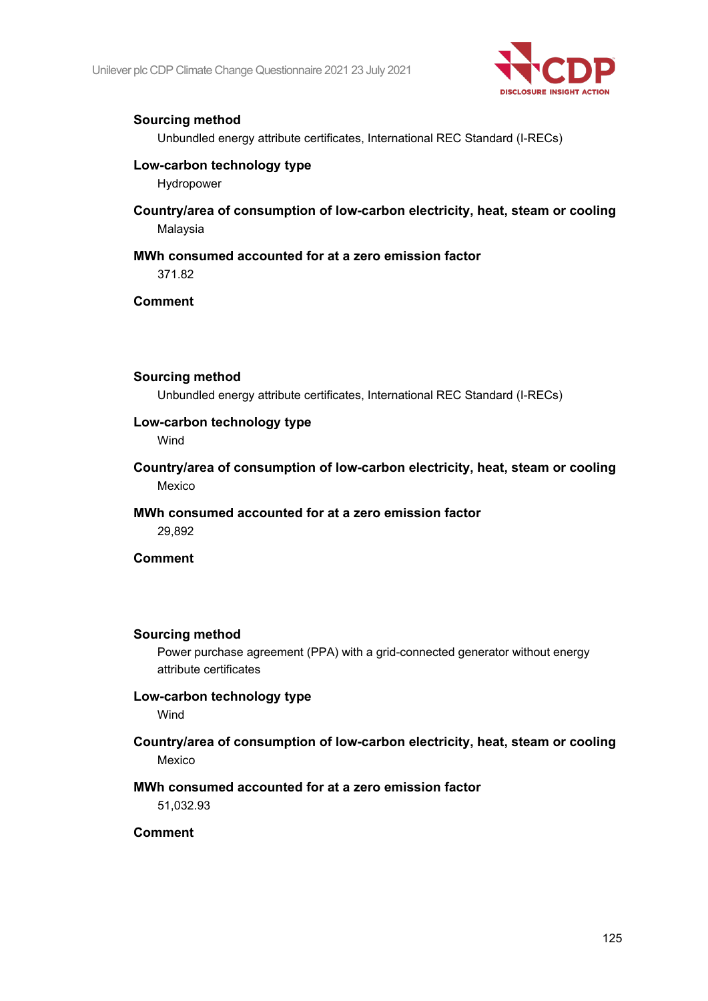

Unbundled energy attribute certificates, International REC Standard (I-RECs)

# **Low-carbon technology type**

Hydropower

**Country/area of consumption of low-carbon electricity, heat, steam or cooling** Malaysia

# **MWh consumed accounted for at a zero emission factor** 371.82

**Comment**

#### **Sourcing method**

Unbundled energy attribute certificates, International REC Standard (I-RECs)

# **Low-carbon technology type**

Wind

**Country/area of consumption of low-carbon electricity, heat, steam or cooling** Mexico

# **MWh consumed accounted for at a zero emission factor**

29,892

**Comment**

#### **Sourcing method**

Power purchase agreement (PPA) with a grid-connected generator without energy attribute certificates

# **Low-carbon technology type**

Wind

# **Country/area of consumption of low-carbon electricity, heat, steam or cooling** Mexico

# **MWh consumed accounted for at a zero emission factor**

51,032.93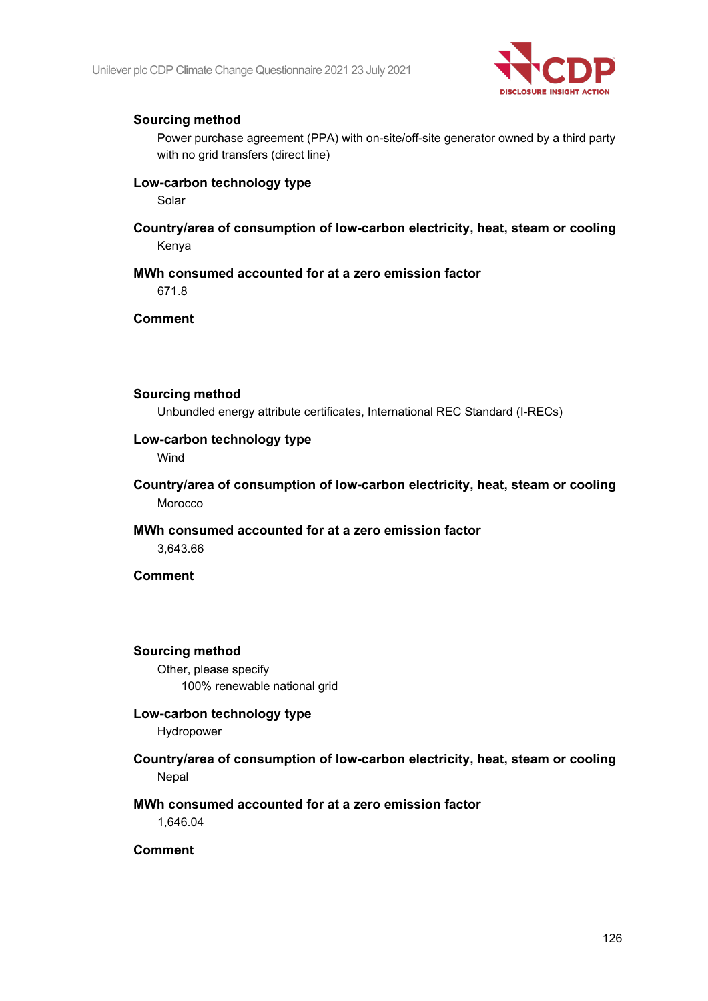

Power purchase agreement (PPA) with on-site/off-site generator owned by a third party with no grid transfers (direct line)

# **Low-carbon technology type**

Solar

**Country/area of consumption of low-carbon electricity, heat, steam or cooling** Kenya

# **MWh consumed accounted for at a zero emission factor**

671.8

**Comment**

#### **Sourcing method**

Unbundled energy attribute certificates, International REC Standard (I-RECs)

### **Low-carbon technology type**

Wind

**Country/area of consumption of low-carbon electricity, heat, steam or cooling** Morocco

**MWh consumed accounted for at a zero emission factor** 3,643.66

**Comment**

#### **Sourcing method**

Other, please specify 100% renewable national grid

# **Low-carbon technology type** Hydropower

**Country/area of consumption of low-carbon electricity, heat, steam or cooling** Nepal

# **MWh consumed accounted for at a zero emission factor** 1,646.04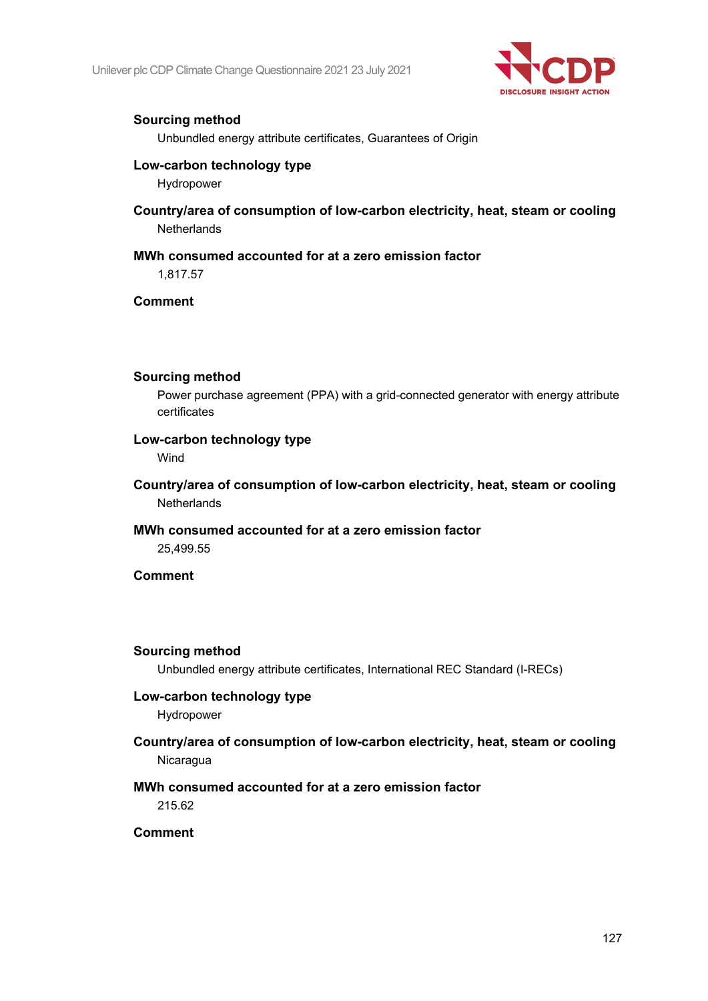

Unbundled energy attribute certificates, Guarantees of Origin

# **Low-carbon technology type**

Hydropower

**Country/area of consumption of low-carbon electricity, heat, steam or cooling Netherlands** 

# **MWh consumed accounted for at a zero emission factor**

1,817.57

# **Comment**

#### **Sourcing method**

Power purchase agreement (PPA) with a grid-connected generator with energy attribute certificates

# **Low-carbon technology type**

Wind

**Country/area of consumption of low-carbon electricity, heat, steam or cooling Netherlands** 

**MWh consumed accounted for at a zero emission factor** 25,499.55

### **Comment**

#### **Sourcing method**

Unbundled energy attribute certificates, International REC Standard (I-RECs)

### **Low-carbon technology type**

Hydropower

# **Country/area of consumption of low-carbon electricity, heat, steam or cooling Nicaragua**

# **MWh consumed accounted for at a zero emission factor**

215.62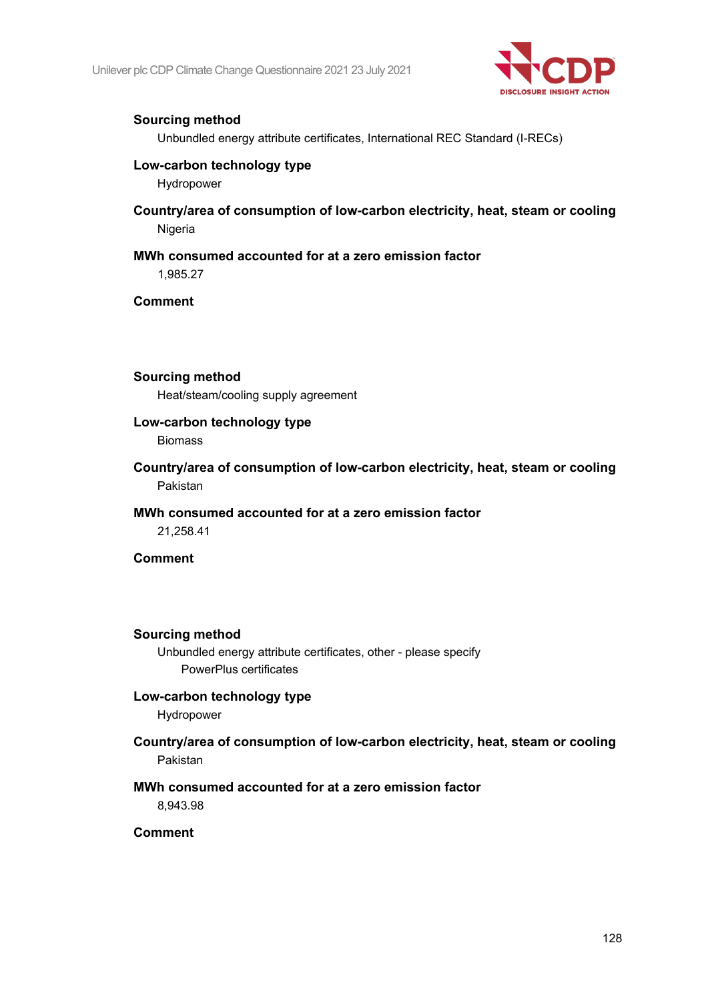

Unbundled energy attribute certificates, International REC Standard (I-RECs)

# **Low-carbon technology type**

Hydropower

**Country/area of consumption of low-carbon electricity, heat, steam or cooling** Nigeria

# **MWh consumed accounted for at a zero emission factor** 1,985.27

**Comment**

#### **Sourcing method**

Heat/steam/cooling supply agreement

# **Low-carbon technology type**

Biomass

**Country/area of consumption of low-carbon electricity, heat, steam or cooling** Pakistan

# **MWh consumed accounted for at a zero emission factor**

21,258.41

**Comment**

#### **Sourcing method**

Unbundled energy attribute certificates, other - please specify PowerPlus certificates

# **Low-carbon technology type**

Hydropower

# **Country/area of consumption of low-carbon electricity, heat, steam or cooling** Pakistan

# **MWh consumed accounted for at a zero emission factor** 8,943.98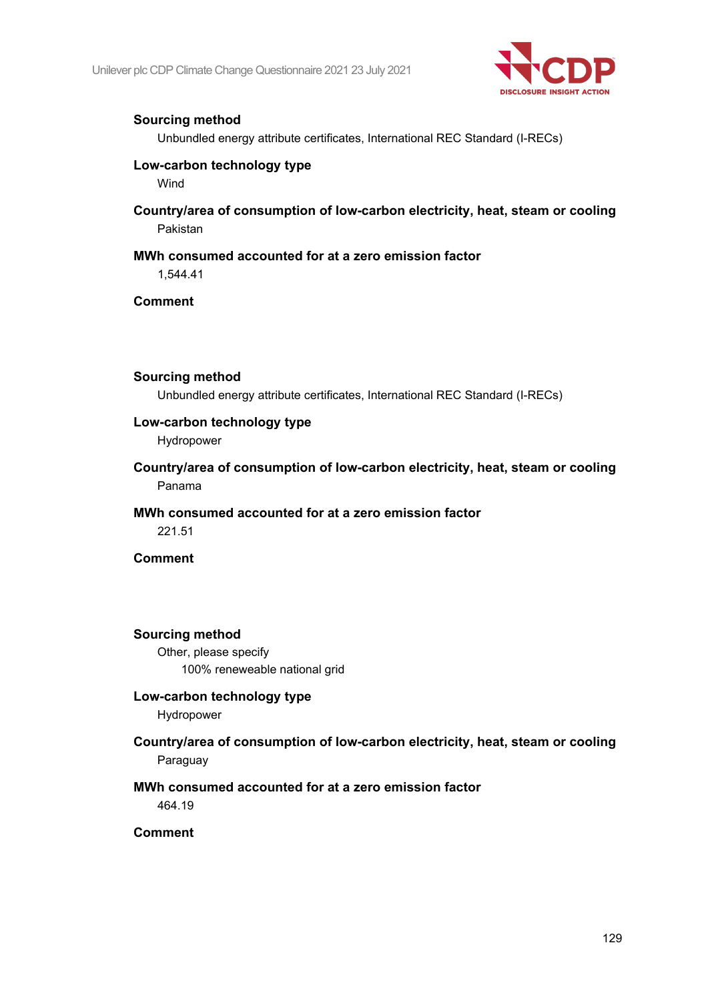

Unbundled energy attribute certificates, International REC Standard (I-RECs)

### **Low-carbon technology type**

Wind

**Country/area of consumption of low-carbon electricity, heat, steam or cooling** Pakistan

# **MWh consumed accounted for at a zero emission factor** 1,544.41

**Comment**

#### **Sourcing method**

Unbundled energy attribute certificates, International REC Standard (I-RECs)

### **Low-carbon technology type**

Hydropower

**Country/area of consumption of low-carbon electricity, heat, steam or cooling** Panama

#### **MWh consumed accounted for at a zero emission factor**

221.51

# **Comment**

**Sourcing method**

Other, please specify 100% reneweable national grid

# **Low-carbon technology type**

Hydropower

**Country/area of consumption of low-carbon electricity, heat, steam or cooling Paraguay** 

# **MWh consumed accounted for at a zero emission factor**

464.19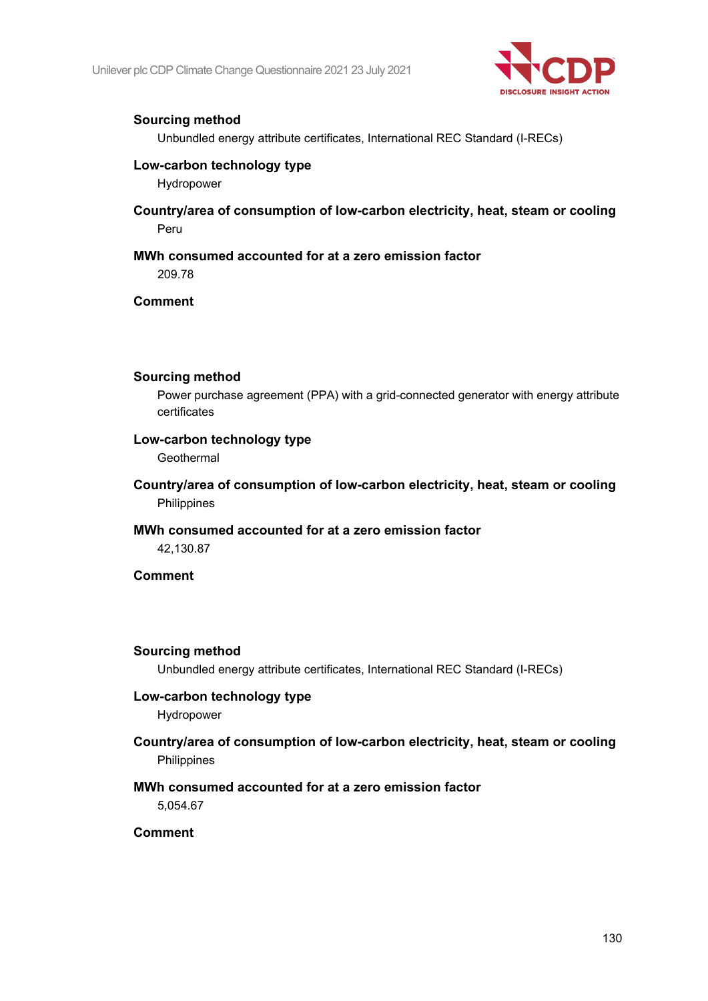

Unbundled energy attribute certificates, International REC Standard (I-RECs)

# **Low-carbon technology type**

Hydropower

**Country/area of consumption of low-carbon electricity, heat, steam or cooling** Peru

# **MWh consumed accounted for at a zero emission factor** 209.78

# **Comment**

#### **Sourcing method**

Power purchase agreement (PPA) with a grid-connected generator with energy attribute certificates

# **Low-carbon technology type**

**Geothermal** 

**Country/area of consumption of low-carbon electricity, heat, steam or cooling** Philippines

#### **MWh consumed accounted for at a zero emission factor** 42,130.87

#### **Comment**

#### **Sourcing method**

Unbundled energy attribute certificates, International REC Standard (I-RECs)

### **Low-carbon technology type**

Hydropower

# **Country/area of consumption of low-carbon electricity, heat, steam or cooling** Philippines

# **MWh consumed accounted for at a zero emission factor**

5,054.67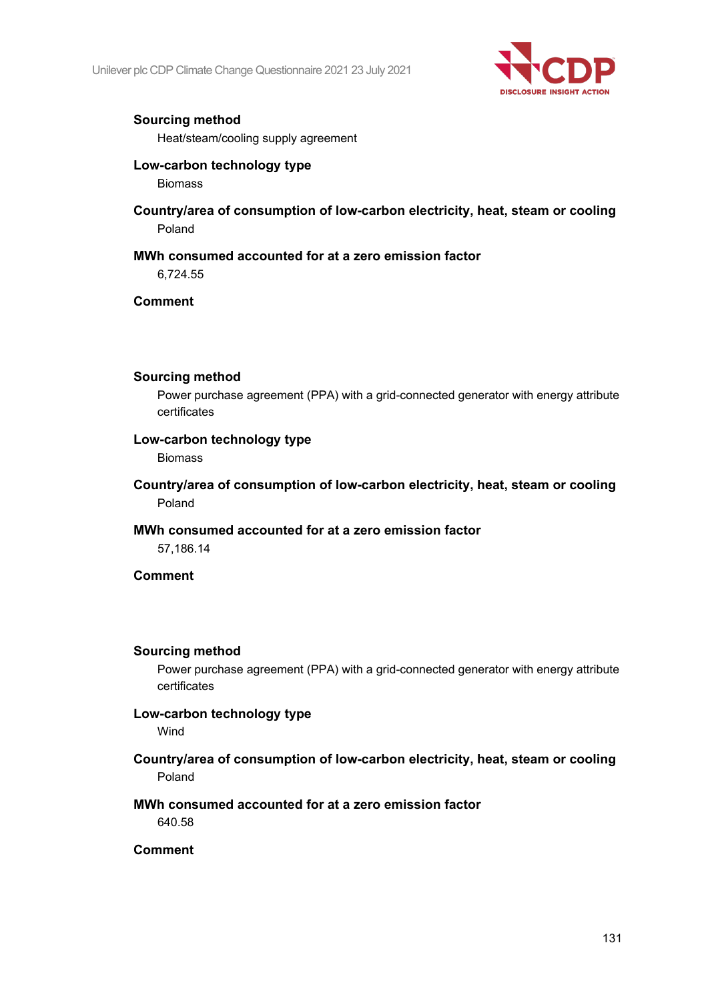

Heat/steam/cooling supply agreement

# **Low-carbon technology type**

Biomass

**Country/area of consumption of low-carbon electricity, heat, steam or cooling** Poland

# **MWh consumed accounted for at a zero emission factor**

6,724.55

# **Comment**

#### **Sourcing method**

Power purchase agreement (PPA) with a grid-connected generator with energy attribute certificates

# **Low-carbon technology type**

Biomass

**Country/area of consumption of low-carbon electricity, heat, steam or cooling** Poland

# **MWh consumed accounted for at a zero emission factor**

57,186.14

# **Comment**

#### **Sourcing method**

Power purchase agreement (PPA) with a grid-connected generator with energy attribute certificates

# **Low-carbon technology type**

Wind

**Country/area of consumption of low-carbon electricity, heat, steam or cooling** Poland

# **MWh consumed accounted for at a zero emission factor**

640.58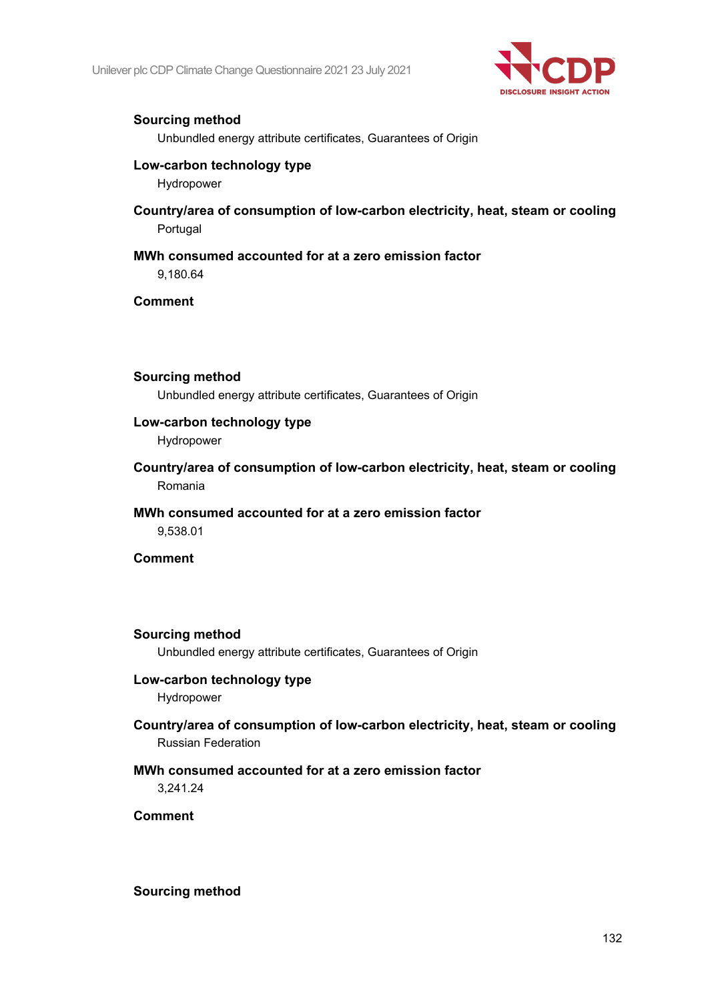

Unbundled energy attribute certificates, Guarantees of Origin

# **Low-carbon technology type**

Hydropower

**Country/area of consumption of low-carbon electricity, heat, steam or cooling** Portugal

# **MWh consumed accounted for at a zero emission factor** 9,180.64

**Comment**

#### **Sourcing method**

Unbundled energy attribute certificates, Guarantees of Origin

### **Low-carbon technology type**

Hydropower

**Country/area of consumption of low-carbon electricity, heat, steam or cooling** Romania

#### **MWh consumed accounted for at a zero emission factor**

9,538.01

**Comment**

#### **Sourcing method**

Unbundled energy attribute certificates, Guarantees of Origin

#### **Low-carbon technology type**

Hydropower

# **Country/area of consumption of low-carbon electricity, heat, steam or cooling** Russian Federation

# **MWh consumed accounted for at a zero emission factor**

3,241.24

# **Comment**

**Sourcing method**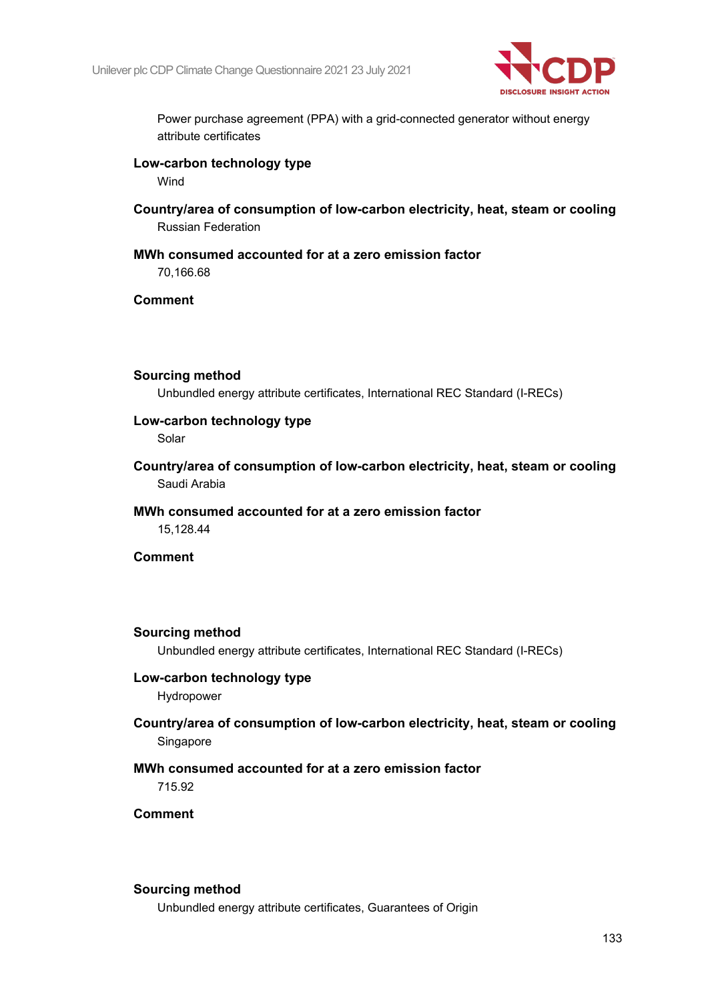

Power purchase agreement (PPA) with a grid-connected generator without energy attribute certificates

### **Low-carbon technology type**

Wind

- **Country/area of consumption of low-carbon electricity, heat, steam or cooling** Russian Federation
- **MWh consumed accounted for at a zero emission factor** 70,166.68

**Comment**

#### **Sourcing method**

Unbundled energy attribute certificates, International REC Standard (I-RECs)

#### **Low-carbon technology type**

Solar

**Country/area of consumption of low-carbon electricity, heat, steam or cooling** Saudi Arabia

#### **MWh consumed accounted for at a zero emission factor**

15,128.44

**Comment**

#### **Sourcing method**

Unbundled energy attribute certificates, International REC Standard (I-RECs)

#### **Low-carbon technology type**

Hydropower

# **Country/area of consumption of low-carbon electricity, heat, steam or cooling** Singapore

#### **MWh consumed accounted for at a zero emission factor**

715.92

# **Comment**

# **Sourcing method**

Unbundled energy attribute certificates, Guarantees of Origin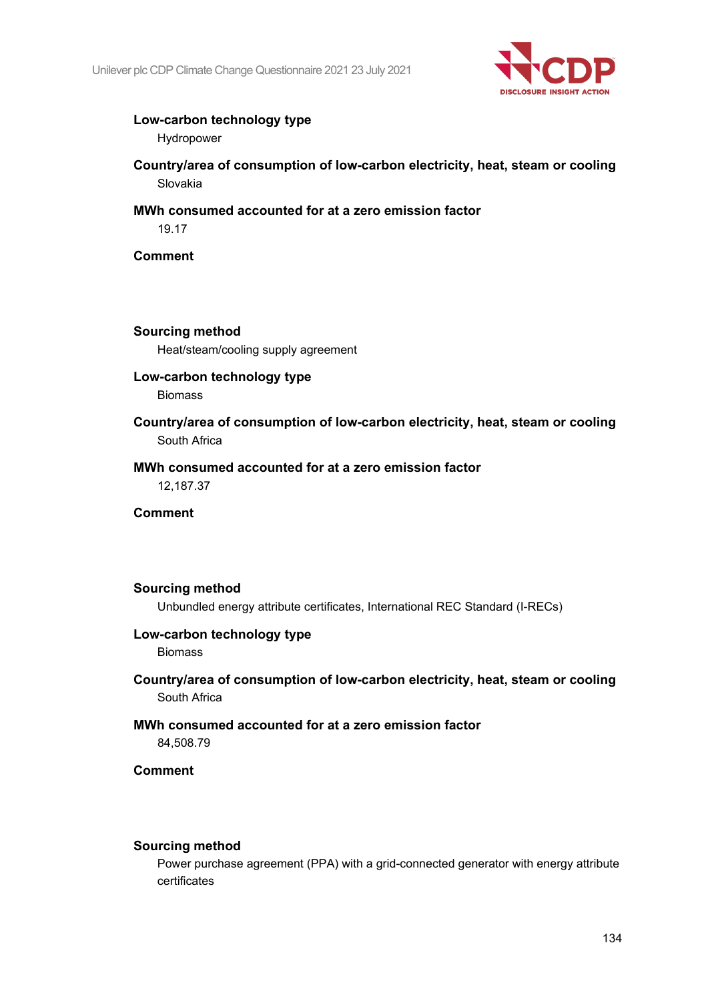

Hydropower

- **Country/area of consumption of low-carbon electricity, heat, steam or cooling** Slovakia
- **MWh consumed accounted for at a zero emission factor**

19.17

# **Comment**

**Sourcing method**

Heat/steam/cooling supply agreement

# **Low-carbon technology type**

**Biomass** 

**Country/area of consumption of low-carbon electricity, heat, steam or cooling** South Africa

# **MWh consumed accounted for at a zero emission factor**

12,187.37

**Comment**

# **Sourcing method**

Unbundled energy attribute certificates, International REC Standard (I-RECs)

#### **Low-carbon technology type**

Biomass

**Country/area of consumption of low-carbon electricity, heat, steam or cooling** South Africa

# **MWh consumed accounted for at a zero emission factor**

84,508.79

**Comment**

#### **Sourcing method**

Power purchase agreement (PPA) with a grid-connected generator with energy attribute certificates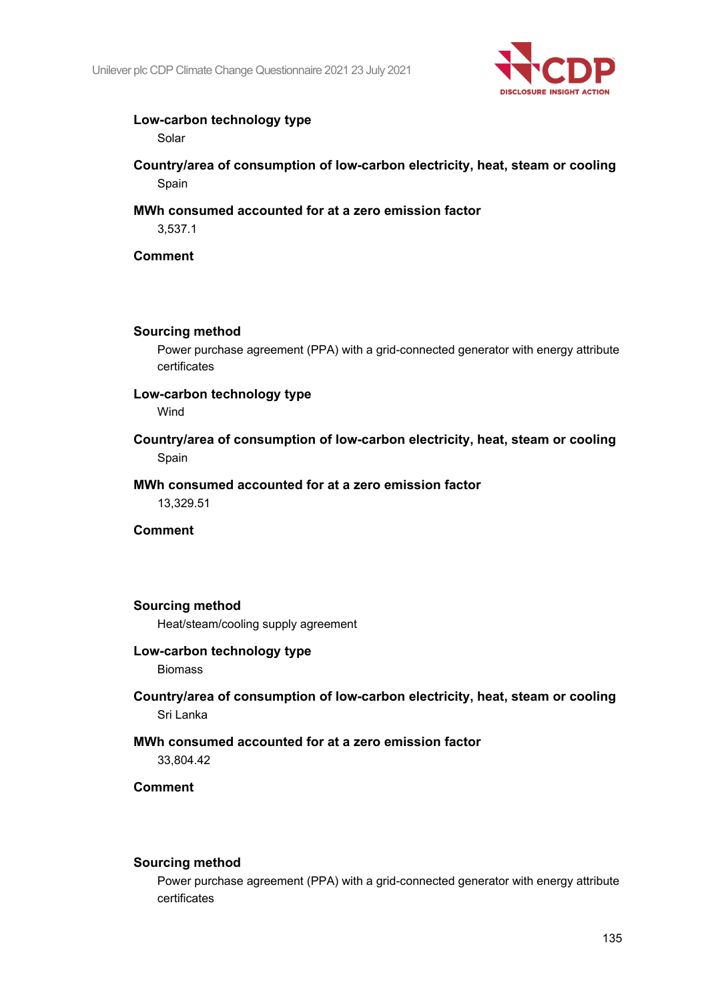

Solar

- **Country/area of consumption of low-carbon electricity, heat, steam or cooling Spain**
- **MWh consumed accounted for at a zero emission factor**

3,537.1

# **Comment**

#### **Sourcing method**

Power purchase agreement (PPA) with a grid-connected generator with energy attribute certificates

#### **Low-carbon technology type**

**Wind** 

**Country/area of consumption of low-carbon electricity, heat, steam or cooling** Spain

#### **MWh consumed accounted for at a zero emission factor**

13,329.51

**Comment**

#### **Sourcing method**

Heat/steam/cooling supply agreement

# **Low-carbon technology type**

Biomass

# **Country/area of consumption of low-carbon electricity, heat, steam or cooling** Sri Lanka

### **MWh consumed accounted for at a zero emission factor** 33,804.42

**Comment**

#### **Sourcing method**

Power purchase agreement (PPA) with a grid-connected generator with energy attribute certificates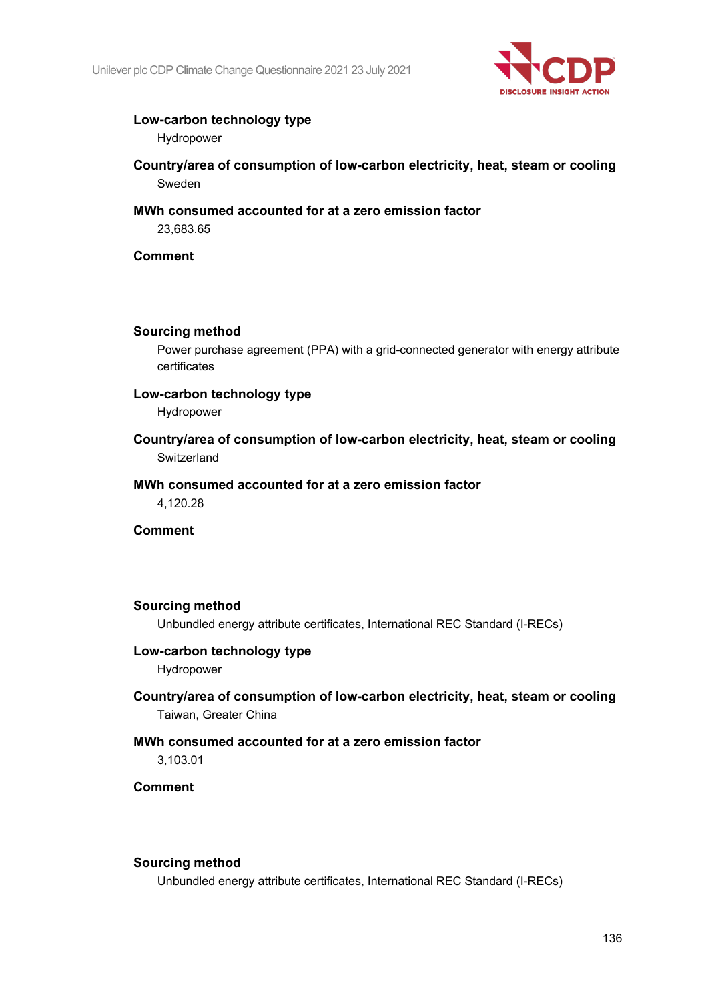

Hydropower

- **Country/area of consumption of low-carbon electricity, heat, steam or cooling** Sweden
- **MWh consumed accounted for at a zero emission factor** 23,683.65

# **Comment**

#### **Sourcing method**

Power purchase agreement (PPA) with a grid-connected generator with energy attribute certificates

### **Low-carbon technology type**

Hydropower

**Country/area of consumption of low-carbon electricity, heat, steam or cooling Switzerland** 

#### **MWh consumed accounted for at a zero emission factor**

4,120.28

**Comment**

#### **Sourcing method**

Unbundled energy attribute certificates, International REC Standard (I-RECs)

#### **Low-carbon technology type**

Hydropower

# **Country/area of consumption of low-carbon electricity, heat, steam or cooling** Taiwan, Greater China

#### **MWh consumed accounted for at a zero emission factor** 3,103.01

**Comment**

#### **Sourcing method**

Unbundled energy attribute certificates, International REC Standard (I-RECs)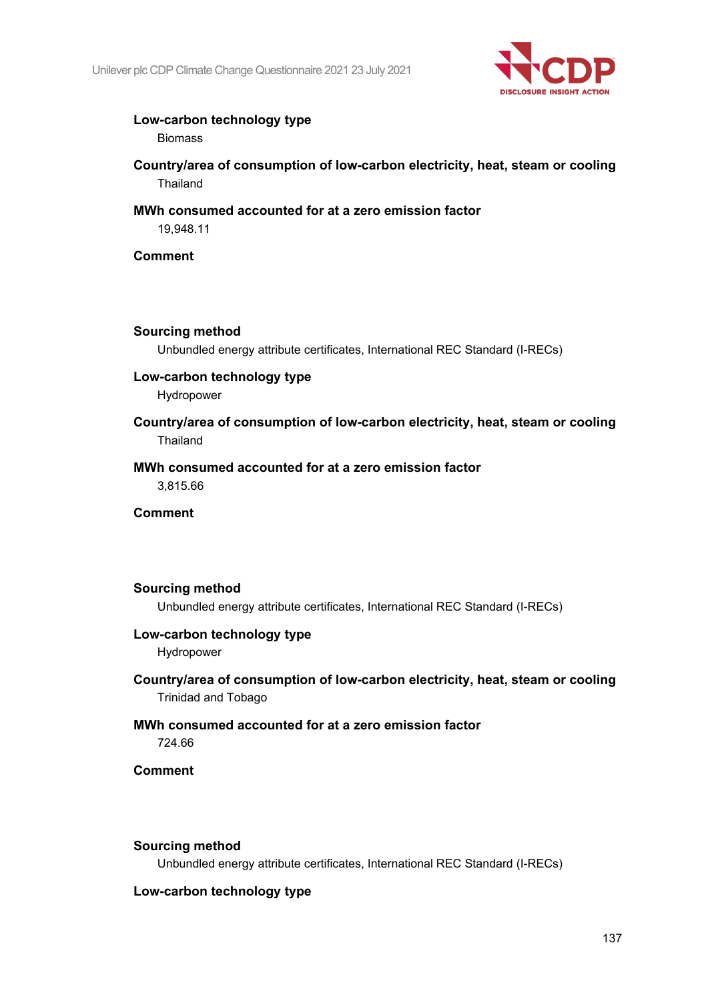

Biomass

- **Country/area of consumption of low-carbon electricity, heat, steam or cooling** Thailand
- **MWh consumed accounted for at a zero emission factor** 19,948.11

**Comment**

#### **Sourcing method**

Unbundled energy attribute certificates, International REC Standard (I-RECs)

#### **Low-carbon technology type**

Hydropower

**Country/area of consumption of low-carbon electricity, heat, steam or cooling** Thailand

# **MWh consumed accounted for at a zero emission factor** 3,815.66

**Comment**

# **Sourcing method**

Unbundled energy attribute certificates, International REC Standard (I-RECs)

#### **Low-carbon technology type**

Hydropower

# **Country/area of consumption of low-carbon electricity, heat, steam or cooling** Trinidad and Tobago

# **MWh consumed accounted for at a zero emission factor**

724.66

**Comment**

#### **Sourcing method**

Unbundled energy attribute certificates, International REC Standard (I-RECs)

#### **Low-carbon technology type**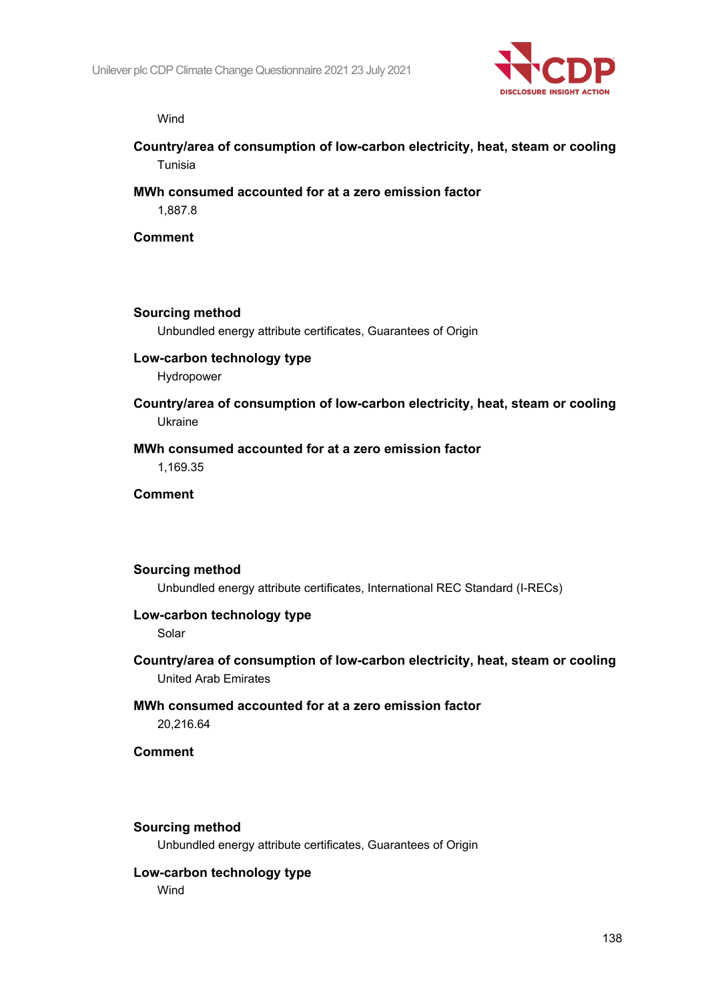

#### Wind

# **Country/area of consumption of low-carbon electricity, heat, steam or cooling** Tunisia

# **MWh consumed accounted for at a zero emission factor** 1,887.8

**Comment**

### **Sourcing method**

Unbundled energy attribute certificates, Guarantees of Origin

#### **Low-carbon technology type**

Hydropower

**Country/area of consumption of low-carbon electricity, heat, steam or cooling** Ukraine

#### **MWh consumed accounted for at a zero emission factor**

1,169.35

**Comment**

#### **Sourcing method**

Unbundled energy attribute certificates, International REC Standard (I-RECs)

#### **Low-carbon technology type**

Solar

**Country/area of consumption of low-carbon electricity, heat, steam or cooling** United Arab Emirates

# **MWh consumed accounted for at a zero emission factor** 20,216.64

**Comment**

#### **Sourcing method**

Unbundled energy attribute certificates, Guarantees of Origin

# **Low-carbon technology type**

Wind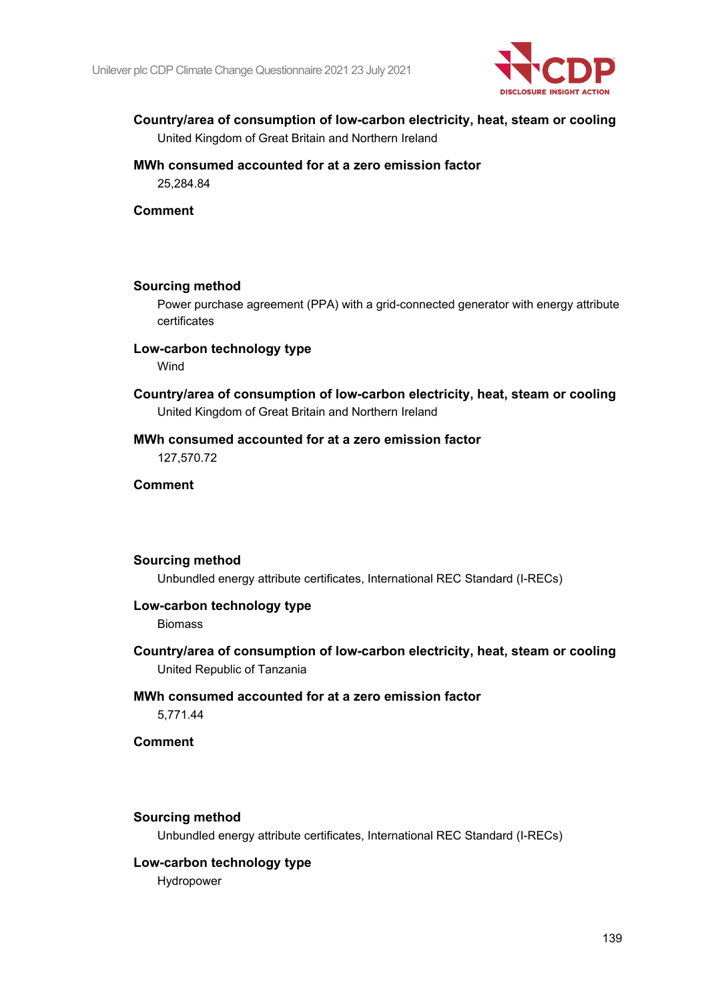

# **Country/area of consumption of low-carbon electricity, heat, steam or cooling**

United Kingdom of Great Britain and Northern Ireland

**MWh consumed accounted for at a zero emission factor** 25,284.84

**Comment**

# **Sourcing method**

Power purchase agreement (PPA) with a grid-connected generator with energy attribute certificates

# **Low-carbon technology type**

Wind

**Country/area of consumption of low-carbon electricity, heat, steam or cooling** United Kingdom of Great Britain and Northern Ireland

# **MWh consumed accounted for at a zero emission factor**

127,570.72

# **Comment**

#### **Sourcing method**

Unbundled energy attribute certificates, International REC Standard (I-RECs)

### **Low-carbon technology type**

Biomass

**Country/area of consumption of low-carbon electricity, heat, steam or cooling** United Republic of Tanzania

# **MWh consumed accounted for at a zero emission factor** 5,771.44

**Comment**

#### **Sourcing method**

Unbundled energy attribute certificates, International REC Standard (I-RECs)

# **Low-carbon technology type**

Hydropower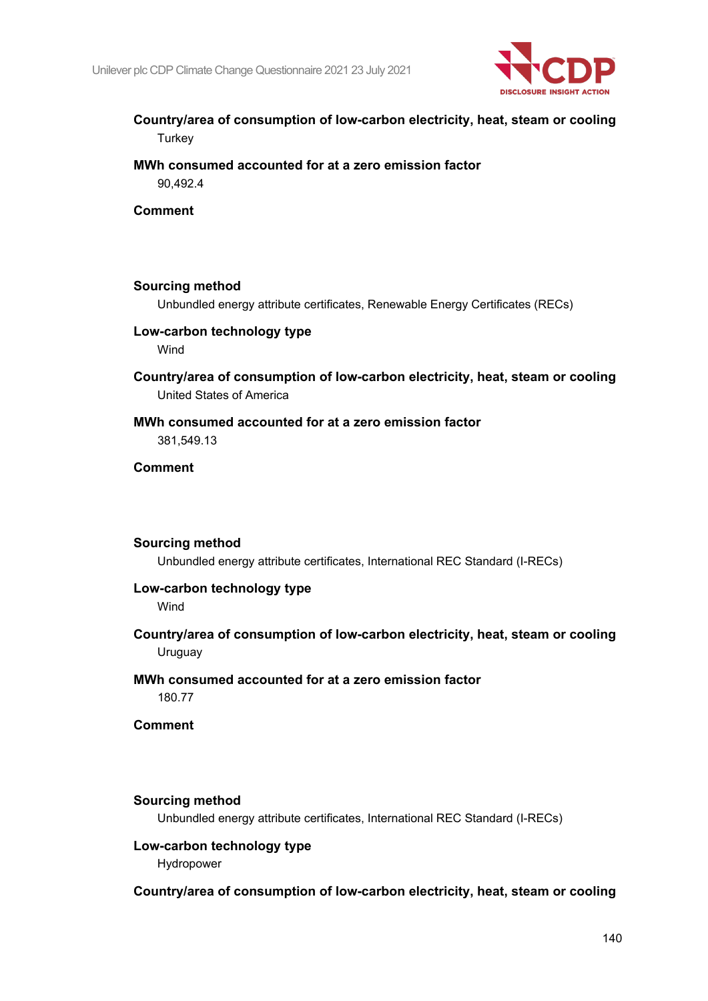

# **Country/area of consumption of low-carbon electricity, heat, steam or cooling Turkey**

**MWh consumed accounted for at a zero emission factor** 90,492.4

**Comment**

#### **Sourcing method**

Unbundled energy attribute certificates, Renewable Energy Certificates (RECs)

### **Low-carbon technology type**

Wind

**Country/area of consumption of low-carbon electricity, heat, steam or cooling** United States of America

# **MWh consumed accounted for at a zero emission factor** 381,549.13

**Comment**

#### **Sourcing method**

Unbundled energy attribute certificates, International REC Standard (I-RECs)

# **Low-carbon technology type**

Wind

**Country/area of consumption of low-carbon electricity, heat, steam or cooling Uruguay** 

# **MWh consumed accounted for at a zero emission factor**

180.77

# **Comment**

# **Sourcing method**

Unbundled energy attribute certificates, International REC Standard (I-RECs)

# **Low-carbon technology type**

Hydropower

# **Country/area of consumption of low-carbon electricity, heat, steam or cooling**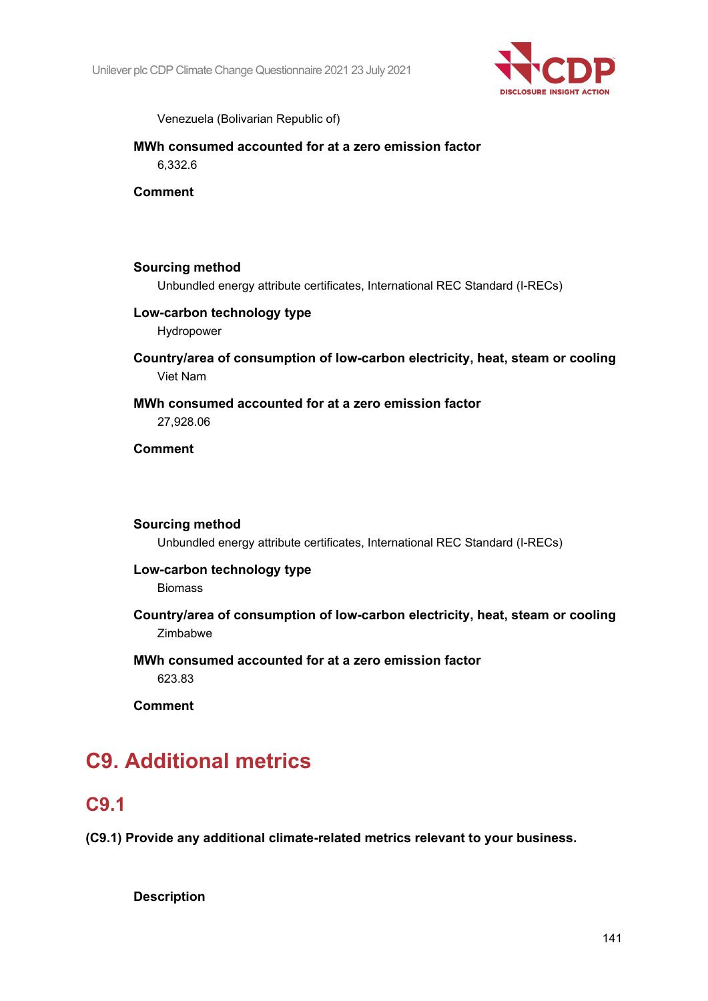

Venezuela (Bolivarian Republic of)

# **MWh consumed accounted for at a zero emission factor**

6,332.6

**Comment**

# **Sourcing method**

Unbundled energy attribute certificates, International REC Standard (I-RECs)

# **Low-carbon technology type**

Hydropower

**Country/area of consumption of low-carbon electricity, heat, steam or cooling** Viet Nam

# **MWh consumed accounted for at a zero emission factor** 27,928.06

**Comment**

#### **Sourcing method**

Unbundled energy attribute certificates, International REC Standard (I-RECs)

# **Low-carbon technology type**

Biomass

**Country/area of consumption of low-carbon electricity, heat, steam or cooling** Zimbabwe

# **MWh consumed accounted for at a zero emission factor**

623.83

**Comment**

# **C9. Additional metrics**

# **C9.1**

**(C9.1) Provide any additional climate-related metrics relevant to your business.**

**Description**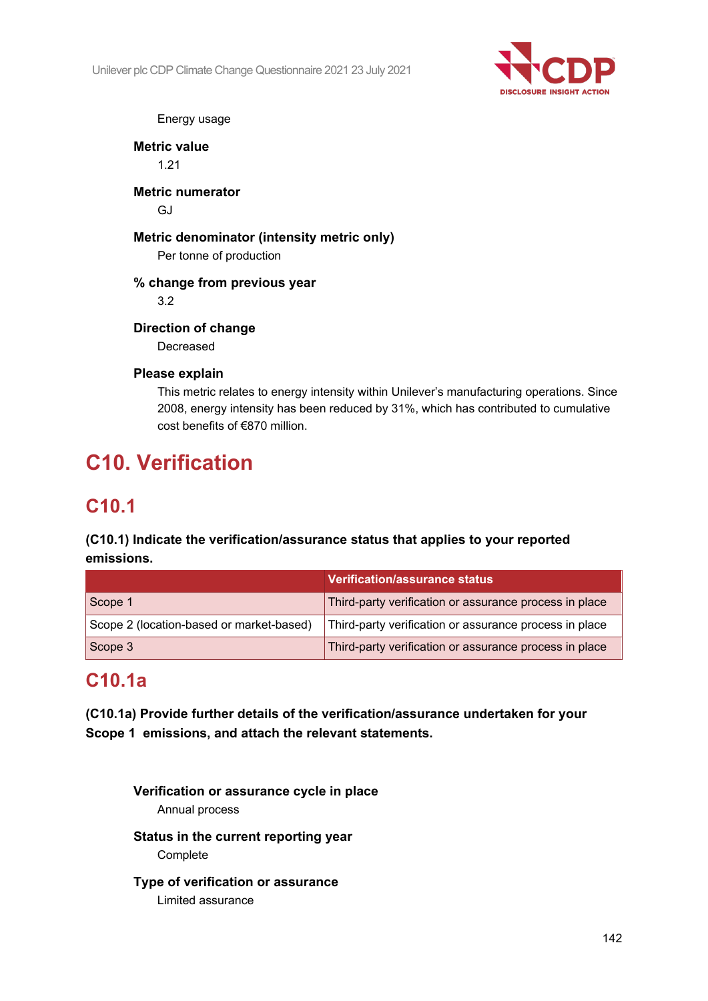

Energy usage

**Metric value** 1.21

**Metric numerator** GJ

**Metric denominator (intensity metric only)** Per tonne of production

# **% change from previous year**

3.2

**Direction of change**

Decreased

# **Please explain**

This metric relates to energy intensity within Unilever's manufacturing operations. Since 2008, energy intensity has been reduced by 31%, which has contributed to cumulative cost benefits of €870 million.

# **C10. Verification**

# **C10.1**

# **(C10.1) Indicate the verification/assurance status that applies to your reported emissions.**

|                                          | <b>Verification/assurance status</b>                   |
|------------------------------------------|--------------------------------------------------------|
| Scope 1                                  | Third-party verification or assurance process in place |
| Scope 2 (location-based or market-based) | Third-party verification or assurance process in place |
| Scope 3                                  | Third-party verification or assurance process in place |

# **C10.1a**

**(C10.1a) Provide further details of the verification/assurance undertaken for your Scope 1 emissions, and attach the relevant statements.**

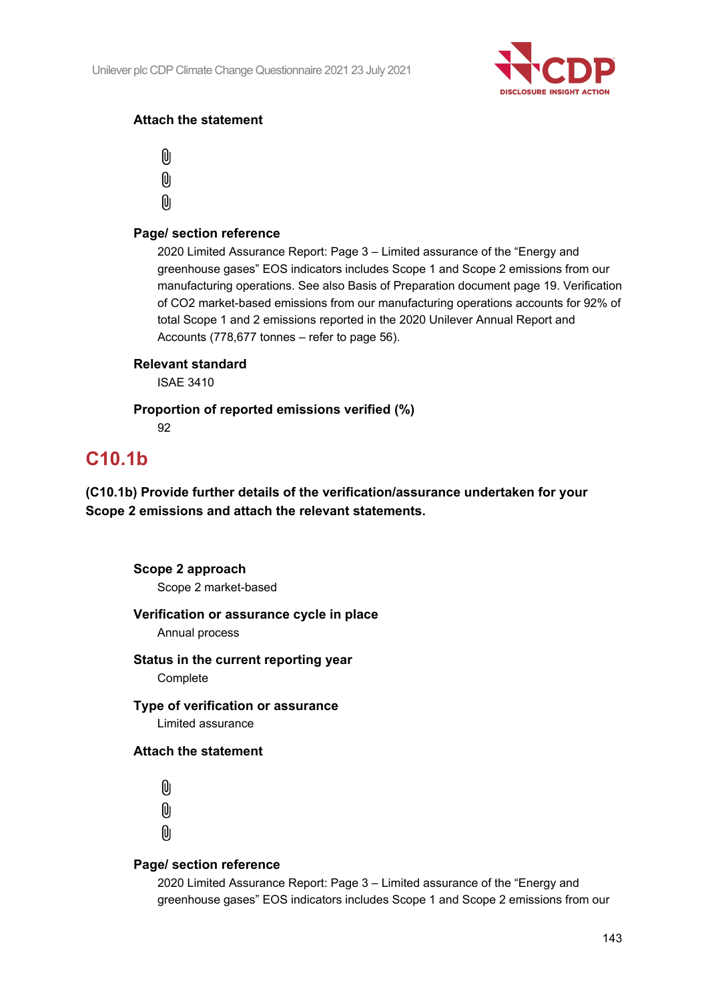

# **Attach the statement**

O)  $\left[ 0 \right]$ (U

# **Page/ section reference**

2020 Limited Assurance Report: Page 3 – Limited assurance of the "Energy and greenhouse gases" EOS indicators includes Scope 1 and Scope 2 emissions from our manufacturing operations. See also Basis of Preparation document page 19. Verification of CO2 market-based emissions from our manufacturing operations accounts for 92% of total Scope 1 and 2 emissions reported in the 2020 Unilever Annual Report and Accounts (778,677 tonnes – refer to page 56).

# **Relevant standard**

ISAE 3410

# **Proportion of reported emissions verified (%)**

92

# **C10.1b**

**(C10.1b) Provide further details of the verification/assurance undertaken for your Scope 2 emissions and attach the relevant statements.**

#### **Scope 2 approach**

Scope 2 market-based

# **Verification or assurance cycle in place**

Annual process

# **Status in the current reporting year**

**Complete** 

**Type of verification or assurance** Limited assurance

# **Attach the statement**

O  $[0]$  $\mathbf{0}$ 

# **Page/ section reference**

2020 Limited Assurance Report: Page 3 – Limited assurance of the "Energy and greenhouse gases" EOS indicators includes Scope 1 and Scope 2 emissions from our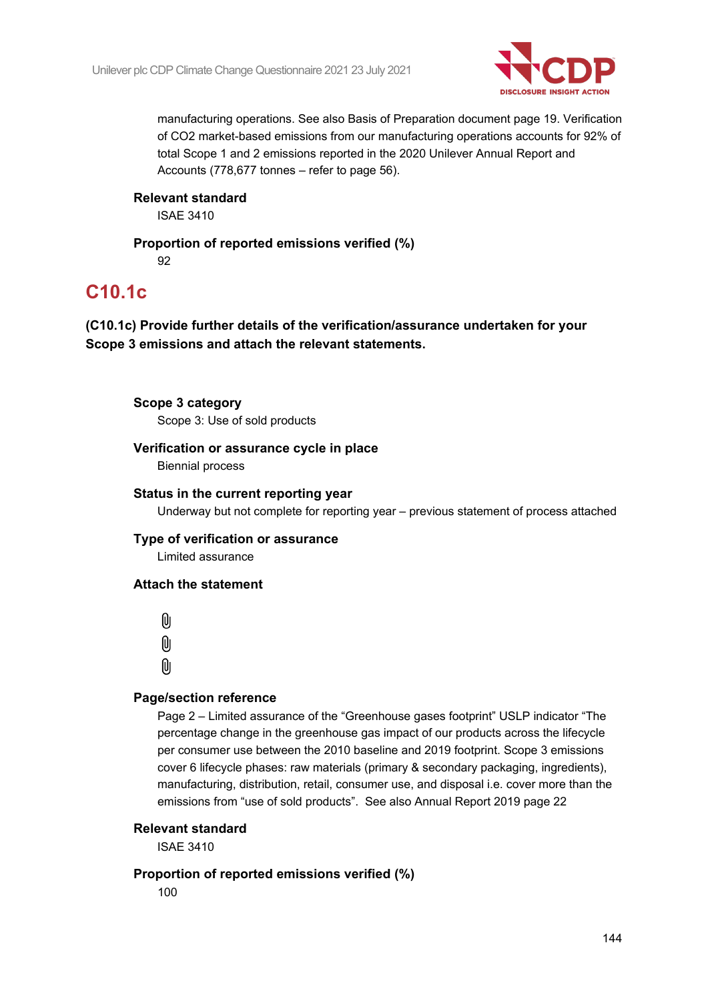

manufacturing operations. See also Basis of Preparation document page 19. Verification of CO2 market-based emissions from our manufacturing operations accounts for 92% of total Scope 1 and 2 emissions reported in the 2020 Unilever Annual Report and Accounts (778,677 tonnes – refer to page 56).

# **Relevant standard**

ISAE 3410

# **Proportion of reported emissions verified (%)**

92

# **C10.1c**

**(C10.1c) Provide further details of the verification/assurance undertaken for your Scope 3 emissions and attach the relevant statements.**

# **Scope 3 category**

Scope 3: Use of sold products

# **Verification or assurance cycle in place**

Biennial process

# **Status in the current reporting year**

Underway but not complete for reporting year – previous statement of process attached

#### **Type of verification or assurance**

Limited assurance

#### **Attach the statement**

O O) (O

#### **Page/section reference**

Page 2 – Limited assurance of the "Greenhouse gases footprint" USLP indicator "The percentage change in the greenhouse gas impact of our products across the lifecycle per consumer use between the 2010 baseline and 2019 footprint. Scope 3 emissions cover 6 lifecycle phases: raw materials (primary & secondary packaging, ingredients), manufacturing, distribution, retail, consumer use, and disposal i.e. cover more than the emissions from "use of sold products". See also Annual Report 2019 page 22

#### **Relevant standard**

ISAE 3410

# **Proportion of reported emissions verified (%)**

100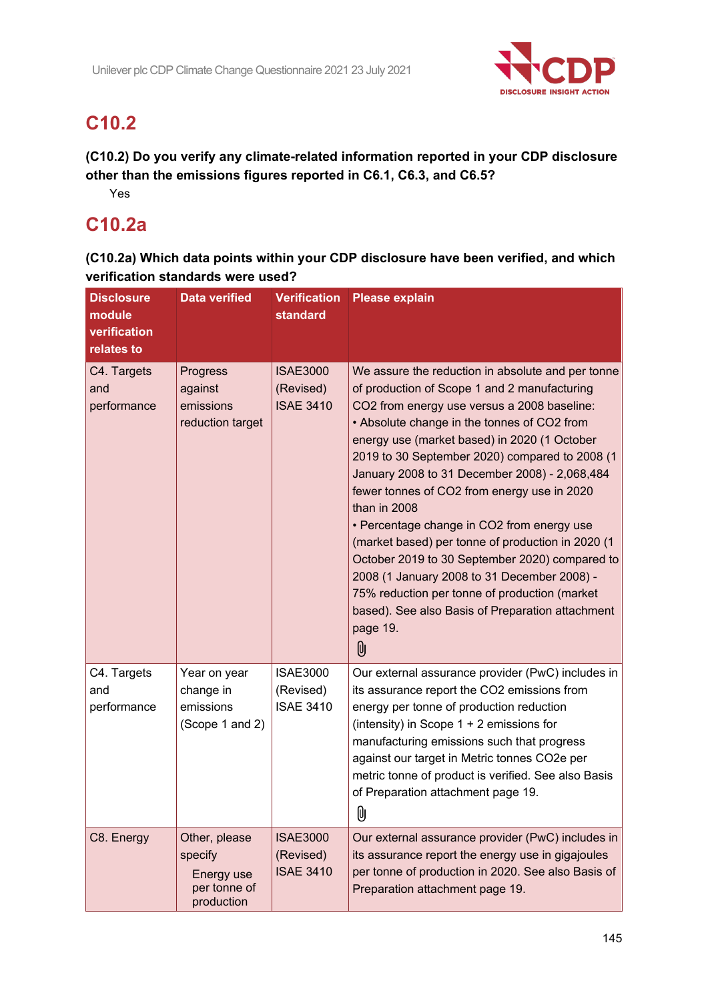

# **C10.2**

**(C10.2) Do you verify any climate-related information reported in your CDP disclosure other than the emissions figures reported in C6.1, C6.3, and C6.5?**

Yes

## **C10.2a**

**(C10.2a) Which data points within your CDP disclosure have been verified, and which verification standards were used?**

| <b>Disclosure</b><br>module<br>verification<br>relates to | <b>Data verified</b>                                                 | <b>Verification</b><br>standard                  | <b>Please explain</b>                                                                                                                                                                                                                                                                                                                                                                                                                                                                                                                                                                                                                                                                                                                                  |
|-----------------------------------------------------------|----------------------------------------------------------------------|--------------------------------------------------|--------------------------------------------------------------------------------------------------------------------------------------------------------------------------------------------------------------------------------------------------------------------------------------------------------------------------------------------------------------------------------------------------------------------------------------------------------------------------------------------------------------------------------------------------------------------------------------------------------------------------------------------------------------------------------------------------------------------------------------------------------|
| C4. Targets<br>and<br>performance                         | Progress<br>against<br>emissions<br>reduction target                 | <b>ISAE3000</b><br>(Revised)<br><b>ISAE 3410</b> | We assure the reduction in absolute and per tonne<br>of production of Scope 1 and 2 manufacturing<br>CO2 from energy use versus a 2008 baseline:<br>• Absolute change in the tonnes of CO2 from<br>energy use (market based) in 2020 (1 October<br>2019 to 30 September 2020) compared to 2008 (1<br>January 2008 to 31 December 2008) - 2,068,484<br>fewer tonnes of CO2 from energy use in 2020<br>than in 2008<br>• Percentage change in CO2 from energy use<br>(market based) per tonne of production in 2020 (1<br>October 2019 to 30 September 2020) compared to<br>2008 (1 January 2008 to 31 December 2008) -<br>75% reduction per tonne of production (market<br>based). See also Basis of Preparation attachment<br>page 19.<br>$\mathbf{0}$ |
| C4. Targets<br>and<br>performance                         | Year on year<br>change in<br>emissions<br>(Scope 1 and 2)            | <b>ISAE3000</b><br>(Revised)<br><b>ISAE 3410</b> | Our external assurance provider (PwC) includes in<br>its assurance report the CO2 emissions from<br>energy per tonne of production reduction<br>(intensity) in Scope $1 + 2$ emissions for<br>manufacturing emissions such that progress<br>against our target in Metric tonnes CO2e per<br>metric tonne of product is verified. See also Basis<br>of Preparation attachment page 19.<br>O)                                                                                                                                                                                                                                                                                                                                                            |
| C8. Energy                                                | Other, please<br>specify<br>Energy use<br>per tonne of<br>production | <b>ISAE3000</b><br>(Revised)<br><b>ISAE 3410</b> | Our external assurance provider (PwC) includes in<br>its assurance report the energy use in gigajoules<br>per tonne of production in 2020. See also Basis of<br>Preparation attachment page 19.                                                                                                                                                                                                                                                                                                                                                                                                                                                                                                                                                        |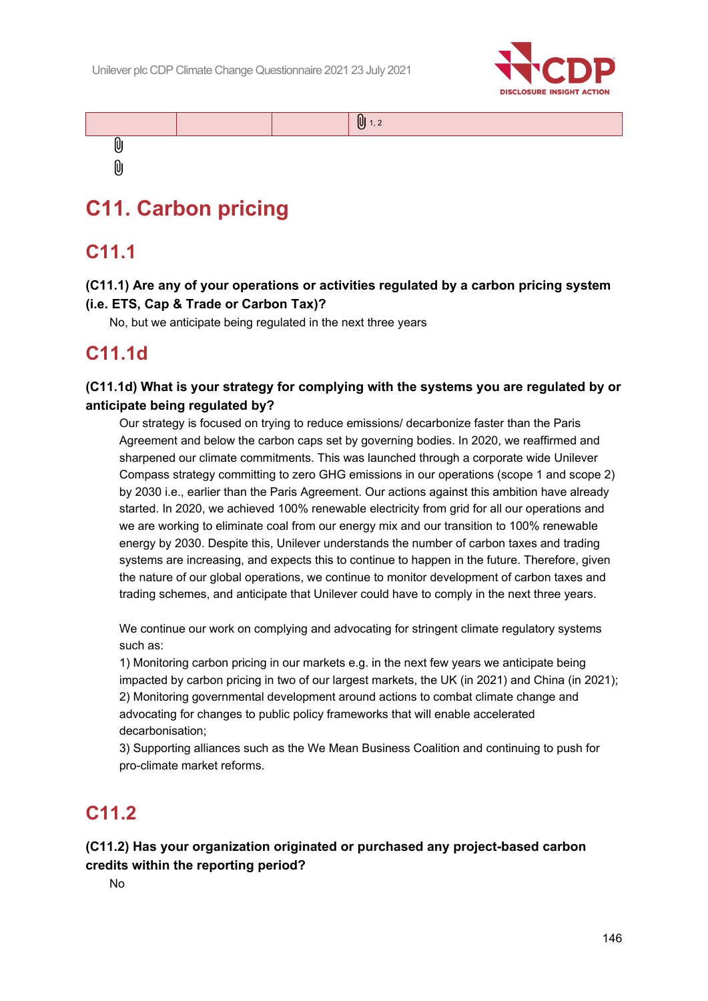

 $[0]$  1, 2

# **C11. Carbon pricing**

## **C11.1**

 $\overline{0}$  $[0]$ 

## **(C11.1) Are any of your operations or activities regulated by a carbon pricing system (i.e. ETS, Cap & Trade or Carbon Tax)?**

No, but we anticipate being regulated in the next three years

## **C11.1d**

## **(C11.1d) What is your strategy for complying with the systems you are regulated by or anticipate being regulated by?**

Our strategy is focused on trying to reduce emissions/ decarbonize faster than the Paris Agreement and below the carbon caps set by governing bodies. In 2020, we reaffirmed and sharpened our climate commitments. This was launched through a corporate wide Unilever Compass strategy committing to zero GHG emissions in our operations (scope 1 and scope 2) by 2030 i.e., earlier than the Paris Agreement. Our actions against this ambition have already started. In 2020, we achieved 100% renewable electricity from grid for all our operations and we are working to eliminate coal from our energy mix and our transition to 100% renewable energy by 2030. Despite this, Unilever understands the number of carbon taxes and trading systems are increasing, and expects this to continue to happen in the future. Therefore, given the nature of our global operations, we continue to monitor development of carbon taxes and trading schemes, and anticipate that Unilever could have to comply in the next three years.

We continue our work on complying and advocating for stringent climate regulatory systems such as:

1) Monitoring carbon pricing in our markets e.g. in the next few years we anticipate being impacted by carbon pricing in two of our largest markets, the UK (in 2021) and China (in 2021); 2) Monitoring governmental development around actions to combat climate change and advocating for changes to public policy frameworks that will enable accelerated decarbonisation;

3) Supporting alliances such as the We Mean Business Coalition and continuing to push for pro-climate market reforms.

# **C11.2**

## **(C11.2) Has your organization originated or purchased any project-based carbon credits within the reporting period?**

No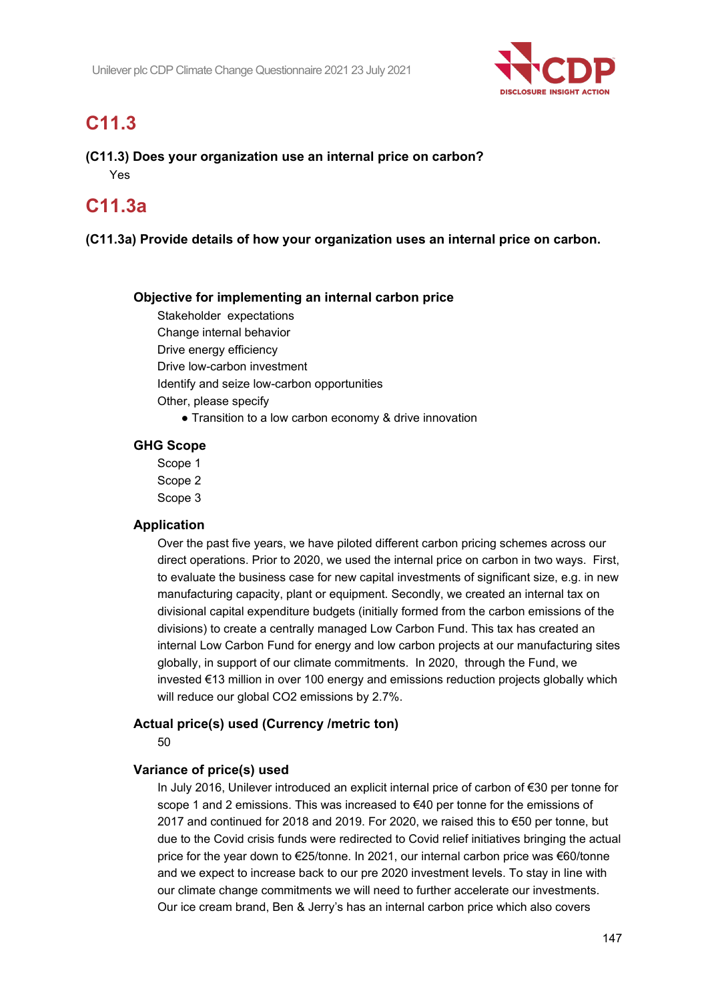

# **C11.3**

## **(C11.3) Does your organization use an internal price on carbon?** Yes

## **C11.3a**

## **(C11.3a) Provide details of how your organization uses an internal price on carbon.**

## **Objective for implementing an internal carbon price**

Stakeholder expectations

Change internal behavior

Drive energy efficiency

Drive low-carbon investment

Identify and seize low-carbon opportunities

Other, please specify

• Transition to a low carbon economy & drive innovation

## **GHG Scope**

Scope 1 Scope 2

Scope 3

## **Application**

Over the past five years, we have piloted different carbon pricing schemes across our direct operations. Prior to 2020, we used the internal price on carbon in two ways. First, to evaluate the business case for new capital investments of significant size, e.g. in new manufacturing capacity, plant or equipment. Secondly, we created an internal tax on divisional capital expenditure budgets (initially formed from the carbon emissions of the divisions) to create a centrally managed Low Carbon Fund. This tax has created an internal Low Carbon Fund for energy and low carbon projects at our manufacturing sites globally, in support of our climate commitments. In 2020, through the Fund, we invested €13 million in over 100 energy and emissions reduction projects globally which will reduce our global CO2 emissions by 2.7%.

## **Actual price(s) used (Currency /metric ton)**

50

## **Variance of price(s) used**

In July 2016, Unilever introduced an explicit internal price of carbon of €30 per tonne for scope 1 and 2 emissions. This was increased to €40 per tonne for the emissions of 2017 and continued for 2018 and 2019. For 2020, we raised this to €50 per tonne, but due to the Covid crisis funds were redirected to Covid relief initiatives bringing the actual price for the year down to €25/tonne. In 2021, our internal carbon price was €60/tonne and we expect to increase back to our pre 2020 investment levels. To stay in line with our climate change commitments we will need to further accelerate our investments. Our ice cream brand, Ben & Jerry's has an internal carbon price which also covers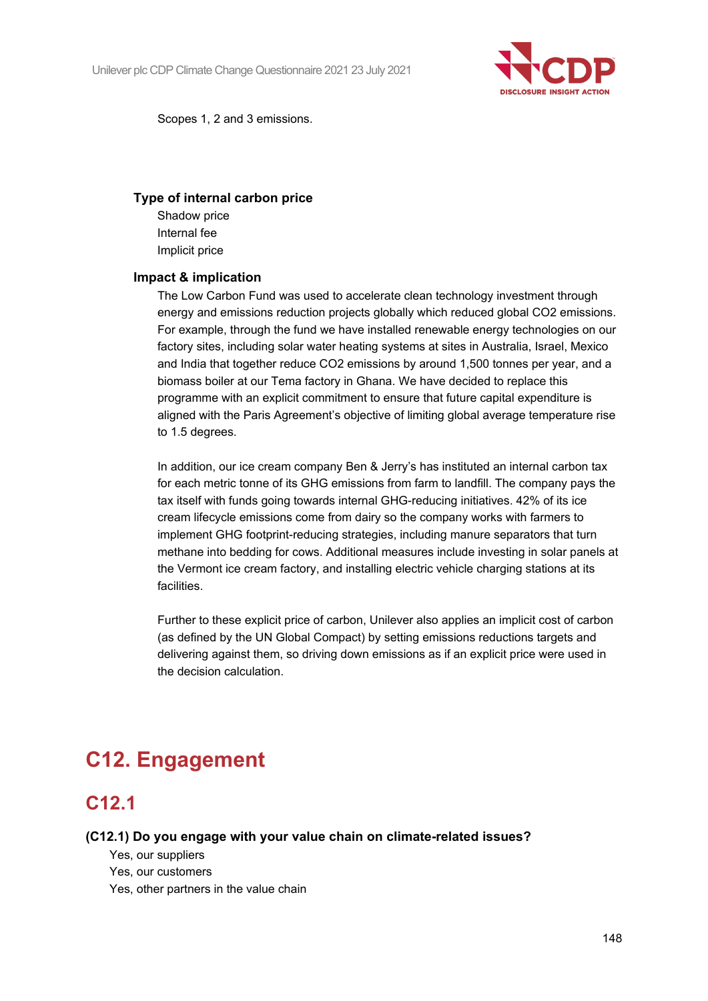

Scopes 1, 2 and 3 emissions.

## **Type of internal carbon price**

Shadow price Internal fee Implicit price

## **Impact & implication**

The Low Carbon Fund was used to accelerate clean technology investment through energy and emissions reduction projects globally which reduced global CO2 emissions. For example, through the fund we have installed renewable energy technologies on our factory sites, including solar water heating systems at sites in Australia, Israel, Mexico and India that together reduce CO2 emissions by around 1,500 tonnes per year, and a biomass boiler at our Tema factory in Ghana. We have decided to replace this programme with an explicit commitment to ensure that future capital expenditure is aligned with the Paris Agreement's objective of limiting global average temperature rise to 1.5 degrees.

In addition, our ice cream company Ben & Jerry's has instituted an internal carbon tax for each metric tonne of its GHG emissions from farm to landfill. The company pays the tax itself with funds going towards internal GHG-reducing initiatives. 42% of its ice cream lifecycle emissions come from dairy so the company works with farmers to implement GHG footprint-reducing strategies, including manure separators that turn methane into bedding for cows. Additional measures include investing in solar panels at the Vermont ice cream factory, and installing electric vehicle charging stations at its facilities.

Further to these explicit price of carbon, Unilever also applies an implicit cost of carbon (as defined by the UN Global Compact) by setting emissions reductions targets and delivering against them, so driving down emissions as if an explicit price were used in the decision calculation.

# **C12. Engagement**

## **C12.1**

## **(C12.1) Do you engage with your value chain on climate-related issues?**

Yes, our suppliers

Yes, our customers

Yes, other partners in the value chain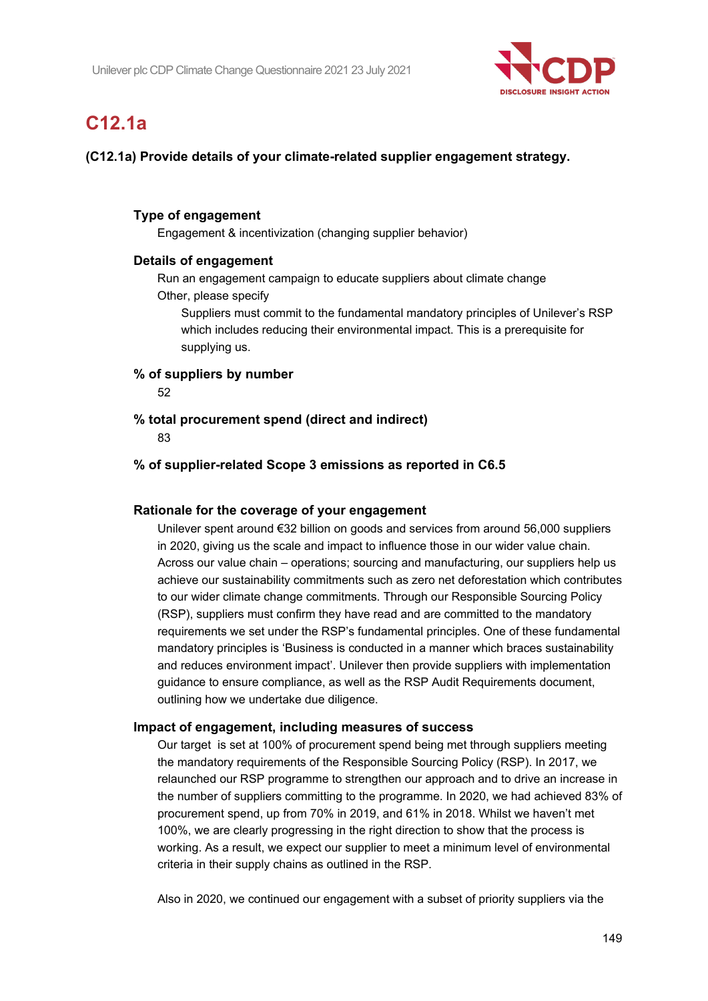

# **C12.1a**

## **(C12.1a) Provide details of your climate-related supplier engagement strategy.**

## **Type of engagement**

Engagement & incentivization (changing supplier behavior)

## **Details of engagement**

Run an engagement campaign to educate suppliers about climate change

Other, please specify

Suppliers must commit to the fundamental mandatory principles of Unilever's RSP which includes reducing their environmental impact. This is a prerequisite for supplying us.

**% of suppliers by number**

52

**% total procurement spend (direct and indirect)**

83

## **% of supplier-related Scope 3 emissions as reported in C6.5**

## **Rationale for the coverage of your engagement**

Unilever spent around €32 billion on goods and services from around 56,000 suppliers in 2020, giving us the scale and impact to influence those in our wider value chain. Across our value chain – operations; sourcing and manufacturing, our suppliers help us achieve our sustainability commitments such as zero net deforestation which contributes to our wider climate change commitments. Through our Responsible Sourcing Policy (RSP), suppliers must confirm they have read and are committed to the mandatory requirements we set under the RSP's fundamental principles. One of these fundamental mandatory principles is 'Business is conducted in a manner which braces sustainability and reduces environment impact'. Unilever then provide suppliers with implementation guidance to ensure compliance, as well as the RSP Audit Requirements document, outlining how we undertake due diligence.

## **Impact of engagement, including measures of success**

Our target is set at 100% of procurement spend being met through suppliers meeting the mandatory requirements of the Responsible Sourcing Policy (RSP). In 2017, we relaunched our RSP programme to strengthen our approach and to drive an increase in the number of suppliers committing to the programme. In 2020, we had achieved 83% of procurement spend, up from 70% in 2019, and 61% in 2018. Whilst we haven't met 100%, we are clearly progressing in the right direction to show that the process is working. As a result, we expect our supplier to meet a minimum level of environmental criteria in their supply chains as outlined in the RSP.

Also in 2020, we continued our engagement with a subset of priority suppliers via the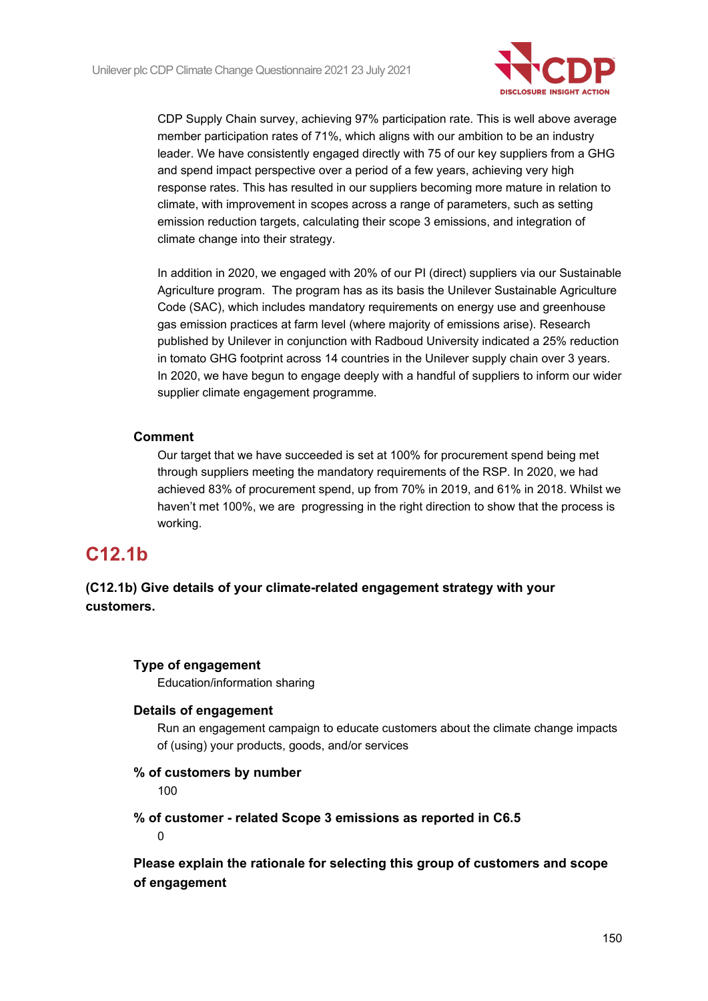

CDP Supply Chain survey, achieving 97% participation rate. This is well above average member participation rates of 71%, which aligns with our ambition to be an industry leader. We have consistently engaged directly with 75 of our key suppliers from a GHG and spend impact perspective over a period of a few years, achieving very high response rates. This has resulted in our suppliers becoming more mature in relation to climate, with improvement in scopes across a range of parameters, such as setting emission reduction targets, calculating their scope 3 emissions, and integration of climate change into their strategy.

In addition in 2020, we engaged with 20% of our PI (direct) suppliers via our Sustainable Agriculture program. The program has as its basis the Unilever Sustainable Agriculture Code (SAC), which includes mandatory requirements on energy use and greenhouse gas emission practices at farm level (where majority of emissions arise). Research published by Unilever in conjunction with Radboud University indicated a 25% reduction in tomato GHG footprint across 14 countries in the Unilever supply chain over 3 years. In 2020, we have begun to engage deeply with a handful of suppliers to inform our wider supplier climate engagement programme.

## **Comment**

Our target that we have succeeded is set at 100% for procurement spend being met through suppliers meeting the mandatory requirements of the RSP. In 2020, we had achieved 83% of procurement spend, up from 70% in 2019, and 61% in 2018. Whilst we haven't met 100%, we are progressing in the right direction to show that the process is working.

## **C12.1b**

**(C12.1b) Give details of your climate-related engagement strategy with your customers.**

## **Type of engagement**

Education/information sharing

## **Details of engagement**

Run an engagement campaign to educate customers about the climate change impacts of (using) your products, goods, and/or services

## **% of customers by number**

100

**% of customer - related Scope 3 emissions as reported in C6.5**

 $\Omega$ 

**Please explain the rationale for selecting this group of customers and scope of engagement**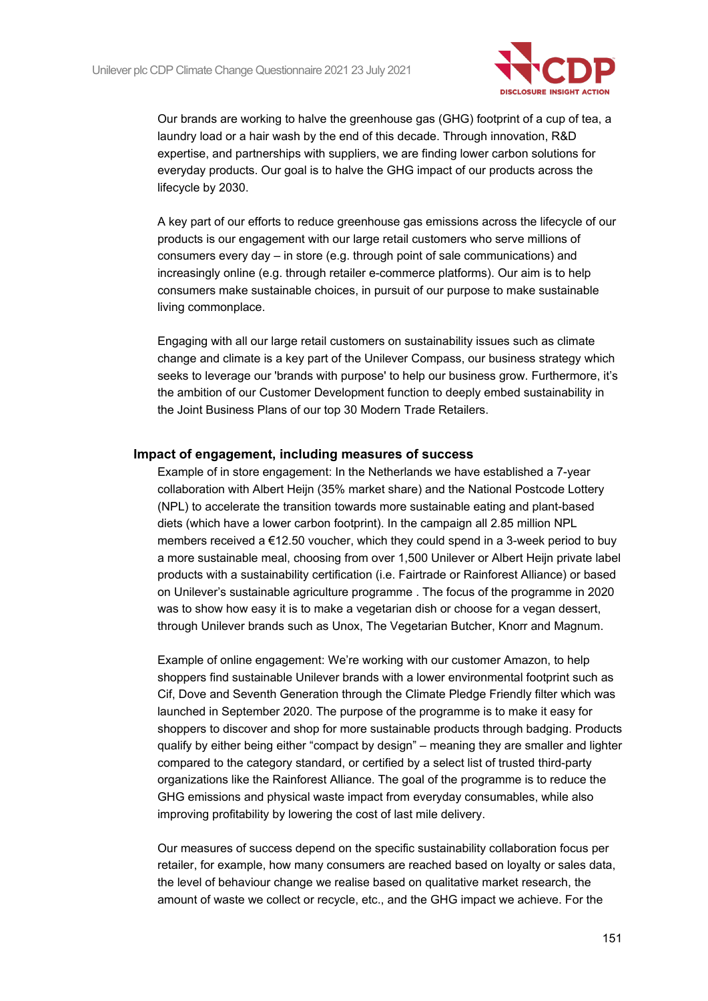

Our brands are working to halve the greenhouse gas (GHG) footprint of a cup of tea, a laundry load or a hair wash by the end of this decade. Through innovation, R&D expertise, and partnerships with suppliers, we are finding lower carbon solutions for everyday products. Our goal is to halve the GHG impact of our products across the lifecycle by 2030.

A key part of our efforts to reduce greenhouse gas emissions across the lifecycle of our products is our engagement with our large retail customers who serve millions of consumers every day – in store (e.g. through point of sale communications) and increasingly online (e.g. through retailer e-commerce platforms). Our aim is to help consumers make sustainable choices, in pursuit of our purpose to make sustainable living commonplace.

Engaging with all our large retail customers on sustainability issues such as climate change and climate is a key part of the Unilever Compass, our business strategy which seeks to leverage our 'brands with purpose' to help our business grow. Furthermore, it's the ambition of our Customer Development function to deeply embed sustainability in the Joint Business Plans of our top 30 Modern Trade Retailers.

## **Impact of engagement, including measures of success**

Example of in store engagement: In the Netherlands we have established a 7-year collaboration with Albert Heijn (35% market share) and the National Postcode Lottery (NPL) to accelerate the transition towards more sustainable eating and plant-based diets (which have a lower carbon footprint). In the campaign all 2.85 million NPL members received a  $\epsilon$ 12.50 voucher, which they could spend in a 3-week period to buy a more sustainable meal, choosing from over 1,500 Unilever or Albert Heijn private label products with a sustainability certification (i.e. Fairtrade or Rainforest Alliance) or based on Unilever's sustainable agriculture programme . The focus of the programme in 2020 was to show how easy it is to make a vegetarian dish or choose for a vegan dessert, through Unilever brands such as Unox, The Vegetarian Butcher, Knorr and Magnum.

Example of online engagement: We're working with our customer Amazon, to help shoppers find sustainable Unilever brands with a lower environmental footprint such as Cif, Dove and Seventh Generation through the Climate Pledge Friendly filter which was launched in September 2020. The purpose of the programme is to make it easy for shoppers to discover and shop for more sustainable products through badging. Products qualify by either being either "compact by design" – meaning they are smaller and lighter compared to the category standard, or certified by a select list of trusted third-party organizations like the Rainforest Alliance. The goal of the programme is to reduce the GHG emissions and physical waste impact from everyday consumables, while also improving profitability by lowering the cost of last mile delivery.

Our measures of success depend on the specific sustainability collaboration focus per retailer, for example, how many consumers are reached based on loyalty or sales data, the level of behaviour change we realise based on qualitative market research, the amount of waste we collect or recycle, etc., and the GHG impact we achieve. For the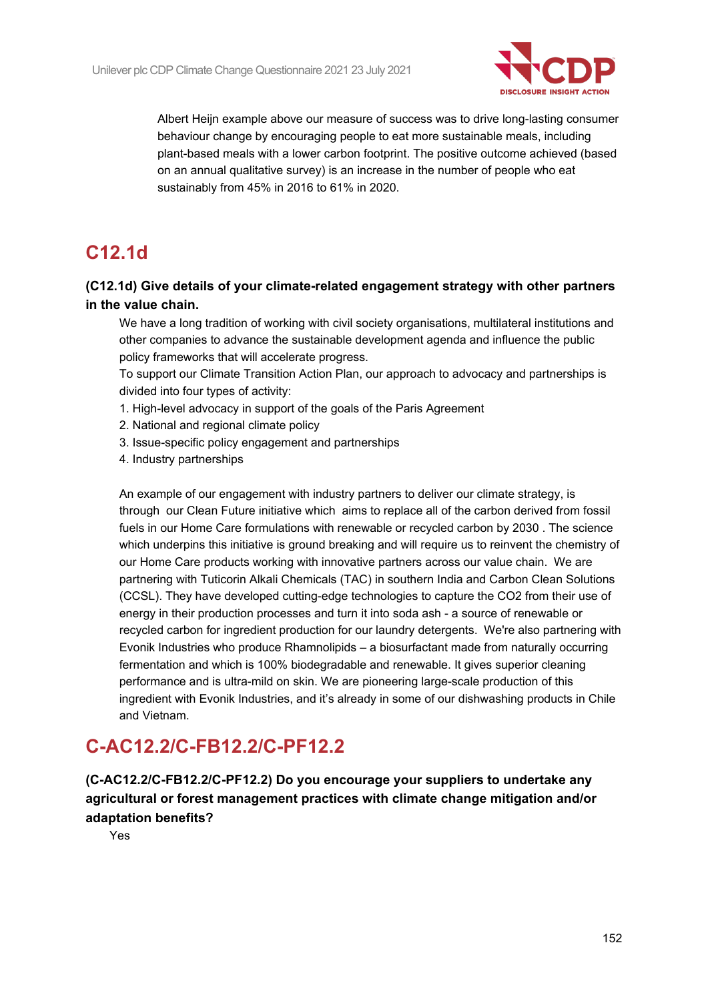

Albert Heijn example above our measure of success was to drive long-lasting consumer behaviour change by encouraging people to eat more sustainable meals, including plant-based meals with a lower carbon footprint. The positive outcome achieved (based on an annual qualitative survey) is an increase in the number of people who eat sustainably from 45% in 2016 to 61% in 2020.

# **C12.1d**

## **(C12.1d) Give details of your climate-related engagement strategy with other partners in the value chain.**

We have a long tradition of working with civil society organisations, multilateral institutions and other companies to advance the sustainable development agenda and influence the public policy frameworks that will accelerate progress.

To support our Climate Transition Action Plan, our approach to advocacy and partnerships is divided into four types of activity:

- 1. High-level advocacy in support of the goals of the Paris Agreement
- 2. National and regional climate policy
- 3. Issue-specific policy engagement and partnerships
- 4. Industry partnerships

An example of our engagement with industry partners to deliver our climate strategy, is through our Clean Future initiative which aims to replace all of the carbon derived from fossil fuels in our Home Care formulations with renewable or recycled carbon by 2030 . The science which underpins this initiative is ground breaking and will require us to reinvent the chemistry of our Home Care products working with innovative partners across our value chain. We are partnering with Tuticorin Alkali Chemicals (TAC) in southern India and Carbon Clean Solutions (CCSL). They have developed cutting-edge technologies to capture the CO2 from their use of energy in their production processes and turn it into soda ash - a source of renewable or recycled carbon for ingredient production for our laundry detergents. We're also partnering with Evonik Industries who produce Rhamnolipids – a biosurfactant made from naturally occurring fermentation and which is 100% biodegradable and renewable. It gives superior cleaning performance and is ultra-mild on skin. We are pioneering large-scale production of this ingredient with Evonik Industries, and it's already in some of our dishwashing products in Chile and Vietnam.

# **C-AC12.2/C-FB12.2/C-PF12.2**

**(C-AC12.2/C-FB12.2/C-PF12.2) Do you encourage your suppliers to undertake any agricultural or forest management practices with climate change mitigation and/or adaptation benefits?**

Yes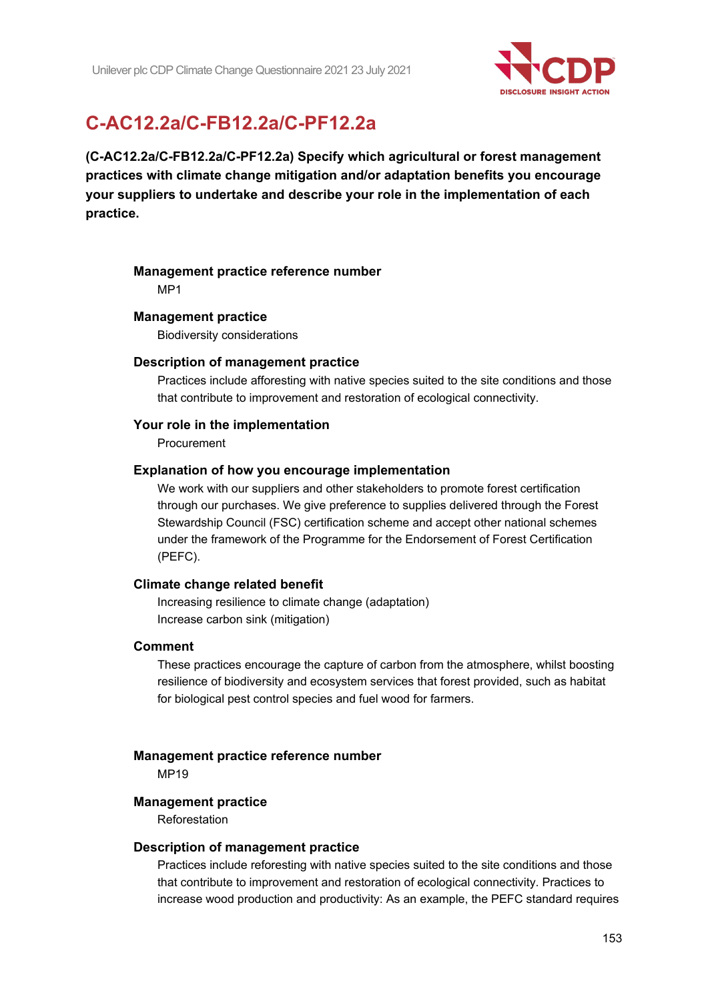

## **C-AC12.2a/C-FB12.2a/C-PF12.2a**

**(C-AC12.2a/C-FB12.2a/C-PF12.2a) Specify which agricultural or forest management practices with climate change mitigation and/or adaptation benefits you encourage your suppliers to undertake and describe your role in the implementation of each practice.**

## **Management practice reference number**

M<sub>P</sub>1

### **Management practice**

Biodiversity considerations

## **Description of management practice**

Practices include afforesting with native species suited to the site conditions and those that contribute to improvement and restoration of ecological connectivity.

## **Your role in the implementation**

**Procurement** 

## **Explanation of how you encourage implementation**

We work with our suppliers and other stakeholders to promote forest certification through our purchases. We give preference to supplies delivered through the Forest Stewardship Council (FSC) certification scheme and accept other national schemes under the framework of the Programme for the Endorsement of Forest Certification (PEFC).

## **Climate change related benefit**

Increasing resilience to climate change (adaptation) Increase carbon sink (mitigation)

## **Comment**

These practices encourage the capture of carbon from the atmosphere, whilst boosting resilience of biodiversity and ecosystem services that forest provided, such as habitat for biological pest control species and fuel wood for farmers.

#### **Management practice reference number**

MP19

### **Management practice**

Reforestation

#### **Description of management practice**

Practices include reforesting with native species suited to the site conditions and those that contribute to improvement and restoration of ecological connectivity. Practices to increase wood production and productivity: As an example, the PEFC standard requires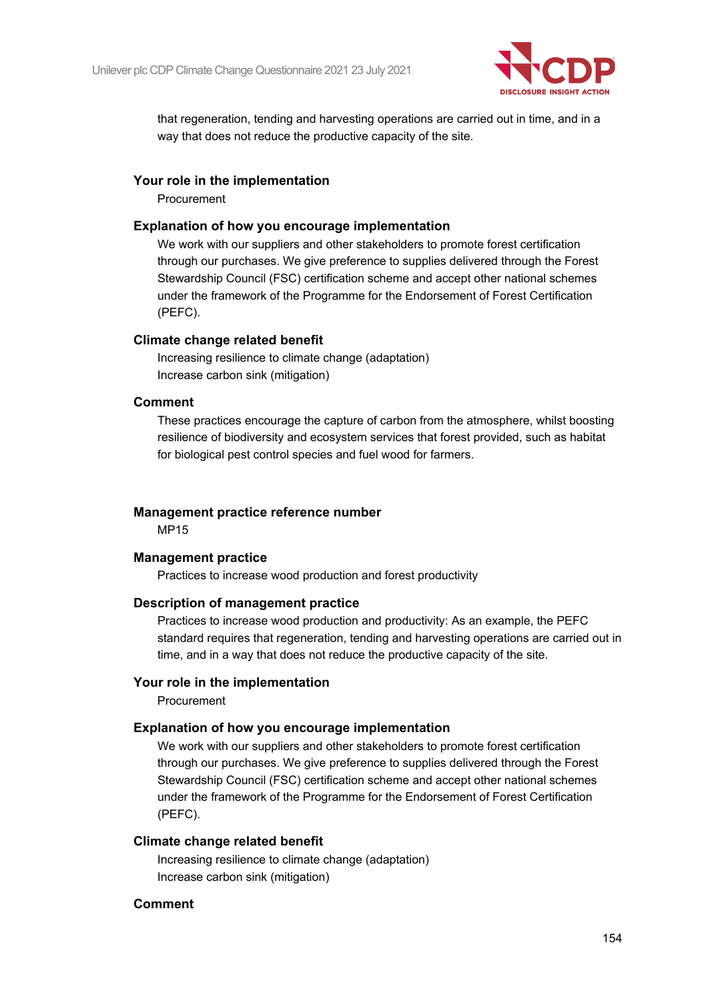

that regeneration, tending and harvesting operations are carried out in time, and in a way that does not reduce the productive capacity of the site.

## **Your role in the implementation**

Procurement

## **Explanation of how you encourage implementation**

We work with our suppliers and other stakeholders to promote forest certification through our purchases. We give preference to supplies delivered through the Forest Stewardship Council (FSC) certification scheme and accept other national schemes under the framework of the Programme for the Endorsement of Forest Certification (PEFC).

## **Climate change related benefit**

Increasing resilience to climate change (adaptation) Increase carbon sink (mitigation)

## **Comment**

These practices encourage the capture of carbon from the atmosphere, whilst boosting resilience of biodiversity and ecosystem services that forest provided, such as habitat for biological pest control species and fuel wood for farmers.

## **Management practice reference number**

MP15

## **Management practice**

Practices to increase wood production and forest productivity

#### **Description of management practice**

Practices to increase wood production and productivity: As an example, the PEFC standard requires that regeneration, tending and harvesting operations are carried out in time, and in a way that does not reduce the productive capacity of the site.

## **Your role in the implementation**

Procurement

#### **Explanation of how you encourage implementation**

We work with our suppliers and other stakeholders to promote forest certification through our purchases. We give preference to supplies delivered through the Forest Stewardship Council (FSC) certification scheme and accept other national schemes under the framework of the Programme for the Endorsement of Forest Certification (PEFC).

## **Climate change related benefit**

Increasing resilience to climate change (adaptation) Increase carbon sink (mitigation)

## **Comment**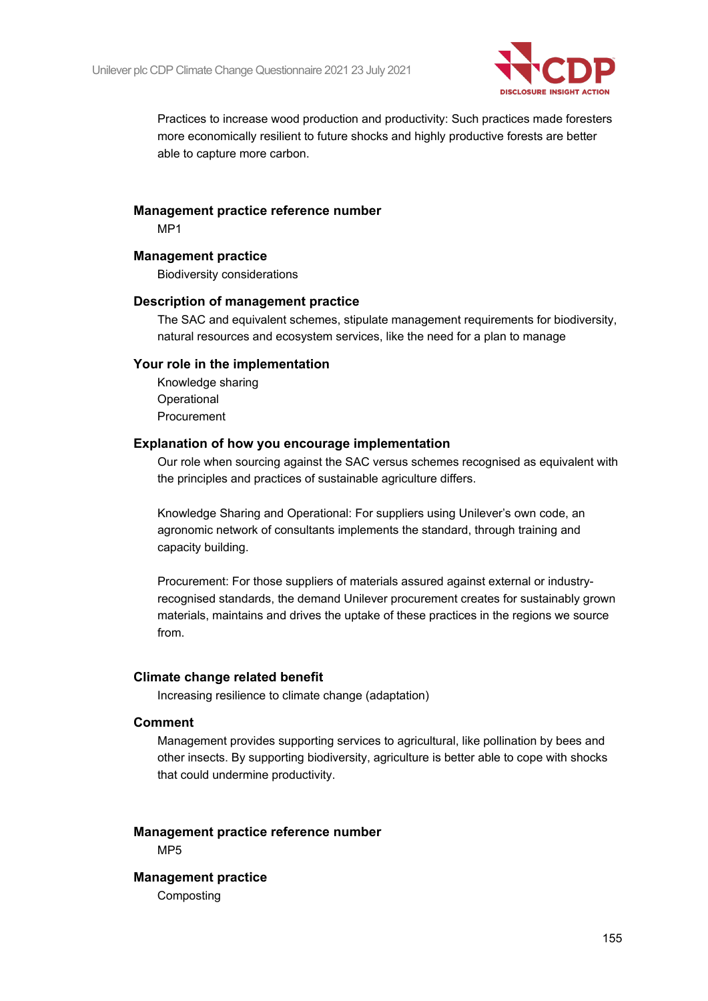

Practices to increase wood production and productivity: Such practices made foresters more economically resilient to future shocks and highly productive forests are better able to capture more carbon.

## **Management practice reference number**

MP1

### **Management practice**

Biodiversity considerations

### **Description of management practice**

The SAC and equivalent schemes, stipulate management requirements for biodiversity, natural resources and ecosystem services, like the need for a plan to manage

## **Your role in the implementation**

Knowledge sharing **Operational** Procurement

### **Explanation of how you encourage implementation**

Our role when sourcing against the SAC versus schemes recognised as equivalent with the principles and practices of sustainable agriculture differs.

Knowledge Sharing and Operational: For suppliers using Unilever's own code, an agronomic network of consultants implements the standard, through training and capacity building.

Procurement: For those suppliers of materials assured against external or industryrecognised standards, the demand Unilever procurement creates for sustainably grown materials, maintains and drives the uptake of these practices in the regions we source from.

#### **Climate change related benefit**

Increasing resilience to climate change (adaptation)

## **Comment**

Management provides supporting services to agricultural, like pollination by bees and other insects. By supporting biodiversity, agriculture is better able to cope with shocks that could undermine productivity.

**Management practice reference number** MP5

**Management practice** Composting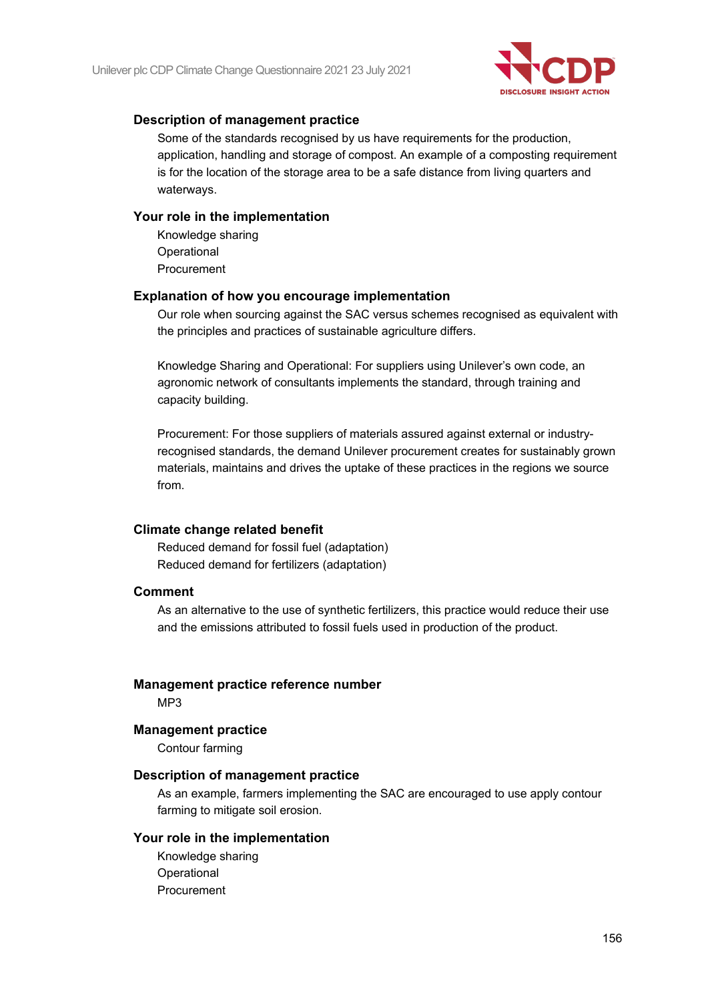

## **Description of management practice**

Some of the standards recognised by us have requirements for the production, application, handling and storage of compost. An example of a composting requirement is for the location of the storage area to be a safe distance from living quarters and waterways.

## **Your role in the implementation**

Knowledge sharing **Operational** Procurement

## **Explanation of how you encourage implementation**

Our role when sourcing against the SAC versus schemes recognised as equivalent with the principles and practices of sustainable agriculture differs.

Knowledge Sharing and Operational: For suppliers using Unilever's own code, an agronomic network of consultants implements the standard, through training and capacity building.

Procurement: For those suppliers of materials assured against external or industryrecognised standards, the demand Unilever procurement creates for sustainably grown materials, maintains and drives the uptake of these practices in the regions we source from.

## **Climate change related benefit**

Reduced demand for fossil fuel (adaptation) Reduced demand for fertilizers (adaptation)

## **Comment**

As an alternative to the use of synthetic fertilizers, this practice would reduce their use and the emissions attributed to fossil fuels used in production of the product.

## **Management practice reference number**

MP3

#### **Management practice**

Contour farming

## **Description of management practice**

As an example, farmers implementing the SAC are encouraged to use apply contour farming to mitigate soil erosion.

## **Your role in the implementation**

Knowledge sharing **Operational** Procurement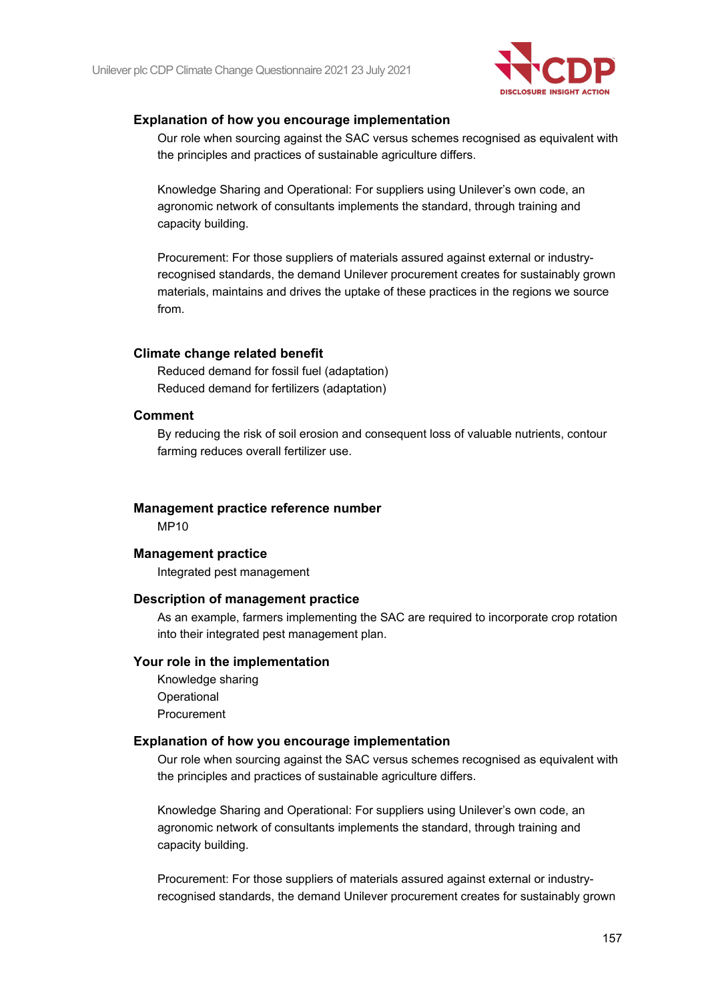

## **Explanation of how you encourage implementation**

Our role when sourcing against the SAC versus schemes recognised as equivalent with the principles and practices of sustainable agriculture differs.

Knowledge Sharing and Operational: For suppliers using Unilever's own code, an agronomic network of consultants implements the standard, through training and capacity building.

Procurement: For those suppliers of materials assured against external or industryrecognised standards, the demand Unilever procurement creates for sustainably grown materials, maintains and drives the uptake of these practices in the regions we source from.

## **Climate change related benefit**

Reduced demand for fossil fuel (adaptation) Reduced demand for fertilizers (adaptation)

## **Comment**

By reducing the risk of soil erosion and consequent loss of valuable nutrients, contour farming reduces overall fertilizer use.

### **Management practice reference number**

MP10

## **Management practice**

Integrated pest management

### **Description of management practice**

As an example, farmers implementing the SAC are required to incorporate crop rotation into their integrated pest management plan.

## **Your role in the implementation**

Knowledge sharing **Operational** Procurement

#### **Explanation of how you encourage implementation**

Our role when sourcing against the SAC versus schemes recognised as equivalent with the principles and practices of sustainable agriculture differs.

Knowledge Sharing and Operational: For suppliers using Unilever's own code, an agronomic network of consultants implements the standard, through training and capacity building.

Procurement: For those suppliers of materials assured against external or industryrecognised standards, the demand Unilever procurement creates for sustainably grown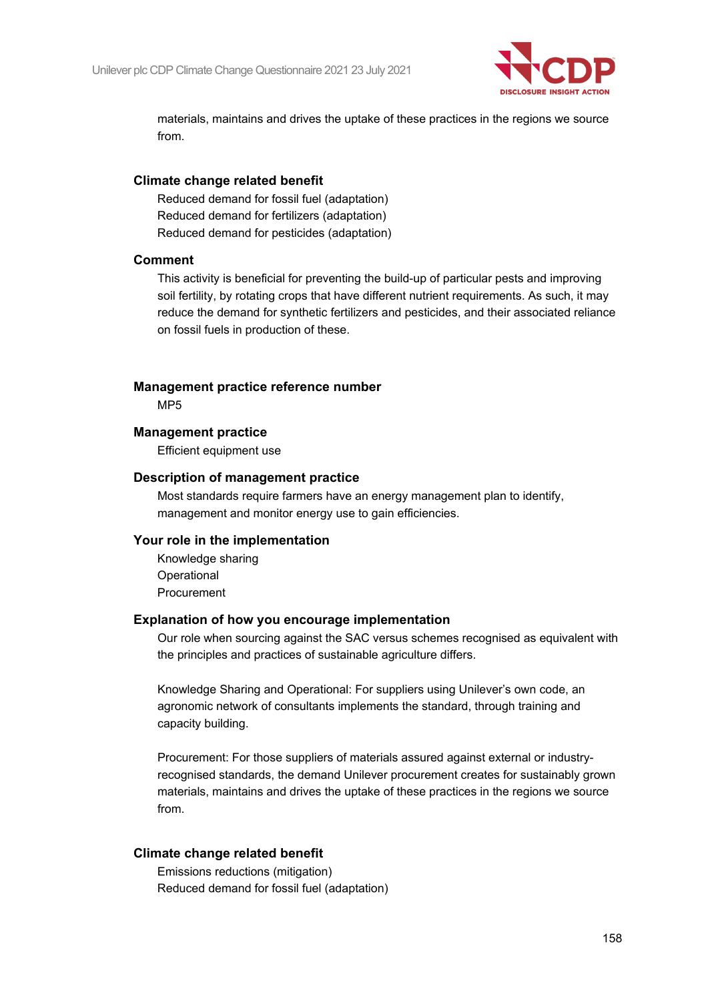

materials, maintains and drives the uptake of these practices in the regions we source from.

## **Climate change related benefit**

Reduced demand for fossil fuel (adaptation) Reduced demand for fertilizers (adaptation) Reduced demand for pesticides (adaptation)

### **Comment**

This activity is beneficial for preventing the build-up of particular pests and improving soil fertility, by rotating crops that have different nutrient requirements. As such, it may reduce the demand for synthetic fertilizers and pesticides, and their associated reliance on fossil fuels in production of these.

### **Management practice reference number**

MP5

### **Management practice**

Efficient equipment use

### **Description of management practice**

Most standards require farmers have an energy management plan to identify, management and monitor energy use to gain efficiencies.

#### **Your role in the implementation**

Knowledge sharing **Operational** Procurement

#### **Explanation of how you encourage implementation**

Our role when sourcing against the SAC versus schemes recognised as equivalent with the principles and practices of sustainable agriculture differs.

Knowledge Sharing and Operational: For suppliers using Unilever's own code, an agronomic network of consultants implements the standard, through training and capacity building.

Procurement: For those suppliers of materials assured against external or industryrecognised standards, the demand Unilever procurement creates for sustainably grown materials, maintains and drives the uptake of these practices in the regions we source from.

## **Climate change related benefit**

Emissions reductions (mitigation) Reduced demand for fossil fuel (adaptation)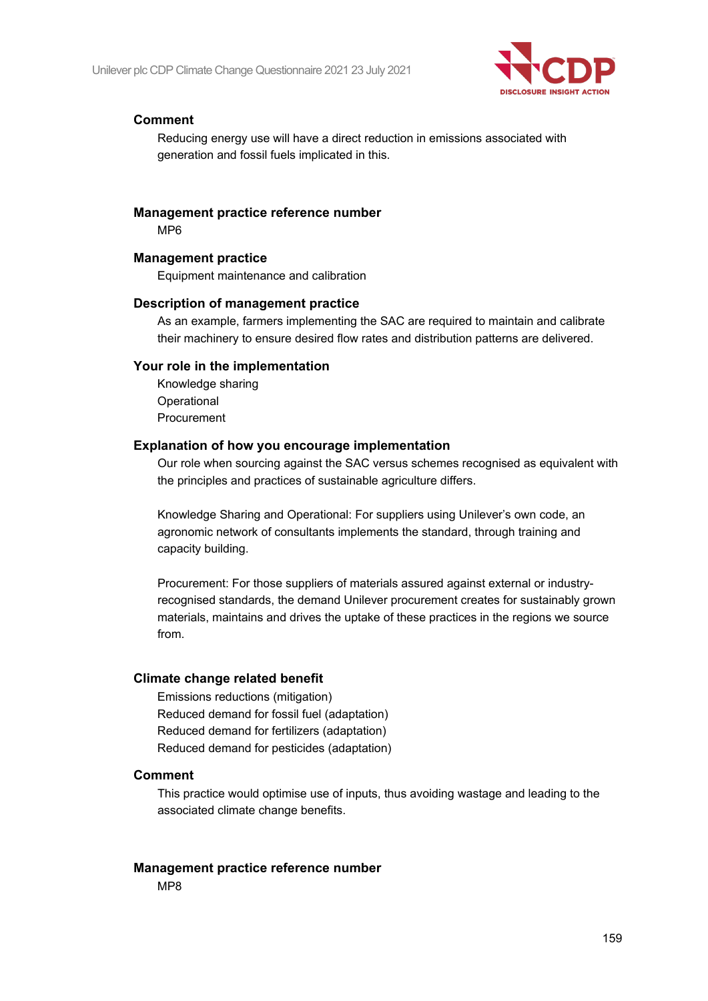

## **Comment**

Reducing energy use will have a direct reduction in emissions associated with generation and fossil fuels implicated in this.

## **Management practice reference number**

MP6

## **Management practice**

Equipment maintenance and calibration

## **Description of management practice**

As an example, farmers implementing the SAC are required to maintain and calibrate their machinery to ensure desired flow rates and distribution patterns are delivered.

## **Your role in the implementation**

Knowledge sharing **Operational** Procurement

## **Explanation of how you encourage implementation**

Our role when sourcing against the SAC versus schemes recognised as equivalent with the principles and practices of sustainable agriculture differs.

Knowledge Sharing and Operational: For suppliers using Unilever's own code, an agronomic network of consultants implements the standard, through training and capacity building.

Procurement: For those suppliers of materials assured against external or industryrecognised standards, the demand Unilever procurement creates for sustainably grown materials, maintains and drives the uptake of these practices in the regions we source from.

## **Climate change related benefit**

Emissions reductions (mitigation) Reduced demand for fossil fuel (adaptation) Reduced demand for fertilizers (adaptation) Reduced demand for pesticides (adaptation)

## **Comment**

This practice would optimise use of inputs, thus avoiding wastage and leading to the associated climate change benefits.

## **Management practice reference number** MP8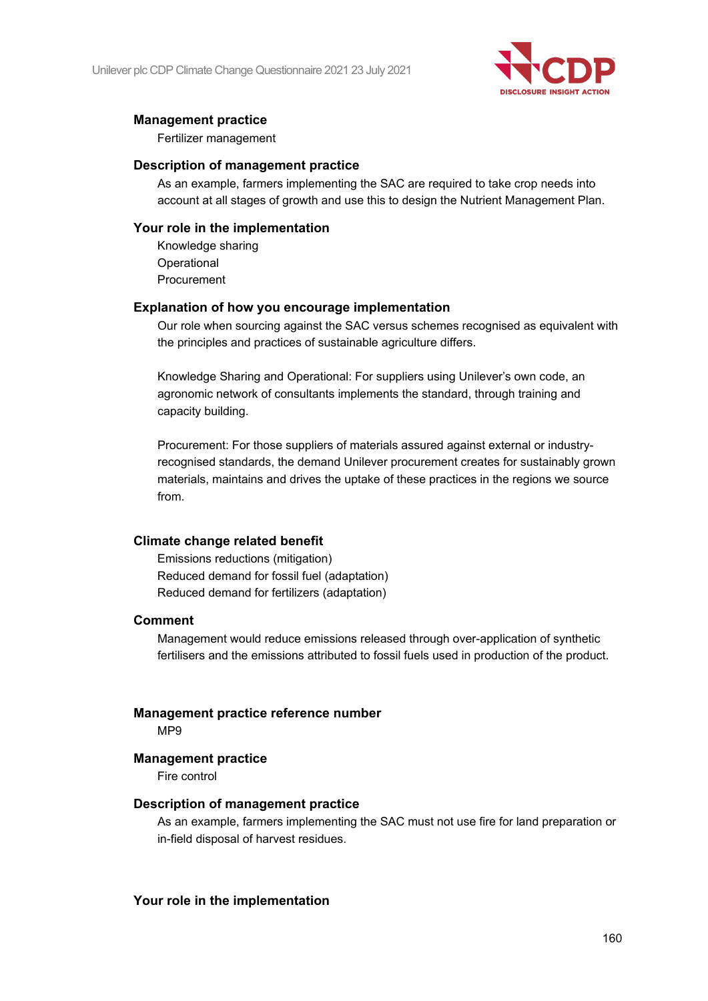Unilever plc CDP Climate Change Questionnaire 2021 23 July 2021



## **Management practice**

Fertilizer management

## **Description of management practice**

As an example, farmers implementing the SAC are required to take crop needs into account at all stages of growth and use this to design the Nutrient Management Plan.

## **Your role in the implementation**

Knowledge sharing **Operational** Procurement

## **Explanation of how you encourage implementation**

Our role when sourcing against the SAC versus schemes recognised as equivalent with the principles and practices of sustainable agriculture differs.

Knowledge Sharing and Operational: For suppliers using Unilever's own code, an agronomic network of consultants implements the standard, through training and capacity building.

Procurement: For those suppliers of materials assured against external or industryrecognised standards, the demand Unilever procurement creates for sustainably grown materials, maintains and drives the uptake of these practices in the regions we source from.

## **Climate change related benefit**

Emissions reductions (mitigation) Reduced demand for fossil fuel (adaptation) Reduced demand for fertilizers (adaptation)

## **Comment**

Management would reduce emissions released through over-application of synthetic fertilisers and the emissions attributed to fossil fuels used in production of the product.

## **Management practice reference number**

MP9

## **Management practice**

Fire control

## **Description of management practice**

As an example, farmers implementing the SAC must not use fire for land preparation or in-field disposal of harvest residues.

## **Your role in the implementation**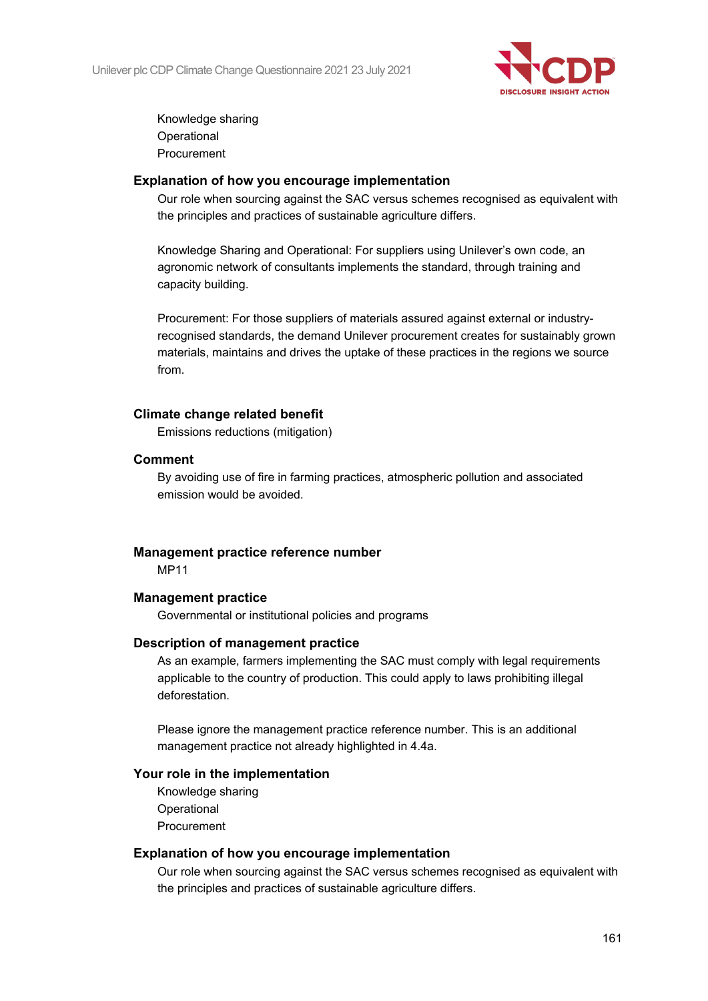

Knowledge sharing **Operational** Procurement

## **Explanation of how you encourage implementation**

Our role when sourcing against the SAC versus schemes recognised as equivalent with the principles and practices of sustainable agriculture differs.

Knowledge Sharing and Operational: For suppliers using Unilever's own code, an agronomic network of consultants implements the standard, through training and capacity building.

Procurement: For those suppliers of materials assured against external or industryrecognised standards, the demand Unilever procurement creates for sustainably grown materials, maintains and drives the uptake of these practices in the regions we source from.

## **Climate change related benefit**

Emissions reductions (mitigation)

## **Comment**

By avoiding use of fire in farming practices, atmospheric pollution and associated emission would be avoided.

## **Management practice reference number**

MP11

## **Management practice**

Governmental or institutional policies and programs

## **Description of management practice**

As an example, farmers implementing the SAC must comply with legal requirements applicable to the country of production. This could apply to laws prohibiting illegal deforestation.

Please ignore the management practice reference number. This is an additional management practice not already highlighted in 4.4a.

## **Your role in the implementation**

Knowledge sharing **Operational** Procurement

## **Explanation of how you encourage implementation**

Our role when sourcing against the SAC versus schemes recognised as equivalent with the principles and practices of sustainable agriculture differs.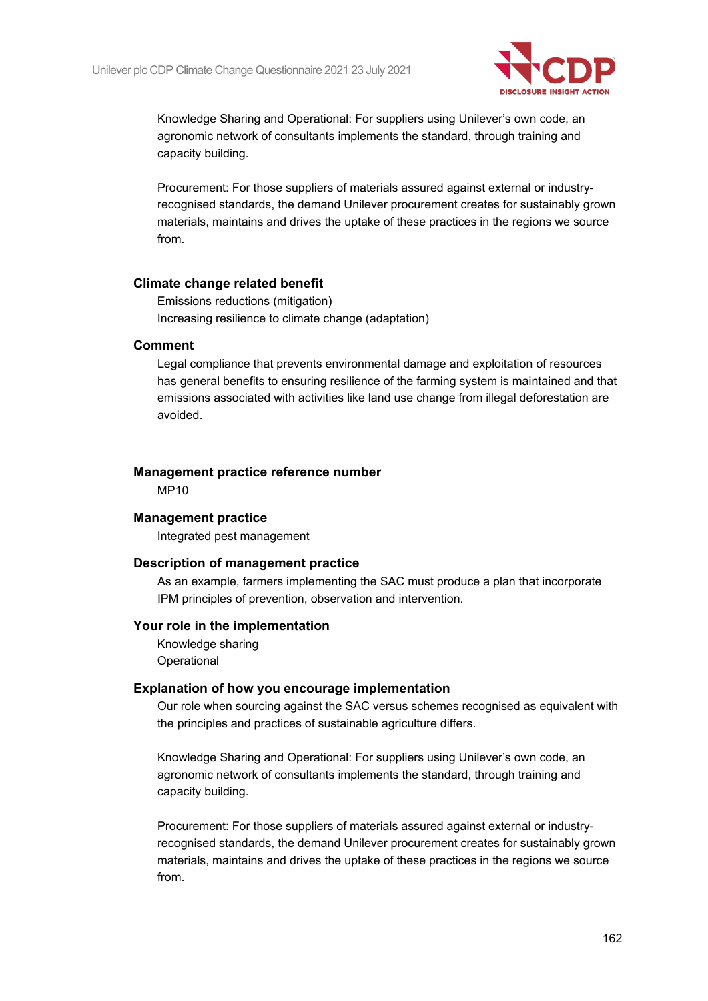

Knowledge Sharing and Operational: For suppliers using Unilever's own code, an agronomic network of consultants implements the standard, through training and capacity building.

Procurement: For those suppliers of materials assured against external or industryrecognised standards, the demand Unilever procurement creates for sustainably grown materials, maintains and drives the uptake of these practices in the regions we source from.

## **Climate change related benefit**

Emissions reductions (mitigation) Increasing resilience to climate change (adaptation)

## **Comment**

Legal compliance that prevents environmental damage and exploitation of resources has general benefits to ensuring resilience of the farming system is maintained and that emissions associated with activities like land use change from illegal deforestation are avoided.

## **Management practice reference number**

MP10

## **Management practice**

Integrated pest management

## **Description of management practice**

As an example, farmers implementing the SAC must produce a plan that incorporate IPM principles of prevention, observation and intervention.

## **Your role in the implementation**

Knowledge sharing **Operational** 

#### **Explanation of how you encourage implementation**

Our role when sourcing against the SAC versus schemes recognised as equivalent with the principles and practices of sustainable agriculture differs.

Knowledge Sharing and Operational: For suppliers using Unilever's own code, an agronomic network of consultants implements the standard, through training and capacity building.

Procurement: For those suppliers of materials assured against external or industryrecognised standards, the demand Unilever procurement creates for sustainably grown materials, maintains and drives the uptake of these practices in the regions we source from.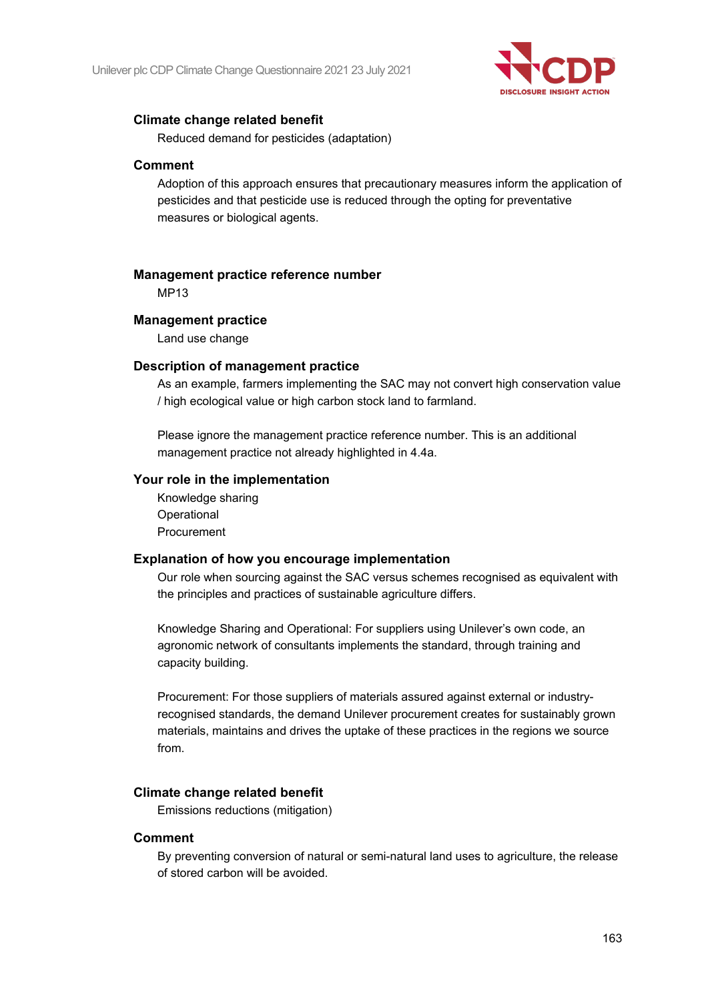

## **Climate change related benefit**

Reduced demand for pesticides (adaptation)

## **Comment**

Adoption of this approach ensures that precautionary measures inform the application of pesticides and that pesticide use is reduced through the opting for preventative measures or biological agents.

## **Management practice reference number**

MP13

## **Management practice**

Land use change

## **Description of management practice**

As an example, farmers implementing the SAC may not convert high conservation value / high ecological value or high carbon stock land to farmland.

Please ignore the management practice reference number. This is an additional management practice not already highlighted in 4.4a.

## **Your role in the implementation**

Knowledge sharing **Operational Procurement** 

## **Explanation of how you encourage implementation**

Our role when sourcing against the SAC versus schemes recognised as equivalent with the principles and practices of sustainable agriculture differs.

Knowledge Sharing and Operational: For suppliers using Unilever's own code, an agronomic network of consultants implements the standard, through training and capacity building.

Procurement: For those suppliers of materials assured against external or industryrecognised standards, the demand Unilever procurement creates for sustainably grown materials, maintains and drives the uptake of these practices in the regions we source from.

## **Climate change related benefit**

Emissions reductions (mitigation)

## **Comment**

By preventing conversion of natural or semi-natural land uses to agriculture, the release of stored carbon will be avoided.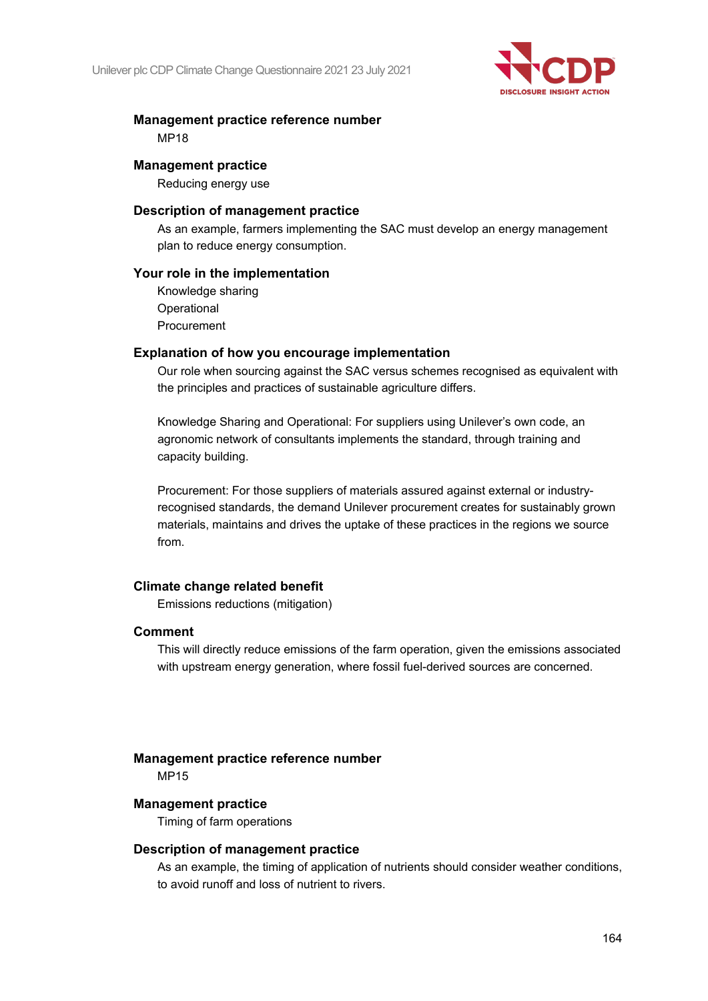

## **Management practice reference number**

MP18

## **Management practice**

Reducing energy use

## **Description of management practice**

As an example, farmers implementing the SAC must develop an energy management plan to reduce energy consumption.

## **Your role in the implementation**

Knowledge sharing **Operational** Procurement

## **Explanation of how you encourage implementation**

Our role when sourcing against the SAC versus schemes recognised as equivalent with the principles and practices of sustainable agriculture differs.

Knowledge Sharing and Operational: For suppliers using Unilever's own code, an agronomic network of consultants implements the standard, through training and capacity building.

Procurement: For those suppliers of materials assured against external or industryrecognised standards, the demand Unilever procurement creates for sustainably grown materials, maintains and drives the uptake of these practices in the regions we source from.

## **Climate change related benefit**

Emissions reductions (mitigation)

## **Comment**

This will directly reduce emissions of the farm operation, given the emissions associated with upstream energy generation, where fossil fuel-derived sources are concerned.

## **Management practice reference number**

MP15

## **Management practice**

Timing of farm operations

## **Description of management practice**

As an example, the timing of application of nutrients should consider weather conditions, to avoid runoff and loss of nutrient to rivers.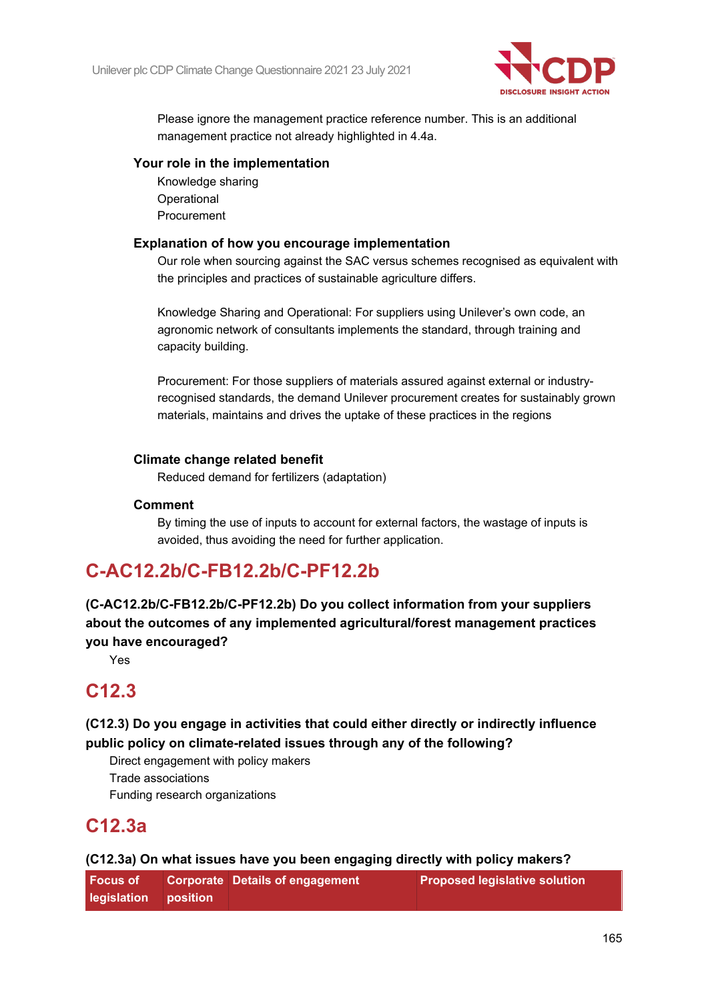

Please ignore the management practice reference number. This is an additional management practice not already highlighted in 4.4a.

## **Your role in the implementation**

Knowledge sharing **Operational** Procurement

## **Explanation of how you encourage implementation**

Our role when sourcing against the SAC versus schemes recognised as equivalent with the principles and practices of sustainable agriculture differs.

Knowledge Sharing and Operational: For suppliers using Unilever's own code, an agronomic network of consultants implements the standard, through training and capacity building.

Procurement: For those suppliers of materials assured against external or industryrecognised standards, the demand Unilever procurement creates for sustainably grown materials, maintains and drives the uptake of these practices in the regions

## **Climate change related benefit**

Reduced demand for fertilizers (adaptation)

## **Comment**

By timing the use of inputs to account for external factors, the wastage of inputs is avoided, thus avoiding the need for further application.

## **C-AC12.2b/C-FB12.2b/C-PF12.2b**

**(C-AC12.2b/C-FB12.2b/C-PF12.2b) Do you collect information from your suppliers about the outcomes of any implemented agricultural/forest management practices you have encouraged?**

Yes

## **C12.3**

**(C12.3) Do you engage in activities that could either directly or indirectly influence public policy on climate-related issues through any of the following?**

Direct engagement with policy makers Trade associations Funding research organizations

## **C12.3a**

## **(C12.3a) On what issues have you been engaging directly with policy makers?**

| l Focus of           | <b>Corporate Details of engagement</b> | <b>Proposed legislative solution</b> |
|----------------------|----------------------------------------|--------------------------------------|
| legislation position |                                        |                                      |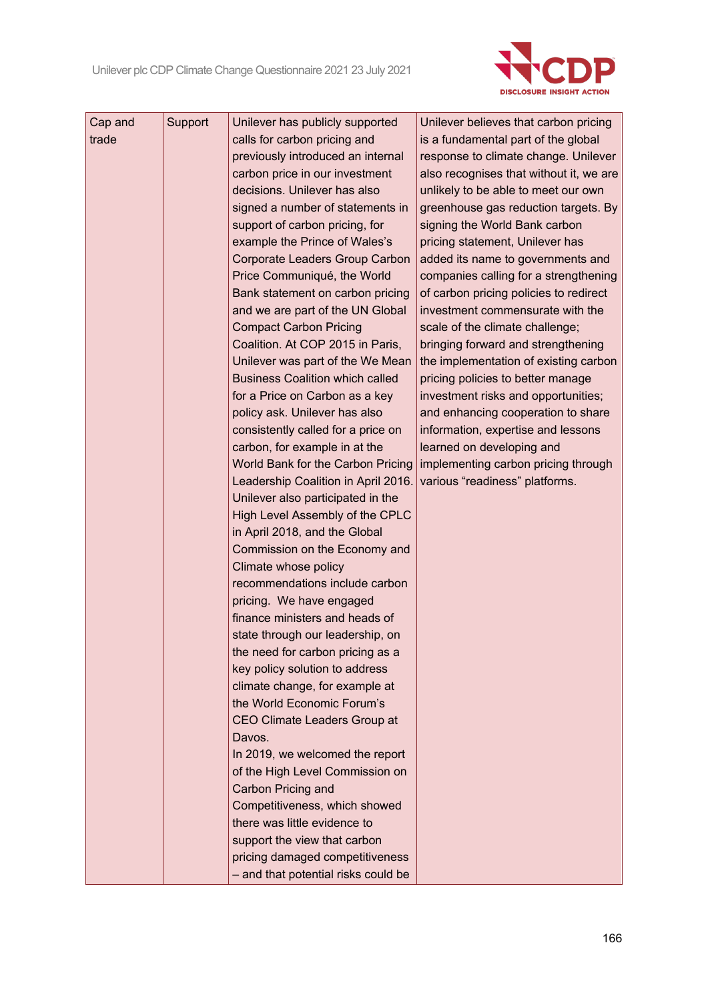

| Cap and | Support | Unilever has publicly supported        | Unilever believes that carbon pricing   |
|---------|---------|----------------------------------------|-----------------------------------------|
| trade   |         | calls for carbon pricing and           | is a fundamental part of the global     |
|         |         | previously introduced an internal      | response to climate change. Unilever    |
|         |         | carbon price in our investment         | also recognises that without it, we are |
|         |         | decisions. Unilever has also           | unlikely to be able to meet our own     |
|         |         | signed a number of statements in       | greenhouse gas reduction targets. By    |
|         |         | support of carbon pricing, for         | signing the World Bank carbon           |
|         |         | example the Prince of Wales's          | pricing statement, Unilever has         |
|         |         | Corporate Leaders Group Carbon         | added its name to governments and       |
|         |         | Price Communiqué, the World            | companies calling for a strengthening   |
|         |         | Bank statement on carbon pricing       | of carbon pricing policies to redirect  |
|         |         | and we are part of the UN Global       | investment commensurate with the        |
|         |         | <b>Compact Carbon Pricing</b>          | scale of the climate challenge;         |
|         |         | Coalition. At COP 2015 in Paris,       | bringing forward and strengthening      |
|         |         | Unilever was part of the We Mean       | the implementation of existing carbon   |
|         |         | <b>Business Coalition which called</b> | pricing policies to better manage       |
|         |         | for a Price on Carbon as a key         | investment risks and opportunities;     |
|         |         | policy ask. Unilever has also          | and enhancing cooperation to share      |
|         |         | consistently called for a price on     | information, expertise and lessons      |
|         |         | carbon, for example in at the          | learned on developing and               |
|         |         | World Bank for the Carbon Pricing      | implementing carbon pricing through     |
|         |         | Leadership Coalition in April 2016.    | various "readiness" platforms.          |
|         |         | Unilever also participated in the      |                                         |
|         |         | High Level Assembly of the CPLC        |                                         |
|         |         | in April 2018, and the Global          |                                         |
|         |         | Commission on the Economy and          |                                         |
|         |         | Climate whose policy                   |                                         |
|         |         | recommendations include carbon         |                                         |
|         |         | pricing. We have engaged               |                                         |
|         |         | finance ministers and heads of         |                                         |
|         |         | state through our leadership, on       |                                         |
|         |         | the need for carbon pricing as a       |                                         |
|         |         | key policy solution to address         |                                         |
|         |         | climate change, for example at         |                                         |
|         |         | the World Economic Forum's             |                                         |
|         |         | CEO Climate Leaders Group at           |                                         |
|         |         | Davos.                                 |                                         |
|         |         | In 2019, we welcomed the report        |                                         |
|         |         | of the High Level Commission on        |                                         |
|         |         | Carbon Pricing and                     |                                         |
|         |         | Competitiveness, which showed          |                                         |
|         |         | there was little evidence to           |                                         |
|         |         | support the view that carbon           |                                         |
|         |         | pricing damaged competitiveness        |                                         |
|         |         | - and that potential risks could be    |                                         |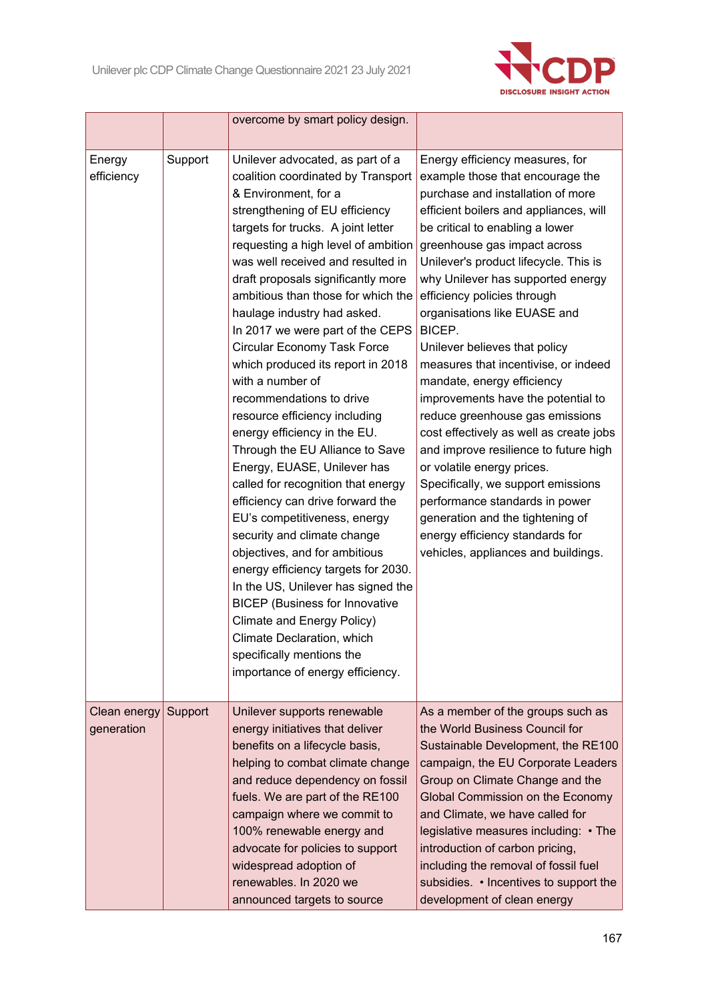

|                            |         | overcome by smart policy design.                                                                                                                                                                                                                                                                                                                                                                                                                                                                                                                                                                                                                                                                                                                                                                                                                                                                                                                                                                                                                                                      |                                                                                                                                                                                                                                                                                                                                                                                                                                                                                                                                                                                                                                                                                                                                                                                                                                                                      |
|----------------------------|---------|---------------------------------------------------------------------------------------------------------------------------------------------------------------------------------------------------------------------------------------------------------------------------------------------------------------------------------------------------------------------------------------------------------------------------------------------------------------------------------------------------------------------------------------------------------------------------------------------------------------------------------------------------------------------------------------------------------------------------------------------------------------------------------------------------------------------------------------------------------------------------------------------------------------------------------------------------------------------------------------------------------------------------------------------------------------------------------------|----------------------------------------------------------------------------------------------------------------------------------------------------------------------------------------------------------------------------------------------------------------------------------------------------------------------------------------------------------------------------------------------------------------------------------------------------------------------------------------------------------------------------------------------------------------------------------------------------------------------------------------------------------------------------------------------------------------------------------------------------------------------------------------------------------------------------------------------------------------------|
| Energy<br>efficiency       | Support | Unilever advocated, as part of a<br>coalition coordinated by Transport<br>& Environment, for a<br>strengthening of EU efficiency<br>targets for trucks. A joint letter<br>requesting a high level of ambition<br>was well received and resulted in<br>draft proposals significantly more<br>ambitious than those for which the<br>haulage industry had asked.<br>In 2017 we were part of the CEPS<br>Circular Economy Task Force<br>which produced its report in 2018<br>with a number of<br>recommendations to drive<br>resource efficiency including<br>energy efficiency in the EU.<br>Through the EU Alliance to Save<br>Energy, EUASE, Unilever has<br>called for recognition that energy<br>efficiency can drive forward the<br>EU's competitiveness, energy<br>security and climate change<br>objectives, and for ambitious<br>energy efficiency targets for 2030.<br>In the US, Unilever has signed the<br><b>BICEP</b> (Business for Innovative<br>Climate and Energy Policy)<br>Climate Declaration, which<br>specifically mentions the<br>importance of energy efficiency. | Energy efficiency measures, for<br>example those that encourage the<br>purchase and installation of more<br>efficient boilers and appliances, will<br>be critical to enabling a lower<br>greenhouse gas impact across<br>Unilever's product lifecycle. This is<br>why Unilever has supported energy<br>efficiency policies through<br>organisations like EUASE and<br>BICEP.<br>Unilever believes that policy<br>measures that incentivise, or indeed<br>mandate, energy efficiency<br>improvements have the potential to<br>reduce greenhouse gas emissions<br>cost effectively as well as create jobs<br>and improve resilience to future high<br>or volatile energy prices.<br>Specifically, we support emissions<br>performance standards in power<br>generation and the tightening of<br>energy efficiency standards for<br>vehicles, appliances and buildings. |
| Clean energy<br>generation | Support | Unilever supports renewable<br>energy initiatives that deliver<br>benefits on a lifecycle basis,<br>helping to combat climate change<br>and reduce dependency on fossil<br>fuels. We are part of the RE100<br>campaign where we commit to<br>100% renewable energy and<br>advocate for policies to support<br>widespread adoption of<br>renewables. In 2020 we<br>announced targets to source                                                                                                                                                                                                                                                                                                                                                                                                                                                                                                                                                                                                                                                                                         | As a member of the groups such as<br>the World Business Council for<br>Sustainable Development, the RE100<br>campaign, the EU Corporate Leaders<br>Group on Climate Change and the<br><b>Global Commission on the Economy</b><br>and Climate, we have called for<br>legislative measures including: • The<br>introduction of carbon pricing,<br>including the removal of fossil fuel<br>subsidies. • Incentives to support the<br>development of clean energy                                                                                                                                                                                                                                                                                                                                                                                                        |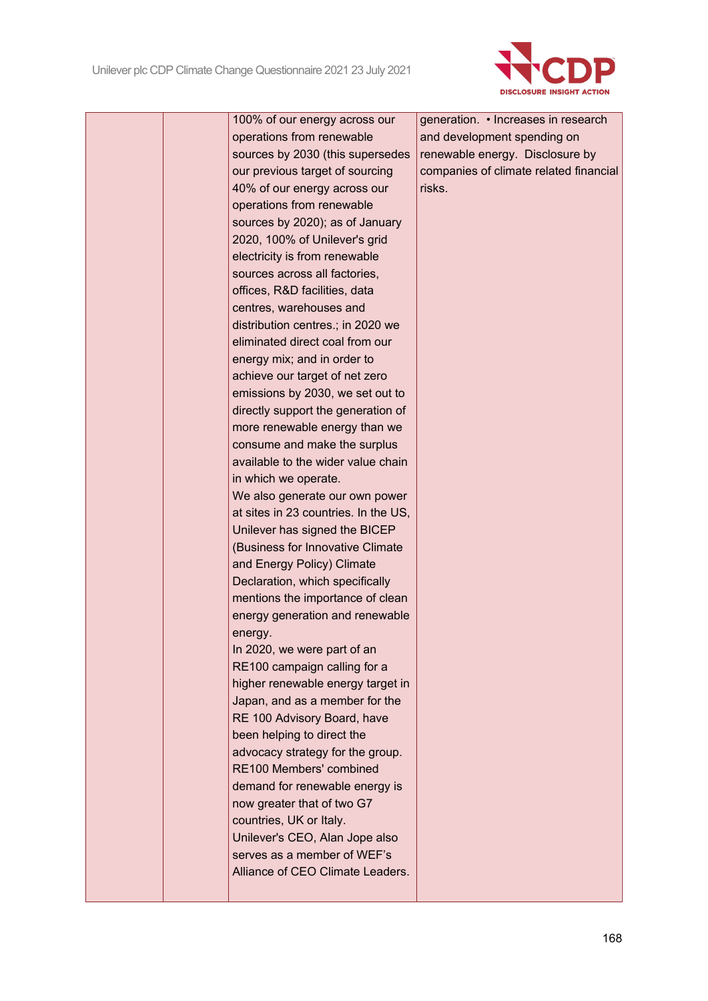

100% of our energy across our operations from renewable sources by 2030 (this supersedes our previous target of sourcing 40% of our energy across our operations from renewable sources by 2020); as of January 2020, 100% of Unilever's grid electricity is from renewable sources across all factories, offices, R&D facilities, data centres, warehouses and distribution centres.; in 2020 we eliminated direct coal from our energy mix; and in order to achieve our target of net zero emissions by 2030, we set out to directly support the generation of more renewable energy than we consume and make the surplus available to the wider value chain in which we operate. We also generate our own power at sites in 23 countries. In the US, Unilever has signed the BICEP (Business for Innovative Climate and Energy Policy) Climate Declaration, which specifically mentions the importance of clean energy generation and renewable energy. In 2020, we were part of an RE100 campaign calling for a higher renewable energy target in Japan, and as a member for the RE 100 Advisory Board, have been helping to direct the advocacy strategy for the group. RE100 Members' combined demand for renewable energy is now greater that of two G7 countries, UK or Italy. Unilever's CEO, Alan Jope also serves as a member of WEF's Alliance of CEO Climate Leaders. generation. • Increases in research and development spending on renewable energy. Disclosure by companies of climate related financial risks.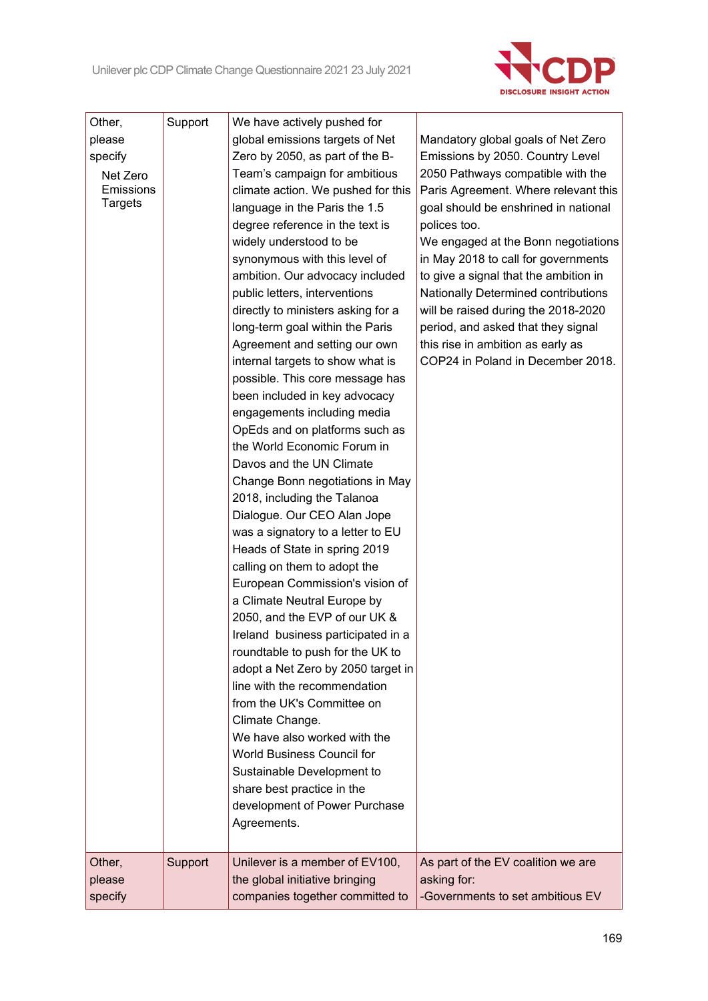

| Other,    | Support | We have actively pushed for        |                                       |
|-----------|---------|------------------------------------|---------------------------------------|
| please    |         | global emissions targets of Net    | Mandatory global goals of Net Zero    |
| specify   |         | Zero by 2050, as part of the B-    | Emissions by 2050. Country Level      |
| Net Zero  |         | Team's campaign for ambitious      | 2050 Pathways compatible with the     |
| Emissions |         | climate action. We pushed for this | Paris Agreement. Where relevant this  |
| Targets   |         | language in the Paris the 1.5      | goal should be enshrined in national  |
|           |         | degree reference in the text is    | polices too.                          |
|           |         | widely understood to be            | We engaged at the Bonn negotiations   |
|           |         | synonymous with this level of      | in May 2018 to call for governments   |
|           |         | ambition. Our advocacy included    | to give a signal that the ambition in |
|           |         | public letters, interventions      | Nationally Determined contributions   |
|           |         | directly to ministers asking for a | will be raised during the 2018-2020   |
|           |         | long-term goal within the Paris    | period, and asked that they signal    |
|           |         | Agreement and setting our own      | this rise in ambition as early as     |
|           |         | internal targets to show what is   | COP24 in Poland in December 2018.     |
|           |         | possible. This core message has    |                                       |
|           |         | been included in key advocacy      |                                       |
|           |         | engagements including media        |                                       |
|           |         | OpEds and on platforms such as     |                                       |
|           |         | the World Economic Forum in        |                                       |
|           |         | Davos and the UN Climate           |                                       |
|           |         | Change Bonn negotiations in May    |                                       |
|           |         | 2018, including the Talanoa        |                                       |
|           |         | Dialogue. Our CEO Alan Jope        |                                       |
|           |         | was a signatory to a letter to EU  |                                       |
|           |         | Heads of State in spring 2019      |                                       |
|           |         | calling on them to adopt the       |                                       |
|           |         | European Commission's vision of    |                                       |
|           |         | a Climate Neutral Europe by        |                                       |
|           |         | 2050, and the EVP of our UK &      |                                       |
|           |         | Ireland business participated in a |                                       |
|           |         | roundtable to push for the UK to   |                                       |
|           |         | adopt a Net Zero by 2050 target in |                                       |
|           |         | line with the recommendation       |                                       |
|           |         | from the UK's Committee on         |                                       |
|           |         | Climate Change.                    |                                       |
|           |         | We have also worked with the       |                                       |
|           |         | <b>World Business Council for</b>  |                                       |
|           |         | Sustainable Development to         |                                       |
|           |         | share best practice in the         |                                       |
|           |         | development of Power Purchase      |                                       |
|           |         | Agreements.                        |                                       |
|           |         |                                    |                                       |
| Other,    | Support | Unilever is a member of EV100,     | As part of the EV coalition we are    |
| please    |         | the global initiative bringing     | asking for:                           |
| specify   |         | companies together committed to    | -Governments to set ambitious EV      |
|           |         |                                    |                                       |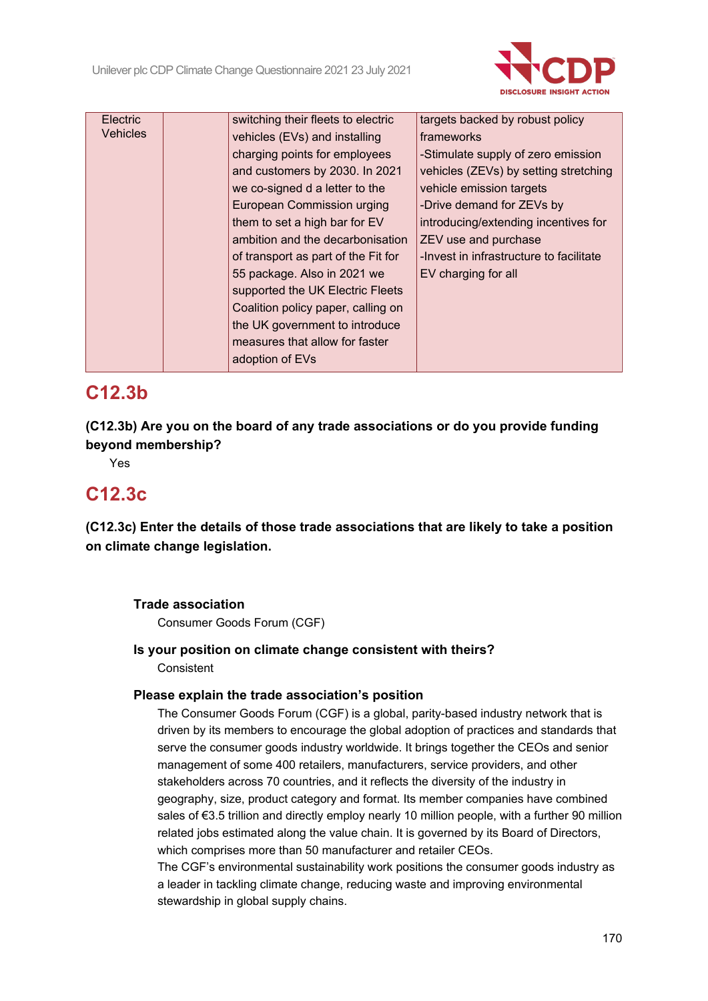

| <b>Electric</b> |                               | switching their fleets to electric  | targets backed by robust policy         |
|-----------------|-------------------------------|-------------------------------------|-----------------------------------------|
| <b>Vehicles</b> | vehicles (EVs) and installing | frameworks                          |                                         |
|                 |                               | charging points for employees       | -Stimulate supply of zero emission      |
|                 |                               | and customers by 2030. In 2021      | vehicles (ZEVs) by setting stretching   |
|                 |                               | we co-signed d a letter to the      | vehicle emission targets                |
|                 |                               | European Commission urging          | -Drive demand for ZEVs by               |
|                 |                               | them to set a high bar for EV       | introducing/extending incentives for    |
|                 |                               | ambition and the decarbonisation    | ZEV use and purchase                    |
|                 |                               | of transport as part of the Fit for | -Invest in infrastructure to facilitate |
|                 |                               | 55 package. Also in 2021 we         | EV charging for all                     |
|                 |                               | supported the UK Electric Fleets    |                                         |
|                 |                               | Coalition policy paper, calling on  |                                         |
|                 |                               | the UK government to introduce      |                                         |
|                 |                               | measures that allow for faster      |                                         |
|                 |                               | adoption of EVs                     |                                         |
|                 |                               |                                     |                                         |

## **C12.3b**

**(C12.3b) Are you on the board of any trade associations or do you provide funding beyond membership?**

Yes

## **C12.3c**

**(C12.3c) Enter the details of those trade associations that are likely to take a position on climate change legislation.**

## **Trade association**

Consumer Goods Forum (CGF)

## **Is your position on climate change consistent with theirs?**

Consistent

## **Please explain the trade association's position**

The Consumer Goods Forum (CGF) is a global, parity-based industry network that is driven by its members to encourage the global adoption of practices and standards that serve the consumer goods industry worldwide. It brings together the CEOs and senior management of some 400 retailers, manufacturers, service providers, and other stakeholders across 70 countries, and it reflects the diversity of the industry in geography, size, product category and format. Its member companies have combined sales of €3.5 trillion and directly employ nearly 10 million people, with a further 90 million related jobs estimated along the value chain. It is governed by its Board of Directors, which comprises more than 50 manufacturer and retailer CEOs.

The CGF's environmental sustainability work positions the consumer goods industry as a leader in tackling climate change, reducing waste and improving environmental stewardship in global supply chains.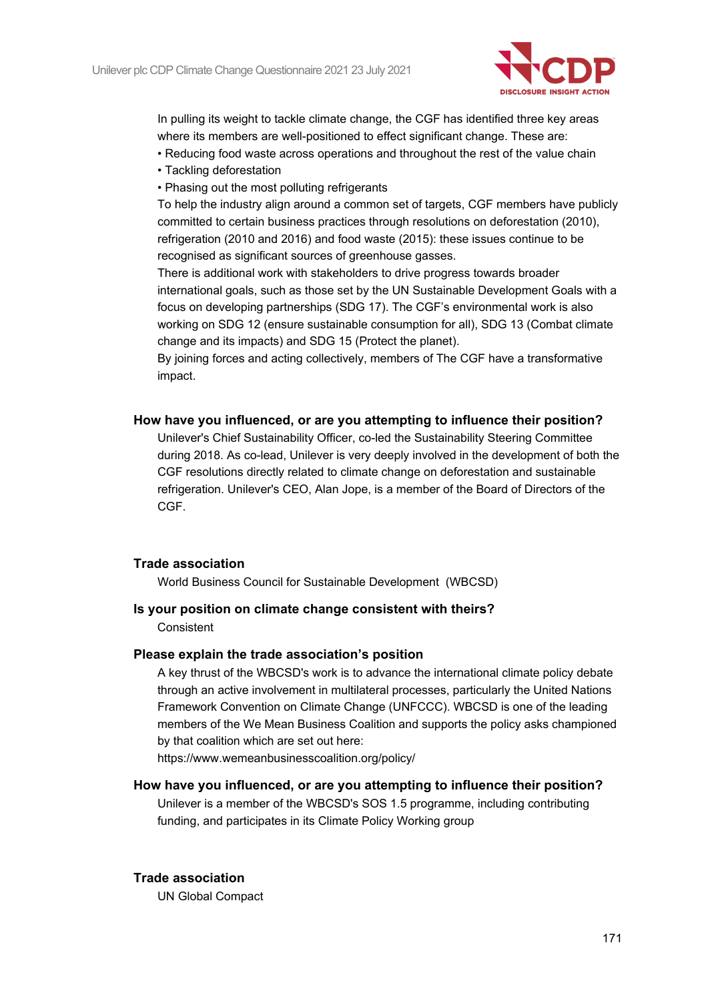

In pulling its weight to tackle climate change, the CGF has identified three key areas where its members are well-positioned to effect significant change. These are:

- Reducing food waste across operations and throughout the rest of the value chain
- Tackling deforestation
- Phasing out the most polluting refrigerants

To help the industry align around a common set of targets, CGF members have publicly committed to certain business practices through resolutions on deforestation (2010), refrigeration (2010 and 2016) and food waste (2015): these issues continue to be recognised as significant sources of greenhouse gasses.

There is additional work with stakeholders to drive progress towards broader international goals, such as those set by the UN Sustainable Development Goals with a focus on developing partnerships (SDG 17). The CGF's environmental work is also working on SDG 12 (ensure sustainable consumption for all), SDG 13 (Combat climate change and its impacts) and SDG 15 (Protect the planet).

By joining forces and acting collectively, members of The CGF have a transformative impact.

## **How have you influenced, or are you attempting to influence their position?**

Unilever's Chief Sustainability Officer, co-led the Sustainability Steering Committee during 2018. As co-lead, Unilever is very deeply involved in the development of both the CGF resolutions directly related to climate change on deforestation and sustainable refrigeration. Unilever's CEO, Alan Jope, is a member of the Board of Directors of the CGF.

## **Trade association**

World Business Council for Sustainable Development (WBCSD)

## **Is your position on climate change consistent with theirs? Consistent**

## **Please explain the trade association's position**

A key thrust of the WBCSD's work is to advance the international climate policy debate through an active involvement in multilateral processes, particularly the United Nations Framework Convention on Climate Change (UNFCCC). WBCSD is one of the leading members of the We Mean Business Coalition and supports the policy asks championed by that coalition which are set out here:

https://www.wemeanbusinesscoalition.org/policy/

## **How have you influenced, or are you attempting to influence their position?**

Unilever is a member of the WBCSD's SOS 1.5 programme, including contributing funding, and participates in its Climate Policy Working group

## **Trade association**

UN Global Compact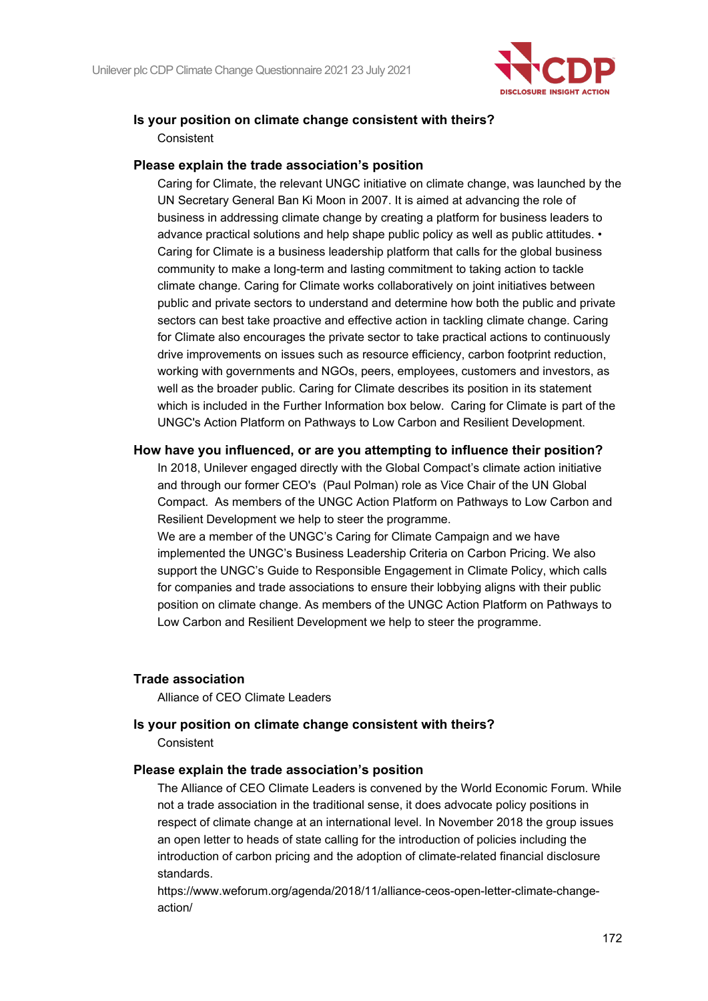

## **Is your position on climate change consistent with theirs?**

**Consistent** 

## **Please explain the trade association's position**

Caring for Climate, the relevant UNGC initiative on climate change, was launched by the UN Secretary General Ban Ki Moon in 2007. It is aimed at advancing the role of business in addressing climate change by creating a platform for business leaders to advance practical solutions and help shape public policy as well as public attitudes. • Caring for Climate is a business leadership platform that calls for the global business community to make a long-term and lasting commitment to taking action to tackle climate change. Caring for Climate works collaboratively on joint initiatives between public and private sectors to understand and determine how both the public and private sectors can best take proactive and effective action in tackling climate change. Caring for Climate also encourages the private sector to take practical actions to continuously drive improvements on issues such as resource efficiency, carbon footprint reduction, working with governments and NGOs, peers, employees, customers and investors, as well as the broader public. Caring for Climate describes its position in its statement which is included in the Further Information box below. Caring for Climate is part of the UNGC's Action Platform on Pathways to Low Carbon and Resilient Development.

## **How have you influenced, or are you attempting to influence their position?**

In 2018, Unilever engaged directly with the Global Compact's climate action initiative and through our former CEO's (Paul Polman) role as Vice Chair of the UN Global Compact. As members of the UNGC Action Platform on Pathways to Low Carbon and Resilient Development we help to steer the programme.

We are a member of the UNGC's Caring for Climate Campaign and we have implemented the UNGC's Business Leadership Criteria on Carbon Pricing. We also support the UNGC's Guide to Responsible Engagement in Climate Policy, which calls for companies and trade associations to ensure their lobbying aligns with their public position on climate change. As members of the UNGC Action Platform on Pathways to Low Carbon and Resilient Development we help to steer the programme.

## **Trade association**

Alliance of CEO Climate Leaders

## **Is your position on climate change consistent with theirs?**

Consistent

## **Please explain the trade association's position**

The Alliance of CEO Climate Leaders is convened by the World Economic Forum. While not a trade association in the traditional sense, it does advocate policy positions in respect of climate change at an international level. In November 2018 the group issues an open letter to heads of state calling for the introduction of policies including the introduction of carbon pricing and the adoption of climate-related financial disclosure standards.

https://www.weforum.org/agenda/2018/11/alliance-ceos-open-letter-climate-changeaction/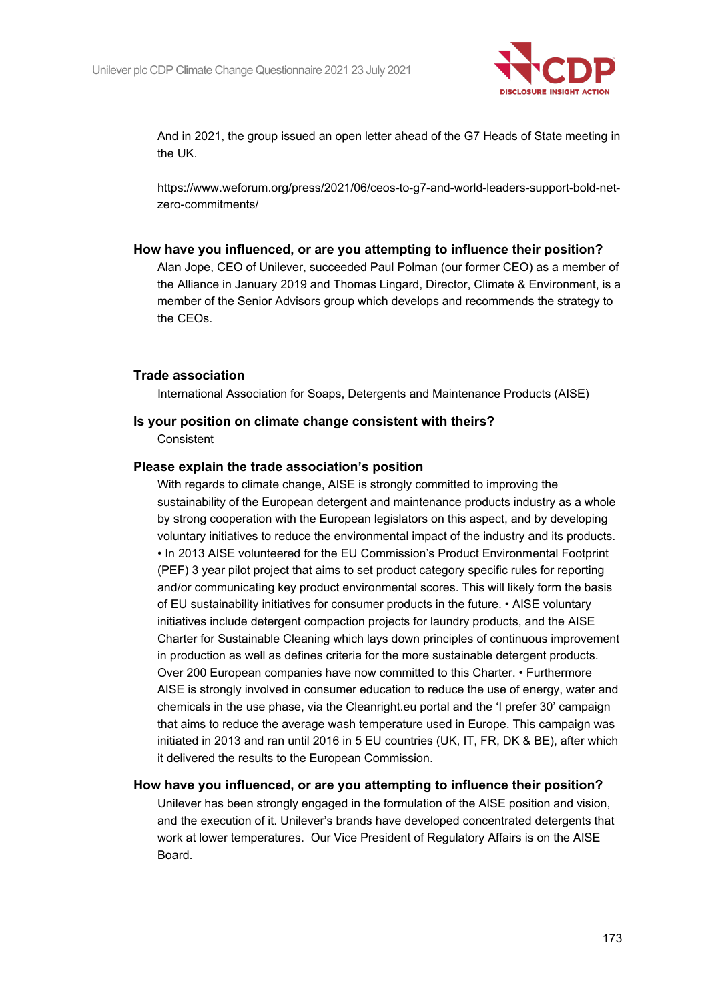

And in 2021, the group issued an open letter ahead of the G7 Heads of State meeting in the UK.

https://www.weforum.org/press/2021/06/ceos-to-g7-and-world-leaders-support-bold-netzero-commitments/

## **How have you influenced, or are you attempting to influence their position?**

Alan Jope, CEO of Unilever, succeeded Paul Polman (our former CEO) as a member of the Alliance in January 2019 and Thomas Lingard, Director, Climate & Environment, is a member of the Senior Advisors group which develops and recommends the strategy to the CEOs.

#### **Trade association**

International Association for Soaps, Detergents and Maintenance Products (AISE)

## **Is your position on climate change consistent with theirs?**

**Consistent** 

### **Please explain the trade association's position**

With regards to climate change, AISE is strongly committed to improving the sustainability of the European detergent and maintenance products industry as a whole by strong cooperation with the European legislators on this aspect, and by developing voluntary initiatives to reduce the environmental impact of the industry and its products. • In 2013 AISE volunteered for the EU Commission's Product Environmental Footprint (PEF) 3 year pilot project that aims to set product category specific rules for reporting and/or communicating key product environmental scores. This will likely form the basis of EU sustainability initiatives for consumer products in the future. • AISE voluntary initiatives include detergent compaction projects for laundry products, and the AISE Charter for Sustainable Cleaning which lays down principles of continuous improvement in production as well as defines criteria for the more sustainable detergent products. Over 200 European companies have now committed to this Charter. • Furthermore AISE is strongly involved in consumer education to reduce the use of energy, water and chemicals in the use phase, via the Cleanright.eu portal and the 'I prefer 30' campaign that aims to reduce the average wash temperature used in Europe. This campaign was initiated in 2013 and ran until 2016 in 5 EU countries (UK, IT, FR, DK & BE), after which it delivered the results to the European Commission.

## **How have you influenced, or are you attempting to influence their position?**

Unilever has been strongly engaged in the formulation of the AISE position and vision, and the execution of it. Unilever's brands have developed concentrated detergents that work at lower temperatures. Our Vice President of Regulatory Affairs is on the AISE Board.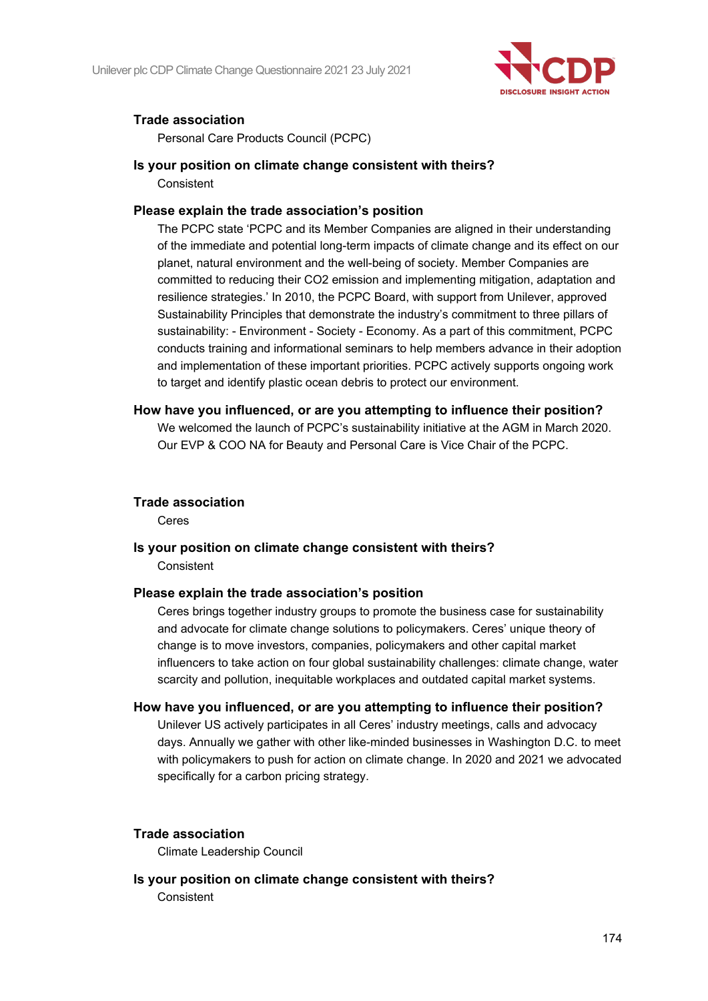

## **Trade association**

Personal Care Products Council (PCPC)

## **Is your position on climate change consistent with theirs? Consistent**

## **Please explain the trade association's position**

The PCPC state 'PCPC and its Member Companies are aligned in their understanding of the immediate and potential long-term impacts of climate change and its effect on our planet, natural environment and the well-being of society. Member Companies are committed to reducing their CO2 emission and implementing mitigation, adaptation and resilience strategies.' In 2010, the PCPC Board, with support from Unilever, approved Sustainability Principles that demonstrate the industry's commitment to three pillars of sustainability: - Environment - Society - Economy. As a part of this commitment, PCPC conducts training and informational seminars to help members advance in their adoption and implementation of these important priorities. PCPC actively supports ongoing work to target and identify plastic ocean debris to protect our environment.

## **How have you influenced, or are you attempting to influence their position?**

We welcomed the launch of PCPC's sustainability initiative at the AGM in March 2020. Our EVP & COO NA for Beauty and Personal Care is Vice Chair of the PCPC.

## **Trade association**

Ceres

**Is your position on climate change consistent with theirs? Consistent** 

## **Please explain the trade association's position**

Ceres brings together industry groups to promote the business case for sustainability and advocate for climate change solutions to policymakers. Ceres' unique theory of change is to move investors, companies, policymakers and other capital market influencers to take action on four global sustainability challenges: climate change, water scarcity and pollution, inequitable workplaces and outdated capital market systems.

## **How have you influenced, or are you attempting to influence their position?**

Unilever US actively participates in all Ceres' industry meetings, calls and advocacy days. Annually we gather with other like-minded businesses in Washington D.C. to meet with policymakers to push for action on climate change. In 2020 and 2021 we advocated specifically for a carbon pricing strategy.

## **Trade association**

Climate Leadership Council

**Is your position on climate change consistent with theirs?** Consistent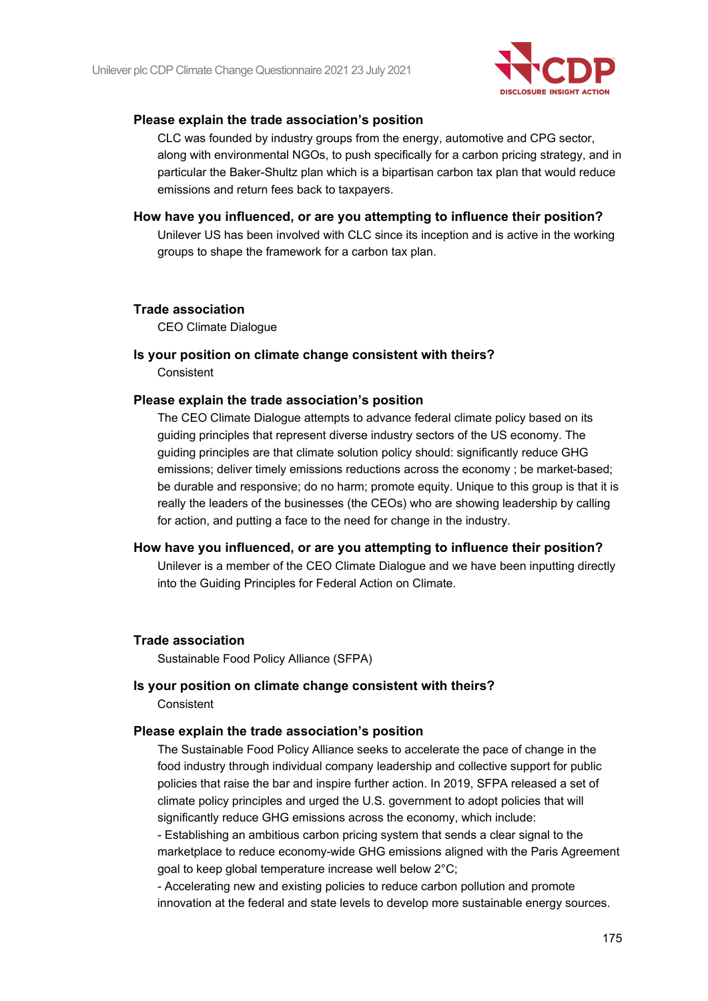

## **Please explain the trade association's position**

CLC was founded by industry groups from the energy, automotive and CPG sector, along with environmental NGOs, to push specifically for a carbon pricing strategy, and in particular the Baker-Shultz plan which is a bipartisan carbon tax plan that would reduce emissions and return fees back to taxpayers.

**How have you influenced, or are you attempting to influence their position?** Unilever US has been involved with CLC since its inception and is active in the working groups to shape the framework for a carbon tax plan.

## **Trade association**

CEO Climate Dialogue

## **Is your position on climate change consistent with theirs?**

**Consistent** 

### **Please explain the trade association's position**

The CEO Climate Dialogue attempts to advance federal climate policy based on its guiding principles that represent diverse industry sectors of the US economy. The guiding principles are that climate solution policy should: significantly reduce GHG emissions; deliver timely emissions reductions across the economy ; be market-based; be durable and responsive; do no harm; promote equity. Unique to this group is that it is really the leaders of the businesses (the CEOs) who are showing leadership by calling for action, and putting a face to the need for change in the industry.

## **How have you influenced, or are you attempting to influence their position?** Unilever is a member of the CEO Climate Dialogue and we have been inputting directly into the Guiding Principles for Federal Action on Climate.

## **Trade association**

Sustainable Food Policy Alliance (SFPA)

## **Is your position on climate change consistent with theirs?**

**Consistent** 

#### **Please explain the trade association's position**

The Sustainable Food Policy Alliance seeks to accelerate the pace of change in the food industry through individual company leadership and collective support for public policies that raise the bar and inspire further action. In 2019, SFPA released a set of climate policy principles and urged the U.S. government to adopt policies that will significantly reduce GHG emissions across the economy, which include:

- Establishing an ambitious carbon pricing system that sends a clear signal to the marketplace to reduce economy-wide GHG emissions aligned with the Paris Agreement goal to keep global temperature increase well below 2°C;

- Accelerating new and existing policies to reduce carbon pollution and promote innovation at the federal and state levels to develop more sustainable energy sources.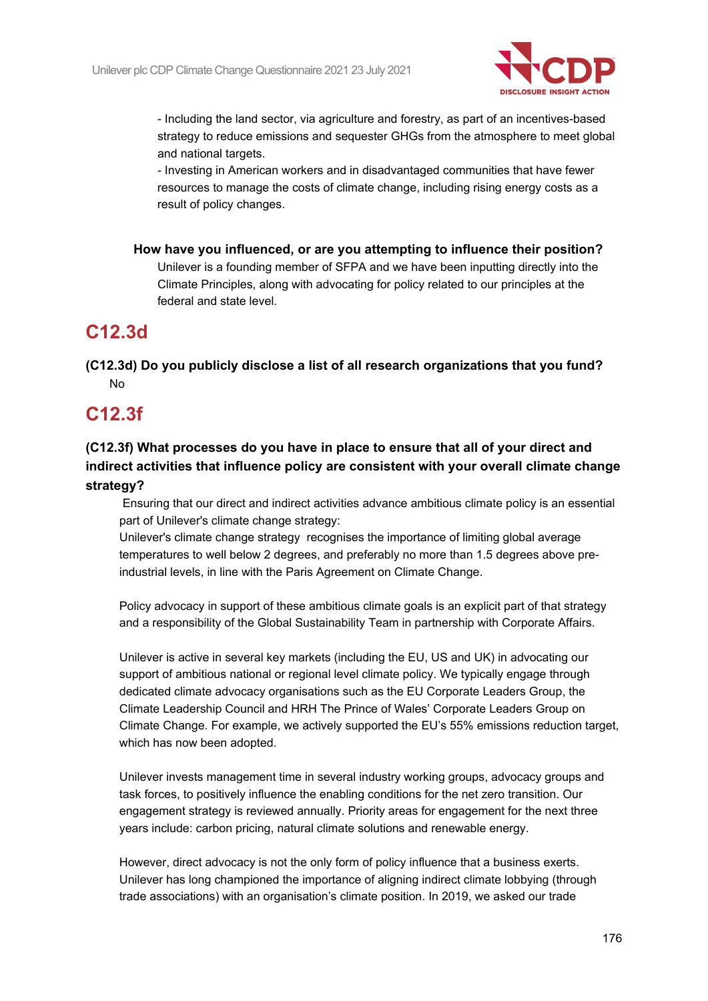

- Including the land sector, via agriculture and forestry, as part of an incentives-based strategy to reduce emissions and sequester GHGs from the atmosphere to meet global and national targets.

- Investing in American workers and in disadvantaged communities that have fewer resources to manage the costs of climate change, including rising energy costs as a result of policy changes.

**How have you influenced, or are you attempting to influence their position?** Unilever is a founding member of SFPA and we have been inputting directly into the Climate Principles, along with advocating for policy related to our principles at the federal and state level.

## **C12.3d**

**(C12.3d) Do you publicly disclose a list of all research organizations that you fund?** No

## **C12.3f**

## **(C12.3f) What processes do you have in place to ensure that all of your direct and indirect activities that influence policy are consistent with your overall climate change strategy?**

Ensuring that our direct and indirect activities advance ambitious climate policy is an essential part of Unilever's climate change strategy:

Unilever's climate change strategy recognises the importance of limiting global average temperatures to well below 2 degrees, and preferably no more than 1.5 degrees above preindustrial levels, in line with the Paris Agreement on Climate Change.

Policy advocacy in support of these ambitious climate goals is an explicit part of that strategy and a responsibility of the Global Sustainability Team in partnership with Corporate Affairs.

Unilever is active in several key markets (including the EU, US and UK) in advocating our support of ambitious national or regional level climate policy. We typically engage through dedicated climate advocacy organisations such as the EU Corporate Leaders Group, the Climate Leadership Council and HRH The Prince of Wales' Corporate Leaders Group on Climate Change. For example, we actively supported the EU's 55% emissions reduction target, which has now been adopted.

Unilever invests management time in several industry working groups, advocacy groups and task forces, to positively influence the enabling conditions for the net zero transition. Our engagement strategy is reviewed annually. Priority areas for engagement for the next three years include: carbon pricing, natural climate solutions and renewable energy.

However, direct advocacy is not the only form of policy influence that a business exerts. Unilever has long championed the importance of aligning indirect climate lobbying (through trade associations) with an organisation's climate position. In 2019, we asked our trade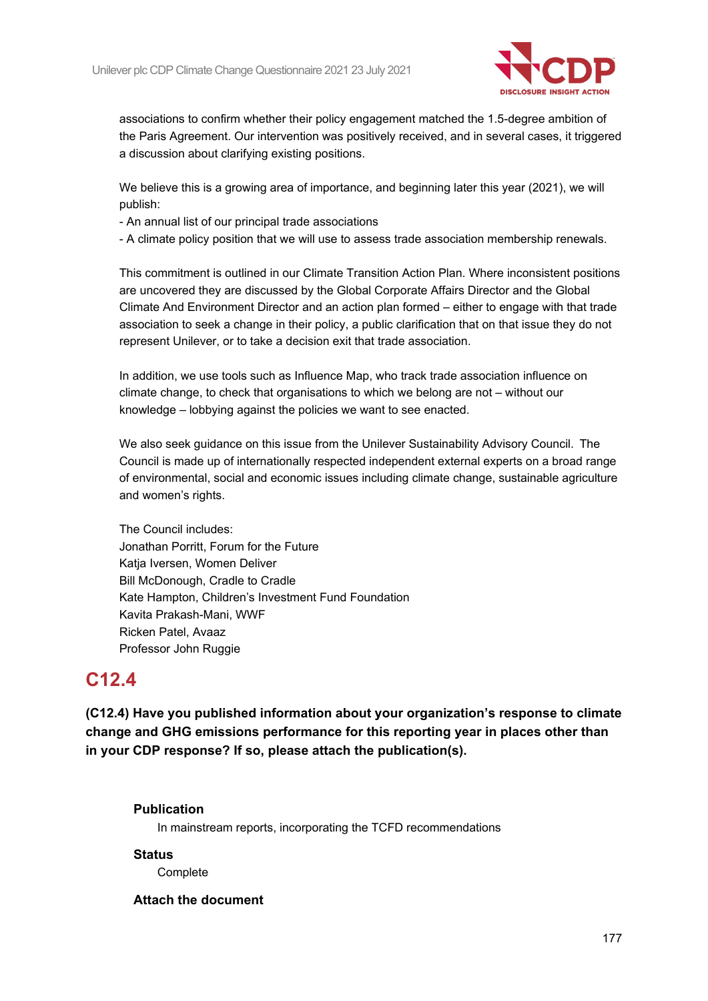

associations to confirm whether their policy engagement matched the 1.5-degree ambition of the Paris Agreement. Our intervention was positively received, and in several cases, it triggered a discussion about clarifying existing positions.

We believe this is a growing area of importance, and beginning later this year (2021), we will publish:

- An annual list of our principal trade associations

- A climate policy position that we will use to assess trade association membership renewals.

This commitment is outlined in our Climate Transition Action Plan. Where inconsistent positions are uncovered they are discussed by the Global Corporate Affairs Director and the Global Climate And Environment Director and an action plan formed – either to engage with that trade association to seek a change in their policy, a public clarification that on that issue they do not represent Unilever, or to take a decision exit that trade association.

In addition, we use tools such as Influence Map, who track trade association influence on climate change, to check that organisations to which we belong are not – without our knowledge – lobbying against the policies we want to see enacted.

We also seek guidance on this issue from the Unilever Sustainability Advisory Council.  The Council is made up of internationally respected independent external experts on a broad range of environmental, social and economic issues including climate change, sustainable agriculture and women's rights.

The Council includes: Jonathan Porritt, Forum for the Future Katja Iversen, Women Deliver Bill McDonough, Cradle to Cradle Kate Hampton, Children's Investment Fund Foundation Kavita Prakash-Mani, WWF Ricken Patel, Avaaz Professor John Ruggie

## **C12.4**

**(C12.4) Have you published information about your organization's response to climate change and GHG emissions performance for this reporting year in places other than in your CDP response? If so, please attach the publication(s).**

## **Publication**

In mainstream reports, incorporating the TCFD recommendations

**Status**

Complete

**Attach the document**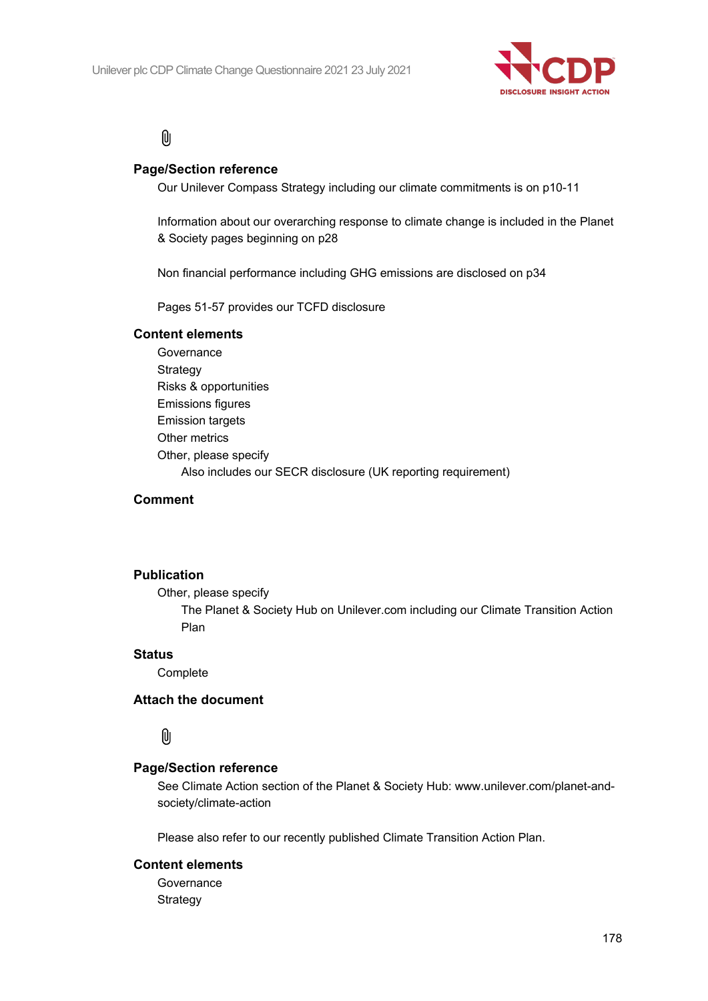

(U

## **Page/Section reference**

Our Unilever Compass Strategy including our climate commitments is on p10-11

Information about our overarching response to climate change is included in the Planet & Society pages beginning on p28

Non financial performance including GHG emissions are disclosed on p34

Pages 51-57 provides our TCFD disclosure

## **Content elements**

Governance **Strategy** Risks & opportunities Emissions figures Emission targets Other metrics Other, please specify Also includes our SECR disclosure (UK reporting requirement)

## **Comment**

#### **Publication**

Other, please specify

The Planet & Society Hub on Unilever.com including our Climate Transition Action Plan

#### **Status**

**Complete** 

## **Attach the document**

## M

## **Page/Section reference**

See Climate Action section of the Planet & Society Hub: www.unilever.com/planet-andsociety/climate-action

Please also refer to our recently published Climate Transition Action Plan.

## **Content elements**

**Governance Strategy**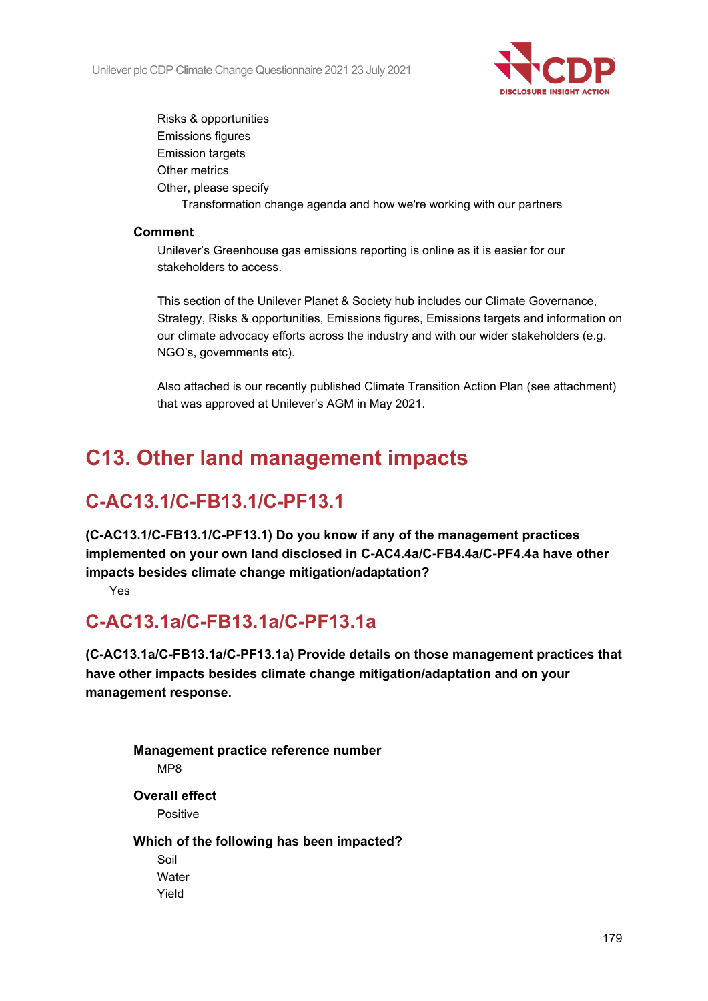

Risks & opportunities Emissions figures **Emission targets** Other metrics Other, please specify Transformation change agenda and how we're working with our partners

## **Comment**

Unilever's Greenhouse gas emissions reporting is online as it is easier for our stakeholders to access.

This section of the Unilever Planet & Society hub includes our Climate Governance, Strategy, Risks & opportunities, Emissions figures, Emissions targets and information on our climate advocacy efforts across the industry and with our wider stakeholders (e.g. NGO's, governments etc).

Also attached is our recently published Climate Transition Action Plan (see attachment) that was approved at Unilever's AGM in May 2021.

# **C13. Other land management impacts**

# **C-AC13.1/C-FB13.1/C-PF13.1**

**(C-AC13.1/C-FB13.1/C-PF13.1) Do you know if any of the management practices implemented on your own land disclosed in C-AC4.4a/C-FB4.4a/C-PF4.4a have other impacts besides climate change mitigation/adaptation?**

Yes

## **C-AC13.1a/C-FB13.1a/C-PF13.1a**

**(C-AC13.1a/C-FB13.1a/C-PF13.1a) Provide details on those management practices that have other impacts besides climate change mitigation/adaptation and on your management response.**

**Management practice reference number** MP8 **Overall effect** Positive **Which of the following has been impacted?** Soil **Water** Yield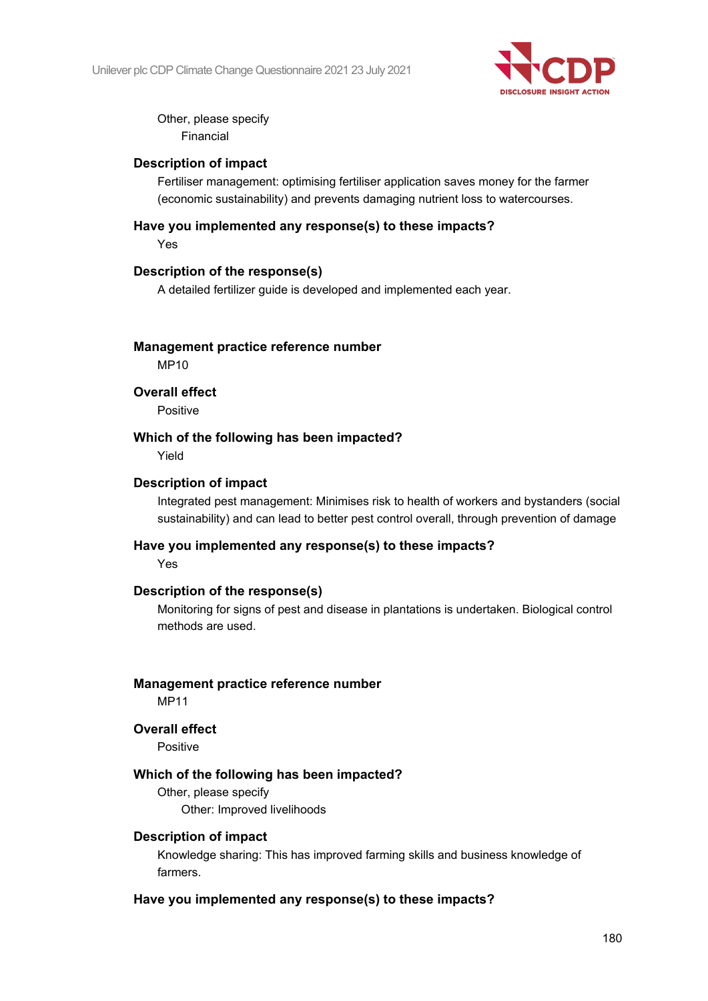

Other, please specify Financial

## **Description of impact**

Fertiliser management: optimising fertiliser application saves money for the farmer (economic sustainability) and prevents damaging nutrient loss to watercourses.

## **Have you implemented any response(s) to these impacts?**

Yes

## **Description of the response(s)**

A detailed fertilizer guide is developed and implemented each year.

**Management practice reference number**

MP10

## **Overall effect**

Positive

## **Which of the following has been impacted?**

Yield

## **Description of impact**

Integrated pest management: Minimises risk to health of workers and bystanders (social sustainability) and can lead to better pest control overall, through prevention of damage

## **Have you implemented any response(s) to these impacts?**

Yes

## **Description of the response(s)**

Monitoring for signs of pest and disease in plantations is undertaken. Biological control methods are used.

### **Management practice reference number**

MP11

## **Overall effect**

Positive

## **Which of the following has been impacted?**

Other, please specify Other: Improved livelihoods

## **Description of impact**

Knowledge sharing: This has improved farming skills and business knowledge of farmers.

## **Have you implemented any response(s) to these impacts?**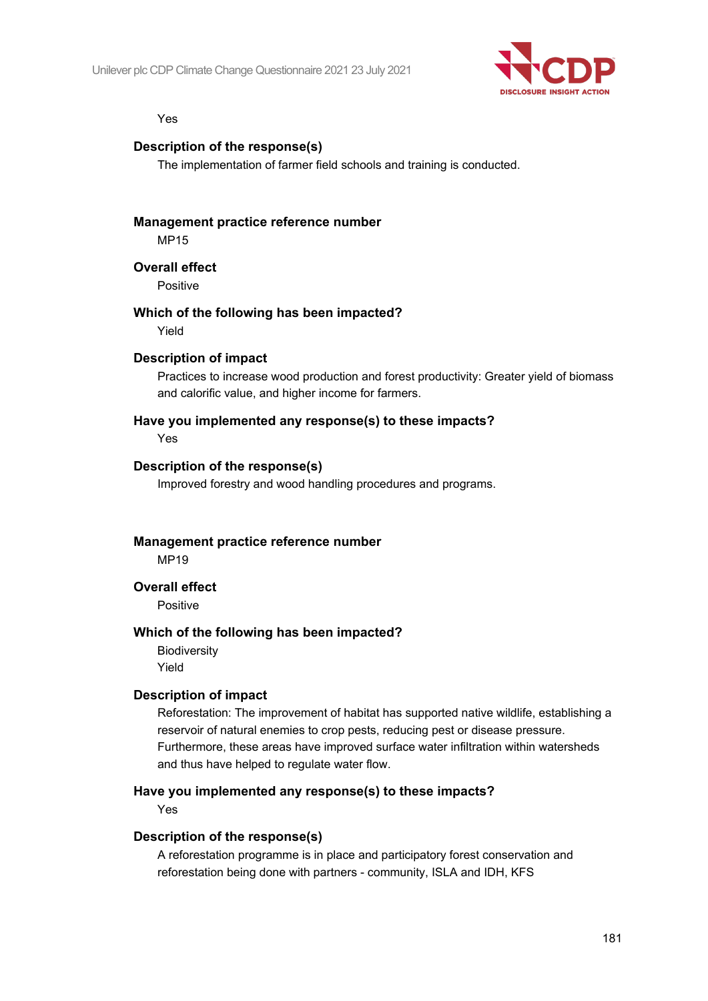

#### Yes

#### **Description of the response(s)**

The implementation of farmer field schools and training is conducted.

#### **Management practice reference number**

MP15

#### **Overall effect**

Positive

#### **Which of the following has been impacted?**

Yield

#### **Description of impact**

Practices to increase wood production and forest productivity: Greater yield of biomass and calorific value, and higher income for farmers.

#### **Have you implemented any response(s) to these impacts?**

Yes

#### **Description of the response(s)**

Improved forestry and wood handling procedures and programs.

**Management practice reference number**

MP19

#### **Overall effect**

Positive

#### **Which of the following has been impacted?**

**Biodiversity** Yield

#### **Description of impact**

Reforestation: The improvement of habitat has supported native wildlife, establishing a reservoir of natural enemies to crop pests, reducing pest or disease pressure. Furthermore, these areas have improved surface water infiltration within watersheds and thus have helped to regulate water flow.

#### **Have you implemented any response(s) to these impacts?**

Yes

#### **Description of the response(s)**

A reforestation programme is in place and participatory forest conservation and reforestation being done with partners - community, ISLA and IDH, KFS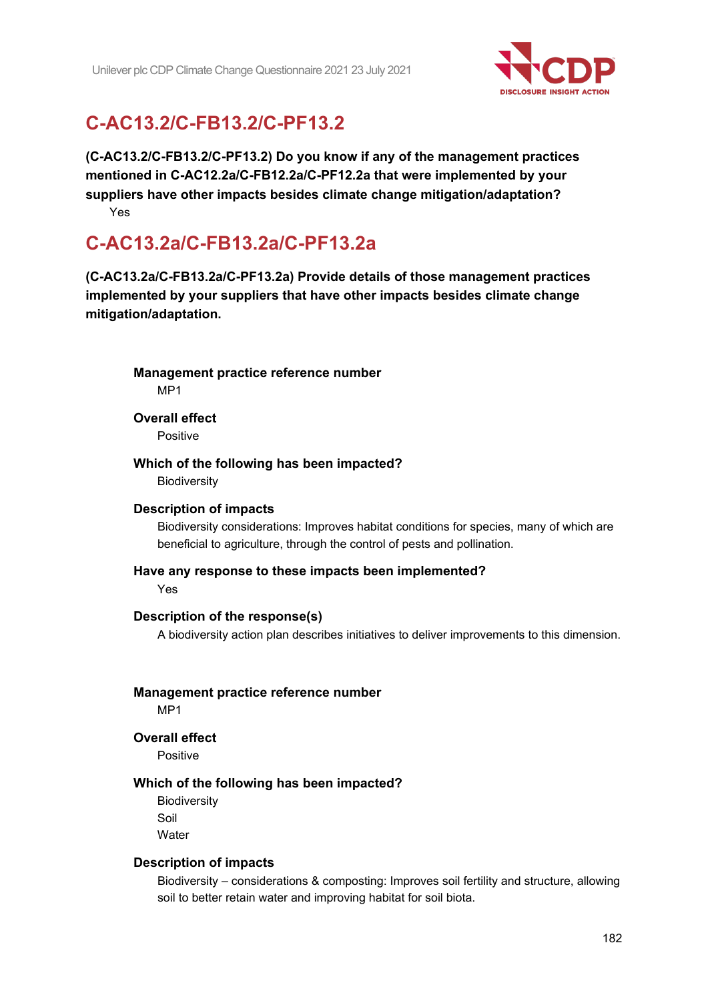

## **C-AC13.2/C-FB13.2/C-PF13.2**

**(C-AC13.2/C-FB13.2/C-PF13.2) Do you know if any of the management practices mentioned in C-AC12.2a/C-FB12.2a/C-PF12.2a that were implemented by your suppliers have other impacts besides climate change mitigation/adaptation?** Yes

### **C-AC13.2a/C-FB13.2a/C-PF13.2a**

**(C-AC13.2a/C-FB13.2a/C-PF13.2a) Provide details of those management practices implemented by your suppliers that have other impacts besides climate change mitigation/adaptation.**

**Management practice reference number** MP1

**Overall effect**

Positive

**Which of the following has been impacted? Biodiversity** 

#### **Description of impacts**

Biodiversity considerations: Improves habitat conditions for species, many of which are beneficial to agriculture, through the control of pests and pollination.

#### **Have any response to these impacts been implemented?**

Yes

#### **Description of the response(s)**

A biodiversity action plan describes initiatives to deliver improvements to this dimension.

**Management practice reference number**

MP1

#### **Overall effect**

Positive

#### **Which of the following has been impacted?**

**Biodiversity** Soil **Water** 

#### **Description of impacts**

Biodiversity – considerations & composting: Improves soil fertility and structure, allowing soil to better retain water and improving habitat for soil biota.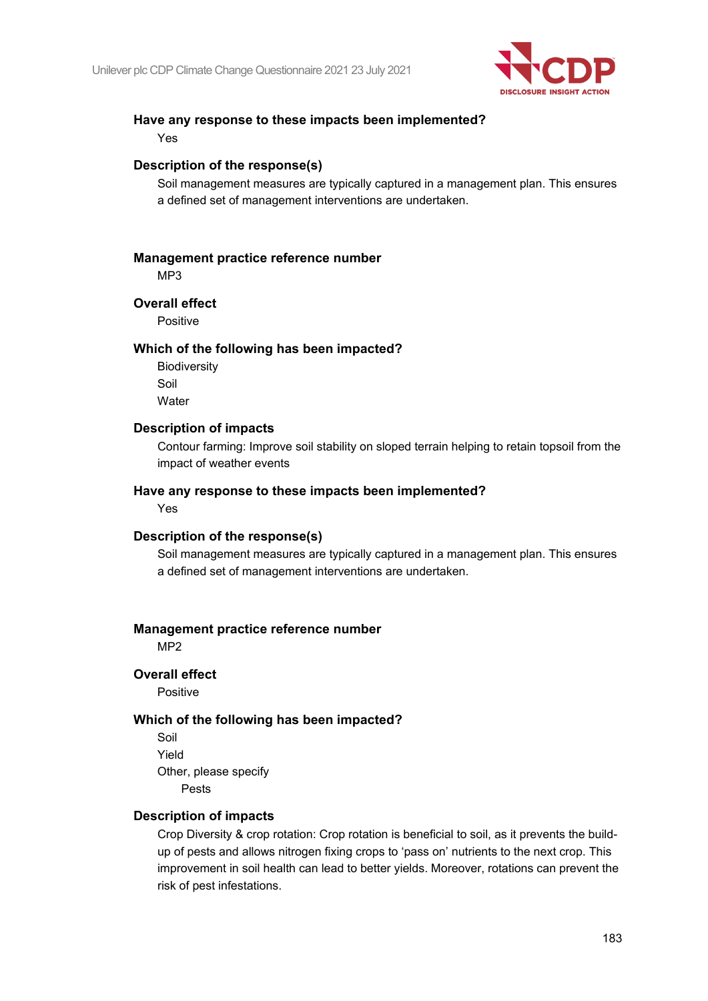

#### **Have any response to these impacts been implemented?**

Yes

#### **Description of the response(s)**

Soil management measures are typically captured in a management plan. This ensures a defined set of management interventions are undertaken.

#### **Management practice reference number**

MP3

#### **Overall effect**

Positive

#### **Which of the following has been impacted?**

**Biodiversity** Soil **Water** 

#### **Description of impacts**

Contour farming: Improve soil stability on sloped terrain helping to retain topsoil from the impact of weather events

#### **Have any response to these impacts been implemented?**

Yes

#### **Description of the response(s)**

Soil management measures are typically captured in a management plan. This ensures a defined set of management interventions are undertaken.

#### **Management practice reference number**

M<sub>P2</sub>

#### **Overall effect**

Positive

#### **Which of the following has been impacted?**

Soil

Yield

Other, please specify

Pests

#### **Description of impacts**

Crop Diversity & crop rotation: Crop rotation is beneficial to soil, as it prevents the buildup of pests and allows nitrogen fixing crops to 'pass on' nutrients to the next crop. This improvement in soil health can lead to better yields. Moreover, rotations can prevent the risk of pest infestations.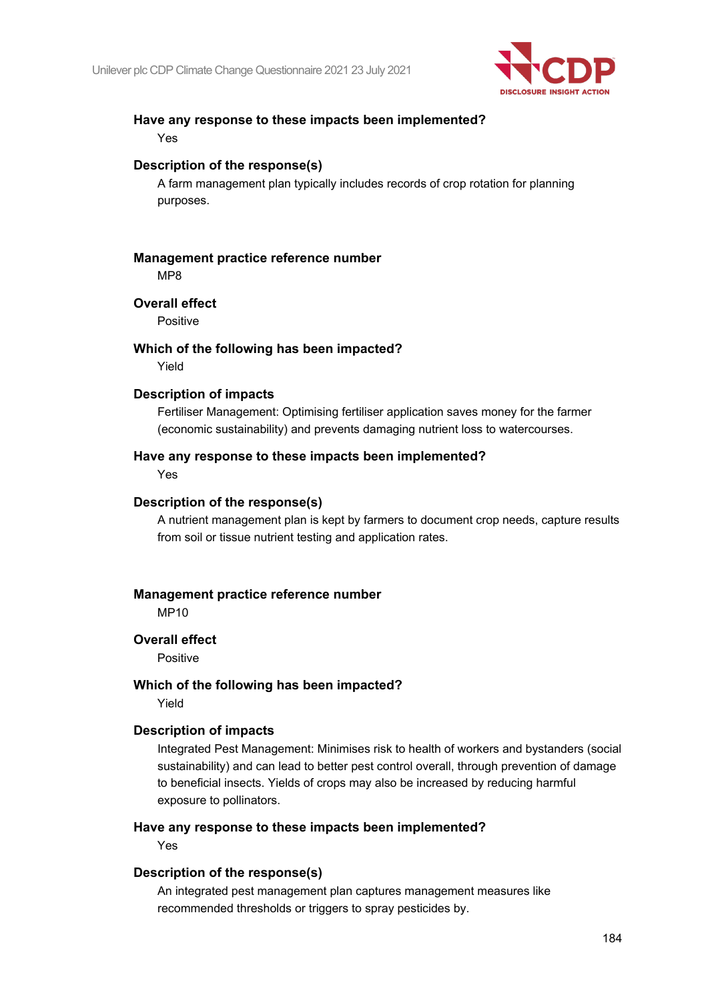

#### **Have any response to these impacts been implemented?**

Yes

#### **Description of the response(s)**

A farm management plan typically includes records of crop rotation for planning purposes.

### **Management practice reference number**

MP8

#### **Overall effect**

Positive

#### **Which of the following has been impacted?**

Yield

#### **Description of impacts**

Fertiliser Management: Optimising fertiliser application saves money for the farmer (economic sustainability) and prevents damaging nutrient loss to watercourses.

#### **Have any response to these impacts been implemented?**

Yes

#### **Description of the response(s)**

A nutrient management plan is kept by farmers to document crop needs, capture results from soil or tissue nutrient testing and application rates.

#### **Management practice reference number**

MP10

#### **Overall effect**

Positive

#### **Which of the following has been impacted?**

Yield

#### **Description of impacts**

Integrated Pest Management: Minimises risk to health of workers and bystanders (social sustainability) and can lead to better pest control overall, through prevention of damage to beneficial insects. Yields of crops may also be increased by reducing harmful exposure to pollinators.

#### **Have any response to these impacts been implemented?**

Yes

#### **Description of the response(s)**

An integrated pest management plan captures management measures like recommended thresholds or triggers to spray pesticides by.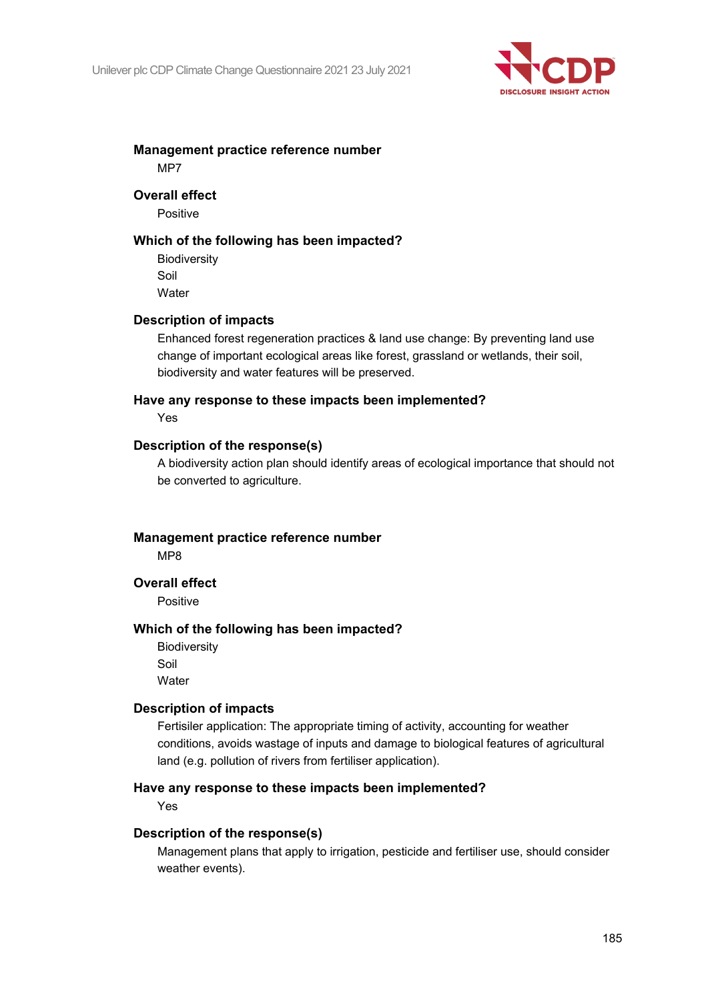

#### **Management practice reference number** M<sub>P7</sub>

#### **Overall effect**

Positive

#### **Which of the following has been impacted?**

**Biodiversity** Soil **Water** 

#### **Description of impacts**

Enhanced forest regeneration practices & land use change: By preventing land use change of important ecological areas like forest, grassland or wetlands, their soil, biodiversity and water features will be preserved.

#### **Have any response to these impacts been implemented?**

Yes

#### **Description of the response(s)**

A biodiversity action plan should identify areas of ecological importance that should not be converted to agriculture.

**Management practice reference number**

MP8

#### **Overall effect**

Positive

#### **Which of the following has been impacted?**

**Biodiversity** Soil **Water** 

#### **Description of impacts**

Fertisiler application: The appropriate timing of activity, accounting for weather conditions, avoids wastage of inputs and damage to biological features of agricultural land (e.g. pollution of rivers from fertiliser application).

#### **Have any response to these impacts been implemented?**

Yes

#### **Description of the response(s)**

Management plans that apply to irrigation, pesticide and fertiliser use, should consider weather events).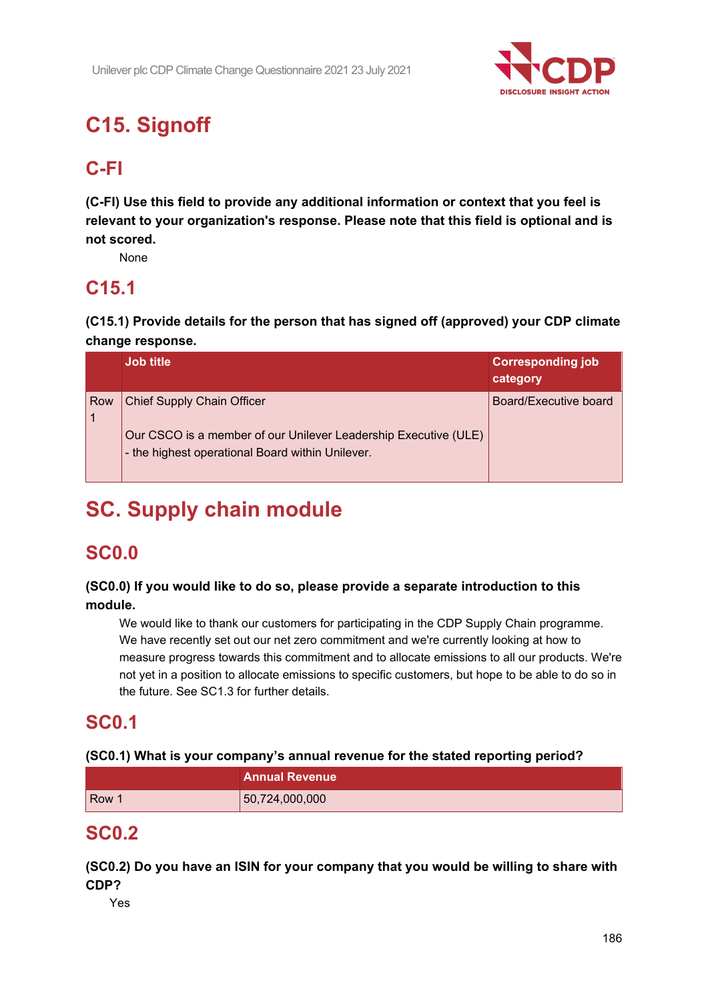

# **C15. Signoff**

# **C-FI**

**(C-FI) Use this field to provide any additional information or context that you feel is relevant to your organization's response. Please note that this field is optional and is not scored.**

None

### **C15.1**

**(C15.1) Provide details for the person that has signed off (approved) your CDP climate change response.**

|     | <b>Job title</b>                                                                                                                                         | <b>Corresponding job</b><br>category |
|-----|----------------------------------------------------------------------------------------------------------------------------------------------------------|--------------------------------------|
| Row | <b>Chief Supply Chain Officer</b><br>Our CSCO is a member of our Unilever Leadership Executive (ULE)<br>- the highest operational Board within Unilever. | Board/Executive board                |

# **SC. Supply chain module**

## **SC0.0**

### **(SC0.0) If you would like to do so, please provide a separate introduction to this module.**

We would like to thank our customers for participating in the CDP Supply Chain programme. We have recently set out our net zero commitment and we're currently looking at how to measure progress towards this commitment and to allocate emissions to all our products. We're not yet in a position to allocate emissions to specific customers, but hope to be able to do so in the future. See SC1.3 for further details.

### **SC0.1**

### **(SC0.1) What is your company's annual revenue for the stated reporting period?**

|       | <b>Annual Revenue</b> |  |
|-------|-----------------------|--|
| Row 1 | 50,724,000,000        |  |

### **SC0.2**

**(SC0.2) Do you have an ISIN for your company that you would be willing to share with CDP?**

Yes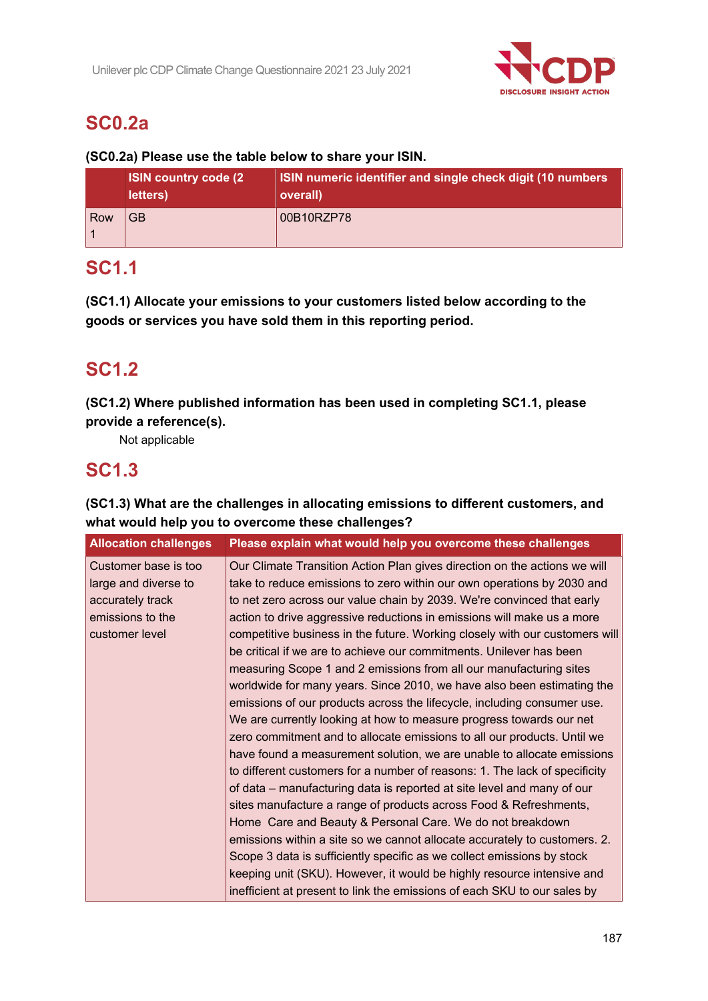

# **SC0.2a**

### **(SC0.2a) Please use the table below to share your ISIN.**

|     | <b>ISIN country code (2)</b><br>letters) | ISIN numeric identifier and single check digit (10 numbers<br>overall) |
|-----|------------------------------------------|------------------------------------------------------------------------|
| Row | GB                                       | 00B10RZP78                                                             |

### **SC1.1**

**(SC1.1) Allocate your emissions to your customers listed below according to the goods or services you have sold them in this reporting period.**

# **SC1.2**

**(SC1.2) Where published information has been used in completing SC1.1, please provide a reference(s).**

Not applicable

### **SC1.3**

| <b>Allocation challenges</b> | Please explain what would help you overcome these challenges                |
|------------------------------|-----------------------------------------------------------------------------|
| Customer base is too         | Our Climate Transition Action Plan gives direction on the actions we will   |
| large and diverse to         | take to reduce emissions to zero within our own operations by 2030 and      |
| accurately track             | to net zero across our value chain by 2039. We're convinced that early      |
| emissions to the             | action to drive aggressive reductions in emissions will make us a more      |
| customer level               | competitive business in the future. Working closely with our customers will |
|                              | be critical if we are to achieve our commitments. Unilever has been         |
|                              | measuring Scope 1 and 2 emissions from all our manufacturing sites          |
|                              | worldwide for many years. Since 2010, we have also been estimating the      |
|                              | emissions of our products across the lifecycle, including consumer use.     |
|                              | We are currently looking at how to measure progress towards our net         |
|                              | zero commitment and to allocate emissions to all our products. Until we     |
|                              | have found a measurement solution, we are unable to allocate emissions      |
|                              | to different customers for a number of reasons: 1. The lack of specificity  |
|                              | of data – manufacturing data is reported at site level and many of our      |
|                              | sites manufacture a range of products across Food & Refreshments,           |
|                              | Home Care and Beauty & Personal Care. We do not breakdown                   |
|                              | emissions within a site so we cannot allocate accurately to customers. 2.   |
|                              | Scope 3 data is sufficiently specific as we collect emissions by stock      |
|                              | keeping unit (SKU). However, it would be highly resource intensive and      |
|                              | inefficient at present to link the emissions of each SKU to our sales by    |

### **(SC1.3) What are the challenges in allocating emissions to different customers, and what would help you to overcome these challenges?**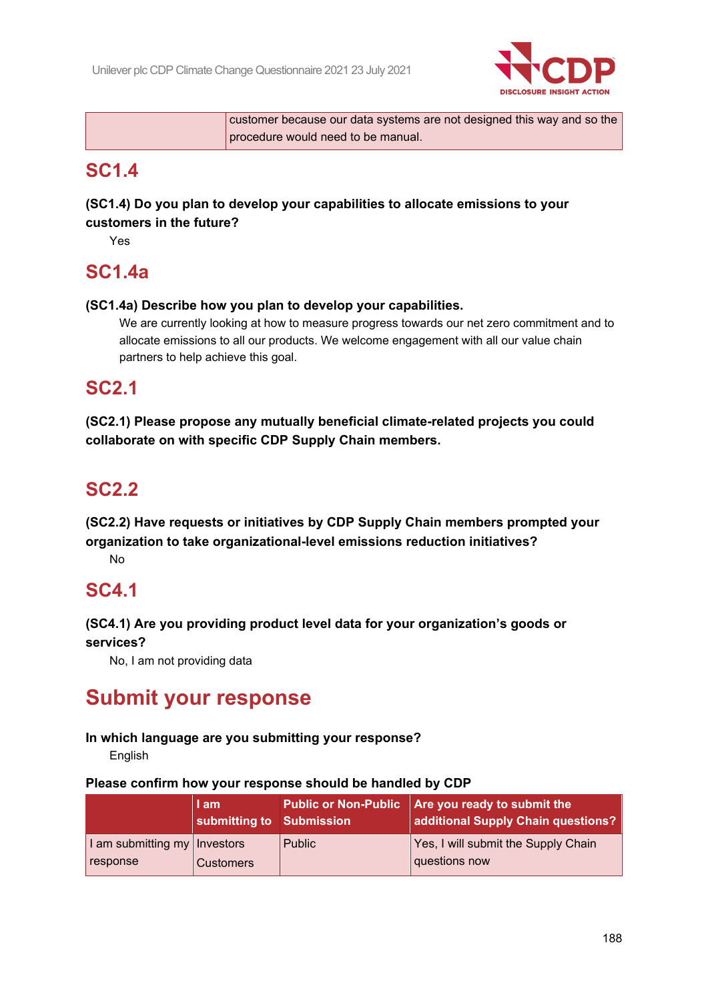

customer because our data systems are not designed this way and so the procedure would need to be manual.

### **SC1.4**

**(SC1.4) Do you plan to develop your capabilities to allocate emissions to your customers in the future?**

Yes

### **SC1.4a**

**(SC1.4a) Describe how you plan to develop your capabilities.**

We are currently looking at how to measure progress towards our net zero commitment and to allocate emissions to all our products. We welcome engagement with all our value chain partners to help achieve this goal.

### **SC2.1**

**(SC2.1) Please propose any mutually beneficial climate-related projects you could collaborate on with specific CDP Supply Chain members.**

### **SC2.2**

**(SC2.2) Have requests or initiatives by CDP Supply Chain members prompted your organization to take organizational-level emissions reduction initiatives?**

No

# **SC4.1**

**(SC4.1) Are you providing product level data for your organization's goods or services?**

No, I am not providing data

# **Submit your response**

### **In which language are you submitting your response?**

English

#### **Please confirm how your response should be handled by CDP**

|                                            | I am<br>submitting to Submission |        | Public or Non-Public Are you ready to submit the<br>additional Supply Chain questions? |
|--------------------------------------------|----------------------------------|--------|----------------------------------------------------------------------------------------|
| I am submitting my   Investors<br>response | <b>Customers</b>                 | Public | Yes, I will submit the Supply Chain<br>questions now                                   |